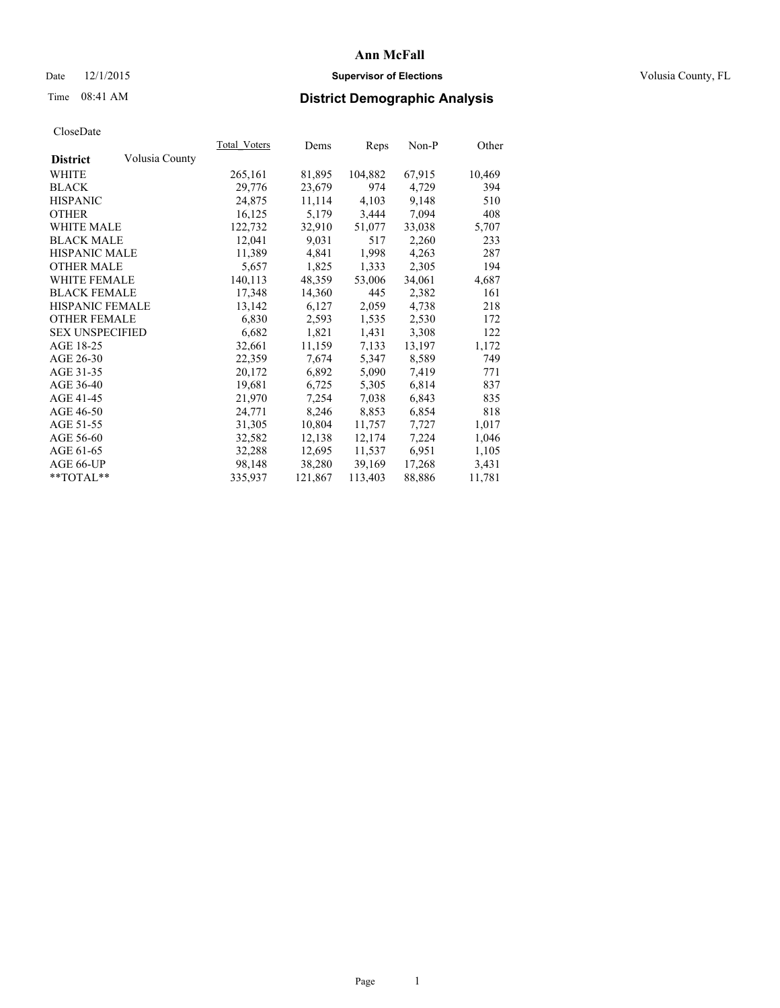## Date 12/1/2015 **Supervisor of Elections Supervisor of Elections** Volusia County, FL

# Time 08:41 AM **District Demographic Analysis**

|                        |                | <b>Total Voters</b> | Dems    | Reps    | Non-P  | Other  |
|------------------------|----------------|---------------------|---------|---------|--------|--------|
| <b>District</b>        | Volusia County |                     |         |         |        |        |
| WHITE                  |                | 265,161             | 81,895  | 104,882 | 67,915 | 10,469 |
| <b>BLACK</b>           |                | 29,776              | 23,679  | 974     | 4,729  | 394    |
| <b>HISPANIC</b>        |                | 24,875              | 11,114  | 4,103   | 9,148  | 510    |
| <b>OTHER</b>           |                | 16,125              | 5,179   | 3,444   | 7,094  | 408    |
| <b>WHITE MALE</b>      |                | 122,732             | 32,910  | 51,077  | 33,038 | 5,707  |
| <b>BLACK MALE</b>      |                | 12,041              | 9,031   | 517     | 2,260  | 233    |
| <b>HISPANIC MALE</b>   |                | 11,389              | 4,841   | 1,998   | 4,263  | 287    |
| OTHER MALE             |                | 5,657               | 1,825   | 1,333   | 2,305  | 194    |
| <b>WHITE FEMALE</b>    |                | 140,113             | 48,359  | 53,006  | 34,061 | 4,687  |
| <b>BLACK FEMALE</b>    |                | 17,348              | 14,360  | 445     | 2,382  | 161    |
| HISPANIC FEMALE        |                | 13,142              | 6,127   | 2,059   | 4,738  | 218    |
| <b>OTHER FEMALE</b>    |                | 6,830               | 2,593   | 1,535   | 2,530  | 172    |
| <b>SEX UNSPECIFIED</b> |                | 6,682               | 1,821   | 1,431   | 3,308  | 122    |
| AGE 18-25              |                | 32,661              | 11,159  | 7,133   | 13,197 | 1,172  |
| AGE 26-30              |                | 22,359              | 7,674   | 5,347   | 8,589  | 749    |
| AGE 31-35              |                | 20,172              | 6,892   | 5,090   | 7,419  | 771    |
| AGE 36-40              |                | 19,681              | 6,725   | 5,305   | 6,814  | 837    |
| AGE 41-45              |                | 21,970              | 7,254   | 7,038   | 6,843  | 835    |
| AGE 46-50              |                | 24,771              | 8,246   | 8,853   | 6,854  | 818    |
| AGE 51-55              |                | 31,305              | 10,804  | 11,757  | 7,727  | 1,017  |
| AGE 56-60              |                | 32,582              | 12,138  | 12,174  | 7,224  | 1,046  |
| AGE 61-65              |                | 32,288              | 12,695  | 11,537  | 6,951  | 1,105  |
| AGE 66-UP              |                | 98,148              | 38,280  | 39,169  | 17,268 | 3,431  |
| $*$ $TOTAL**$          |                | 335,937             | 121,867 | 113,403 | 88,886 | 11,781 |
|                        |                |                     |         |         |        |        |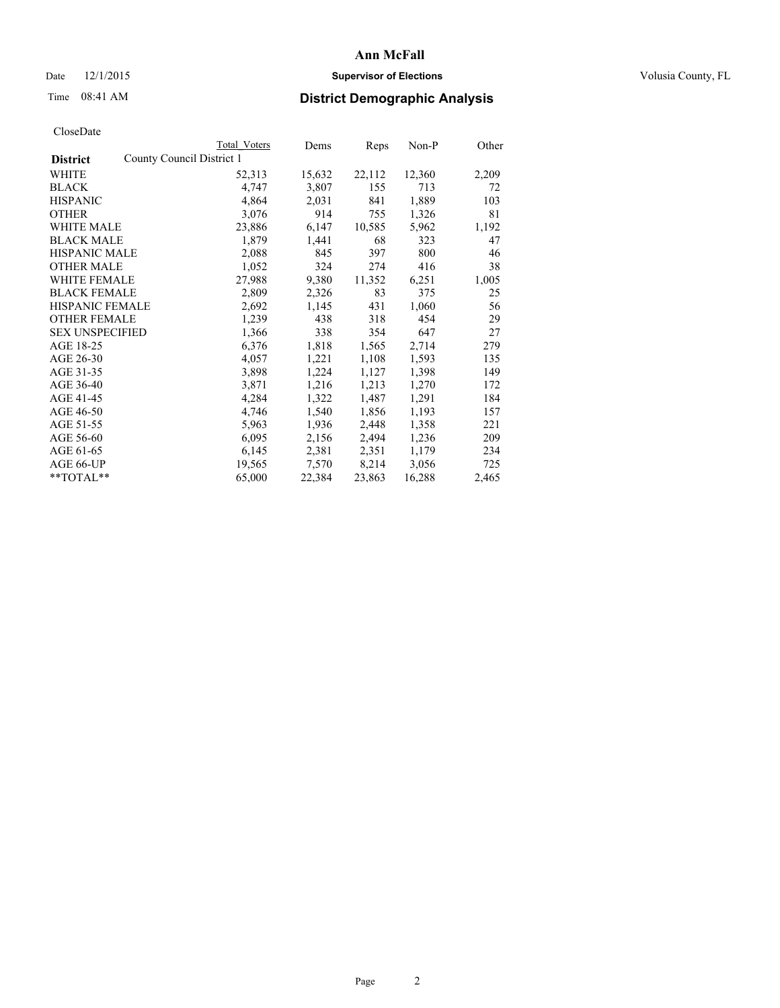## Date 12/1/2015 **Supervisor of Elections Supervisor of Elections** Volusia County, FL

|                                              | Total Voters | Dems   | Reps   | $Non-P$ | Other |
|----------------------------------------------|--------------|--------|--------|---------|-------|
| County Council District 1<br><b>District</b> |              |        |        |         |       |
| WHITE                                        | 52,313       | 15,632 | 22,112 | 12,360  | 2,209 |
| <b>BLACK</b>                                 | 4,747        | 3,807  | 155    | 713     | 72    |
| <b>HISPANIC</b>                              | 4,864        | 2,031  | 841    | 1,889   | 103   |
| <b>OTHER</b>                                 | 3,076        | 914    | 755    | 1,326   | 81    |
| <b>WHITE MALE</b>                            | 23,886       | 6,147  | 10,585 | 5,962   | 1,192 |
| <b>BLACK MALE</b>                            | 1,879        | 1,441  | 68     | 323     | 47    |
| <b>HISPANIC MALE</b>                         | 2,088        | 845    | 397    | 800     | 46    |
| <b>OTHER MALE</b>                            | 1,052        | 324    | 274    | 416     | 38    |
| WHITE FEMALE                                 | 27,988       | 9,380  | 11,352 | 6,251   | 1,005 |
| <b>BLACK FEMALE</b>                          | 2,809        | 2,326  | 83     | 375     | 25    |
| HISPANIC FEMALE                              | 2,692        | 1,145  | 431    | 1,060   | 56    |
| <b>OTHER FEMALE</b>                          | 1,239        | 438    | 318    | 454     | 29    |
| <b>SEX UNSPECIFIED</b>                       | 1,366        | 338    | 354    | 647     | 27    |
| AGE 18-25                                    | 6,376        | 1,818  | 1,565  | 2,714   | 279   |
| AGE 26-30                                    | 4,057        | 1,221  | 1,108  | 1,593   | 135   |
| AGE 31-35                                    | 3,898        | 1,224  | 1,127  | 1,398   | 149   |
| AGE 36-40                                    | 3,871        | 1,216  | 1,213  | 1,270   | 172   |
| AGE 41-45                                    | 4,284        | 1,322  | 1,487  | 1,291   | 184   |
| AGE 46-50                                    | 4,746        | 1,540  | 1,856  | 1,193   | 157   |
| AGE 51-55                                    | 5,963        | 1,936  | 2,448  | 1,358   | 221   |
| AGE 56-60                                    | 6,095        | 2,156  | 2,494  | 1,236   | 209   |
| AGE 61-65                                    | 6,145        | 2,381  | 2,351  | 1,179   | 234   |
| AGE 66-UP                                    | 19,565       | 7,570  | 8,214  | 3,056   | 725   |
| $*$ TOTAL $*$                                | 65,000       | 22,384 | 23,863 | 16,288  | 2,465 |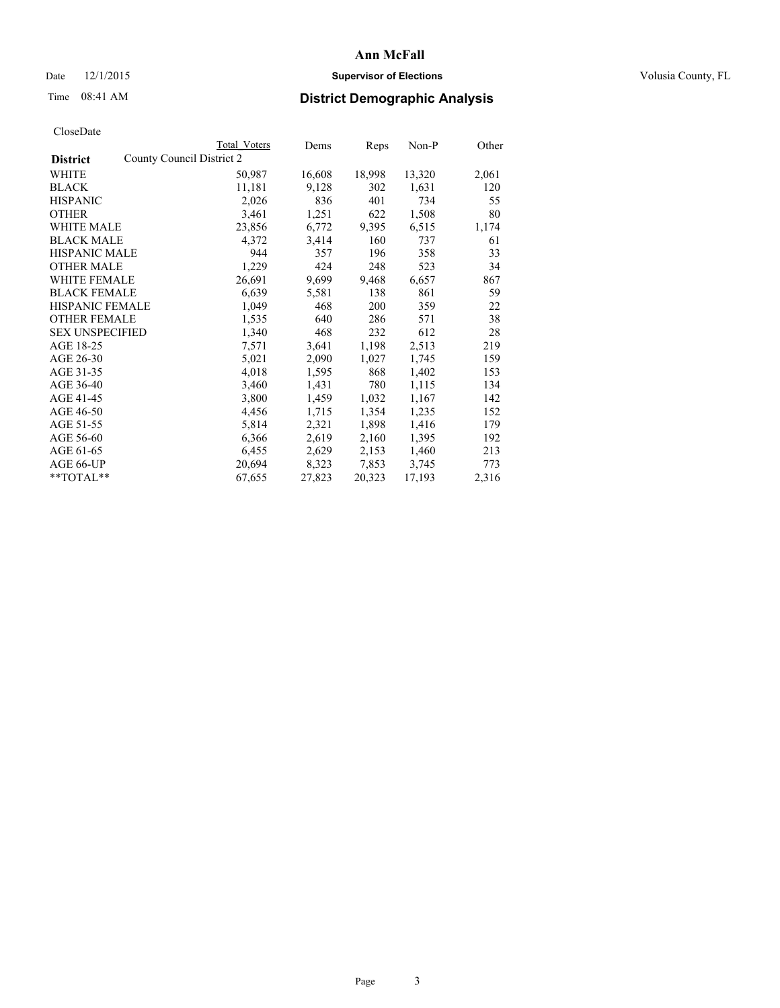## Date 12/1/2015 **Supervisor of Elections Supervisor of Elections** Volusia County, FL

|                                              | Total Voters | Dems   | Reps   | Non-P  | Other |
|----------------------------------------------|--------------|--------|--------|--------|-------|
| County Council District 2<br><b>District</b> |              |        |        |        |       |
| WHITE                                        | 50,987       | 16,608 | 18,998 | 13,320 | 2,061 |
| <b>BLACK</b>                                 | 11,181       | 9,128  | 302    | 1,631  | 120   |
| <b>HISPANIC</b>                              | 2,026        | 836    | 401    | 734    | 55    |
| <b>OTHER</b>                                 | 3,461        | 1,251  | 622    | 1,508  | 80    |
| WHITE MALE                                   | 23,856       | 6,772  | 9,395  | 6,515  | 1,174 |
| <b>BLACK MALE</b>                            | 4,372        | 3,414  | 160    | 737    | 61    |
| <b>HISPANIC MALE</b>                         | 944          | 357    | 196    | 358    | 33    |
| <b>OTHER MALE</b>                            | 1,229        | 424    | 248    | 523    | 34    |
| <b>WHITE FEMALE</b>                          | 26,691       | 9,699  | 9,468  | 6,657  | 867   |
| <b>BLACK FEMALE</b>                          | 6,639        | 5,581  | 138    | 861    | 59    |
| HISPANIC FEMALE                              | 1,049        | 468    | 200    | 359    | 22    |
| <b>OTHER FEMALE</b>                          | 1,535        | 640    | 286    | 571    | 38    |
| <b>SEX UNSPECIFIED</b>                       | 1,340        | 468    | 232    | 612    | 28    |
| AGE 18-25                                    | 7,571        | 3,641  | 1,198  | 2,513  | 219   |
| AGE 26-30                                    | 5,021        | 2,090  | 1,027  | 1,745  | 159   |
| AGE 31-35                                    | 4,018        | 1,595  | 868    | 1,402  | 153   |
| AGE 36-40                                    | 3,460        | 1,431  | 780    | 1,115  | 134   |
| AGE 41-45                                    | 3,800        | 1,459  | 1,032  | 1,167  | 142   |
| AGE 46-50                                    | 4,456        | 1,715  | 1,354  | 1,235  | 152   |
| AGE 51-55                                    | 5,814        | 2,321  | 1,898  | 1,416  | 179   |
| AGE 56-60                                    | 6,366        | 2,619  | 2,160  | 1,395  | 192   |
| AGE 61-65                                    | 6,455        | 2,629  | 2,153  | 1,460  | 213   |
| AGE 66-UP                                    | 20,694       | 8,323  | 7,853  | 3,745  | 773   |
| $*$ TOTAL $*$                                | 67,655       | 27,823 | 20,323 | 17,193 | 2,316 |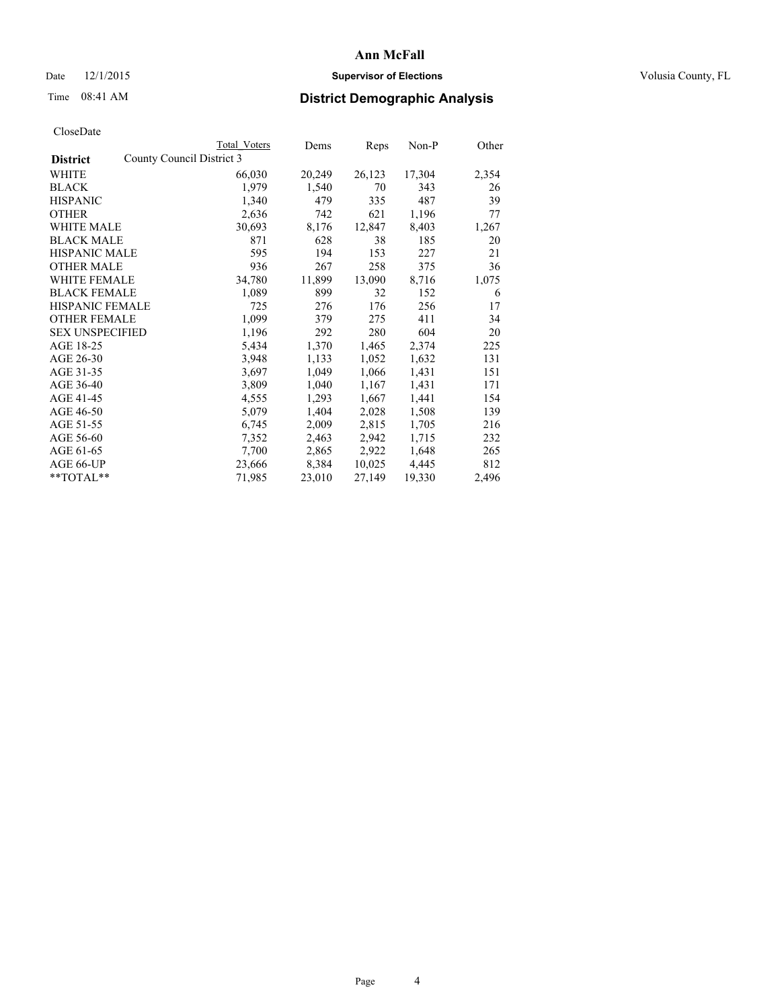## Date 12/1/2015 **Supervisor of Elections Supervisor of Elections** Volusia County, FL

|                                              | Total Voters | Dems   | Reps   | Non-P  | Other |
|----------------------------------------------|--------------|--------|--------|--------|-------|
| County Council District 3<br><b>District</b> |              |        |        |        |       |
| WHITE                                        | 66,030       | 20,249 | 26,123 | 17,304 | 2,354 |
| <b>BLACK</b>                                 | 1,979        | 1,540  | 70     | 343    | 26    |
| <b>HISPANIC</b>                              | 1,340        | 479    | 335    | 487    | 39    |
| <b>OTHER</b>                                 | 2,636        | 742    | 621    | 1,196  | 77    |
| WHITE MALE                                   | 30,693       | 8,176  | 12,847 | 8,403  | 1,267 |
| <b>BLACK MALE</b>                            | 871          | 628    | 38     | 185    | 20    |
| <b>HISPANIC MALE</b>                         | 595          | 194    | 153    | 227    | 21    |
| <b>OTHER MALE</b>                            | 936          | 267    | 258    | 375    | 36    |
| WHITE FEMALE                                 | 34,780       | 11,899 | 13,090 | 8,716  | 1,075 |
| <b>BLACK FEMALE</b>                          | 1,089        | 899    | 32     | 152    | 6     |
| HISPANIC FEMALE                              | 725          | 276    | 176    | 256    | 17    |
| <b>OTHER FEMALE</b>                          | 1,099        | 379    | 275    | 411    | 34    |
| <b>SEX UNSPECIFIED</b>                       | 1,196        | 292    | 280    | 604    | 20    |
| AGE 18-25                                    | 5,434        | 1,370  | 1,465  | 2,374  | 225   |
| AGE 26-30                                    | 3,948        | 1,133  | 1,052  | 1,632  | 131   |
| AGE 31-35                                    | 3,697        | 1,049  | 1,066  | 1,431  | 151   |
| AGE 36-40                                    | 3,809        | 1,040  | 1,167  | 1,431  | 171   |
| AGE 41-45                                    | 4,555        | 1,293  | 1,667  | 1,441  | 154   |
| AGE 46-50                                    | 5,079        | 1,404  | 2,028  | 1,508  | 139   |
| AGE 51-55                                    | 6,745        | 2,009  | 2,815  | 1,705  | 216   |
| AGE 56-60                                    | 7,352        | 2,463  | 2,942  | 1,715  | 232   |
| AGE 61-65                                    | 7,700        | 2,865  | 2,922  | 1,648  | 265   |
| AGE 66-UP                                    | 23,666       | 8,384  | 10,025 | 4,445  | 812   |
| **TOTAL**                                    | 71,985       | 23,010 | 27,149 | 19,330 | 2,496 |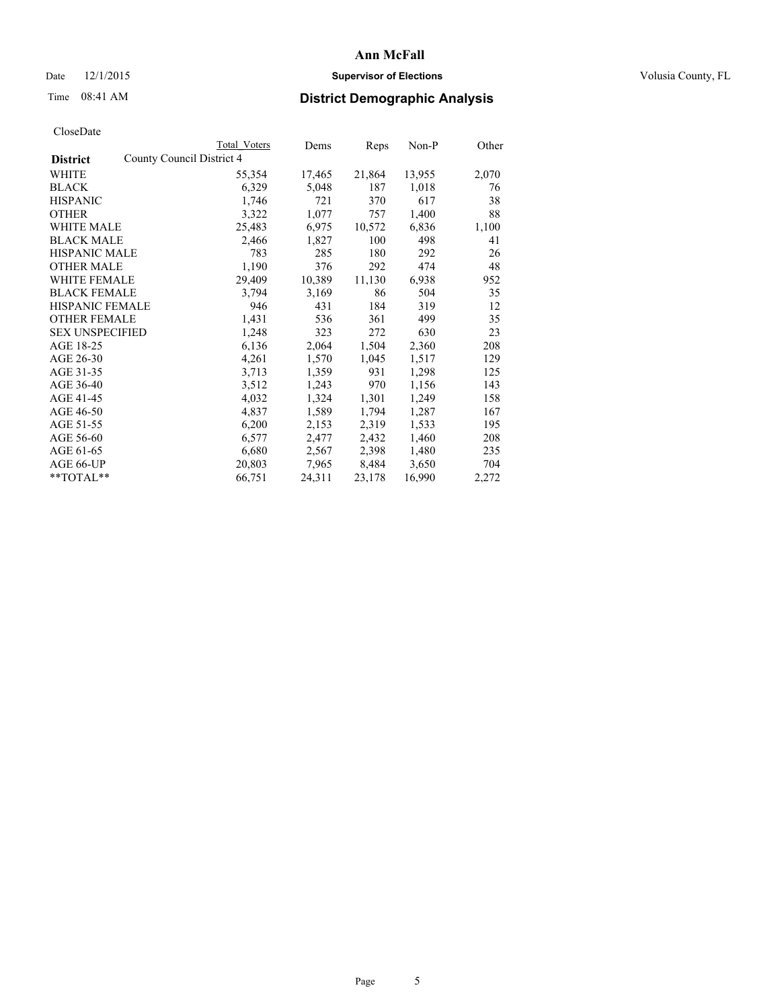## Date 12/1/2015 **Supervisor of Elections Supervisor of Elections** Volusia County, FL

|                                              | Total Voters | Dems   | Reps   | Non-P  | Other |
|----------------------------------------------|--------------|--------|--------|--------|-------|
| County Council District 4<br><b>District</b> |              |        |        |        |       |
| WHITE                                        | 55,354       | 17,465 | 21,864 | 13,955 | 2,070 |
| <b>BLACK</b>                                 | 6,329        | 5,048  | 187    | 1,018  | 76    |
| <b>HISPANIC</b>                              | 1,746        | 721    | 370    | 617    | 38    |
| <b>OTHER</b>                                 | 3,322        | 1,077  | 757    | 1,400  | 88    |
| <b>WHITE MALE</b>                            | 25,483       | 6,975  | 10,572 | 6,836  | 1,100 |
| <b>BLACK MALE</b>                            | 2,466        | 1,827  | 100    | 498    | 41    |
| <b>HISPANIC MALE</b>                         | 783          | 285    | 180    | 292    | 26    |
| <b>OTHER MALE</b>                            | 1,190        | 376    | 292    | 474    | 48    |
| WHITE FEMALE                                 | 29,409       | 10,389 | 11,130 | 6,938  | 952   |
| <b>BLACK FEMALE</b>                          | 3,794        | 3,169  | 86     | 504    | 35    |
| HISPANIC FEMALE                              | 946          | 431    | 184    | 319    | 12    |
| <b>OTHER FEMALE</b>                          | 1,431        | 536    | 361    | 499    | 35    |
| <b>SEX UNSPECIFIED</b>                       | 1,248        | 323    | 272    | 630    | 23    |
| AGE 18-25                                    | 6,136        | 2,064  | 1,504  | 2,360  | 208   |
| AGE 26-30                                    | 4,261        | 1,570  | 1,045  | 1,517  | 129   |
| AGE 31-35                                    | 3,713        | 1,359  | 931    | 1,298  | 125   |
| AGE 36-40                                    | 3,512        | 1,243  | 970    | 1,156  | 143   |
| AGE 41-45                                    | 4,032        | 1,324  | 1,301  | 1,249  | 158   |
| AGE 46-50                                    | 4,837        | 1,589  | 1,794  | 1,287  | 167   |
| AGE 51-55                                    | 6,200        | 2,153  | 2,319  | 1,533  | 195   |
| AGE 56-60                                    | 6,577        | 2,477  | 2,432  | 1,460  | 208   |
| AGE 61-65                                    | 6,680        | 2,567  | 2,398  | 1,480  | 235   |
| AGE 66-UP                                    | 20,803       | 7,965  | 8,484  | 3,650  | 704   |
| $*$ TOTAL $*$                                | 66,751       | 24,311 | 23,178 | 16,990 | 2,272 |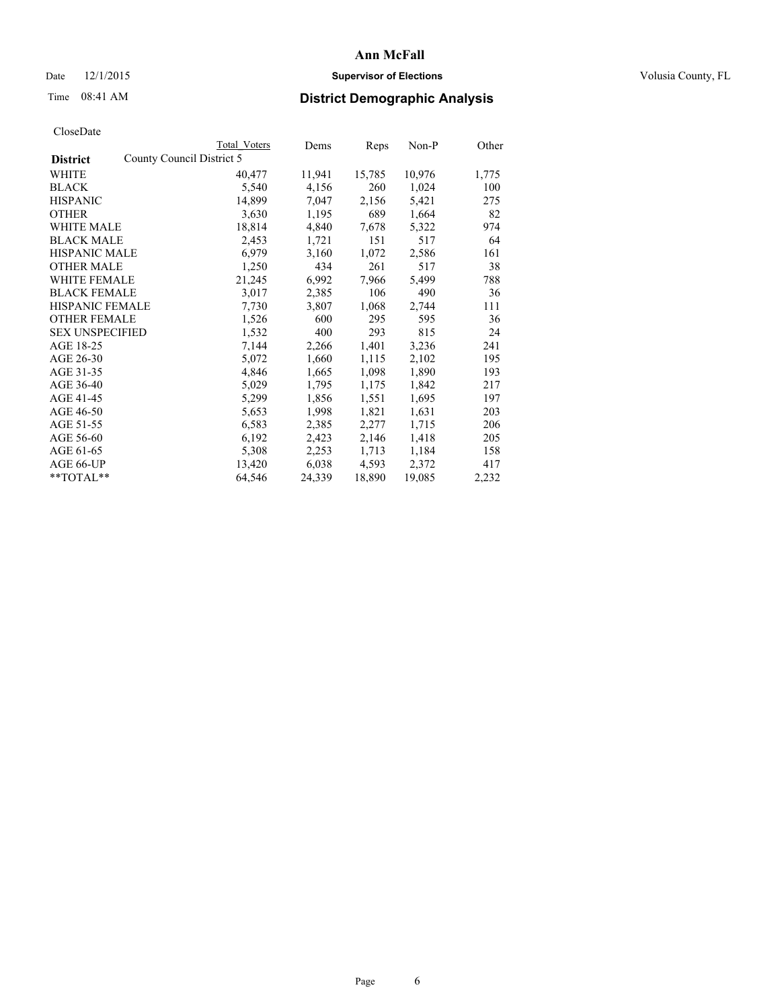## Date 12/1/2015 **Supervisor of Elections Supervisor of Elections** Volusia County, FL

| CloseDate |
|-----------|
|-----------|

|                        | <b>Total Voters</b>       | Dems   | Reps   | Non-P  | Other |
|------------------------|---------------------------|--------|--------|--------|-------|
| <b>District</b>        | County Council District 5 |        |        |        |       |
| <b>WHITE</b>           | 40,477                    | 11,941 | 15,785 | 10,976 | 1,775 |
| <b>BLACK</b>           | 5,540                     | 4,156  | 260    | 1,024  | 100   |
| <b>HISPANIC</b>        | 14,899                    | 7,047  | 2,156  | 5,421  | 275   |
| <b>OTHER</b>           | 3,630                     | 1,195  | 689    | 1,664  | 82    |
| <b>WHITE MALE</b>      | 18,814                    | 4,840  | 7,678  | 5,322  | 974   |
| <b>BLACK MALE</b>      | 2,453                     | 1,721  | 151    | 517    | 64    |
| <b>HISPANIC MALE</b>   | 6,979                     | 3,160  | 1,072  | 2,586  | 161   |
| <b>OTHER MALE</b>      | 1,250                     | 434    | 261    | 517    | 38    |
| WHITE FEMALE           | 21,245                    | 6,992  | 7,966  | 5,499  | 788   |
| <b>BLACK FEMALE</b>    | 3,017                     | 2,385  | 106    | 490    | 36    |
| HISPANIC FEMALE        | 7,730                     | 3,807  | 1,068  | 2,744  | 111   |
| <b>OTHER FEMALE</b>    | 1,526                     | 600    | 295    | 595    | 36    |
| <b>SEX UNSPECIFIED</b> | 1,532                     | 400    | 293    | 815    | 24    |
| AGE 18-25              | 7,144                     | 2,266  | 1,401  | 3,236  | 241   |
| AGE 26-30              | 5,072                     | 1,660  | 1,115  | 2,102  | 195   |
| AGE 31-35              | 4,846                     | 1,665  | 1,098  | 1,890  | 193   |
| AGE 36-40              | 5,029                     | 1,795  | 1,175  | 1,842  | 217   |
| AGE 41-45              | 5,299                     | 1,856  | 1,551  | 1,695  | 197   |
| AGE 46-50              | 5,653                     | 1,998  | 1,821  | 1,631  | 203   |
| AGE 51-55              | 6,583                     | 2,385  | 2,277  | 1,715  | 206   |
| AGE 56-60              | 6,192                     | 2,423  | 2,146  | 1,418  | 205   |
| AGE 61-65              | 5,308                     | 2,253  | 1,713  | 1,184  | 158   |
| AGE 66-UP              | 13,420                    | 6,038  | 4,593  | 2,372  | 417   |
| $*$ TOTAL $*$          | 64,546                    | 24,339 | 18,890 | 19,085 | 2,232 |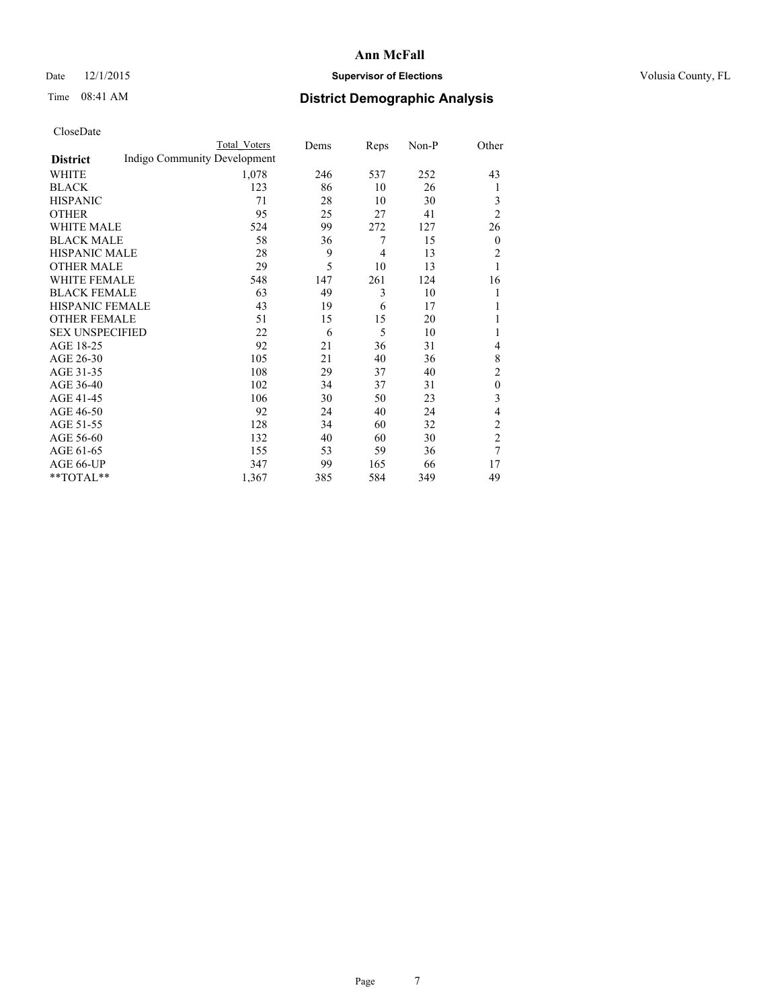## Date 12/1/2015 **Supervisor of Elections Supervisor of Elections** Volusia County, FL

# Time 08:41 AM **District Demographic Analysis**

|                        |                              | Total Voters | Dems | Reps | Non-P | Other          |
|------------------------|------------------------------|--------------|------|------|-------|----------------|
| <b>District</b>        | Indigo Community Development |              |      |      |       |                |
| WHITE                  |                              | 1,078        | 246  | 537  | 252   | 43             |
| <b>BLACK</b>           |                              | 123          | 86   | 10   | 26    | 1              |
| <b>HISPANIC</b>        |                              | 71           | 28   | 10   | 30    | 3              |
| <b>OTHER</b>           |                              | 95           | 25   | 27   | 41    | $\overline{2}$ |
| WHITE MALE             |                              | 524          | 99   | 272  | 127   | 26             |
| <b>BLACK MALE</b>      |                              | 58           | 36   | 7    | 15    | $\theta$       |
| <b>HISPANIC MALE</b>   |                              | 28           | 9    | 4    | 13    | $\overline{2}$ |
| <b>OTHER MALE</b>      |                              | 29           | 5    | 10   | 13    | 1              |
| WHITE FEMALE           |                              | 548          | 147  | 261  | 124   | 16             |
| <b>BLACK FEMALE</b>    |                              | 63           | 49   | 3    | 10    | 1              |
| <b>HISPANIC FEMALE</b> |                              | 43           | 19   | 6    | 17    | 1              |
| <b>OTHER FEMALE</b>    |                              | 51           | 15   | 15   | 20    | 1              |
| <b>SEX UNSPECIFIED</b> |                              | 22           | 6    | 5    | 10    | 1              |
| AGE 18-25              |                              | 92           | 21   | 36   | 31    | 4              |
| AGE 26-30              |                              | 105          | 21   | 40   | 36    | 8              |
| AGE 31-35              |                              | 108          | 29   | 37   | 40    | $\overline{c}$ |
| AGE 36-40              |                              | 102          | 34   | 37   | 31    | $\mathbf{0}$   |
| AGE 41-45              |                              | 106          | 30   | 50   | 23    | 3              |
| AGE 46-50              |                              | 92           | 24   | 40   | 24    | 4              |
| AGE 51-55              |                              | 128          | 34   | 60   | 32    | $\overline{c}$ |
| AGE 56-60              |                              | 132          | 40   | 60   | 30    | $\overline{c}$ |
| AGE 61-65              |                              | 155          | 53   | 59   | 36    | 7              |
| AGE 66-UP              |                              | 347          | 99   | 165  | 66    | 17             |
| **TOTAL**              |                              | 1,367        | 385  | 584  | 349   | 49             |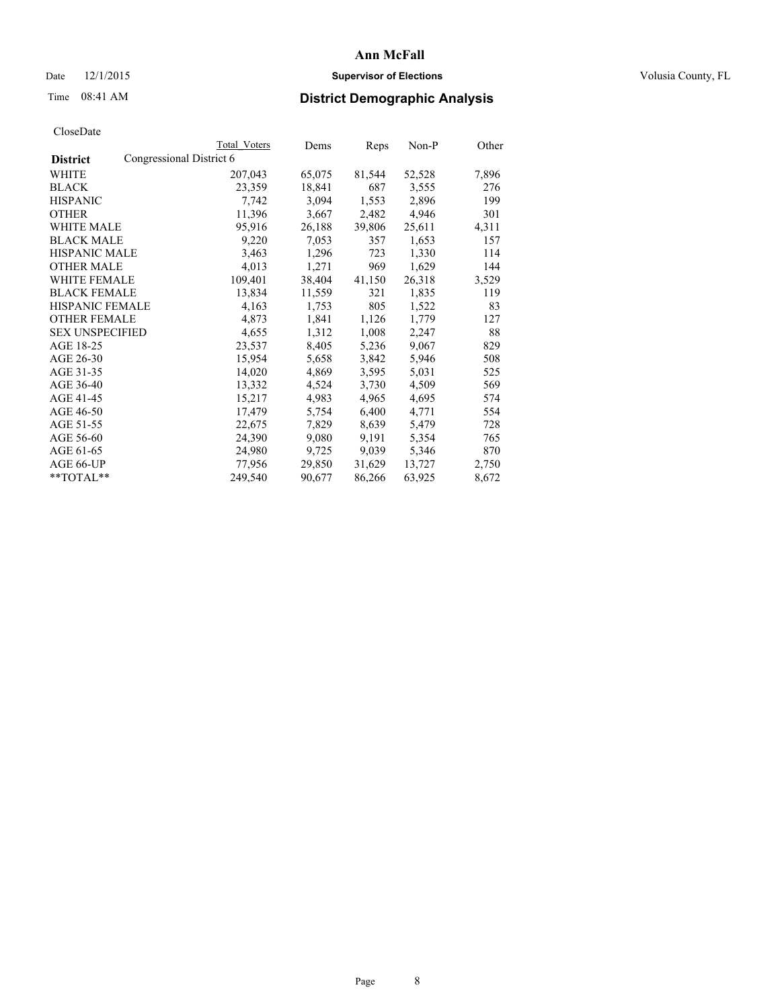## Date 12/1/2015 **Supervisor of Elections Supervisor of Elections** Volusia County, FL

# Time 08:41 AM **District Demographic Analysis**

|                                             | <b>Total Voters</b> | Dems   | Reps   | Non-P  | Other |
|---------------------------------------------|---------------------|--------|--------|--------|-------|
| Congressional District 6<br><b>District</b> |                     |        |        |        |       |
| WHITE                                       | 207,043             | 65,075 | 81,544 | 52,528 | 7,896 |
| <b>BLACK</b>                                | 23,359              | 18,841 | 687    | 3,555  | 276   |
| <b>HISPANIC</b>                             | 7,742               | 3,094  | 1,553  | 2,896  | 199   |
| <b>OTHER</b>                                | 11,396              | 3,667  | 2,482  | 4,946  | 301   |
| <b>WHITE MALE</b>                           | 95,916              | 26,188 | 39,806 | 25,611 | 4,311 |
| <b>BLACK MALE</b>                           | 9,220               | 7,053  | 357    | 1,653  | 157   |
| HISPANIC MALE                               | 3,463               | 1,296  | 723    | 1,330  | 114   |
| <b>OTHER MALE</b>                           | 4,013               | 1,271  | 969    | 1,629  | 144   |
| <b>WHITE FEMALE</b>                         | 109,401             | 38,404 | 41,150 | 26,318 | 3,529 |
| <b>BLACK FEMALE</b>                         | 13,834              | 11,559 | 321    | 1,835  | 119   |
| <b>HISPANIC FEMALE</b>                      | 4,163               | 1,753  | 805    | 1,522  | 83    |
| <b>OTHER FEMALE</b>                         | 4,873               | 1,841  | 1,126  | 1,779  | 127   |
| <b>SEX UNSPECIFIED</b>                      | 4,655               | 1,312  | 1,008  | 2,247  | 88    |
| AGE 18-25                                   | 23,537              | 8,405  | 5,236  | 9,067  | 829   |
| AGE 26-30                                   | 15,954              | 5,658  | 3,842  | 5,946  | 508   |
| AGE 31-35                                   | 14,020              | 4,869  | 3,595  | 5,031  | 525   |
| AGE 36-40                                   | 13,332              | 4,524  | 3,730  | 4,509  | 569   |
| AGE 41-45                                   | 15,217              | 4,983  | 4,965  | 4,695  | 574   |
| AGE 46-50                                   | 17,479              | 5,754  | 6,400  | 4,771  | 554   |
| AGE 51-55                                   | 22,675              | 7,829  | 8,639  | 5,479  | 728   |
| AGE 56-60                                   | 24,390              | 9,080  | 9,191  | 5,354  | 765   |
| AGE 61-65                                   | 24,980              | 9,725  | 9,039  | 5,346  | 870   |
| AGE 66-UP                                   | 77,956              | 29,850 | 31,629 | 13,727 | 2,750 |
| $*$ TOTAL $*$                               | 249,540             | 90,677 | 86,266 | 63,925 | 8,672 |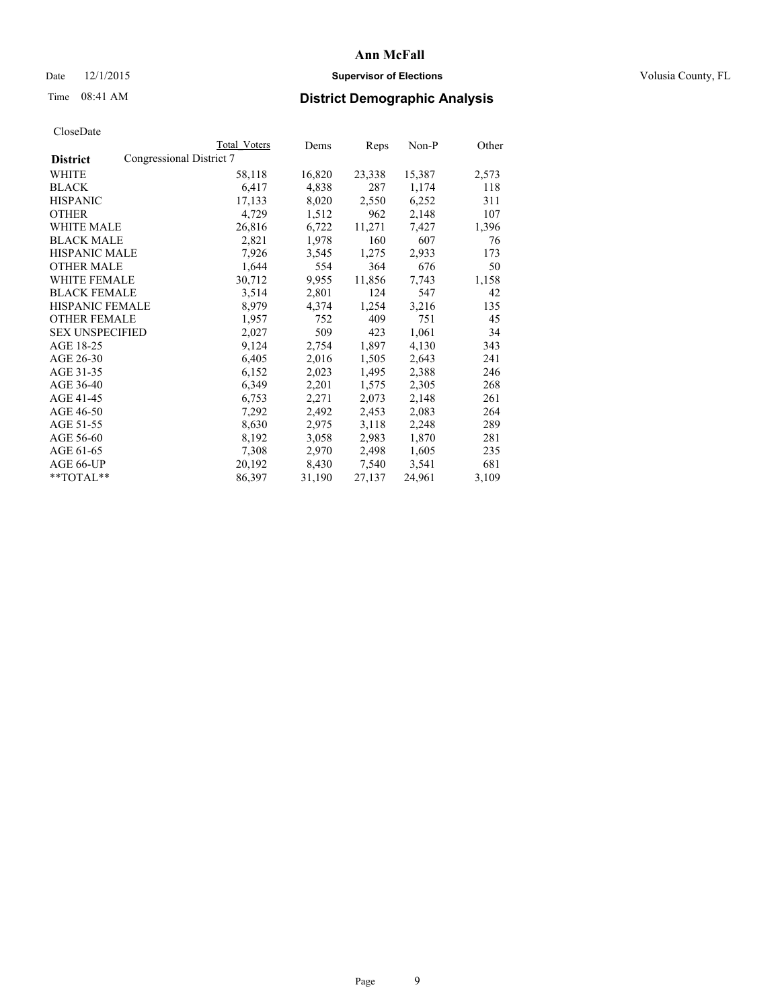## Date 12/1/2015 **Supervisor of Elections Supervisor of Elections** Volusia County, FL

# Time 08:41 AM **District Demographic Analysis**

|                                             | Total Voters | Dems   | Reps   | Non-P  | Other |
|---------------------------------------------|--------------|--------|--------|--------|-------|
| Congressional District 7<br><b>District</b> |              |        |        |        |       |
| WHITE                                       | 58,118       | 16,820 | 23,338 | 15,387 | 2,573 |
| <b>BLACK</b>                                | 6,417        | 4,838  | 287    | 1,174  | 118   |
| <b>HISPANIC</b>                             | 17,133       | 8,020  | 2,550  | 6,252  | 311   |
| <b>OTHER</b>                                | 4,729        | 1,512  | 962    | 2,148  | 107   |
| <b>WHITE MALE</b>                           | 26,816       | 6,722  | 11,271 | 7,427  | 1,396 |
| BLACK MALE                                  | 2,821        | 1,978  | 160    | 607    | 76    |
| <b>HISPANIC MALE</b>                        | 7,926        | 3,545  | 1,275  | 2,933  | 173   |
| <b>OTHER MALE</b>                           | 1,644        | 554    | 364    | 676    | 50    |
| <b>WHITE FEMALE</b>                         | 30,712       | 9,955  | 11,856 | 7,743  | 1,158 |
| <b>BLACK FEMALE</b>                         | 3,514        | 2,801  | 124    | 547    | 42    |
| HISPANIC FEMALE                             | 8,979        | 4,374  | 1,254  | 3,216  | 135   |
| <b>OTHER FEMALE</b>                         | 1,957        | 752    | 409    | 751    | 45    |
| <b>SEX UNSPECIFIED</b>                      | 2,027        | 509    | 423    | 1,061  | 34    |
| AGE 18-25                                   | 9,124        | 2,754  | 1,897  | 4,130  | 343   |
| AGE 26-30                                   | 6,405        | 2,016  | 1,505  | 2,643  | 241   |
| AGE 31-35                                   | 6,152        | 2,023  | 1,495  | 2,388  | 246   |
| AGE 36-40                                   | 6,349        | 2,201  | 1,575  | 2,305  | 268   |
| AGE 41-45                                   | 6,753        | 2,271  | 2,073  | 2,148  | 261   |
| AGE 46-50                                   | 7,292        | 2,492  | 2,453  | 2,083  | 264   |
| AGE 51-55                                   | 8,630        | 2,975  | 3,118  | 2,248  | 289   |
| AGE 56-60                                   | 8,192        | 3,058  | 2,983  | 1,870  | 281   |
| AGE 61-65                                   | 7,308        | 2,970  | 2,498  | 1,605  | 235   |
| AGE 66-UP                                   | 20,192       | 8,430  | 7,540  | 3,541  | 681   |
| $*$ $TOTAI.**$                              | 86,397       | 31,190 | 27,137 | 24,961 | 3,109 |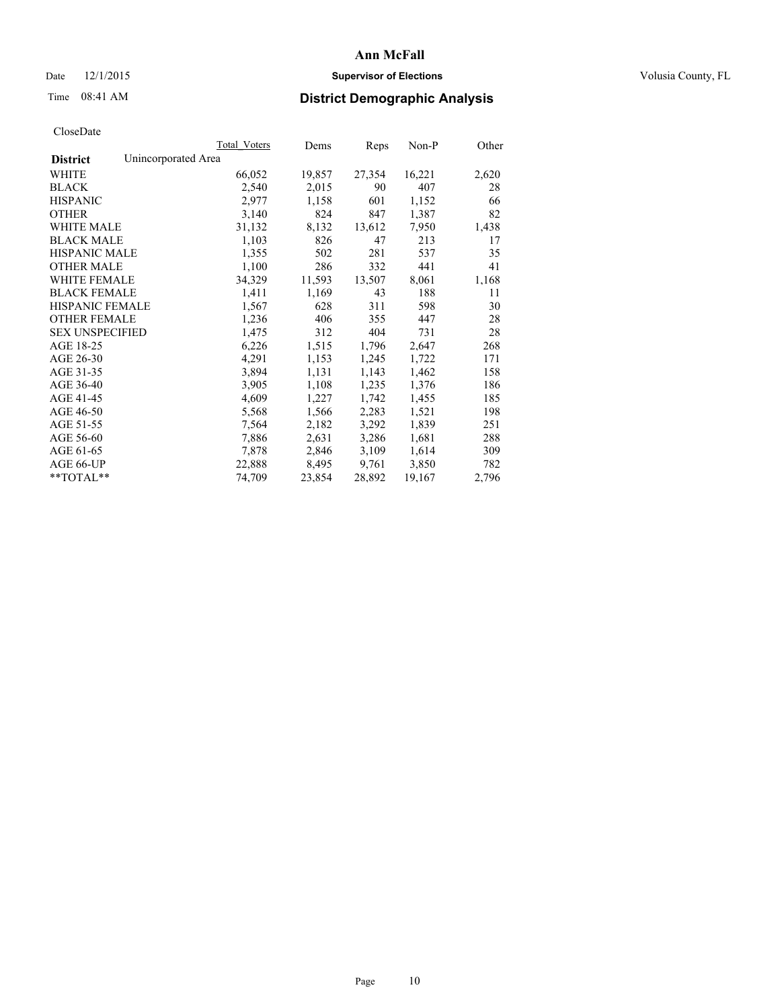## Date 12/1/2015 **Supervisor of Elections Supervisor of Elections** Volusia County, FL

# Time 08:41 AM **District Demographic Analysis**

|                                        | Total Voters | Dems   | <b>Reps</b> | $Non-P$ | Other |
|----------------------------------------|--------------|--------|-------------|---------|-------|
| Unincorporated Area<br><b>District</b> |              |        |             |         |       |
| WHITE                                  | 66,052       | 19,857 | 27,354      | 16,221  | 2,620 |
| <b>BLACK</b>                           | 2,540        | 2,015  | 90          | 407     | 28    |
| <b>HISPANIC</b>                        | 2,977        | 1,158  | 601         | 1,152   | 66    |
| <b>OTHER</b>                           | 3,140        | 824    | 847         | 1,387   | 82    |
| WHITE MALE                             | 31,132       | 8,132  | 13,612      | 7,950   | 1,438 |
| <b>BLACK MALE</b>                      | 1,103        | 826    | 47          | 213     | 17    |
| <b>HISPANIC MALE</b>                   | 1,355        | 502    | 281         | 537     | 35    |
| <b>OTHER MALE</b>                      | 1,100        | 286    | 332         | 441     | 41    |
| WHITE FEMALE                           | 34,329       | 11,593 | 13,507      | 8,061   | 1,168 |
| <b>BLACK FEMALE</b>                    | 1,411        | 1,169  | 43          | 188     | 11    |
| HISPANIC FEMALE                        | 1,567        | 628    | 311         | 598     | 30    |
| <b>OTHER FEMALE</b>                    | 1,236        | 406    | 355         | 447     | 28    |
| <b>SEX UNSPECIFIED</b>                 | 1,475        | 312    | 404         | 731     | 28    |
| AGE 18-25                              | 6,226        | 1,515  | 1,796       | 2,647   | 268   |
| AGE 26-30                              | 4,291        | 1,153  | 1,245       | 1,722   | 171   |
| AGE 31-35                              | 3,894        | 1,131  | 1,143       | 1,462   | 158   |
| AGE 36-40                              | 3,905        | 1,108  | 1,235       | 1,376   | 186   |
| AGE 41-45                              | 4,609        | 1,227  | 1,742       | 1,455   | 185   |
| AGE 46-50                              | 5,568        | 1,566  | 2,283       | 1,521   | 198   |
| AGE 51-55                              | 7,564        | 2,182  | 3,292       | 1,839   | 251   |
| AGE 56-60                              | 7,886        | 2,631  | 3,286       | 1,681   | 288   |
| AGE 61-65                              | 7,878        | 2,846  | 3,109       | 1,614   | 309   |
| AGE 66-UP                              | 22,888       | 8,495  | 9,761       | 3,850   | 782   |
| $*$ $TOTAI.**$                         | 74,709       | 23,854 | 28,892      | 19,167  | 2,796 |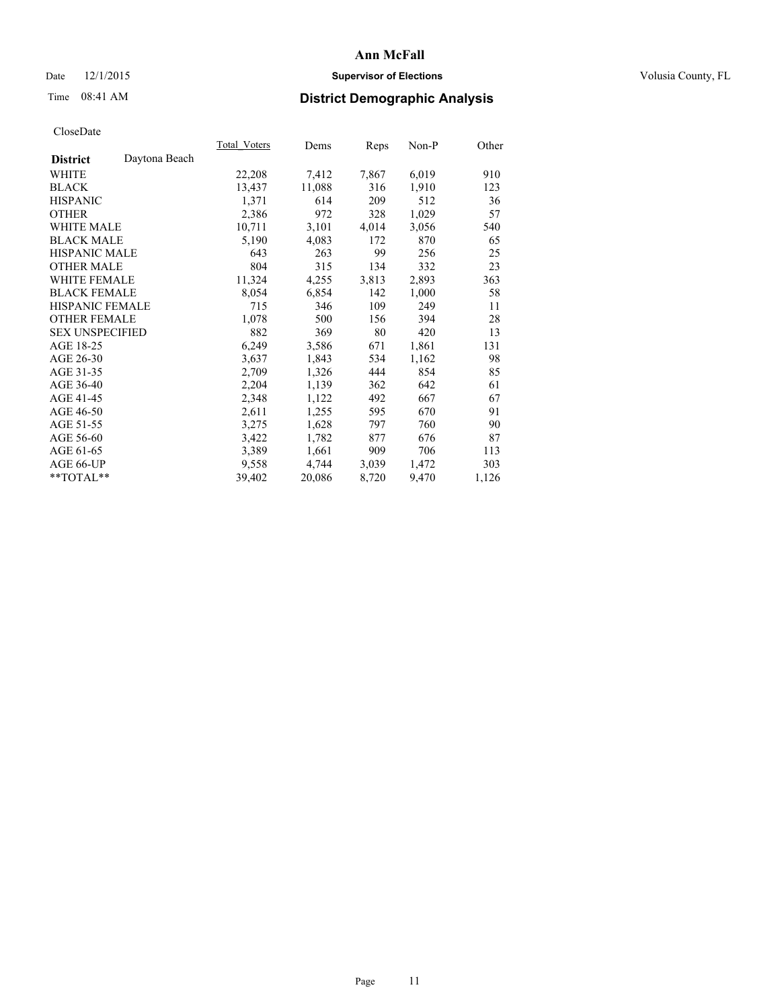## Date 12/1/2015 **Supervisor of Elections Supervisor of Elections** Volusia County, FL

# Time 08:41 AM **District Demographic Analysis**

|                        |               | Total Voters | Dems   | Reps  | $Non-P$ | Other |
|------------------------|---------------|--------------|--------|-------|---------|-------|
| <b>District</b>        | Daytona Beach |              |        |       |         |       |
| WHITE                  |               | 22,208       | 7,412  | 7,867 | 6,019   | 910   |
| <b>BLACK</b>           |               | 13,437       | 11,088 | 316   | 1,910   | 123   |
| <b>HISPANIC</b>        |               | 1,371        | 614    | 209   | 512     | 36    |
| <b>OTHER</b>           |               | 2,386        | 972    | 328   | 1,029   | 57    |
| <b>WHITE MALE</b>      |               | 10,711       | 3,101  | 4,014 | 3,056   | 540   |
| <b>BLACK MALE</b>      |               | 5,190        | 4,083  | 172   | 870     | 65    |
| <b>HISPANIC MALE</b>   |               | 643          | 263    | 99    | 256     | 25    |
| <b>OTHER MALE</b>      |               | 804          | 315    | 134   | 332     | 23    |
| WHITE FEMALE           |               | 11,324       | 4,255  | 3,813 | 2,893   | 363   |
| <b>BLACK FEMALE</b>    |               | 8,054        | 6,854  | 142   | 1,000   | 58    |
| HISPANIC FEMALE        |               | 715          | 346    | 109   | 249     | 11    |
| <b>OTHER FEMALE</b>    |               | 1,078        | 500    | 156   | 394     | 28    |
| <b>SEX UNSPECIFIED</b> |               | 882          | 369    | 80    | 420     | 13    |
| AGE 18-25              |               | 6,249        | 3,586  | 671   | 1,861   | 131   |
| AGE 26-30              |               | 3,637        | 1,843  | 534   | 1,162   | 98    |
| AGE 31-35              |               | 2,709        | 1,326  | 444   | 854     | 85    |
| AGE 36-40              |               | 2,204        | 1,139  | 362   | 642     | 61    |
| AGE 41-45              |               | 2,348        | 1,122  | 492   | 667     | 67    |
| AGE 46-50              |               | 2,611        | 1,255  | 595   | 670     | 91    |
| AGE 51-55              |               | 3,275        | 1,628  | 797   | 760     | 90    |
| AGE 56-60              |               | 3,422        | 1,782  | 877   | 676     | 87    |
| AGE 61-65              |               | 3,389        | 1,661  | 909   | 706     | 113   |
| AGE 66-UP              |               | 9,558        | 4,744  | 3,039 | 1,472   | 303   |
| **TOTAL**              |               | 39,402       | 20,086 | 8,720 | 9,470   | 1,126 |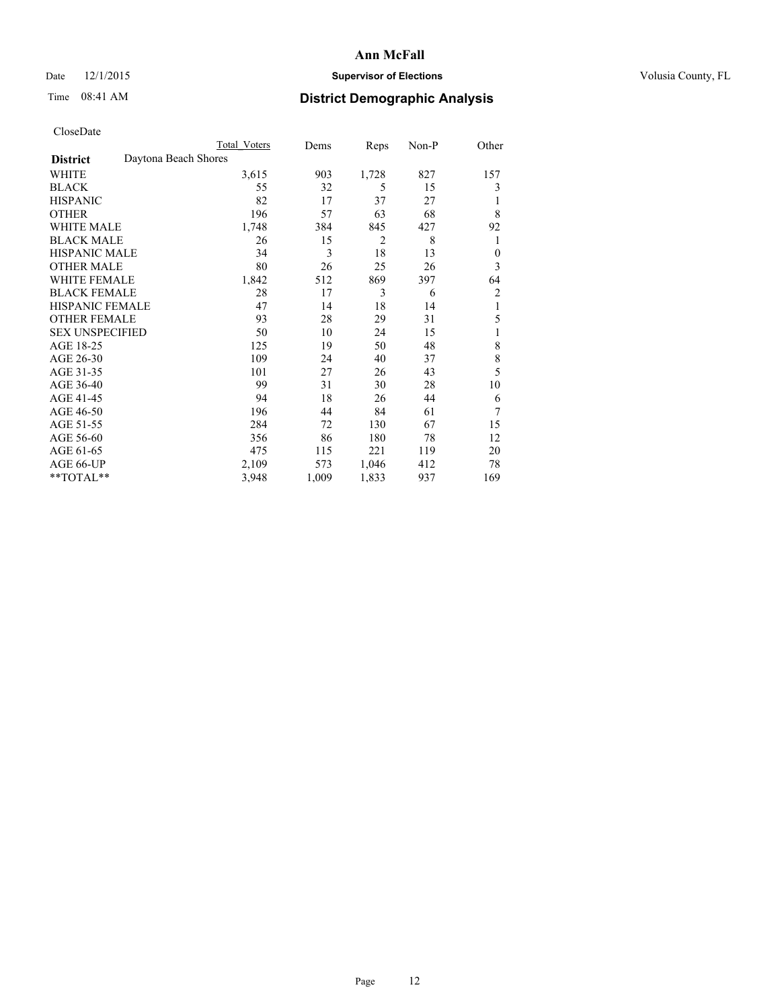## Date 12/1/2015 **Supervisor of Elections Supervisor of Elections** Volusia County, FL

# Time 08:41 AM **District Demographic Analysis**

|                        | Total Voters         | Dems  | Reps           | Non-P | Other          |
|------------------------|----------------------|-------|----------------|-------|----------------|
| <b>District</b>        | Daytona Beach Shores |       |                |       |                |
| WHITE                  | 3,615                | 903   | 1,728          | 827   | 157            |
| <b>BLACK</b>           | 55                   | 32    | 5              | 15    | 3              |
| <b>HISPANIC</b>        | 82                   | 17    | 37             | 27    | 1              |
| <b>OTHER</b>           | 196                  | 57    | 63             | 68    | 8              |
| WHITE MALE             | 1,748                | 384   | 845            | 427   | 92             |
| <b>BLACK MALE</b>      | 26                   | 15    | $\overline{2}$ | 8     | 1              |
| <b>HISPANIC MALE</b>   | 34                   | 3     | 18             | 13    | $\theta$       |
| <b>OTHER MALE</b>      | 80                   | 26    | 25             | 26    | 3              |
| <b>WHITE FEMALE</b>    | 1,842                | 512   | 869            | 397   | 64             |
| <b>BLACK FEMALE</b>    | 28                   | 17    | 3              | 6     | $\overline{c}$ |
| <b>HISPANIC FEMALE</b> | 47                   | 14    | 18             | 14    | 1              |
| <b>OTHER FEMALE</b>    | 93                   | 28    | 29             | 31    | 5              |
| <b>SEX UNSPECIFIED</b> | 50                   | 10    | 24             | 15    | 1              |
| AGE 18-25              | 125                  | 19    | 50             | 48    | 8              |
| AGE 26-30              | 109                  | 24    | 40             | 37    | 8              |
| AGE 31-35              | 101                  | 27    | 26             | 43    | 5              |
| AGE 36-40              | 99                   | 31    | 30             | 28    | 10             |
| AGE 41-45              | 94                   | 18    | 26             | 44    | 6              |
| AGE 46-50              | 196                  | 44    | 84             | 61    | 7              |
| AGE 51-55              | 284                  | 72    | 130            | 67    | 15             |
| AGE 56-60              | 356                  | 86    | 180            | 78    | 12             |
| AGE 61-65              | 475                  | 115   | 221            | 119   | 20             |
| AGE 66-UP              | 2,109                | 573   | 1,046          | 412   | 78             |
| **TOTAL**              | 3,948                | 1,009 | 1,833          | 937   | 169            |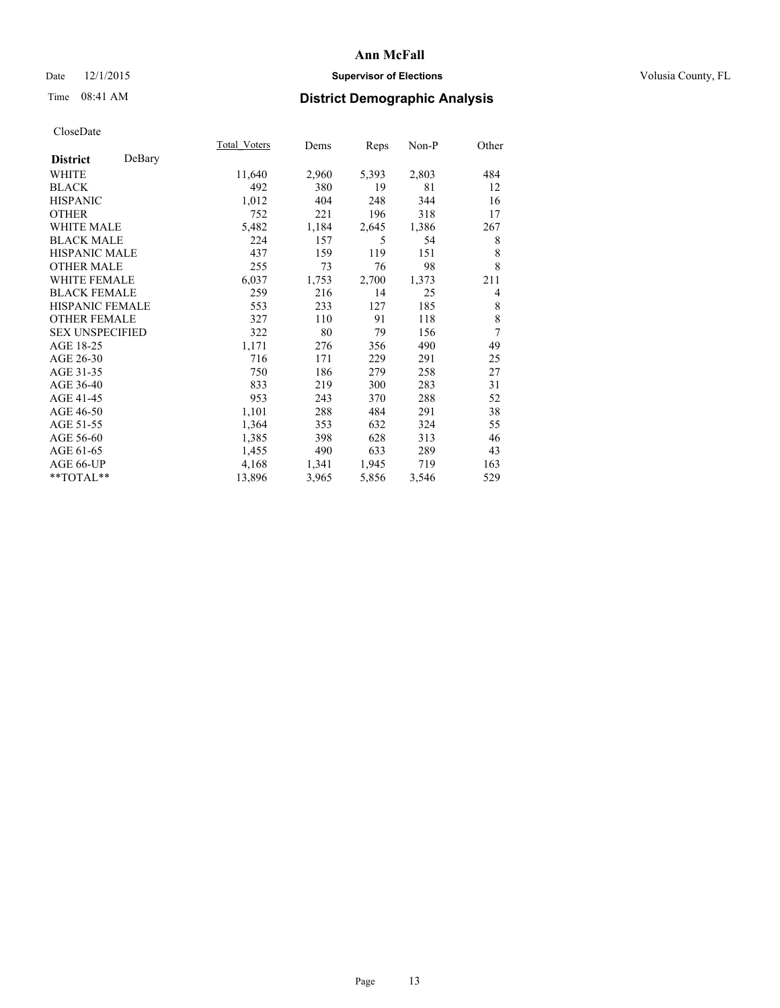## Date 12/1/2015 **Supervisor of Elections Supervisor of Elections** Volusia County, FL

# Time 08:41 AM **District Demographic Analysis**

|                        |        | Total Voters | Dems  | Reps  | Non-P | Other          |
|------------------------|--------|--------------|-------|-------|-------|----------------|
| <b>District</b>        | DeBary |              |       |       |       |                |
| WHITE                  |        | 11,640       | 2,960 | 5,393 | 2,803 | 484            |
| <b>BLACK</b>           |        | 492          | 380   | 19    | 81    | 12             |
| <b>HISPANIC</b>        |        | 1,012        | 404   | 248   | 344   | 16             |
| <b>OTHER</b>           |        | 752          | 221   | 196   | 318   | 17             |
| <b>WHITE MALE</b>      |        | 5,482        | 1,184 | 2,645 | 1,386 | 267            |
| <b>BLACK MALE</b>      |        | 224          | 157   | 5     | 54    | 8              |
| HISPANIC MALE          |        | 437          | 159   | 119   | 151   | 8              |
| <b>OTHER MALE</b>      |        | 255          | 73    | 76    | 98    | 8              |
| <b>WHITE FEMALE</b>    |        | 6,037        | 1,753 | 2,700 | 1,373 | 211            |
| <b>BLACK FEMALE</b>    |        | 259          | 216   | 14    | 25    | $\overline{4}$ |
| <b>HISPANIC FEMALE</b> |        | 553          | 233   | 127   | 185   | 8              |
| <b>OTHER FEMALE</b>    |        | 327          | 110   | 91    | 118   | 8              |
| <b>SEX UNSPECIFIED</b> |        | 322          | 80    | 79    | 156   | 7              |
| AGE 18-25              |        | 1,171        | 276   | 356   | 490   | 49             |
| AGE 26-30              |        | 716          | 171   | 229   | 291   | 25             |
| AGE 31-35              |        | 750          | 186   | 279   | 258   | 27             |
| AGE 36-40              |        | 833          | 219   | 300   | 283   | 31             |
| AGE 41-45              |        | 953          | 243   | 370   | 288   | 52             |
| AGE 46-50              |        | 1,101        | 288   | 484   | 291   | 38             |
| AGE 51-55              |        | 1,364        | 353   | 632   | 324   | 55             |
| AGE 56-60              |        | 1,385        | 398   | 628   | 313   | 46             |
| AGE 61-65              |        | 1,455        | 490   | 633   | 289   | 43             |
| AGE 66-UP              |        | 4,168        | 1,341 | 1,945 | 719   | 163            |
| **TOTAL**              |        | 13,896       | 3,965 | 5,856 | 3,546 | 529            |
|                        |        |              |       |       |       |                |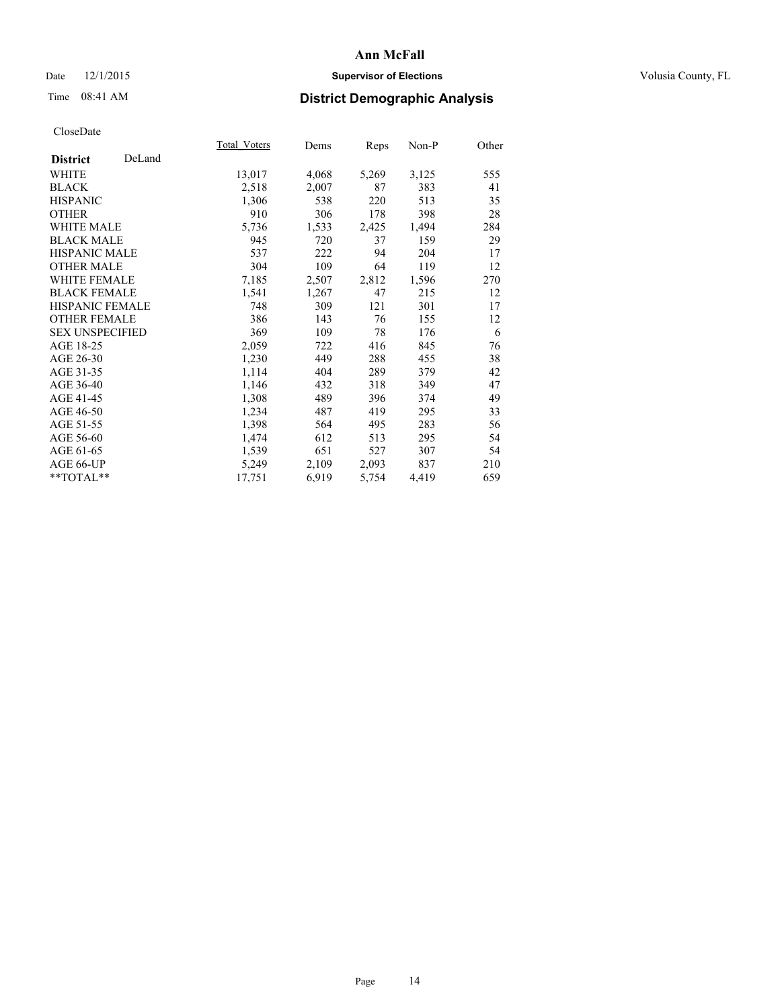## Date 12/1/2015 **Supervisor of Elections Supervisor of Elections** Volusia County, FL

# Time 08:41 AM **District Demographic Analysis**

|                           | Total Voters | Dems  | <b>Reps</b> | Non-P | Other |
|---------------------------|--------------|-------|-------------|-------|-------|
| DeLand<br><b>District</b> |              |       |             |       |       |
| WHITE                     | 13,017       | 4,068 | 5,269       | 3,125 | 555   |
| <b>BLACK</b>              | 2,518        | 2,007 | 87          | 383   | 41    |
| <b>HISPANIC</b>           | 1,306        | 538   | 220         | 513   | 35    |
| <b>OTHER</b>              | 910          | 306   | 178         | 398   | 28    |
| <b>WHITE MALE</b>         | 5,736        | 1,533 | 2,425       | 1,494 | 284   |
| <b>BLACK MALE</b>         | 945          | 720   | 37          | 159   | 29    |
| <b>HISPANIC MALE</b>      | 537          | 222   | 94          | 204   | 17    |
| <b>OTHER MALE</b>         | 304          | 109   | 64          | 119   | 12    |
| <b>WHITE FEMALE</b>       | 7,185        | 2,507 | 2,812       | 1,596 | 270   |
| <b>BLACK FEMALE</b>       | 1,541        | 1,267 | 47          | 215   | 12    |
| <b>HISPANIC FEMALE</b>    | 748          | 309   | 121         | 301   | 17    |
| <b>OTHER FEMALE</b>       | 386          | 143   | 76          | 155   | 12    |
| <b>SEX UNSPECIFIED</b>    | 369          | 109   | 78          | 176   | 6     |
| AGE 18-25                 | 2,059        | 722   | 416         | 845   | 76    |
| AGE 26-30                 | 1,230        | 449   | 288         | 455   | 38    |
| AGE 31-35                 | 1,114        | 404   | 289         | 379   | 42    |
| AGE 36-40                 | 1,146        | 432   | 318         | 349   | 47    |
| AGE 41-45                 | 1,308        | 489   | 396         | 374   | 49    |
| AGE 46-50                 | 1,234        | 487   | 419         | 295   | 33    |
| AGE 51-55                 | 1,398        | 564   | 495         | 283   | 56    |
| AGE 56-60                 | 1,474        | 612   | 513         | 295   | 54    |
| AGE 61-65                 | 1,539        | 651   | 527         | 307   | 54    |
| AGE 66-UP                 | 5,249        | 2,109 | 2,093       | 837   | 210   |
| $*$ $TOTAL**$             | 17,751       | 6,919 | 5,754       | 4,419 | 659   |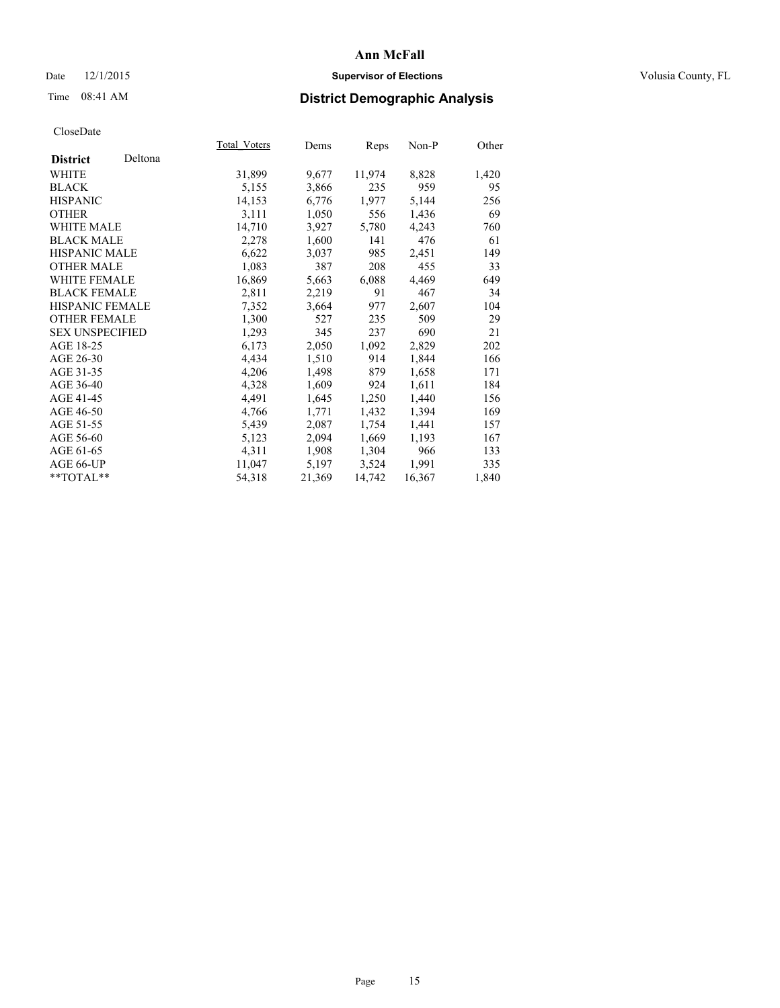## Date 12/1/2015 **Supervisor of Elections Supervisor of Elections** Volusia County, FL

# Time 08:41 AM **District Demographic Analysis**

|                        |         | Total Voters | Dems   | Reps   | $Non-P$ | Other |
|------------------------|---------|--------------|--------|--------|---------|-------|
| <b>District</b>        | Deltona |              |        |        |         |       |
| WHITE                  |         | 31,899       | 9,677  | 11,974 | 8,828   | 1,420 |
| <b>BLACK</b>           |         | 5,155        | 3,866  | 235    | 959     | 95    |
| <b>HISPANIC</b>        |         | 14,153       | 6,776  | 1,977  | 5,144   | 256   |
| <b>OTHER</b>           |         | 3,111        | 1,050  | 556    | 1,436   | 69    |
| <b>WHITE MALE</b>      |         | 14,710       | 3,927  | 5,780  | 4,243   | 760   |
| <b>BLACK MALE</b>      |         | 2,278        | 1,600  | 141    | 476     | 61    |
| <b>HISPANIC MALE</b>   |         | 6,622        | 3,037  | 985    | 2,451   | 149   |
| <b>OTHER MALE</b>      |         | 1,083        | 387    | 208    | 455     | 33    |
| <b>WHITE FEMALE</b>    |         | 16,869       | 5,663  | 6,088  | 4,469   | 649   |
| <b>BLACK FEMALE</b>    |         | 2,811        | 2,219  | 91     | 467     | 34    |
| HISPANIC FEMALE        |         | 7,352        | 3,664  | 977    | 2,607   | 104   |
| <b>OTHER FEMALE</b>    |         | 1,300        | 527    | 235    | 509     | 29    |
| <b>SEX UNSPECIFIED</b> |         | 1,293        | 345    | 237    | 690     | 21    |
| AGE 18-25              |         | 6,173        | 2,050  | 1,092  | 2,829   | 202   |
| AGE 26-30              |         | 4,434        | 1,510  | 914    | 1,844   | 166   |
| AGE 31-35              |         | 4,206        | 1,498  | 879    | 1,658   | 171   |
| AGE 36-40              |         | 4,328        | 1,609  | 924    | 1,611   | 184   |
| AGE 41-45              |         | 4,491        | 1,645  | 1,250  | 1,440   | 156   |
| AGE 46-50              |         | 4,766        | 1,771  | 1,432  | 1,394   | 169   |
| AGE 51-55              |         | 5,439        | 2,087  | 1,754  | 1,441   | 157   |
| AGE 56-60              |         | 5,123        | 2,094  | 1,669  | 1,193   | 167   |
| AGE 61-65              |         | 4,311        | 1,908  | 1,304  | 966     | 133   |
| AGE 66-UP              |         | 11,047       | 5,197  | 3,524  | 1,991   | 335   |
| $*$ $TOTAI.**$         |         | 54,318       | 21,369 | 14,742 | 16,367  | 1,840 |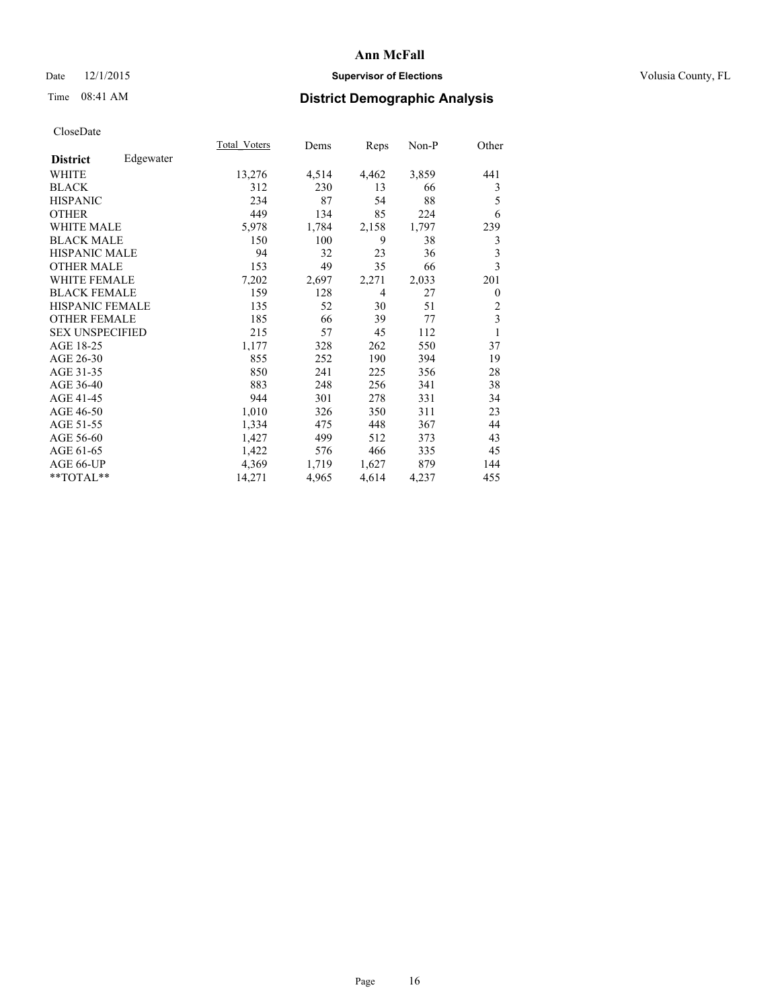## Date 12/1/2015 **Supervisor of Elections Supervisor of Elections** Volusia County, FL

# Time 08:41 AM **District Demographic Analysis**

|                              | Total Voters | Dems  | Reps  | Non-P | Other          |
|------------------------------|--------------|-------|-------|-------|----------------|
| Edgewater<br><b>District</b> |              |       |       |       |                |
| WHITE                        | 13,276       | 4,514 | 4,462 | 3,859 | 441            |
| <b>BLACK</b>                 | 312          | 230   | 13    | 66    | 3              |
| <b>HISPANIC</b>              | 234          | 87    | 54    | 88    | 5              |
| <b>OTHER</b>                 | 449          | 134   | 85    | 224   | 6              |
| <b>WHITE MALE</b>            | 5,978        | 1,784 | 2,158 | 1,797 | 239            |
| <b>BLACK MALE</b>            | 150          | 100   | 9     | 38    | 3              |
| <b>HISPANIC MALE</b>         | 94           | 32    | 23    | 36    | 3              |
| <b>OTHER MALE</b>            | 153          | 49    | 35    | 66    | 3              |
| <b>WHITE FEMALE</b>          | 7,202        | 2,697 | 2,271 | 2,033 | 201            |
| <b>BLACK FEMALE</b>          | 159          | 128   | 4     | 27    | $\theta$       |
| <b>HISPANIC FEMALE</b>       | 135          | 52    | 30    | 51    | $\overline{2}$ |
| <b>OTHER FEMALE</b>          | 185          | 66    | 39    | 77    | $\overline{3}$ |
| <b>SEX UNSPECIFIED</b>       | 215          | 57    | 45    | 112   | 1              |
| AGE 18-25                    | 1,177        | 328   | 262   | 550   | 37             |
| AGE 26-30                    | 855          | 252   | 190   | 394   | 19             |
| AGE 31-35                    | 850          | 241   | 225   | 356   | 28             |
| AGE 36-40                    | 883          | 248   | 256   | 341   | 38             |
| AGE 41-45                    | 944          | 301   | 278   | 331   | 34             |
| AGE 46-50                    | 1,010        | 326   | 350   | 311   | 23             |
| AGE 51-55                    | 1,334        | 475   | 448   | 367   | 44             |
| AGE 56-60                    | 1,427        | 499   | 512   | 373   | 43             |
| AGE 61-65                    | 1,422        | 576   | 466   | 335   | 45             |
| AGE 66-UP                    | 4,369        | 1,719 | 1,627 | 879   | 144            |
| **TOTAL**                    | 14,271       | 4,965 | 4,614 | 4,237 | 455            |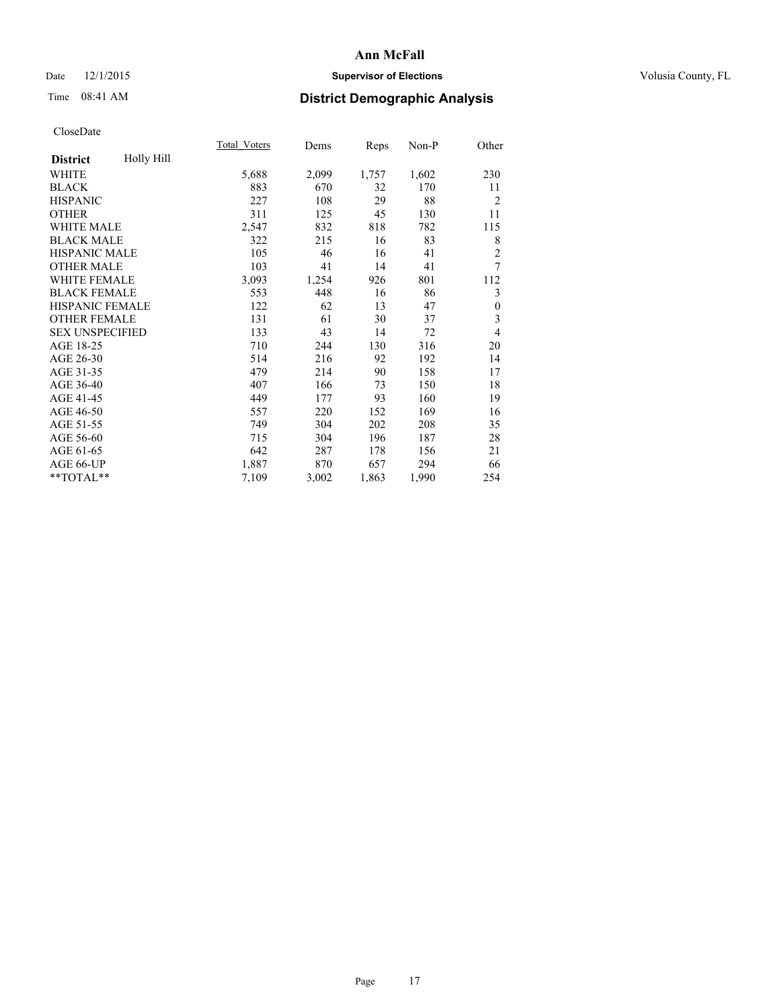## Date 12/1/2015 **Supervisor of Elections Supervisor of Elections** Volusia County, FL

# Time 08:41 AM **District Demographic Analysis**

|                        |            | <b>Total Voters</b> | Dems  | Reps  | Non-P | Other            |
|------------------------|------------|---------------------|-------|-------|-------|------------------|
| <b>District</b>        | Holly Hill |                     |       |       |       |                  |
| <b>WHITE</b>           |            | 5,688               | 2,099 | 1,757 | 1,602 | 230              |
| <b>BLACK</b>           |            | 883                 | 670   | 32    | 170   | 11               |
| <b>HISPANIC</b>        |            | 227                 | 108   | 29    | 88    | $\overline{2}$   |
| <b>OTHER</b>           |            | 311                 | 125   | 45    | 130   | 11               |
| WHITE MALE             |            | 2,547               | 832   | 818   | 782   | 115              |
| <b>BLACK MALE</b>      |            | 322                 | 215   | 16    | 83    | 8                |
| HISPANIC MALE          |            | 105                 | 46    | 16    | 41    | $\overline{2}$   |
| <b>OTHER MALE</b>      |            | 103                 | 41    | 14    | 41    | 7                |
| <b>WHITE FEMALE</b>    |            | 3,093               | 1,254 | 926   | 801   | 112              |
| <b>BLACK FEMALE</b>    |            | 553                 | 448   | 16    | 86    | 3                |
| <b>HISPANIC FEMALE</b> |            | 122                 | 62    | 13    | 47    | $\boldsymbol{0}$ |
| <b>OTHER FEMALE</b>    |            | 131                 | 61    | 30    | 37    | 3                |
| <b>SEX UNSPECIFIED</b> |            | 133                 | 43    | 14    | 72    | 4                |
| AGE 18-25              |            | 710                 | 244   | 130   | 316   | 20               |
| AGE 26-30              |            | 514                 | 216   | 92    | 192   | 14               |
| AGE 31-35              |            | 479                 | 214   | 90    | 158   | 17               |
| AGE 36-40              |            | 407                 | 166   | 73    | 150   | 18               |
| AGE 41-45              |            | 449                 | 177   | 93    | 160   | 19               |
| AGE 46-50              |            | 557                 | 220   | 152   | 169   | 16               |
| AGE 51-55              |            | 749                 | 304   | 202   | 208   | 35               |
| AGE 56-60              |            | 715                 | 304   | 196   | 187   | 28               |
| AGE 61-65              |            | 642                 | 287   | 178   | 156   | 21               |
| AGE 66-UP              |            | 1,887               | 870   | 657   | 294   | 66               |
| **TOTAL**              |            | 7,109               | 3,002 | 1,863 | 1,990 | 254              |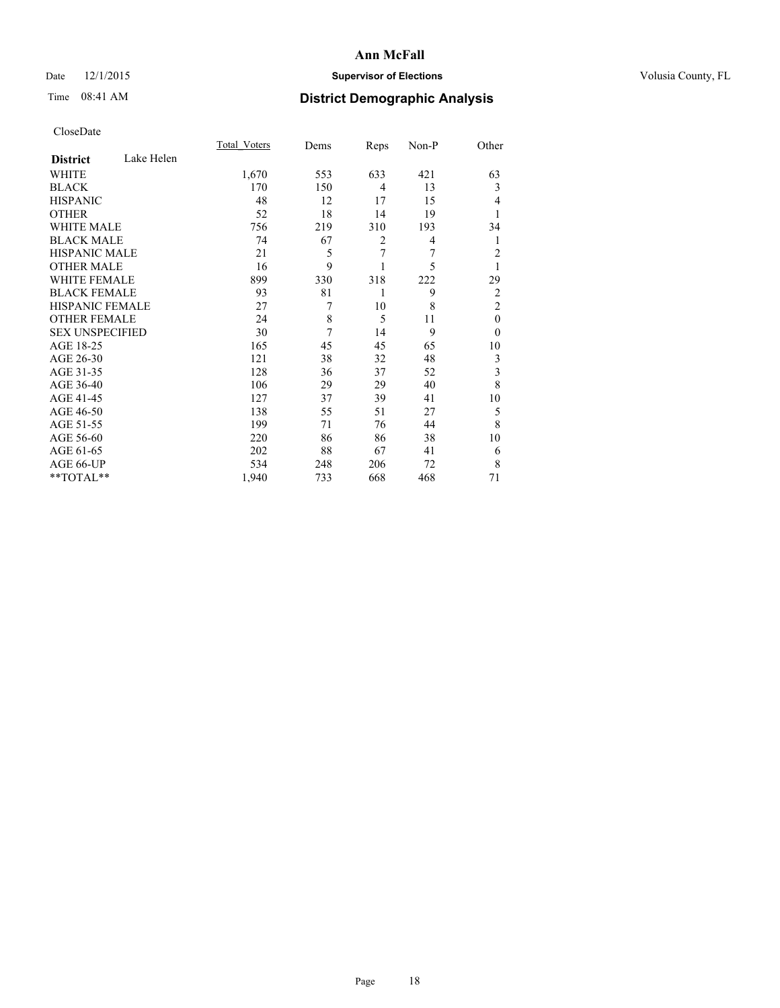## Date 12/1/2015 **Supervisor of Elections Supervisor of Elections** Volusia County, FL

# Time 08:41 AM **District Demographic Analysis**

|                        |            | <b>Total Voters</b> | Dems | Reps           | Non-P | Other          |
|------------------------|------------|---------------------|------|----------------|-------|----------------|
| <b>District</b>        | Lake Helen |                     |      |                |       |                |
| <b>WHITE</b>           |            | 1,670               | 553  | 633            | 421   | 63             |
| <b>BLACK</b>           |            | 170                 | 150  | $\overline{4}$ | 13    | 3              |
| <b>HISPANIC</b>        |            | 48                  | 12   | 17             | 15    | 4              |
| <b>OTHER</b>           |            | 52                  | 18   | 14             | 19    |                |
| WHITE MALE             |            | 756                 | 219  | 310            | 193   | 34             |
| <b>BLACK MALE</b>      |            | 74                  | 67   | $\overline{2}$ | 4     | 1              |
| <b>HISPANIC MALE</b>   |            | 21                  | 5    | 7              | 7     | $\overline{c}$ |
| <b>OTHER MALE</b>      |            | 16                  | 9    |                | 5     | 1              |
| WHITE FEMALE           |            | 899                 | 330  | 318            | 222   | 29             |
| <b>BLACK FEMALE</b>    |            | 93                  | 81   | 1              | 9     | $\overline{2}$ |
| <b>HISPANIC FEMALE</b> |            | 27                  | 7    | 10             | 8     | $\overline{2}$ |
| <b>OTHER FEMALE</b>    |            | 24                  | 8    | 5              | 11    | $\theta$       |
| <b>SEX UNSPECIFIED</b> |            | 30                  | 7    | 14             | 9     | $\theta$       |
| AGE 18-25              |            | 165                 | 45   | 45             | 65    | 10             |
| AGE 26-30              |            | 121                 | 38   | 32             | 48    | 3              |
| AGE 31-35              |            | 128                 | 36   | 37             | 52    | 3              |
| AGE 36-40              |            | 106                 | 29   | 29             | 40    | 8              |
| AGE 41-45              |            | 127                 | 37   | 39             | 41    | 10             |
| AGE 46-50              |            | 138                 | 55   | 51             | 27    | 5              |
| AGE 51-55              |            | 199                 | 71   | 76             | 44    | 8              |
| AGE 56-60              |            | 220                 | 86   | 86             | 38    | 10             |
| AGE 61-65              |            | 202                 | 88   | 67             | 41    | 6              |
| AGE 66-UP              |            | 534                 | 248  | 206            | 72    | 8              |
| **TOTAL**              |            | 1,940               | 733  | 668            | 468   | 71             |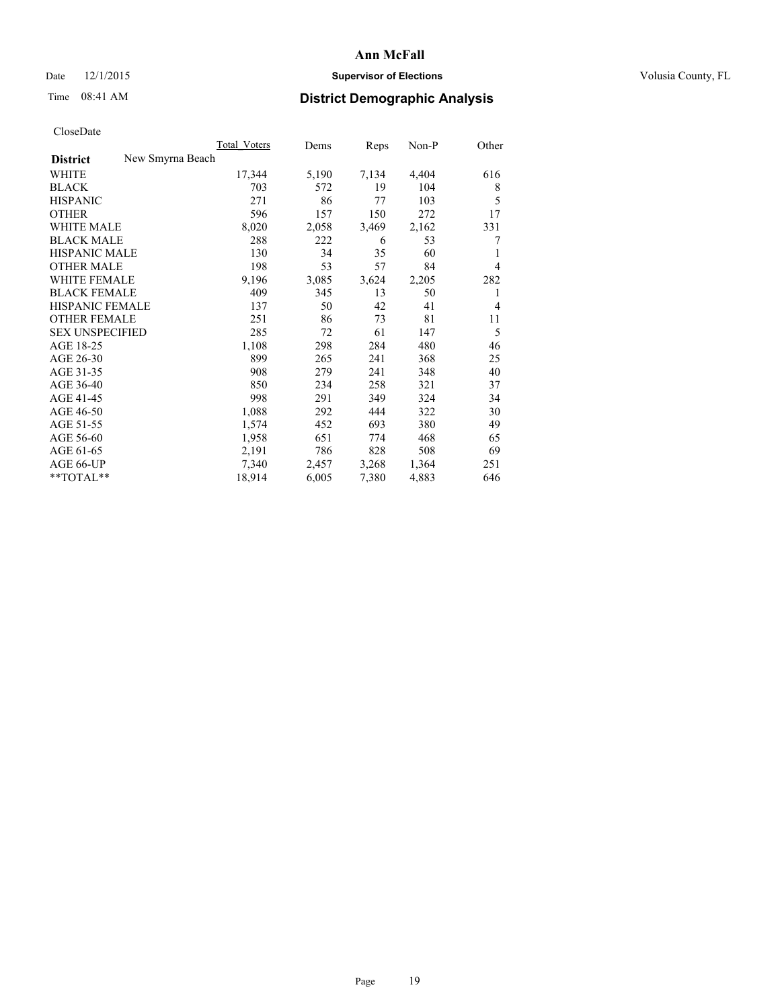## Date 12/1/2015 **Supervisor of Elections Supervisor of Elections** Volusia County, FL

# Time 08:41 AM **District Demographic Analysis**

|                        |                  | Total Voters | Dems  | Reps  | Non-P | Other |
|------------------------|------------------|--------------|-------|-------|-------|-------|
| <b>District</b>        | New Smyrna Beach |              |       |       |       |       |
| WHITE                  |                  | 17,344       | 5,190 | 7,134 | 4,404 | 616   |
| <b>BLACK</b>           |                  | 703          | 572   | 19    | 104   | 8     |
| <b>HISPANIC</b>        |                  | 271          | 86    | 77    | 103   | 5     |
| <b>OTHER</b>           |                  | 596          | 157   | 150   | 272   | 17    |
| <b>WHITE MALE</b>      |                  | 8,020        | 2,058 | 3,469 | 2,162 | 331   |
| <b>BLACK MALE</b>      |                  | 288          | 222   | 6     | 53    | 7     |
| <b>HISPANIC MALE</b>   |                  | 130          | 34    | 35    | 60    | 1     |
| <b>OTHER MALE</b>      |                  | 198          | 53    | 57    | 84    | 4     |
| <b>WHITE FEMALE</b>    |                  | 9,196        | 3,085 | 3,624 | 2,205 | 282   |
| <b>BLACK FEMALE</b>    |                  | 409          | 345   | 13    | 50    | 1     |
| HISPANIC FEMALE        |                  | 137          | 50    | 42    | 41    | 4     |
| <b>OTHER FEMALE</b>    |                  | 251          | 86    | 73    | 81    | 11    |
| <b>SEX UNSPECIFIED</b> |                  | 285          | 72    | 61    | 147   | 5     |
| AGE 18-25              |                  | 1,108        | 298   | 284   | 480   | 46    |
| AGE 26-30              |                  | 899          | 265   | 241   | 368   | 25    |
| AGE 31-35              |                  | 908          | 279   | 241   | 348   | 40    |
| AGE 36-40              |                  | 850          | 234   | 258   | 321   | 37    |
| AGE 41-45              |                  | 998          | 291   | 349   | 324   | 34    |
| AGE 46-50              |                  | 1,088        | 292   | 444   | 322   | 30    |
| AGE 51-55              |                  | 1,574        | 452   | 693   | 380   | 49    |
| AGE 56-60              |                  | 1,958        | 651   | 774   | 468   | 65    |
| AGE 61-65              |                  | 2,191        | 786   | 828   | 508   | 69    |
| AGE 66-UP              |                  | 7,340        | 2,457 | 3,268 | 1,364 | 251   |
| $*$ TOTAL $*$          |                  | 18,914       | 6,005 | 7,380 | 4,883 | 646   |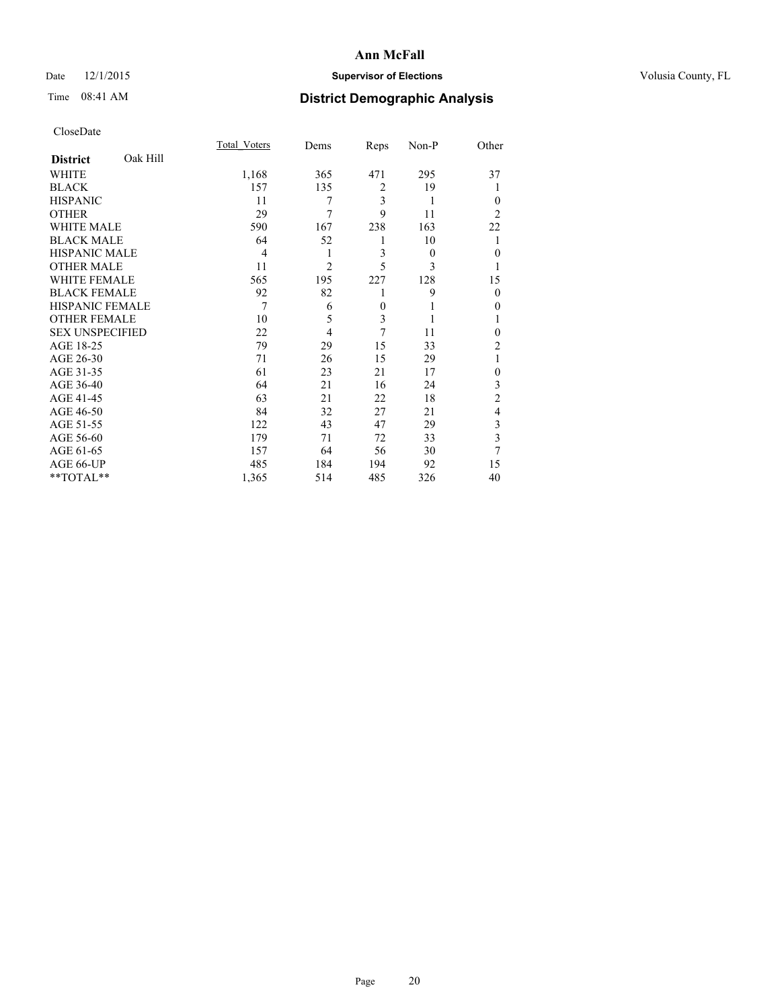## Date 12/1/2015 **Supervisor of Elections Supervisor of Elections** Volusia County, FL

# Time 08:41 AM **District Demographic Analysis**

|                        |          | <b>Total Voters</b> | Dems           | Reps     | Non-P    | Other          |
|------------------------|----------|---------------------|----------------|----------|----------|----------------|
| <b>District</b>        | Oak Hill |                     |                |          |          |                |
| WHITE                  |          | 1,168               | 365            | 471      | 295      | 37             |
| <b>BLACK</b>           |          | 157                 | 135            | 2        | 19       |                |
| <b>HISPANIC</b>        |          | 11                  | 7              | 3        | 1        | $\Omega$       |
| <b>OTHER</b>           |          | 29                  | 7              | 9        | 11       | $\overline{2}$ |
| <b>WHITE MALE</b>      |          | 590                 | 167            | 238      | 163      | 22             |
| <b>BLACK MALE</b>      |          | 64                  | 52             | 1        | 10       |                |
| <b>HISPANIC MALE</b>   |          | 4                   | 1              | 3        | $\theta$ | $\Omega$       |
| <b>OTHER MALE</b>      |          | 11                  | $\overline{c}$ | 5        | 3        | 1              |
| <b>WHITE FEMALE</b>    |          | 565                 | 195            | 227      | 128      | 15             |
| <b>BLACK FEMALE</b>    |          | 92                  | 82             | 1        | 9        | $\Omega$       |
| <b>HISPANIC FEMALE</b> |          | 7                   | 6              | $\theta$ |          | $\theta$       |
| <b>OTHER FEMALE</b>    |          | 10                  | 5              | 3        | 1        |                |
| <b>SEX UNSPECIFIED</b> |          | 22                  | $\overline{4}$ | 7        | 11       | $\Omega$       |
| AGE 18-25              |          | 79                  | 29             | 15       | 33       | $\overline{c}$ |
| AGE 26-30              |          | 71                  | 26             | 15       | 29       | 1              |
| AGE 31-35              |          | 61                  | 23             | 21       | 17       | $\theta$       |
| AGE 36-40              |          | 64                  | 21             | 16       | 24       | 3              |
| AGE 41-45              |          | 63                  | 21             | 22       | 18       | $\overline{c}$ |
| AGE 46-50              |          | 84                  | 32             | 27       | 21       | $\overline{4}$ |
| AGE 51-55              |          | 122                 | 43             | 47       | 29       | 3              |
| AGE 56-60              |          | 179                 | 71             | 72       | 33       | 3              |
| AGE 61-65              |          | 157                 | 64             | 56       | 30       | 7              |
| AGE 66-UP              |          | 485                 | 184            | 194      | 92       | 15             |
| **TOTAL**              |          | 1,365               | 514            | 485      | 326      | 40             |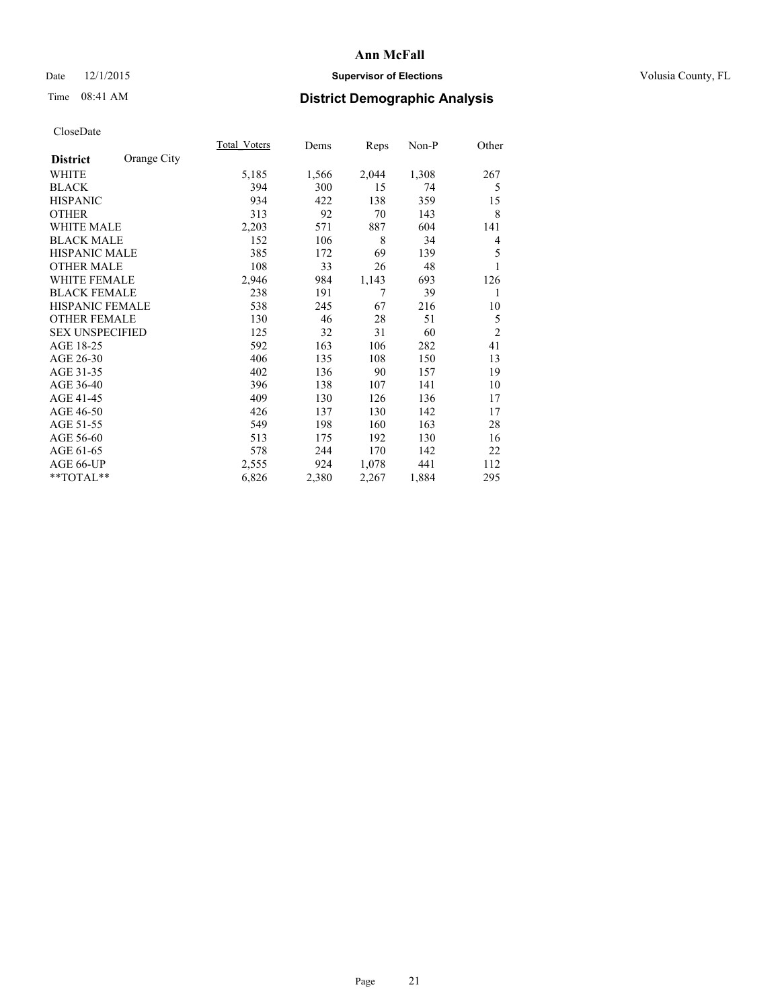## Date 12/1/2015 **Supervisor of Elections Supervisor of Elections** Volusia County, FL

# Time 08:41 AM **District Demographic Analysis**

|                        |             | <b>Total Voters</b> | Dems  | Reps  | Non-P | Other          |
|------------------------|-------------|---------------------|-------|-------|-------|----------------|
| <b>District</b>        | Orange City |                     |       |       |       |                |
| WHITE                  |             | 5,185               | 1,566 | 2,044 | 1,308 | 267            |
| <b>BLACK</b>           |             | 394                 | 300   | 15    | 74    | 5              |
| <b>HISPANIC</b>        |             | 934                 | 422   | 138   | 359   | 15             |
| <b>OTHER</b>           |             | 313                 | 92    | 70    | 143   | 8              |
| WHITE MALE             |             | 2,203               | 571   | 887   | 604   | 141            |
| <b>BLACK MALE</b>      |             | 152                 | 106   | 8     | 34    | 4              |
| <b>HISPANIC MALE</b>   |             | 385                 | 172   | 69    | 139   | 5              |
| <b>OTHER MALE</b>      |             | 108                 | 33    | 26    | 48    |                |
| <b>WHITE FEMALE</b>    |             | 2,946               | 984   | 1,143 | 693   | 126            |
| <b>BLACK FEMALE</b>    |             | 238                 | 191   | 7     | 39    | 1              |
| <b>HISPANIC FEMALE</b> |             | 538                 | 245   | 67    | 216   | 10             |
| <b>OTHER FEMALE</b>    |             | 130                 | 46    | 28    | 51    | 5              |
| <b>SEX UNSPECIFIED</b> |             | 125                 | 32    | 31    | 60    | $\overline{2}$ |
| AGE 18-25              |             | 592                 | 163   | 106   | 282   | 41             |
| AGE 26-30              |             | 406                 | 135   | 108   | 150   | 13             |
| AGE 31-35              |             | 402                 | 136   | 90    | 157   | 19             |
| AGE 36-40              |             | 396                 | 138   | 107   | 141   | 10             |
| AGE 41-45              |             | 409                 | 130   | 126   | 136   | 17             |
| AGE 46-50              |             | 426                 | 137   | 130   | 142   | 17             |
| AGE 51-55              |             | 549                 | 198   | 160   | 163   | 28             |
| AGE 56-60              |             | 513                 | 175   | 192   | 130   | 16             |
| AGE 61-65              |             | 578                 | 244   | 170   | 142   | 22             |
| AGE 66-UP              |             | 2,555               | 924   | 1,078 | 441   | 112            |
| **TOTAL**              |             | 6,826               | 2,380 | 2,267 | 1,884 | 295            |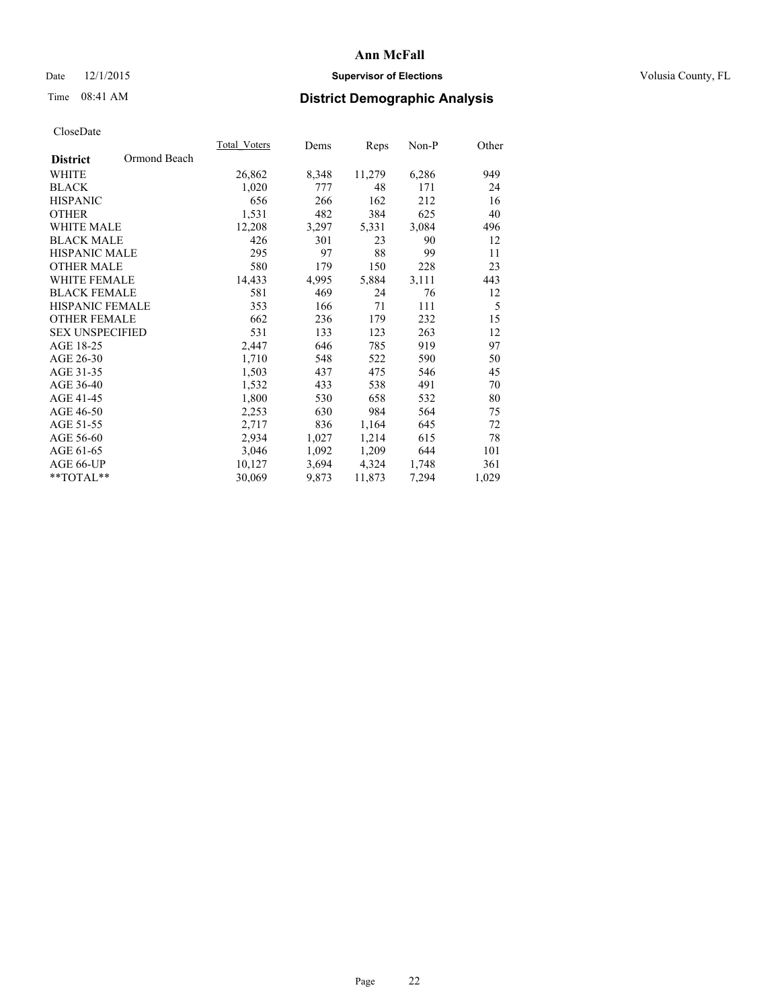## Date 12/1/2015 **Supervisor of Elections Supervisor of Elections** Volusia County, FL

# Time 08:41 AM **District Demographic Analysis**

|                        |              | Total Voters | Dems  | Reps   | Non-P | Other |
|------------------------|--------------|--------------|-------|--------|-------|-------|
| <b>District</b>        | Ormond Beach |              |       |        |       |       |
| WHITE                  |              | 26,862       | 8,348 | 11,279 | 6,286 | 949   |
| <b>BLACK</b>           |              | 1,020        | 777   | 48     | 171   | 24    |
| <b>HISPANIC</b>        |              | 656          | 266   | 162    | 212   | 16    |
| <b>OTHER</b>           |              | 1,531        | 482   | 384    | 625   | 40    |
| <b>WHITE MALE</b>      |              | 12,208       | 3,297 | 5,331  | 3,084 | 496   |
| <b>BLACK MALE</b>      |              | 426          | 301   | 23     | 90    | 12    |
| <b>HISPANIC MALE</b>   |              | 295          | 97    | 88     | 99    | 11    |
| <b>OTHER MALE</b>      |              | 580          | 179   | 150    | 228   | 23    |
| <b>WHITE FEMALE</b>    |              | 14,433       | 4,995 | 5,884  | 3,111 | 443   |
| <b>BLACK FEMALE</b>    |              | 581          | 469   | 24     | 76    | 12    |
| <b>HISPANIC FEMALE</b> |              | 353          | 166   | 71     | 111   | 5     |
| <b>OTHER FEMALE</b>    |              | 662          | 236   | 179    | 232   | 15    |
| <b>SEX UNSPECIFIED</b> |              | 531          | 133   | 123    | 263   | 12    |
| AGE 18-25              |              | 2,447        | 646   | 785    | 919   | 97    |
| AGE 26-30              |              | 1,710        | 548   | 522    | 590   | 50    |
| AGE 31-35              |              | 1,503        | 437   | 475    | 546   | 45    |
| AGE 36-40              |              | 1,532        | 433   | 538    | 491   | 70    |
| AGE 41-45              |              | 1,800        | 530   | 658    | 532   | 80    |
| AGE 46-50              |              | 2,253        | 630   | 984    | 564   | 75    |
| AGE 51-55              |              | 2,717        | 836   | 1,164  | 645   | 72    |
| AGE 56-60              |              | 2,934        | 1,027 | 1,214  | 615   | 78    |
| AGE 61-65              |              | 3,046        | 1,092 | 1,209  | 644   | 101   |
| AGE 66-UP              |              | 10,127       | 3,694 | 4,324  | 1,748 | 361   |
| $*$ TOTAL $*$          |              | 30,069       | 9,873 | 11,873 | 7,294 | 1,029 |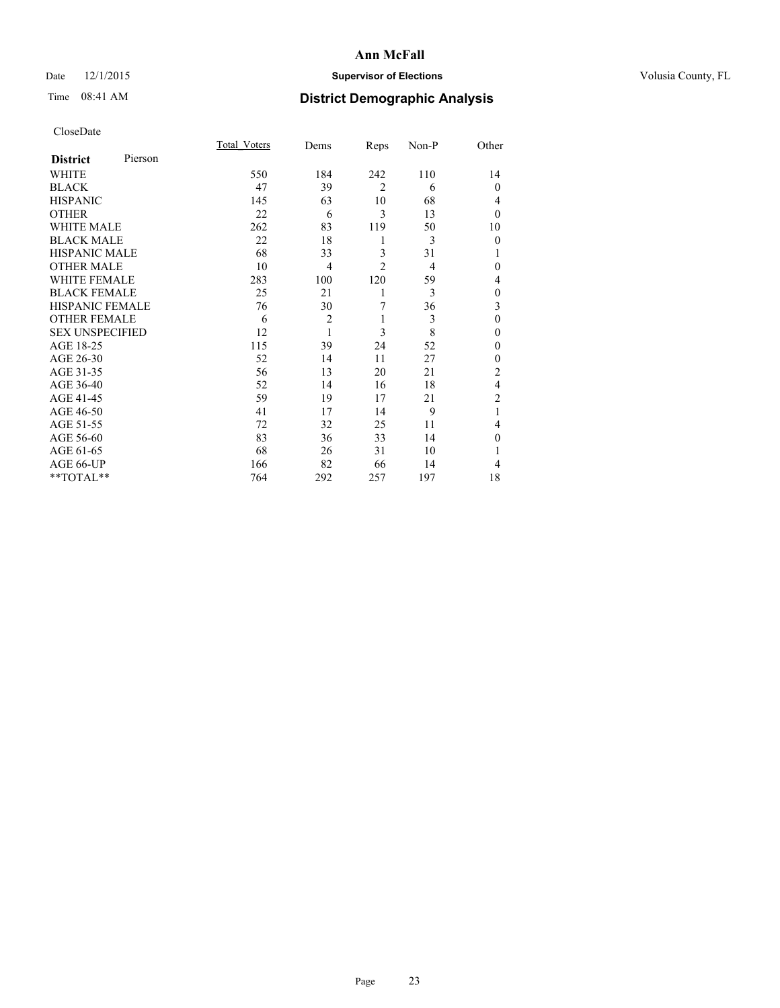## Date 12/1/2015 **Supervisor of Elections Supervisor of Elections** Volusia County, FL

# Time 08:41 AM **District Demographic Analysis**

|                        |         | <b>Total Voters</b> | Dems           | Reps           | Non-P          | Other          |
|------------------------|---------|---------------------|----------------|----------------|----------------|----------------|
| <b>District</b>        | Pierson |                     |                |                |                |                |
| WHITE                  |         | 550                 | 184            | 242            | 110            | 14             |
| <b>BLACK</b>           |         | 47                  | 39             | $\overline{2}$ | 6              | $\theta$       |
| <b>HISPANIC</b>        |         | 145                 | 63             | 10             | 68             | 4              |
| <b>OTHER</b>           |         | 22                  | 6              | 3              | 13             | $\theta$       |
| <b>WHITE MALE</b>      |         | 262                 | 83             | 119            | 50             | 10             |
| <b>BLACK MALE</b>      |         | 22                  | 18             | 1              | 3              | $\theta$       |
| <b>HISPANIC MALE</b>   |         | 68                  | 33             | 3              | 31             |                |
| <b>OTHER MALE</b>      |         | 10                  | $\overline{4}$ | $\overline{2}$ | $\overline{4}$ | $\theta$       |
| <b>WHITE FEMALE</b>    |         | 283                 | 100            | 120            | 59             | 4              |
| <b>BLACK FEMALE</b>    |         | 25                  | 21             | 1              | 3              | $\mathbf{0}$   |
| HISPANIC FEMALE        |         | 76                  | 30             | 7              | 36             | 3              |
| <b>OTHER FEMALE</b>    |         | 6                   | $\overline{2}$ | 1              | 3              | $\theta$       |
| <b>SEX UNSPECIFIED</b> |         | 12                  | 1              | 3              | 8              | $\theta$       |
| AGE 18-25              |         | 115                 | 39             | 24             | 52             | 0              |
| AGE 26-30              |         | 52                  | 14             | 11             | 27             | $\theta$       |
| AGE 31-35              |         | 56                  | 13             | 20             | 21             | $\overline{2}$ |
| AGE 36-40              |         | 52                  | 14             | 16             | 18             | 4              |
| AGE 41-45              |         | 59                  | 19             | 17             | 21             | $\overline{c}$ |
| AGE 46-50              |         | 41                  | 17             | 14             | 9              | 1              |
| AGE 51-55              |         | 72                  | 32             | 25             | 11             | 4              |
| AGE 56-60              |         | 83                  | 36             | 33             | 14             | 0              |
| AGE 61-65              |         | 68                  | 26             | 31             | 10             | 1              |
| AGE 66-UP              |         | 166                 | 82             | 66             | 14             | 4              |
| $*$ TOTAL $**$         |         | 764                 | 292            | 257            | 197            | 18             |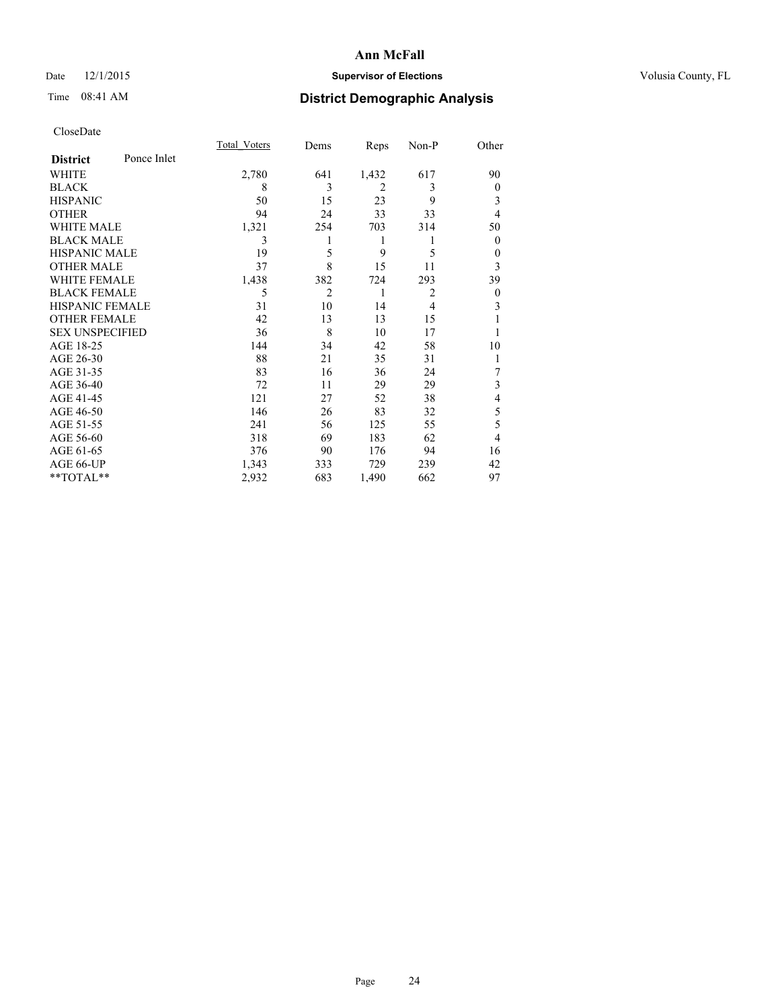## Date 12/1/2015 **Supervisor of Elections Supervisor of Elections** Volusia County, FL

# Time 08:41 AM **District Demographic Analysis**

|                        |             | <b>Total Voters</b> | Dems           | Reps           | Non-P          | Other        |
|------------------------|-------------|---------------------|----------------|----------------|----------------|--------------|
| <b>District</b>        | Ponce Inlet |                     |                |                |                |              |
| WHITE                  |             | 2,780               | 641            | 1,432          | 617            | 90           |
| <b>BLACK</b>           |             | 8                   | 3              | $\overline{2}$ | 3              | $\mathbf{0}$ |
| <b>HISPANIC</b>        |             | 50                  | 15             | 23             | 9              | 3            |
| <b>OTHER</b>           |             | 94                  | 24             | 33             | 33             | 4            |
| WHITE MALE             |             | 1,321               | 254            | 703            | 314            | 50           |
| <b>BLACK MALE</b>      |             | 3                   | 1              | 1              | 1              | $\mathbf{0}$ |
| <b>HISPANIC MALE</b>   |             | 19                  | 5              | 9              | 5              | $\mathbf{0}$ |
| <b>OTHER MALE</b>      |             | 37                  | 8              | 15             | 11             | 3            |
| WHITE FEMALE           |             | 1,438               | 382            | 724            | 293            | 39           |
| <b>BLACK FEMALE</b>    |             | 5                   | $\overline{2}$ | 1              | $\overline{2}$ | $\theta$     |
| <b>HISPANIC FEMALE</b> |             | 31                  | 10             | 14             | $\overline{4}$ | 3            |
| <b>OTHER FEMALE</b>    |             | 42                  | 13             | 13             | 15             |              |
| <b>SEX UNSPECIFIED</b> |             | 36                  | 8              | 10             | 17             |              |
| AGE 18-25              |             | 144                 | 34             | 42             | 58             | 10           |
| AGE 26-30              |             | 88                  | 21             | 35             | 31             | 1            |
| AGE 31-35              |             | 83                  | 16             | 36             | 24             | 7            |
| AGE 36-40              |             | 72                  | 11             | 29             | 29             | 3            |
| AGE 41-45              |             | 121                 | 27             | 52             | 38             | 4            |
| AGE 46-50              |             | 146                 | 26             | 83             | 32             | 5            |
| AGE 51-55              |             | 241                 | 56             | 125            | 55             | 5            |
| AGE 56-60              |             | 318                 | 69             | 183            | 62             | 4            |
| AGE 61-65              |             | 376                 | 90             | 176            | 94             | 16           |
| AGE 66-UP              |             | 1,343               | 333            | 729            | 239            | 42           |
| **TOTAL**              |             | 2,932               | 683            | 1,490          | 662            | 97           |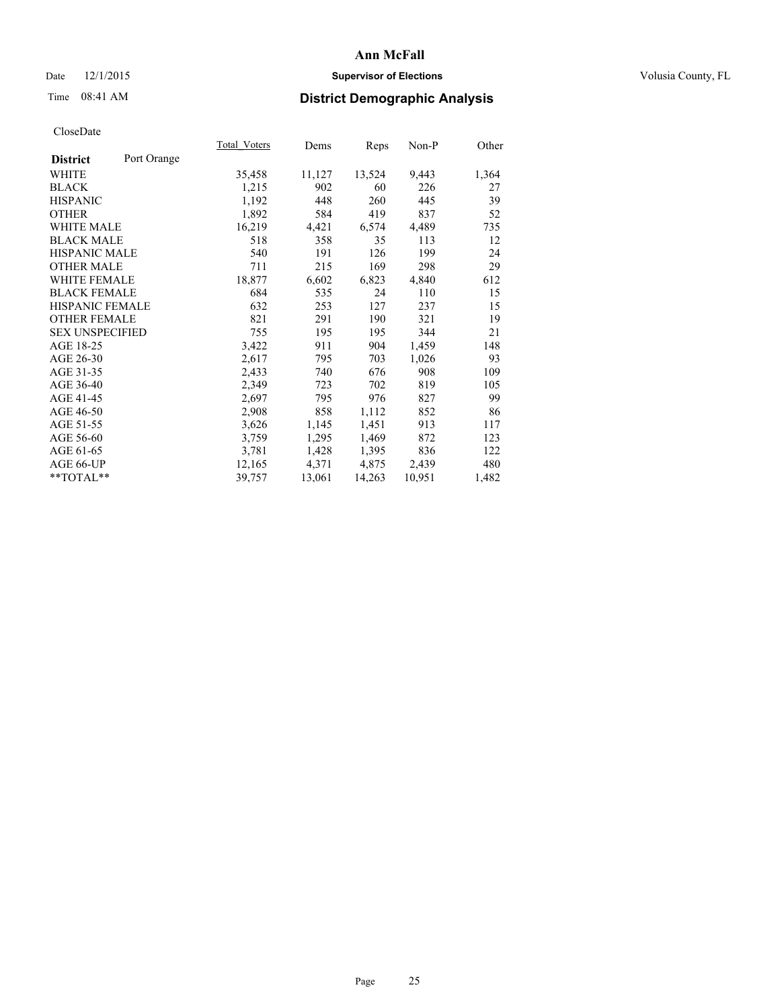## Date 12/1/2015 **Supervisor of Elections Supervisor of Elections** Volusia County, FL

# Time 08:41 AM **District Demographic Analysis**

|                        |             | <b>Total Voters</b> | Dems   | Reps   | $Non-P$ | Other |
|------------------------|-------------|---------------------|--------|--------|---------|-------|
| <b>District</b>        | Port Orange |                     |        |        |         |       |
| WHITE                  |             | 35,458              | 11,127 | 13,524 | 9,443   | 1,364 |
| <b>BLACK</b>           |             | 1,215               | 902    | 60     | 226     | 27    |
| <b>HISPANIC</b>        |             | 1,192               | 448    | 260    | 445     | 39    |
| <b>OTHER</b>           |             | 1,892               | 584    | 419    | 837     | 52    |
| WHITE MALE             |             | 16,219              | 4,421  | 6,574  | 4,489   | 735   |
| <b>BLACK MALE</b>      |             | 518                 | 358    | 35     | 113     | 12    |
| <b>HISPANIC MALE</b>   |             | 540                 | 191    | 126    | 199     | 24    |
| <b>OTHER MALE</b>      |             | 711                 | 215    | 169    | 298     | 29    |
| <b>WHITE FEMALE</b>    |             | 18,877              | 6,602  | 6,823  | 4,840   | 612   |
| <b>BLACK FEMALE</b>    |             | 684                 | 535    | 24     | 110     | 15    |
| HISPANIC FEMALE        |             | 632                 | 253    | 127    | 237     | 15    |
| <b>OTHER FEMALE</b>    |             | 821                 | 291    | 190    | 321     | 19    |
| <b>SEX UNSPECIFIED</b> |             | 755                 | 195    | 195    | 344     | 21    |
| AGE 18-25              |             | 3,422               | 911    | 904    | 1,459   | 148   |
| AGE 26-30              |             | 2,617               | 795    | 703    | 1,026   | 93    |
| AGE 31-35              |             | 2,433               | 740    | 676    | 908     | 109   |
| AGE 36-40              |             | 2,349               | 723    | 702    | 819     | 105   |
| AGE 41-45              |             | 2,697               | 795    | 976    | 827     | 99    |
| AGE 46-50              |             | 2,908               | 858    | 1,112  | 852     | 86    |
| AGE 51-55              |             | 3,626               | 1,145  | 1,451  | 913     | 117   |
| AGE 56-60              |             | 3,759               | 1,295  | 1,469  | 872     | 123   |
| AGE 61-65              |             | 3,781               | 1,428  | 1,395  | 836     | 122   |
| AGE 66-UP              |             | 12,165              | 4,371  | 4,875  | 2,439   | 480   |
| **TOTAL**              |             | 39,757              | 13,061 | 14,263 | 10,951  | 1,482 |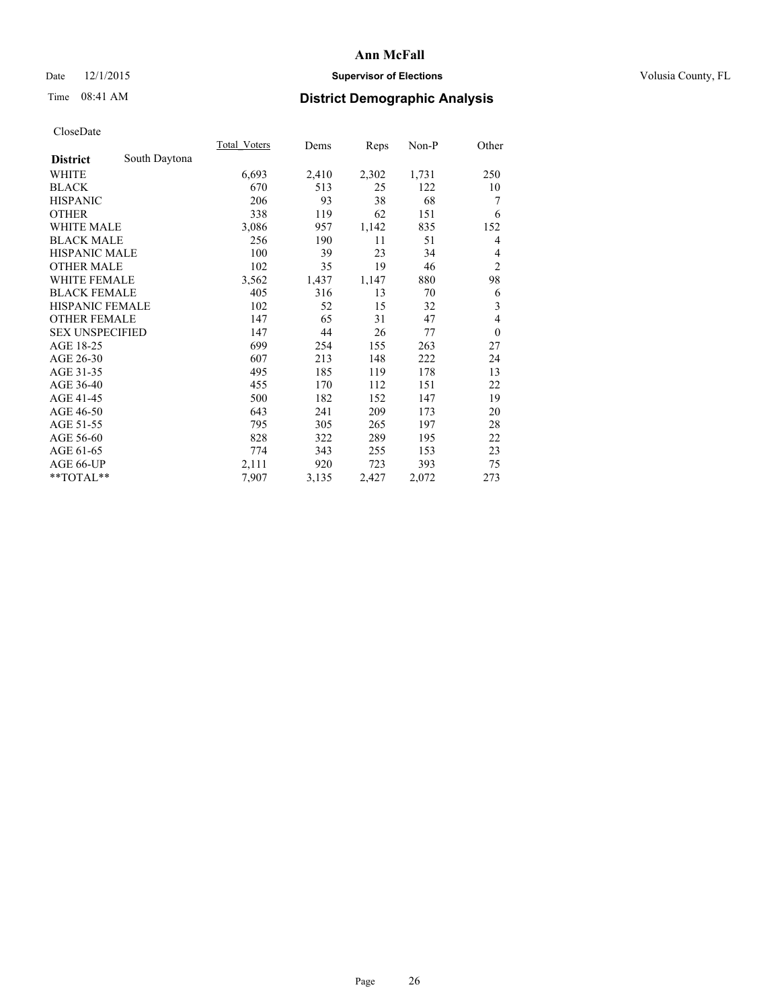## Date 12/1/2015 **Supervisor of Elections Supervisor of Elections** Volusia County, FL

# Time 08:41 AM **District Demographic Analysis**

|                        |               | Total Voters | Dems  | Reps  | Non-P | Other            |
|------------------------|---------------|--------------|-------|-------|-------|------------------|
| <b>District</b>        | South Daytona |              |       |       |       |                  |
| WHITE                  |               | 6,693        | 2,410 | 2,302 | 1,731 | 250              |
| <b>BLACK</b>           |               | 670          | 513   | 25    | 122   | 10               |
| <b>HISPANIC</b>        |               | 206          | 93    | 38    | 68    | 7                |
| <b>OTHER</b>           |               | 338          | 119   | 62    | 151   | 6                |
| <b>WHITE MALE</b>      |               | 3,086        | 957   | 1,142 | 835   | 152              |
| <b>BLACK MALE</b>      |               | 256          | 190   | 11    | 51    | 4                |
| <b>HISPANIC MALE</b>   |               | 100          | 39    | 23    | 34    | 4                |
| <b>OTHER MALE</b>      |               | 102          | 35    | 19    | 46    | $\overline{2}$   |
| <b>WHITE FEMALE</b>    |               | 3,562        | 1,437 | 1,147 | 880   | 98               |
| <b>BLACK FEMALE</b>    |               | 405          | 316   | 13    | 70    | 6                |
| <b>HISPANIC FEMALE</b> |               | 102          | 52    | 15    | 32    | 3                |
| <b>OTHER FEMALE</b>    |               | 147          | 65    | 31    | 47    | $\overline{4}$   |
| <b>SEX UNSPECIFIED</b> |               | 147          | 44    | 26    | 77    | $\boldsymbol{0}$ |
| AGE 18-25              |               | 699          | 254   | 155   | 263   | 27               |
| AGE 26-30              |               | 607          | 213   | 148   | 222   | 24               |
| AGE 31-35              |               | 495          | 185   | 119   | 178   | 13               |
| AGE 36-40              |               | 455          | 170   | 112   | 151   | 22               |
| AGE 41-45              |               | 500          | 182   | 152   | 147   | 19               |
| AGE 46-50              |               | 643          | 241   | 209   | 173   | 20               |
| AGE 51-55              |               | 795          | 305   | 265   | 197   | 28               |
| AGE 56-60              |               | 828          | 322   | 289   | 195   | 22               |
| AGE 61-65              |               | 774          | 343   | 255   | 153   | 23               |
| AGE 66-UP              |               | 2,111        | 920   | 723   | 393   | 75               |
| **TOTAL**              |               | 7,907        | 3,135 | 2,427 | 2,072 | 273              |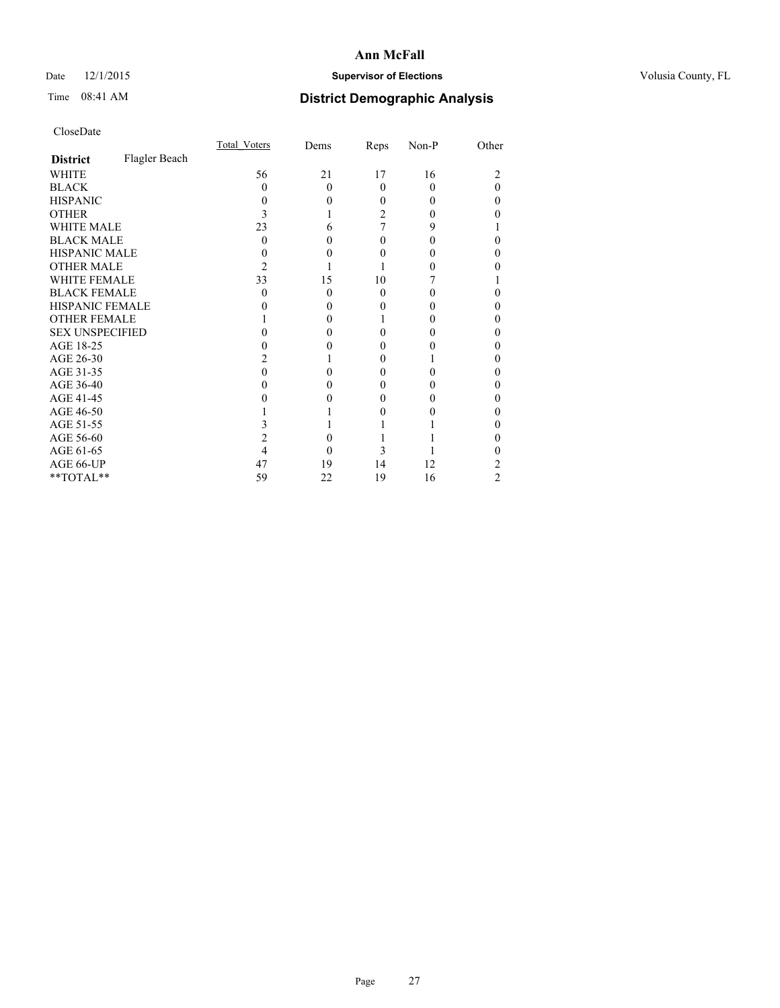## Date 12/1/2015 **Supervisor of Elections Supervisor of Elections** Volusia County, FL

# Time 08:41 AM **District Demographic Analysis**

|                        |               | Total Voters | Dems     | Reps     | Non-P | Other |
|------------------------|---------------|--------------|----------|----------|-------|-------|
| <b>District</b>        | Flagler Beach |              |          |          |       |       |
| <b>WHITE</b>           |               | 56           | 21       | 17       | 16    | 2     |
| <b>BLACK</b>           |               | $\Omega$     | $\Omega$ | $\Omega$ | 0     | 0     |
| <b>HISPANIC</b>        |               | 0            | 0        | 0        | 0     | 0     |
| <b>OTHER</b>           |               |              |          | 2        |       |       |
| <b>WHITE MALE</b>      |               | 23           | 6        |          | 9     |       |
| <b>BLACK MALE</b>      |               | 0            | 0        | 0        | 0     | 0     |
| <b>HISPANIC MALE</b>   |               |              | 0        |          |       | 0     |
| <b>OTHER MALE</b>      |               | 2            |          |          |       |       |
| <b>WHITE FEMALE</b>    |               | 33           | 15       | 10       |       |       |
| <b>BLACK FEMALE</b>    |               | 0            | $\Omega$ | $\Omega$ |       | 0     |
| <b>HISPANIC FEMALE</b> |               |              | 0        |          |       |       |
| <b>OTHER FEMALE</b>    |               |              | $\Omega$ |          |       | 0     |
| <b>SEX UNSPECIFIED</b> |               |              | 0        |          |       | 0     |
| AGE 18-25              |               |              | 0        |          |       | 0     |
| AGE 26-30              |               |              |          | 0        |       | 0     |
| AGE 31-35              |               |              |          |          |       | 0     |
| AGE 36-40              |               |              | 0        | 0        |       | 0     |
| AGE 41-45              |               |              |          |          |       | 0     |
| AGE 46-50              |               |              |          |          |       | 0     |
| AGE 51-55              |               |              |          |          |       |       |
| AGE 56-60              |               |              | 0        |          |       | 0     |
| AGE 61-65              |               |              | 0        | 3        |       |       |
| AGE 66-UP              |               | 47           | 19       | 14       | 12    | 2     |
| **TOTAL**              |               | 59           | 22       | 19       | 16    | 2     |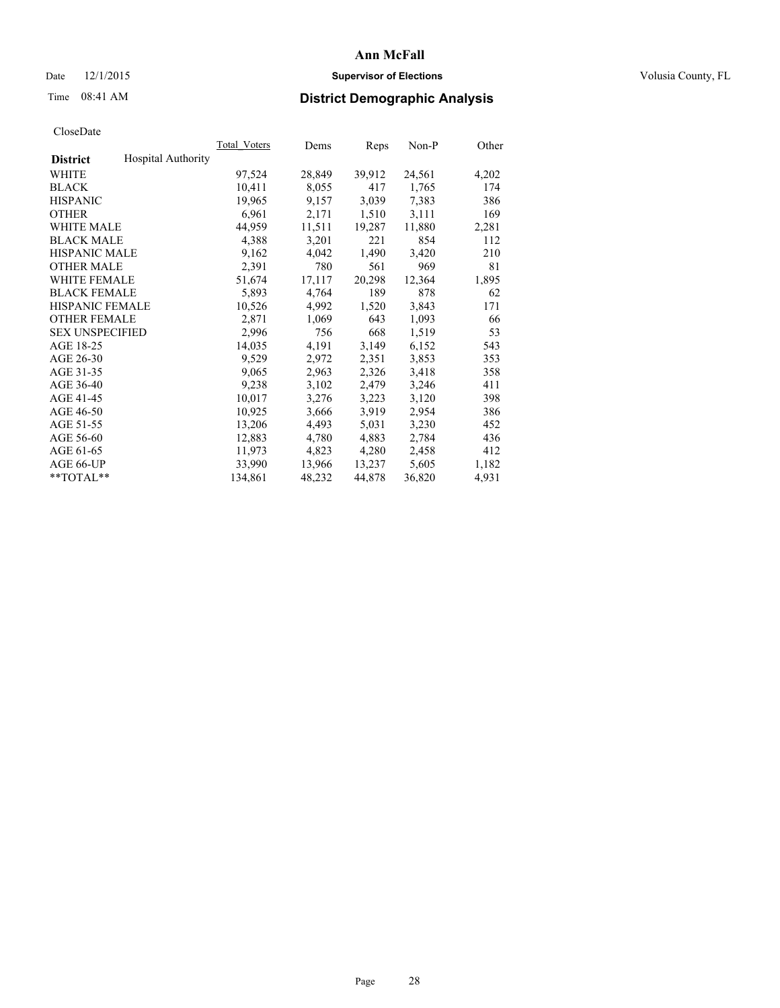## Date 12/1/2015 **Supervisor of Elections Supervisor of Elections** Volusia County, FL

# Time 08:41 AM **District Demographic Analysis**

|                                              | <b>Total Voters</b> | Dems   | Reps   | Non-P  | Other |
|----------------------------------------------|---------------------|--------|--------|--------|-------|
| <b>Hospital Authority</b><br><b>District</b> |                     |        |        |        |       |
| WHITE                                        | 97,524              | 28,849 | 39,912 | 24,561 | 4,202 |
| <b>BLACK</b>                                 | 10,411              | 8,055  | 417    | 1,765  | 174   |
| <b>HISPANIC</b>                              | 19,965              | 9,157  | 3,039  | 7,383  | 386   |
| <b>OTHER</b>                                 | 6,961               | 2,171  | 1,510  | 3,111  | 169   |
| WHITE MALE                                   | 44,959              | 11,511 | 19,287 | 11,880 | 2,281 |
| <b>BLACK MALE</b>                            | 4,388               | 3,201  | 221    | 854    | 112   |
| <b>HISPANIC MALE</b>                         | 9,162               | 4,042  | 1,490  | 3,420  | 210   |
| <b>OTHER MALE</b>                            | 2,391               | 780    | 561    | 969    | 81    |
| <b>WHITE FEMALE</b>                          | 51,674              | 17,117 | 20,298 | 12,364 | 1,895 |
| <b>BLACK FEMALE</b>                          | 5,893               | 4,764  | 189    | 878    | 62    |
| HISPANIC FEMALE                              | 10,526              | 4,992  | 1,520  | 3,843  | 171   |
| <b>OTHER FEMALE</b>                          | 2,871               | 1,069  | 643    | 1,093  | 66    |
| <b>SEX UNSPECIFIED</b>                       | 2,996               | 756    | 668    | 1,519  | 53    |
| AGE 18-25                                    | 14,035              | 4,191  | 3,149  | 6,152  | 543   |
| AGE 26-30                                    | 9,529               | 2,972  | 2,351  | 3,853  | 353   |
| AGE 31-35                                    | 9,065               | 2,963  | 2,326  | 3,418  | 358   |
| AGE 36-40                                    | 9,238               | 3,102  | 2,479  | 3,246  | 411   |
| AGE 41-45                                    | 10,017              | 3,276  | 3,223  | 3,120  | 398   |
| AGE 46-50                                    | 10,925              | 3,666  | 3,919  | 2,954  | 386   |
| AGE 51-55                                    | 13,206              | 4,493  | 5,031  | 3,230  | 452   |
| AGE 56-60                                    | 12,883              | 4,780  | 4,883  | 2,784  | 436   |
| AGE 61-65                                    | 11,973              | 4,823  | 4,280  | 2,458  | 412   |
| AGE 66-UP                                    | 33,990              | 13,966 | 13,237 | 5,605  | 1,182 |
| $*$ $TOTAL**$                                | 134,861             | 48,232 | 44,878 | 36,820 | 4,931 |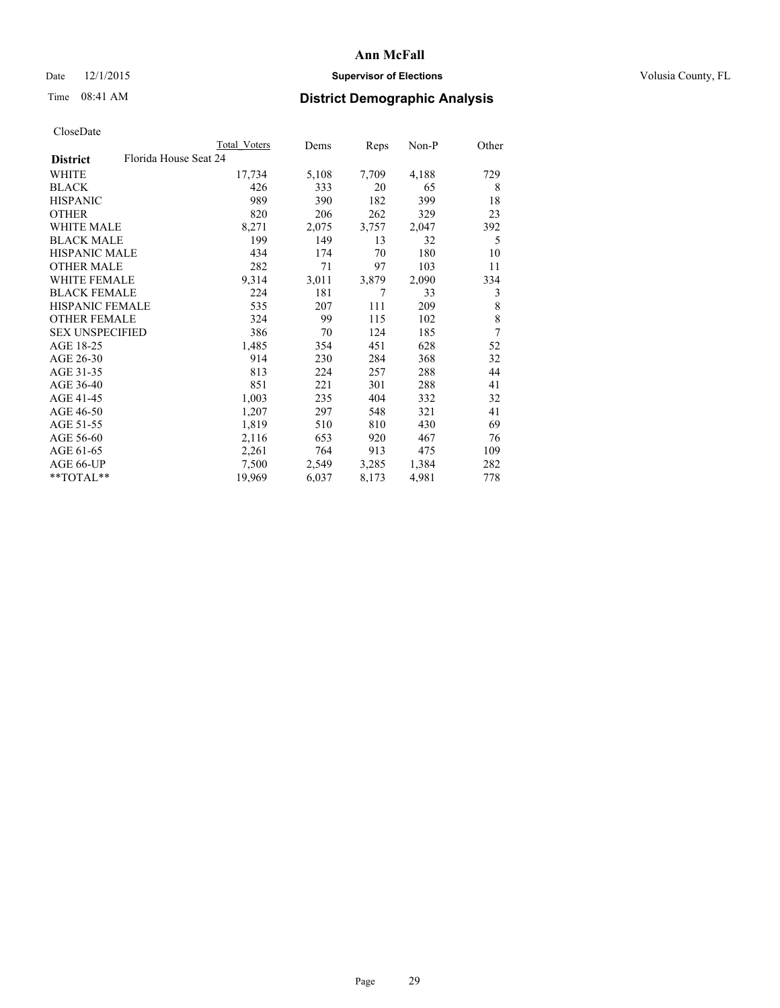## Date 12/1/2015 **Supervisor of Elections Supervisor of Elections** Volusia County, FL

| CloseDate |
|-----------|
|-----------|

|                                          | Total Voters | Dems  | <b>Reps</b> | Non-P | Other |
|------------------------------------------|--------------|-------|-------------|-------|-------|
| Florida House Seat 24<br><b>District</b> |              |       |             |       |       |
| WHITE                                    | 17,734       | 5,108 | 7,709       | 4,188 | 729   |
| <b>BLACK</b>                             | 426          | 333   | 20          | 65    | 8     |
| <b>HISPANIC</b>                          | 989          | 390   | 182         | 399   | 18    |
| <b>OTHER</b>                             | 820          | 206   | 262         | 329   | 23    |
| WHITE MALE                               | 8,271        | 2,075 | 3,757       | 2,047 | 392   |
| <b>BLACK MALE</b>                        | 199          | 149   | 13          | 32    | 5     |
| <b>HISPANIC MALE</b>                     | 434          | 174   | 70          | 180   | 10    |
| <b>OTHER MALE</b>                        | 282          | 71    | 97          | 103   | 11    |
| <b>WHITE FEMALE</b>                      | 9,314        | 3,011 | 3,879       | 2,090 | 334   |
| <b>BLACK FEMALE</b>                      | 224          | 181   | 7           | 33    | 3     |
| <b>HISPANIC FEMALE</b>                   | 535          | 207   | 111         | 209   | 8     |
| <b>OTHER FEMALE</b>                      | 324          | 99    | 115         | 102   | 8     |
| <b>SEX UNSPECIFIED</b>                   | 386          | 70    | 124         | 185   | 7     |
| AGE 18-25                                | 1,485        | 354   | 451         | 628   | 52    |
| AGE 26-30                                | 914          | 230   | 284         | 368   | 32    |
| AGE 31-35                                | 813          | 224   | 257         | 288   | 44    |
| AGE 36-40                                | 851          | 221   | 301         | 288   | 41    |
| AGE 41-45                                | 1,003        | 235   | 404         | 332   | 32    |
| AGE 46-50                                | 1,207        | 297   | 548         | 321   | 41    |
| AGE 51-55                                | 1,819        | 510   | 810         | 430   | 69    |
| AGE 56-60                                | 2,116        | 653   | 920         | 467   | 76    |
| AGE 61-65                                | 2,261        | 764   | 913         | 475   | 109   |
| AGE 66-UP                                | 7,500        | 2,549 | 3,285       | 1,384 | 282   |
| **TOTAL**                                | 19,969       | 6,037 | 8,173       | 4,981 | 778   |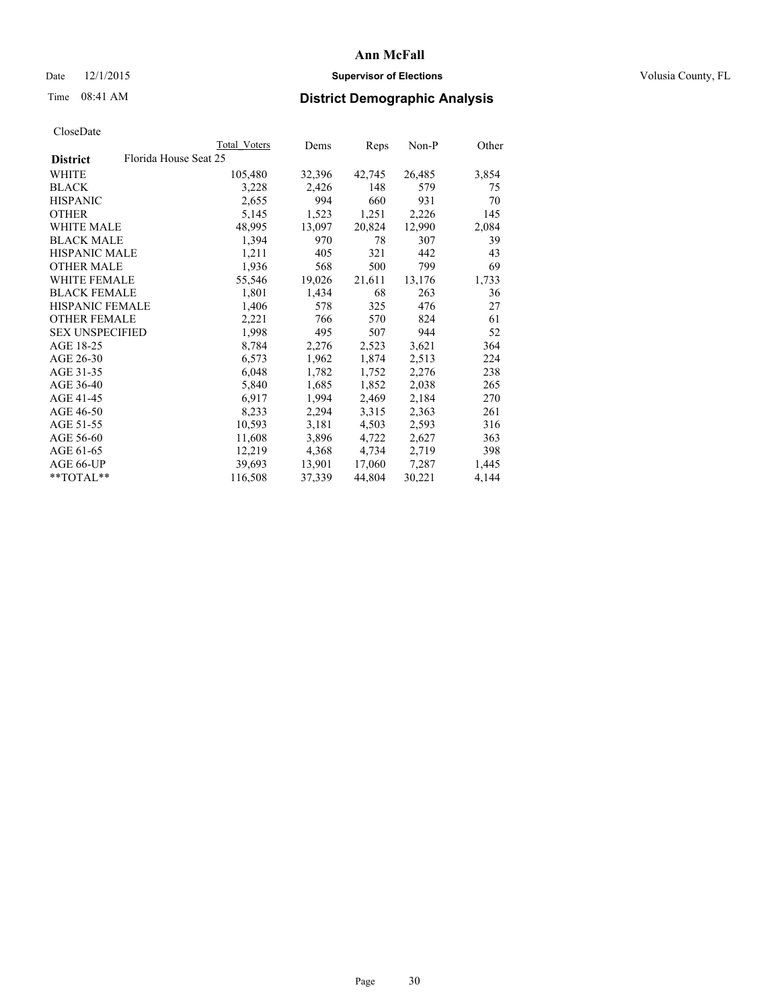## Date 12/1/2015 **Supervisor of Elections Supervisor of Elections** Volusia County, FL

# Time 08:41 AM **District Demographic Analysis**

|                                          | Total Voters | Dems   | <b>Reps</b> | Non-P  | Other |
|------------------------------------------|--------------|--------|-------------|--------|-------|
| Florida House Seat 25<br><b>District</b> |              |        |             |        |       |
| WHITE                                    | 105,480      | 32,396 | 42,745      | 26,485 | 3,854 |
| <b>BLACK</b>                             | 3,228        | 2,426  | 148         | 579    | 75    |
| <b>HISPANIC</b>                          | 2,655        | 994    | 660         | 931    | 70    |
| <b>OTHER</b>                             | 5,145        | 1,523  | 1,251       | 2,226  | 145   |
| <b>WHITE MALE</b>                        | 48,995       | 13,097 | 20,824      | 12,990 | 2,084 |
| <b>BLACK MALE</b>                        | 1,394        | 970    | 78          | 307    | 39    |
| <b>HISPANIC MALE</b>                     | 1,211        | 405    | 321         | 442    | 43    |
| <b>OTHER MALE</b>                        | 1,936        | 568    | 500         | 799    | 69    |
| <b>WHITE FEMALE</b>                      | 55,546       | 19,026 | 21,611      | 13,176 | 1,733 |
| <b>BLACK FEMALE</b>                      | 1,801        | 1,434  | 68          | 263    | 36    |
| HISPANIC FEMALE                          | 1,406        | 578    | 325         | 476    | 27    |
| <b>OTHER FEMALE</b>                      | 2,221        | 766    | 570         | 824    | 61    |
| <b>SEX UNSPECIFIED</b>                   | 1,998        | 495    | 507         | 944    | 52    |
| AGE 18-25                                | 8,784        | 2,276  | 2,523       | 3,621  | 364   |
| AGE 26-30                                | 6,573        | 1,962  | 1,874       | 2,513  | 224   |
| AGE 31-35                                | 6,048        | 1,782  | 1,752       | 2,276  | 238   |
| AGE 36-40                                | 5,840        | 1,685  | 1,852       | 2,038  | 265   |
| AGE 41-45                                | 6,917        | 1,994  | 2,469       | 2,184  | 270   |
| AGE 46-50                                | 8,233        | 2,294  | 3,315       | 2,363  | 261   |
| AGE 51-55                                | 10,593       | 3,181  | 4,503       | 2,593  | 316   |
| AGE 56-60                                | 11,608       | 3,896  | 4,722       | 2,627  | 363   |
| AGE 61-65                                | 12,219       | 4,368  | 4,734       | 2,719  | 398   |
| AGE 66-UP                                | 39,693       | 13,901 | 17,060      | 7,287  | 1,445 |
| $*$ TOTAL $*$                            | 116,508      | 37,339 | 44,804      | 30,221 | 4,144 |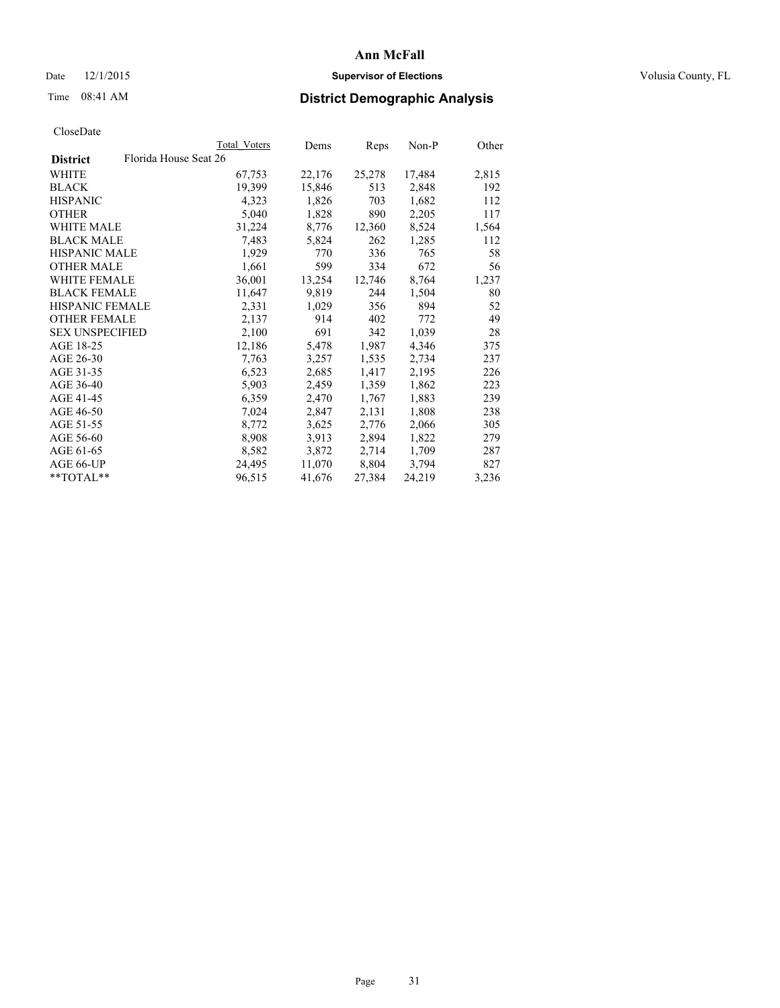## Date 12/1/2015 **Supervisor of Elections Supervisor of Elections** Volusia County, FL

| CloseDate |
|-----------|
|-----------|

| Total Voters | Dems                  | Reps   | $Non-P$ | Other |
|--------------|-----------------------|--------|---------|-------|
|              |                       |        |         |       |
| 67,753       | 22,176                | 25,278 | 17,484  | 2,815 |
| 19,399       | 15,846                | 513    | 2,848   | 192   |
| 4,323        | 1,826                 | 703    | 1,682   | 112   |
| 5,040        | 1,828                 | 890    | 2,205   | 117   |
| 31,224       | 8,776                 | 12,360 | 8,524   | 1,564 |
| 7,483        | 5,824                 | 262    | 1,285   | 112   |
| 1,929        | 770                   | 336    | 765     | 58    |
| 1,661        | 599                   | 334    | 672     | 56    |
| 36,001       | 13,254                | 12,746 | 8,764   | 1,237 |
| 11,647       | 9,819                 | 244    | 1,504   | 80    |
| 2,331        | 1,029                 | 356    | 894     | 52    |
| 2,137        | 914                   | 402    | 772     | 49    |
| 2,100        | 691                   | 342    | 1,039   | 28    |
| 12,186       | 5,478                 | 1,987  | 4,346   | 375   |
| 7.763        | 3,257                 | 1,535  | 2,734   | 237   |
| 6,523        | 2,685                 | 1,417  | 2,195   | 226   |
| 5,903        | 2,459                 | 1,359  | 1,862   | 223   |
| 6,359        | 2,470                 | 1,767  | 1,883   | 239   |
| 7,024        | 2,847                 | 2,131  | 1,808   | 238   |
| 8,772        | 3,625                 | 2,776  | 2,066   | 305   |
| 8,908        | 3,913                 | 2,894  | 1,822   | 279   |
| 8,582        | 3,872                 | 2,714  | 1,709   | 287   |
| 24,495       | 11,070                | 8,804  | 3,794   | 827   |
| 96,515       | 41,676                | 27,384 | 24,219  | 3,236 |
|              | Florida House Seat 26 |        |         |       |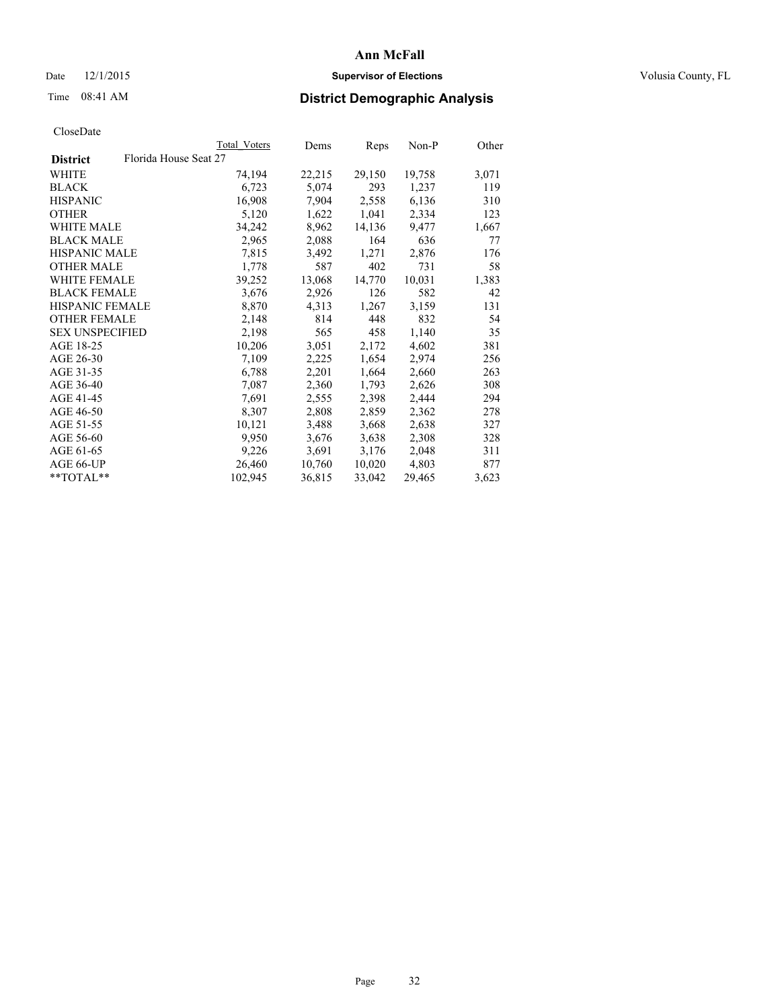## Date 12/1/2015 **Supervisor of Elections Supervisor of Elections** Volusia County, FL

# Time 08:41 AM **District Demographic Analysis**

|                                          | Total Voters | Dems   | Reps   | Non-P  | Other |
|------------------------------------------|--------------|--------|--------|--------|-------|
| Florida House Seat 27<br><b>District</b> |              |        |        |        |       |
| WHITE                                    | 74,194       | 22,215 | 29,150 | 19,758 | 3,071 |
| <b>BLACK</b>                             | 6,723        | 5,074  | 293    | 1,237  | 119   |
| <b>HISPANIC</b>                          | 16,908       | 7,904  | 2,558  | 6,136  | 310   |
| <b>OTHER</b>                             | 5,120        | 1,622  | 1,041  | 2,334  | 123   |
| WHITE MALE                               | 34,242       | 8,962  | 14,136 | 9,477  | 1,667 |
| <b>BLACK MALE</b>                        | 2,965        | 2,088  | 164    | 636    | 77    |
| <b>HISPANIC MALE</b>                     | 7,815        | 3,492  | 1,271  | 2,876  | 176   |
| <b>OTHER MALE</b>                        | 1,778        | 587    | 402    | 731    | 58    |
| <b>WHITE FEMALE</b>                      | 39,252       | 13,068 | 14,770 | 10,031 | 1,383 |
| <b>BLACK FEMALE</b>                      | 3,676        | 2,926  | 126    | 582    | 42    |
| <b>HISPANIC FEMALE</b>                   | 8,870        | 4,313  | 1,267  | 3,159  | 131   |
| <b>OTHER FEMALE</b>                      | 2,148        | 814    | 448    | 832    | 54    |
| <b>SEX UNSPECIFIED</b>                   | 2,198        | 565    | 458    | 1,140  | 35    |
| AGE 18-25                                | 10,206       | 3,051  | 2,172  | 4,602  | 381   |
| AGE 26-30                                | 7,109        | 2,225  | 1,654  | 2,974  | 256   |
| AGE 31-35                                | 6,788        | 2,201  | 1,664  | 2,660  | 263   |
| AGE 36-40                                | 7,087        | 2,360  | 1,793  | 2,626  | 308   |
| AGE 41-45                                | 7,691        | 2,555  | 2,398  | 2,444  | 294   |
| AGE 46-50                                | 8,307        | 2,808  | 2,859  | 2,362  | 278   |
| AGE 51-55                                | 10,121       | 3,488  | 3,668  | 2,638  | 327   |
| AGE 56-60                                | 9,950        | 3,676  | 3,638  | 2,308  | 328   |
| AGE 61-65                                | 9,226        | 3,691  | 3,176  | 2,048  | 311   |
| AGE 66-UP                                | 26,460       | 10,760 | 10,020 | 4,803  | 877   |
| $*$ $TOTAI.**$                           | 102,945      | 36,815 | 33,042 | 29,465 | 3,623 |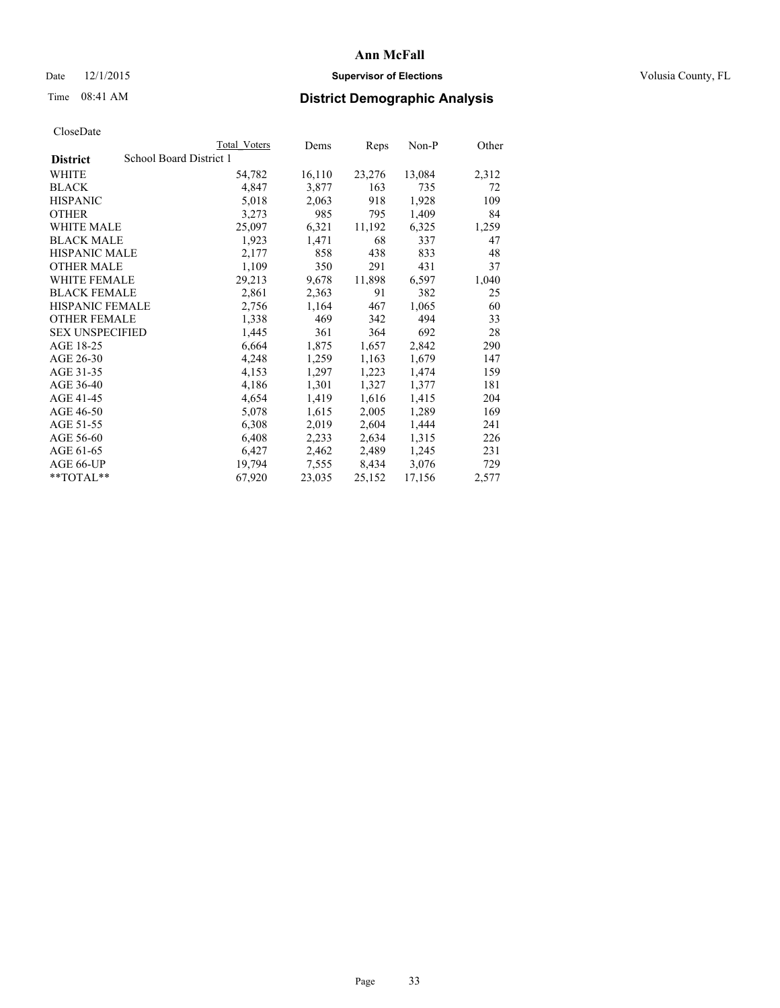## Date 12/1/2015 **Supervisor of Elections Supervisor of Elections** Volusia County, FL

# Time 08:41 AM **District Demographic Analysis**

| Total Voters | Dems                    | <b>Reps</b> | Non-P  | Other |
|--------------|-------------------------|-------------|--------|-------|
|              |                         |             |        |       |
| 54,782       | 16,110                  | 23,276      | 13,084 | 2,312 |
| 4,847        | 3,877                   | 163         | 735    | 72    |
| 5,018        | 2,063                   | 918         | 1,928  | 109   |
| 3,273        | 985                     | 795         | 1,409  | 84    |
| 25,097       | 6,321                   | 11,192      | 6,325  | 1,259 |
| 1,923        | 1,471                   | 68          | 337    | 47    |
| 2,177        | 858                     | 438         | 833    | 48    |
| 1,109        | 350                     | 291         | 431    | 37    |
| 29,213       | 9,678                   | 11,898      | 6,597  | 1,040 |
| 2,861        | 2,363                   | 91          | 382    | 25    |
| 2,756        | 1,164                   | 467         | 1,065  | 60    |
| 1,338        | 469                     | 342         | 494    | 33    |
| 1,445        | 361                     | 364         | 692    | 28    |
| 6,664        | 1,875                   | 1,657       | 2,842  | 290   |
| 4,248        | 1,259                   | 1,163       | 1,679  | 147   |
| 4,153        | 1,297                   | 1,223       | 1,474  | 159   |
| 4,186        | 1,301                   | 1,327       | 1,377  | 181   |
| 4,654        | 1,419                   | 1,616       | 1,415  | 204   |
| 5,078        | 1,615                   | 2,005       | 1,289  | 169   |
| 6,308        | 2,019                   | 2,604       | 1,444  | 241   |
| 6,408        | 2,233                   | 2,634       | 1,315  | 226   |
| 6,427        | 2,462                   | 2,489       | 1,245  | 231   |
| 19,794       | 7,555                   | 8,434       | 3,076  | 729   |
| 67,920       | 23,035                  | 25,152      | 17,156 | 2,577 |
|              | School Board District 1 |             |        |       |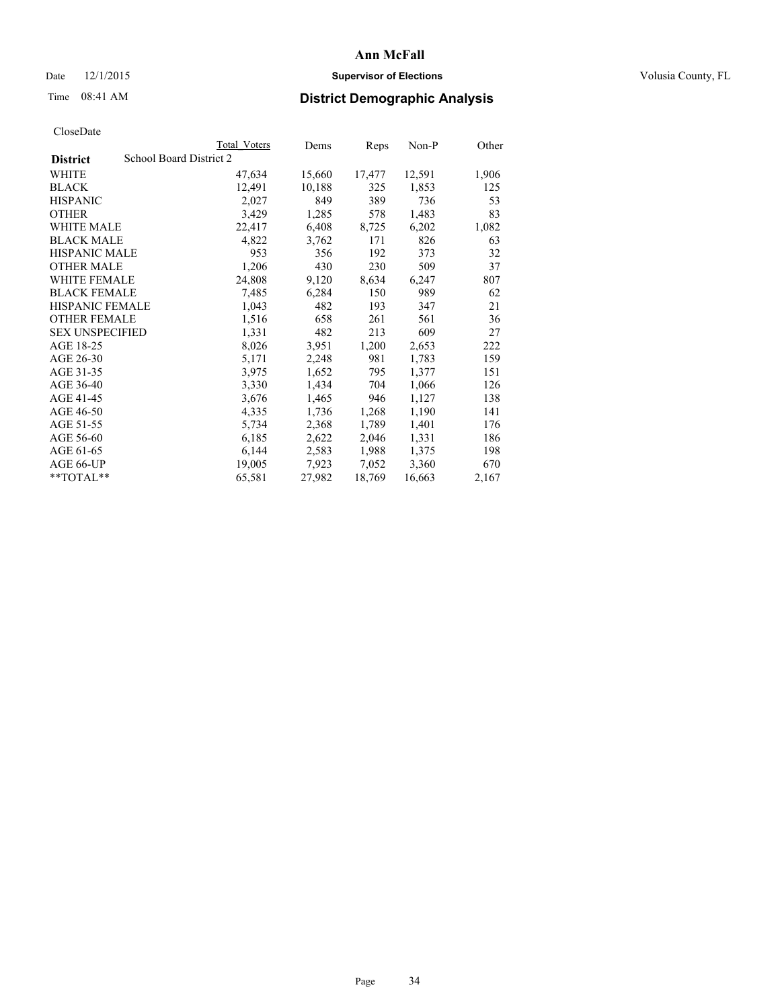## Date 12/1/2015 **Supervisor of Elections Supervisor of Elections** Volusia County, FL

# Time 08:41 AM **District Demographic Analysis**

|                                            | Total Voters | Dems   | Reps   | $Non-P$ | Other |
|--------------------------------------------|--------------|--------|--------|---------|-------|
| School Board District 2<br><b>District</b> |              |        |        |         |       |
| WHITE                                      | 47,634       | 15,660 | 17,477 | 12,591  | 1,906 |
| <b>BLACK</b>                               | 12,491       | 10,188 | 325    | 1,853   | 125   |
| <b>HISPANIC</b>                            | 2,027        | 849    | 389    | 736     | 53    |
| <b>OTHER</b>                               | 3,429        | 1,285  | 578    | 1,483   | 83    |
| WHITE MALE                                 | 22,417       | 6,408  | 8,725  | 6,202   | 1,082 |
| <b>BLACK MALE</b>                          | 4,822        | 3,762  | 171    | 826     | 63    |
| <b>HISPANIC MALE</b>                       | 953          | 356    | 192    | 373     | 32    |
| <b>OTHER MALE</b>                          | 1,206        | 430    | 230    | 509     | 37    |
| WHITE FEMALE                               | 24,808       | 9,120  | 8,634  | 6,247   | 807   |
| <b>BLACK FEMALE</b>                        | 7.485        | 6,284  | 150    | 989     | 62    |
| <b>HISPANIC FEMALE</b>                     | 1,043        | 482    | 193    | 347     | 21    |
| <b>OTHER FEMALE</b>                        | 1,516        | 658    | 261    | 561     | 36    |
| <b>SEX UNSPECIFIED</b>                     | 1,331        | 482    | 213    | 609     | 27    |
| AGE 18-25                                  | 8,026        | 3,951  | 1,200  | 2,653   | 222   |
| AGE 26-30                                  | 5,171        | 2,248  | 981    | 1,783   | 159   |
| AGE 31-35                                  | 3,975        | 1,652  | 795    | 1,377   | 151   |
| AGE 36-40                                  | 3,330        | 1,434  | 704    | 1,066   | 126   |
| AGE 41-45                                  | 3,676        | 1,465  | 946    | 1,127   | 138   |
| AGE 46-50                                  | 4,335        | 1,736  | 1,268  | 1,190   | 141   |
| AGE 51-55                                  | 5,734        | 2,368  | 1,789  | 1,401   | 176   |
| AGE 56-60                                  | 6,185        | 2,622  | 2,046  | 1,331   | 186   |
| AGE 61-65                                  | 6,144        | 2,583  | 1,988  | 1,375   | 198   |
| AGE 66-UP                                  | 19,005       | 7,923  | 7,052  | 3,360   | 670   |
| **TOTAL**                                  | 65,581       | 27,982 | 18,769 | 16,663  | 2,167 |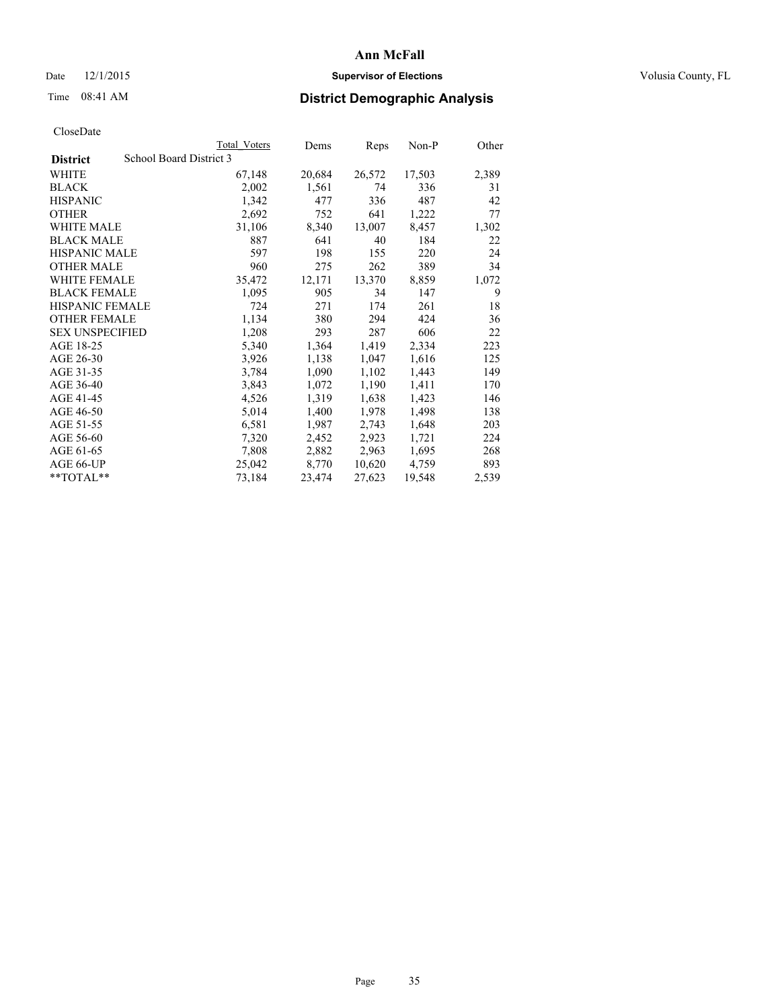## Date 12/1/2015 **Supervisor of Elections Supervisor of Elections** Volusia County, FL

# Time 08:41 AM **District Demographic Analysis**

|                                            | <b>Total Voters</b> | Dems   | <b>Reps</b> | Non-P  | Other |
|--------------------------------------------|---------------------|--------|-------------|--------|-------|
| School Board District 3<br><b>District</b> |                     |        |             |        |       |
| WHITE                                      | 67,148              | 20,684 | 26,572      | 17,503 | 2,389 |
| <b>BLACK</b>                               | 2,002               | 1,561  | 74          | 336    | 31    |
| <b>HISPANIC</b>                            | 1,342               | 477    | 336         | 487    | 42    |
| <b>OTHER</b>                               | 2,692               | 752    | 641         | 1,222  | 77    |
| WHITE MALE                                 | 31,106              | 8,340  | 13,007      | 8,457  | 1,302 |
| <b>BLACK MALE</b>                          | 887                 | 641    | 40          | 184    | 22    |
| <b>HISPANIC MALE</b>                       | 597                 | 198    | 155         | 220    | 24    |
| <b>OTHER MALE</b>                          | 960                 | 275    | 262         | 389    | 34    |
| <b>WHITE FEMALE</b>                        | 35,472              | 12,171 | 13,370      | 8,859  | 1,072 |
| <b>BLACK FEMALE</b>                        | 1,095               | 905    | 34          | 147    | 9     |
| HISPANIC FEMALE                            | 724                 | 271    | 174         | 261    | 18    |
| <b>OTHER FEMALE</b>                        | 1,134               | 380    | 294         | 424    | 36    |
| <b>SEX UNSPECIFIED</b>                     | 1,208               | 293    | 287         | 606    | 22    |
| AGE 18-25                                  | 5,340               | 1,364  | 1,419       | 2,334  | 223   |
| AGE 26-30                                  | 3,926               | 1,138  | 1,047       | 1,616  | 125   |
| AGE 31-35                                  | 3,784               | 1,090  | 1,102       | 1,443  | 149   |
| AGE 36-40                                  | 3,843               | 1,072  | 1,190       | 1,411  | 170   |
| AGE 41-45                                  | 4,526               | 1,319  | 1,638       | 1,423  | 146   |
| AGE 46-50                                  | 5,014               | 1,400  | 1,978       | 1,498  | 138   |
| AGE 51-55                                  | 6,581               | 1,987  | 2,743       | 1,648  | 203   |
| AGE 56-60                                  | 7,320               | 2,452  | 2,923       | 1,721  | 224   |
| AGE 61-65                                  | 7,808               | 2,882  | 2,963       | 1,695  | 268   |
| AGE 66-UP                                  | 25,042              | 8,770  | 10,620      | 4,759  | 893   |
| $*$ TOTAL $*$                              | 73,184              | 23,474 | 27,623      | 19,548 | 2,539 |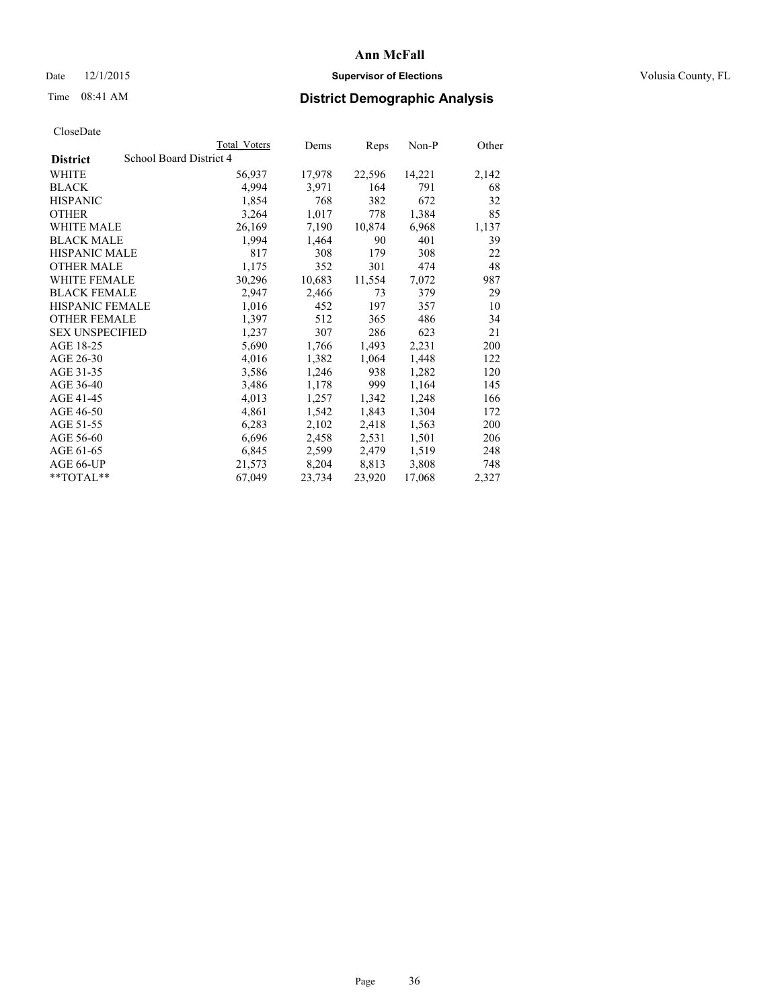## Date 12/1/2015 **Supervisor of Elections Supervisor of Elections** Volusia County, FL

# Time 08:41 AM **District Demographic Analysis**

|                                            | <b>Total Voters</b> | Dems   | Reps   | Non-P  | Other |  |
|--------------------------------------------|---------------------|--------|--------|--------|-------|--|
| School Board District 4<br><b>District</b> |                     |        |        |        |       |  |
| WHITE                                      | 56,937              | 17,978 | 22,596 | 14,221 | 2,142 |  |
| <b>BLACK</b>                               | 4,994               | 3,971  | 164    | 791    | 68    |  |
| <b>HISPANIC</b>                            | 1,854               | 768    | 382    | 672    | 32    |  |
| <b>OTHER</b>                               | 3,264               | 1,017  | 778    | 1,384  | 85    |  |
| WHITE MALE                                 | 26,169              | 7,190  | 10,874 | 6,968  | 1,137 |  |
| <b>BLACK MALE</b>                          | 1,994               | 1,464  | 90     | 401    | 39    |  |
| <b>HISPANIC MALE</b>                       | 817                 | 308    | 179    | 308    | 22    |  |
| <b>OTHER MALE</b>                          | 1,175               | 352    | 301    | 474    | 48    |  |
| <b>WHITE FEMALE</b>                        | 30,296              | 10,683 | 11,554 | 7,072  | 987   |  |
| <b>BLACK FEMALE</b>                        | 2,947               | 2,466  | 73     | 379    | 29    |  |
| <b>HISPANIC FEMALE</b>                     | 1,016               | 452    | 197    | 357    | 10    |  |
| <b>OTHER FEMALE</b>                        | 1,397               | 512    | 365    | 486    | 34    |  |
| <b>SEX UNSPECIFIED</b>                     | 1,237               | 307    | 286    | 623    | 21    |  |
| AGE 18-25                                  | 5,690               | 1,766  | 1,493  | 2,231  | 200   |  |
| AGE 26-30                                  | 4,016               | 1,382  | 1,064  | 1,448  | 122   |  |
| AGE 31-35                                  | 3,586               | 1,246  | 938    | 1,282  | 120   |  |
| AGE 36-40                                  | 3,486               | 1,178  | 999    | 1,164  | 145   |  |
| AGE 41-45                                  | 4,013               | 1,257  | 1,342  | 1,248  | 166   |  |
| AGE 46-50                                  | 4,861               | 1,542  | 1,843  | 1,304  | 172   |  |
| AGE 51-55                                  | 6,283               | 2,102  | 2,418  | 1,563  | 200   |  |
| AGE 56-60                                  | 6,696               | 2,458  | 2,531  | 1,501  | 206   |  |
| AGE 61-65                                  | 6,845               | 2,599  | 2,479  | 1,519  | 248   |  |
| AGE 66-UP                                  | 21,573              | 8,204  | 8,813  | 3,808  | 748   |  |
| **TOTAL**                                  | 67,049              | 23,734 | 23,920 | 17,068 | 2,327 |  |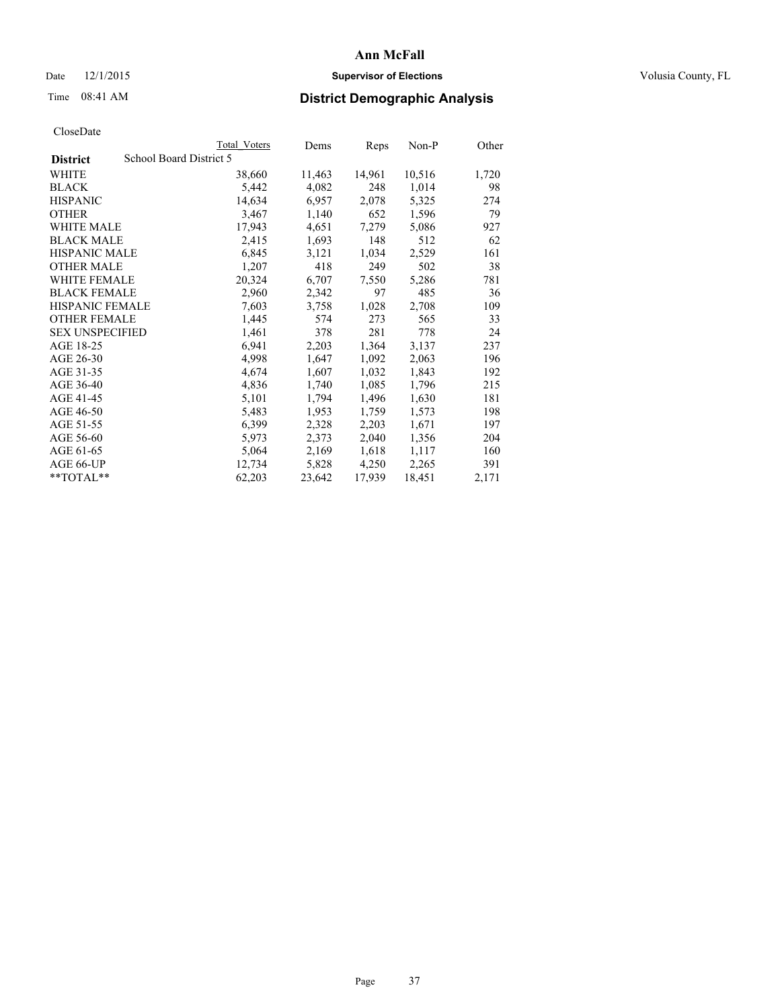## Date 12/1/2015 **Supervisor of Elections Supervisor of Elections** Volusia County, FL

# Time 08:41 AM **District Demographic Analysis**

|                        | Total Voters            | Dems   | Reps   | Non-P  | Other |
|------------------------|-------------------------|--------|--------|--------|-------|
| <b>District</b>        | School Board District 5 |        |        |        |       |
| WHITE                  | 38,660                  | 11,463 | 14,961 | 10,516 | 1,720 |
| <b>BLACK</b>           | 5,442                   | 4,082  | 248    | 1,014  | 98    |
| <b>HISPANIC</b>        | 14,634                  | 6,957  | 2,078  | 5,325  | 274   |
| <b>OTHER</b>           | 3,467                   | 1,140  | 652    | 1,596  | 79    |
| WHITE MALE             | 17,943                  | 4,651  | 7,279  | 5,086  | 927   |
| <b>BLACK MALE</b>      | 2,415                   | 1,693  | 148    | 512    | 62    |
| <b>HISPANIC MALE</b>   | 6,845                   | 3,121  | 1,034  | 2,529  | 161   |
| <b>OTHER MALE</b>      | 1,207                   | 418    | 249    | 502    | 38    |
| <b>WHITE FEMALE</b>    | 20,324                  | 6,707  | 7,550  | 5,286  | 781   |
| <b>BLACK FEMALE</b>    | 2,960                   | 2,342  | 97     | 485    | 36    |
| HISPANIC FEMALE        | 7,603                   | 3,758  | 1,028  | 2,708  | 109   |
| <b>OTHER FEMALE</b>    | 1,445                   | 574    | 273    | 565    | 33    |
| <b>SEX UNSPECIFIED</b> | 1,461                   | 378    | 281    | 778    | 24    |
| AGE 18-25              | 6,941                   | 2,203  | 1,364  | 3,137  | 237   |
| AGE 26-30              | 4,998                   | 1,647  | 1,092  | 2,063  | 196   |
| AGE 31-35              | 4,674                   | 1,607  | 1,032  | 1,843  | 192   |
| AGE 36-40              | 4,836                   | 1,740  | 1,085  | 1,796  | 215   |
| AGE 41-45              | 5,101                   | 1,794  | 1,496  | 1,630  | 181   |
| AGE 46-50              | 5,483                   | 1,953  | 1,759  | 1,573  | 198   |
| AGE 51-55              | 6,399                   | 2,328  | 2,203  | 1,671  | 197   |
| AGE 56-60              | 5,973                   | 2,373  | 2,040  | 1,356  | 204   |
| AGE 61-65              | 5,064                   | 2,169  | 1,618  | 1,117  | 160   |
| AGE 66-UP              | 12,734                  | 5,828  | 4,250  | 2,265  | 391   |
| $*$ TOTAL $*$          | 62,203                  | 23,642 | 17,939 | 18,451 | 2,171 |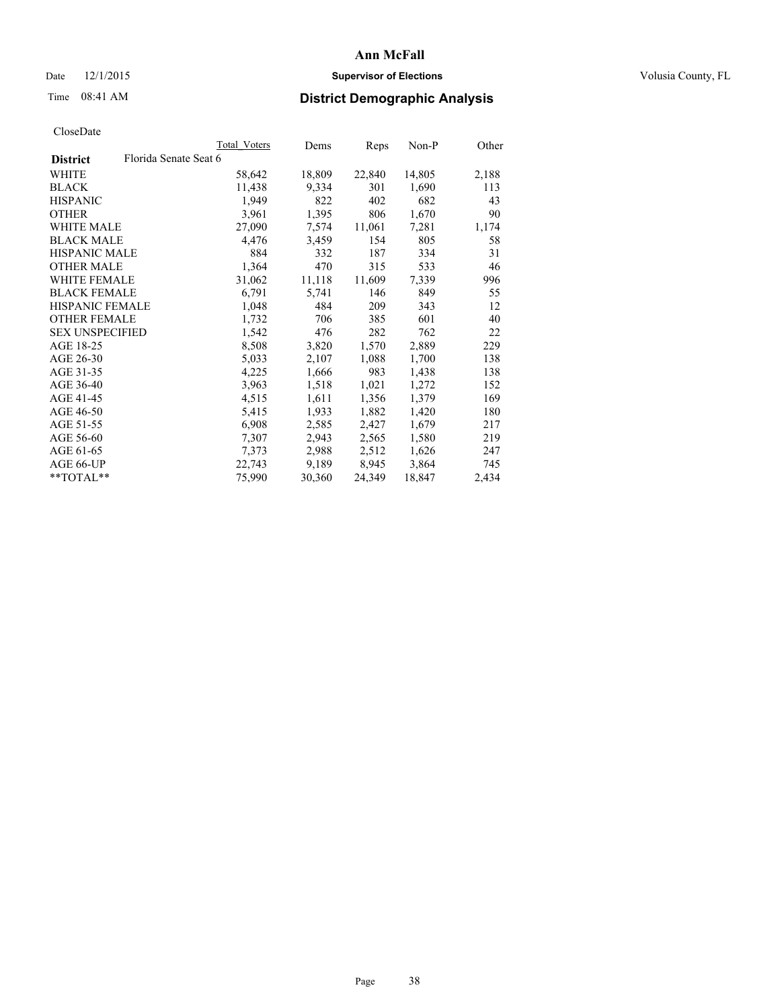## Date 12/1/2015 **Supervisor of Elections Supervisor of Elections** Volusia County, FL

# Time 08:41 AM **District Demographic Analysis**

|                        |                       | Total Voters | Dems   | Reps   | Non-P  | Other |
|------------------------|-----------------------|--------------|--------|--------|--------|-------|
| <b>District</b>        | Florida Senate Seat 6 |              |        |        |        |       |
| WHITE                  |                       | 58,642       | 18,809 | 22,840 | 14,805 | 2,188 |
| <b>BLACK</b>           |                       | 11,438       | 9.334  | 301    | 1,690  | 113   |
| <b>HISPANIC</b>        |                       | 1,949        | 822    | 402    | 682    | 43    |
| <b>OTHER</b>           |                       | 3,961        | 1,395  | 806    | 1,670  | 90    |
| WHITE MALE             |                       | 27,090       | 7,574  | 11,061 | 7,281  | 1,174 |
| <b>BLACK MALE</b>      |                       | 4,476        | 3,459  | 154    | 805    | 58    |
| <b>HISPANIC MALE</b>   |                       | 884          | 332    | 187    | 334    | 31    |
| OTHER MALE             |                       | 1,364        | 470    | 315    | 533    | 46    |
| <b>WHITE FEMALE</b>    |                       | 31,062       | 11,118 | 11,609 | 7.339  | 996   |
| <b>BLACK FEMALE</b>    |                       | 6,791        | 5,741  | 146    | 849    | 55    |
| <b>HISPANIC FEMALE</b> |                       | 1,048        | 484    | 209    | 343    | 12    |
| <b>OTHER FEMALE</b>    |                       | 1,732        | 706    | 385    | 601    | 40    |
| <b>SEX UNSPECIFIED</b> |                       | 1,542        | 476    | 282    | 762    | 22    |
| AGE 18-25              |                       | 8,508        | 3,820  | 1,570  | 2,889  | 229   |
| AGE 26-30              |                       | 5,033        | 2,107  | 1,088  | 1,700  | 138   |
| AGE 31-35              |                       | 4,225        | 1,666  | 983    | 1,438  | 138   |
| AGE 36-40              |                       | 3,963        | 1,518  | 1,021  | 1,272  | 152   |
| AGE 41-45              |                       | 4,515        | 1,611  | 1,356  | 1,379  | 169   |
| AGE 46-50              |                       | 5,415        | 1,933  | 1,882  | 1,420  | 180   |
| AGE 51-55              |                       | 6,908        | 2,585  | 2,427  | 1,679  | 217   |
| AGE 56-60              |                       | 7,307        | 2,943  | 2,565  | 1,580  | 219   |
| AGE 61-65              |                       | 7,373        | 2,988  | 2,512  | 1,626  | 247   |
| AGE 66-UP              |                       | 22,743       | 9,189  | 8,945  | 3,864  | 745   |
| $*$ $TOTAL**$          |                       | 75,990       | 30,360 | 24,349 | 18,847 | 2,434 |
|                        |                       |              |        |        |        |       |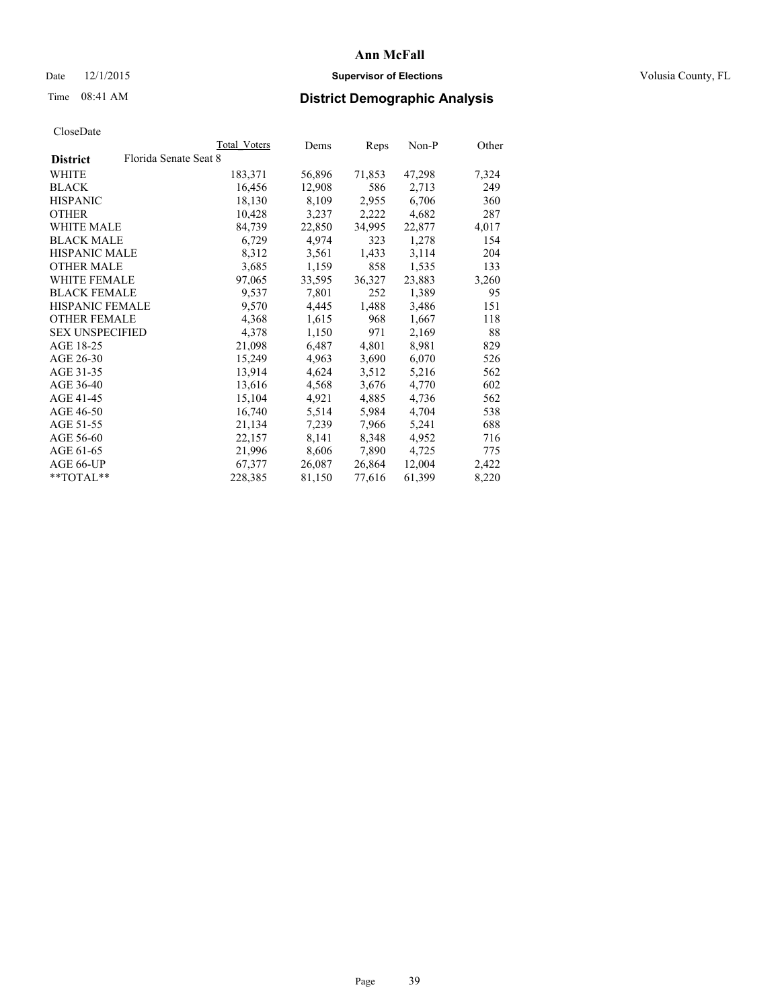## Date 12/1/2015 **Supervisor of Elections Supervisor of Elections** Volusia County, FL

|                        |                       | <b>Total Voters</b> | Dems   | Reps   | $Non-P$ | Other |
|------------------------|-----------------------|---------------------|--------|--------|---------|-------|
| <b>District</b>        | Florida Senate Seat 8 |                     |        |        |         |       |
| WHITE                  |                       | 183,371             | 56,896 | 71,853 | 47,298  | 7,324 |
| <b>BLACK</b>           |                       | 16,456              | 12,908 | 586    | 2,713   | 249   |
| <b>HISPANIC</b>        |                       | 18,130              | 8,109  | 2,955  | 6,706   | 360   |
| <b>OTHER</b>           |                       | 10,428              | 3,237  | 2,222  | 4,682   | 287   |
| <b>WHITE MALE</b>      |                       | 84,739              | 22,850 | 34,995 | 22,877  | 4,017 |
| <b>BLACK MALE</b>      |                       | 6,729               | 4,974  | 323    | 1,278   | 154   |
| <b>HISPANIC MALE</b>   |                       | 8,312               | 3,561  | 1,433  | 3,114   | 204   |
| <b>OTHER MALE</b>      |                       | 3,685               | 1,159  | 858    | 1,535   | 133   |
| WHITE FEMALE           |                       | 97,065              | 33,595 | 36,327 | 23,883  | 3,260 |
| <b>BLACK FEMALE</b>    |                       | 9,537               | 7,801  | 252    | 1,389   | 95    |
| <b>HISPANIC FEMALE</b> |                       | 9,570               | 4,445  | 1,488  | 3,486   | 151   |
| <b>OTHER FEMALE</b>    |                       | 4,368               | 1,615  | 968    | 1,667   | 118   |
| <b>SEX UNSPECIFIED</b> |                       | 4,378               | 1,150  | 971    | 2,169   | 88    |
| AGE 18-25              |                       | 21,098              | 6,487  | 4,801  | 8,981   | 829   |
| AGE 26-30              |                       | 15,249              | 4,963  | 3,690  | 6,070   | 526   |
| AGE 31-35              |                       | 13,914              | 4,624  | 3,512  | 5,216   | 562   |
| AGE 36-40              |                       | 13,616              | 4,568  | 3,676  | 4,770   | 602   |
| AGE 41-45              |                       | 15,104              | 4,921  | 4,885  | 4,736   | 562   |
| AGE 46-50              |                       | 16,740              | 5,514  | 5,984  | 4,704   | 538   |
| AGE 51-55              |                       | 21,134              | 7,239  | 7,966  | 5,241   | 688   |
| AGE 56-60              |                       | 22,157              | 8,141  | 8,348  | 4,952   | 716   |
| AGE 61-65              |                       | 21,996              | 8,606  | 7,890  | 4,725   | 775   |
| AGE 66-UP              |                       | 67,377              | 26,087 | 26,864 | 12,004  | 2,422 |
| $*$ TOTAL $*$          |                       | 228,385             | 81,150 | 77,616 | 61,399  | 8,220 |
|                        |                       |                     |        |        |         |       |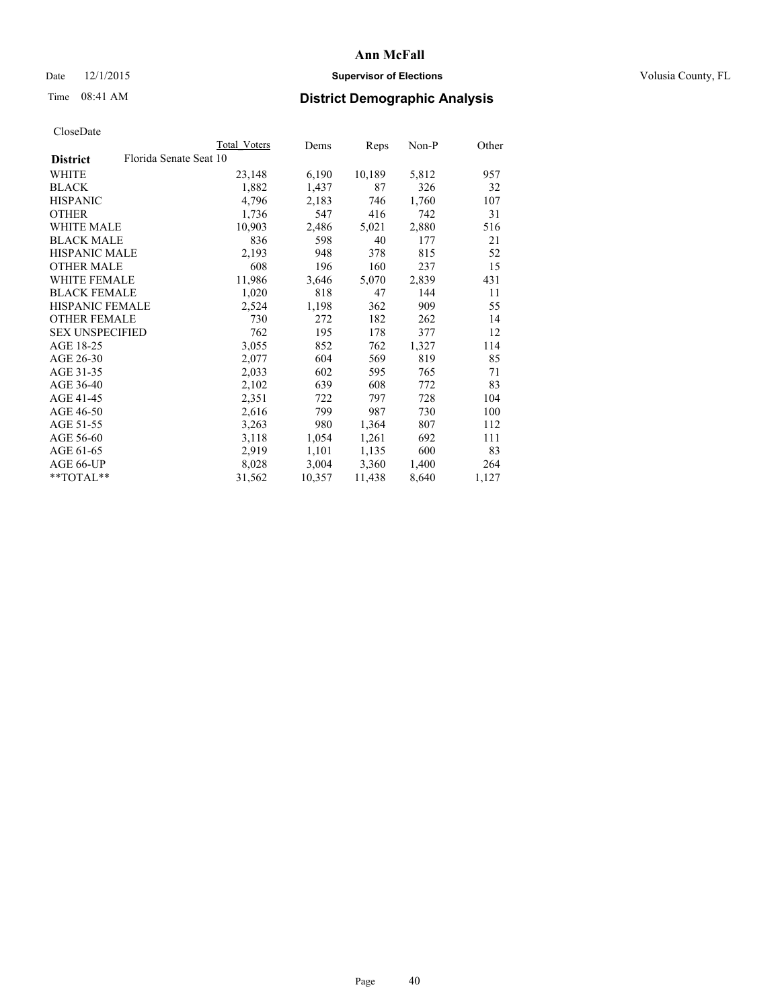## Date 12/1/2015 **Supervisor of Elections Supervisor of Elections** Volusia County, FL

# Time 08:41 AM **District Demographic Analysis**

|                                           | Total Voters | Dems   | Reps   | Non-P | Other |
|-------------------------------------------|--------------|--------|--------|-------|-------|
| Florida Senate Seat 10<br><b>District</b> |              |        |        |       |       |
| WHITE                                     | 23,148       | 6,190  | 10,189 | 5,812 | 957   |
| <b>BLACK</b>                              | 1,882        | 1,437  | 87     | 326   | 32    |
| <b>HISPANIC</b>                           | 4,796        | 2,183  | 746    | 1,760 | 107   |
| <b>OTHER</b>                              | 1,736        | 547    | 416    | 742   | 31    |
| WHITE MALE                                | 10,903       | 2,486  | 5,021  | 2,880 | 516   |
| <b>BLACK MALE</b>                         | 836          | 598    | 40     | 177   | 21    |
| HISPANIC MALE                             | 2,193        | 948    | 378    | 815   | 52    |
| <b>OTHER MALE</b>                         | 608          | 196    | 160    | 237   | 15    |
| <b>WHITE FEMALE</b>                       | 11,986       | 3,646  | 5,070  | 2,839 | 431   |
| <b>BLACK FEMALE</b>                       | 1,020        | 818    | 47     | 144   | 11    |
| HISPANIC FEMALE                           | 2,524        | 1,198  | 362    | 909   | 55    |
| <b>OTHER FEMALE</b>                       | 730          | 272    | 182    | 262   | 14    |
| <b>SEX UNSPECIFIED</b>                    | 762          | 195    | 178    | 377   | 12    |
| AGE 18-25                                 | 3,055        | 852    | 762    | 1,327 | 114   |
| AGE 26-30                                 | 2,077        | 604    | 569    | 819   | 85    |
| AGE 31-35                                 | 2,033        | 602    | 595    | 765   | 71    |
| AGE 36-40                                 | 2,102        | 639    | 608    | 772   | 83    |
| AGE 41-45                                 | 2,351        | 722    | 797    | 728   | 104   |
| AGE 46-50                                 | 2,616        | 799    | 987    | 730   | 100   |
| AGE 51-55                                 | 3,263        | 980    | 1,364  | 807   | 112   |
| AGE 56-60                                 | 3,118        | 1,054  | 1,261  | 692   | 111   |
| AGE 61-65                                 | 2,919        | 1,101  | 1,135  | 600   | 83    |
| AGE 66-UP                                 | 8,028        | 3,004  | 3,360  | 1,400 | 264   |
| $*$ $TOTAL**$                             | 31,562       | 10,357 | 11,438 | 8,640 | 1,127 |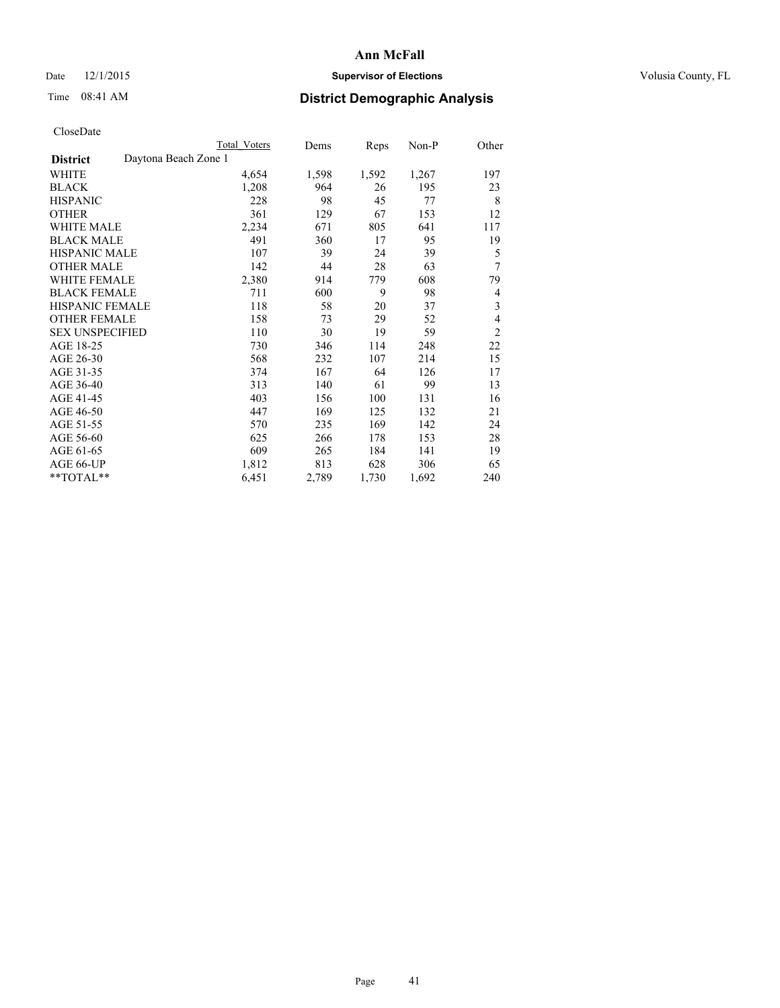## Date 12/1/2015 **Supervisor of Elections Supervisor of Elections** Volusia County, FL

# Time 08:41 AM **District Demographic Analysis**

|                                         | <b>Total Voters</b> | Dems  | <b>Reps</b> | Non-P | Other          |
|-----------------------------------------|---------------------|-------|-------------|-------|----------------|
| Daytona Beach Zone 1<br><b>District</b> |                     |       |             |       |                |
| WHITE                                   | 4,654               | 1,598 | 1,592       | 1,267 | 197            |
| <b>BLACK</b>                            | 1,208               | 964   | 26          | 195   | 23             |
| <b>HISPANIC</b>                         | 228                 | 98    | 45          | 77    | 8              |
| <b>OTHER</b>                            | 361                 | 129   | 67          | 153   | 12             |
| <b>WHITE MALE</b>                       | 2,234               | 671   | 805         | 641   | 117            |
| <b>BLACK MALE</b>                       | 491                 | 360   | 17          | 95    | 19             |
| <b>HISPANIC MALE</b>                    | 107                 | 39    | 24          | 39    | 5              |
| <b>OTHER MALE</b>                       | 142                 | 44    | 28          | 63    | 7              |
| WHITE FEMALE                            | 2,380               | 914   | 779         | 608   | 79             |
| <b>BLACK FEMALE</b>                     | 711                 | 600   | 9           | 98    | 4              |
| <b>HISPANIC FEMALE</b>                  | 118                 | 58    | 20          | 37    | 3              |
| <b>OTHER FEMALE</b>                     | 158                 | 73    | 29          | 52    | $\overline{4}$ |
| <b>SEX UNSPECIFIED</b>                  | 110                 | 30    | 19          | 59    | $\overline{2}$ |
| AGE 18-25                               | 730                 | 346   | 114         | 248   | 22             |
| AGE 26-30                               | 568                 | 232   | 107         | 214   | 15             |
| AGE 31-35                               | 374                 | 167   | 64          | 126   | 17             |
| AGE 36-40                               | 313                 | 140   | 61          | 99    | 13             |
| AGE 41-45                               | 403                 | 156   | 100         | 131   | 16             |
| AGE 46-50                               | 447                 | 169   | 125         | 132   | 21             |
| AGE 51-55                               | 570                 | 235   | 169         | 142   | 24             |
| AGE 56-60                               | 625                 | 266   | 178         | 153   | 28             |
| AGE 61-65                               | 609                 | 265   | 184         | 141   | 19             |
| AGE 66-UP                               | 1,812               | 813   | 628         | 306   | 65             |
| **TOTAL**                               | 6,451               | 2,789 | 1,730       | 1,692 | 240            |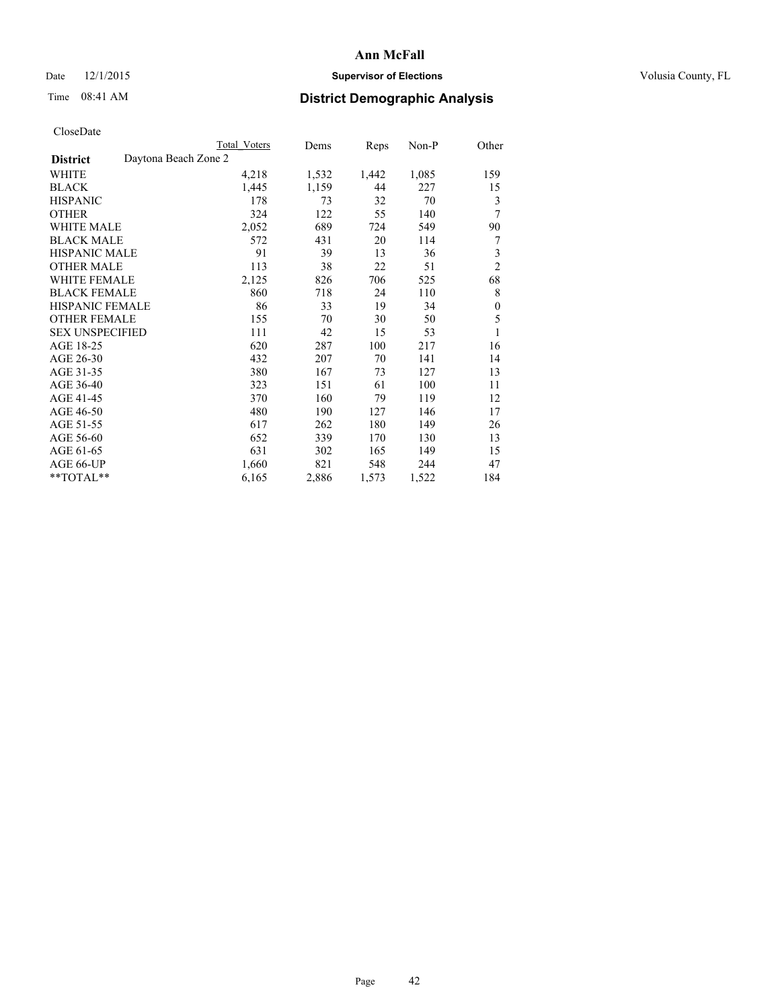## Date 12/1/2015 **Supervisor of Elections Supervisor of Elections** Volusia County, FL

|                        | <b>Total Voters</b>  | Dems  | Reps  | Non-P | Other          |
|------------------------|----------------------|-------|-------|-------|----------------|
| <b>District</b>        | Daytona Beach Zone 2 |       |       |       |                |
| WHITE                  | 4,218                | 1,532 | 1,442 | 1,085 | 159            |
| <b>BLACK</b>           | 1,445                | 1,159 | 44    | 227   | 15             |
| <b>HISPANIC</b>        | 178                  | 73    | 32    | 70    | 3              |
| <b>OTHER</b>           | 324                  | 122   | 55    | 140   | 7              |
| WHITE MALE             | 2,052                | 689   | 724   | 549   | 90             |
| <b>BLACK MALE</b>      | 572                  | 431   | 20    | 114   | 7              |
| <b>HISPANIC MALE</b>   | 91                   | 39    | 13    | 36    | 3              |
| <b>OTHER MALE</b>      | 113                  | 38    | 22    | 51    | $\overline{2}$ |
| WHITE FEMALE           | 2,125                | 826   | 706   | 525   | 68             |
| <b>BLACK FEMALE</b>    | 860                  | 718   | 24    | 110   | 8              |
| <b>HISPANIC FEMALE</b> | 86                   | 33    | 19    | 34    | $\mathbf{0}$   |
| <b>OTHER FEMALE</b>    | 155                  | 70    | 30    | 50    | 5              |
| <b>SEX UNSPECIFIED</b> | 111                  | 42    | 15    | 53    | 1              |
| AGE 18-25              | 620                  | 287   | 100   | 217   | 16             |
| AGE 26-30              | 432                  | 207   | 70    | 141   | 14             |
| AGE 31-35              | 380                  | 167   | 73    | 127   | 13             |
| AGE 36-40              | 323                  | 151   | 61    | 100   | 11             |
| AGE 41-45              | 370                  | 160   | 79    | 119   | 12             |
| AGE 46-50              | 480                  | 190   | 127   | 146   | 17             |
| AGE 51-55              | 617                  | 262   | 180   | 149   | 26             |
| AGE 56-60              | 652                  | 339   | 170   | 130   | 13             |
| AGE 61-65              | 631                  | 302   | 165   | 149   | 15             |
| AGE 66-UP              | 1,660                | 821   | 548   | 244   | 47             |
| **TOTAL**              | 6,165                | 2,886 | 1,573 | 1,522 | 184            |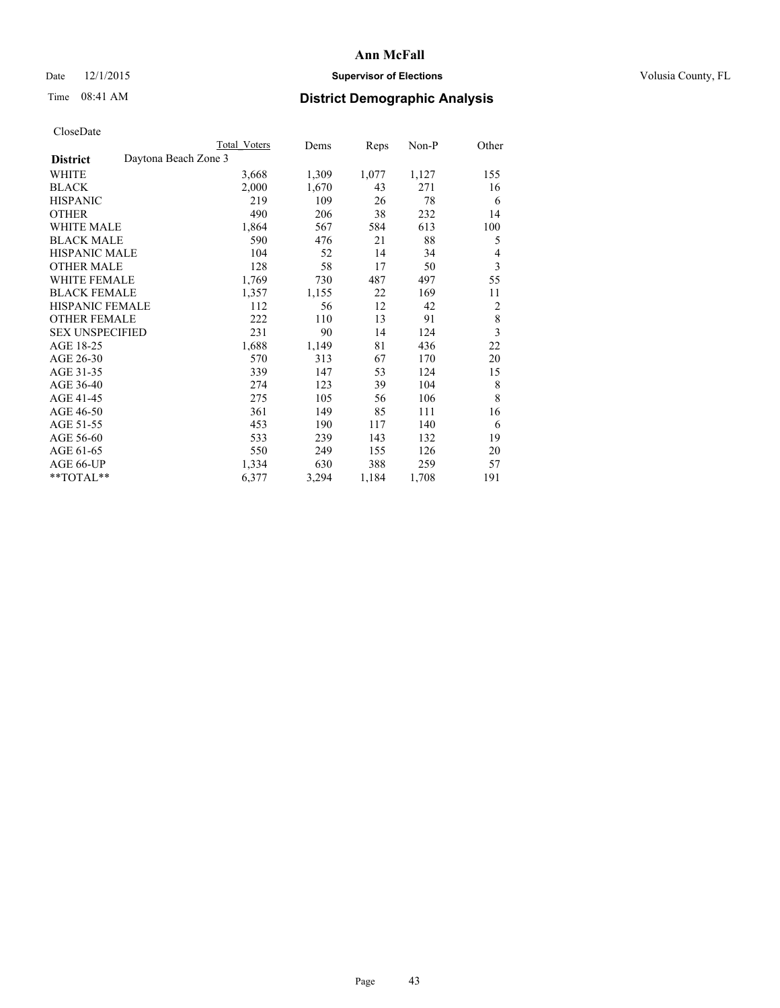## Date 12/1/2015 **Supervisor of Elections Supervisor of Elections** Volusia County, FL

# Time 08:41 AM **District Demographic Analysis**

|                                         | <b>Total Voters</b> | Dems  | Reps  | Non-P | Other                   |
|-----------------------------------------|---------------------|-------|-------|-------|-------------------------|
| Daytona Beach Zone 3<br><b>District</b> |                     |       |       |       |                         |
| WHITE                                   | 3,668               | 1,309 | 1,077 | 1,127 | 155                     |
| <b>BLACK</b>                            | 2,000               | 1,670 | 43    | 271   | 16                      |
| <b>HISPANIC</b>                         | 219                 | 109   | 26    | 78    | 6                       |
| <b>OTHER</b>                            | 490                 | 206   | 38    | 232   | 14                      |
| WHITE MALE                              | 1,864               | 567   | 584   | 613   | 100                     |
| <b>BLACK MALE</b>                       | 590                 | 476   | 21    | 88    | 5                       |
| HISPANIC MALE                           | 104                 | 52    | 14    | 34    | 4                       |
| <b>OTHER MALE</b>                       | 128                 | 58    | 17    | 50    | 3                       |
| WHITE FEMALE                            | 1,769               | 730   | 487   | 497   | 55                      |
| <b>BLACK FEMALE</b>                     | 1,357               | 1,155 | 22    | 169   | 11                      |
| <b>HISPANIC FEMALE</b>                  | 112                 | 56    | 12    | 42    | $\overline{2}$          |
| <b>OTHER FEMALE</b>                     | 222                 | 110   | 13    | 91    | $\,$ 8 $\,$             |
| <b>SEX UNSPECIFIED</b>                  | 231                 | 90    | 14    | 124   | $\overline{\mathbf{3}}$ |
| AGE 18-25                               | 1,688               | 1,149 | 81    | 436   | 22                      |
| AGE 26-30                               | 570                 | 313   | 67    | 170   | 20                      |
| AGE 31-35                               | 339                 | 147   | 53    | 124   | 15                      |
| AGE 36-40                               | 274                 | 123   | 39    | 104   | 8                       |
| AGE 41-45                               | 275                 | 105   | 56    | 106   | 8                       |
| AGE 46-50                               | 361                 | 149   | 85    | 111   | 16                      |
| AGE 51-55                               | 453                 | 190   | 117   | 140   | 6                       |
| AGE 56-60                               | 533                 | 239   | 143   | 132   | 19                      |
| AGE 61-65                               | 550                 | 249   | 155   | 126   | 20                      |
| AGE 66-UP                               | 1,334               | 630   | 388   | 259   | 57                      |
| **TOTAL**                               | 6,377               | 3,294 | 1,184 | 1,708 | 191                     |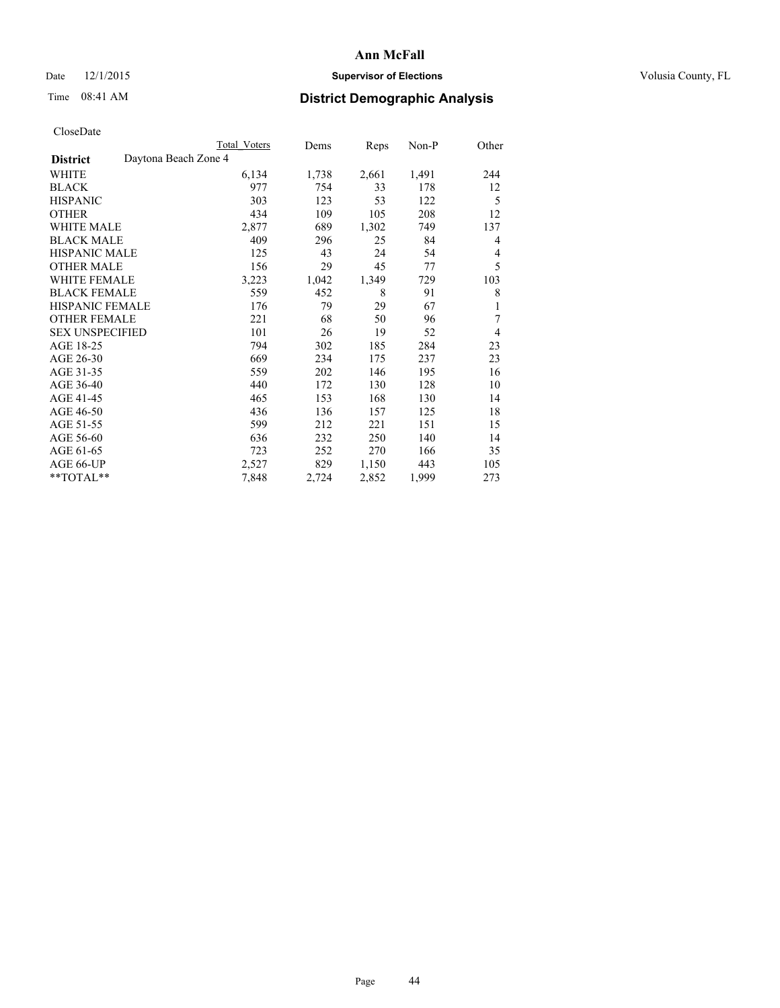## Date 12/1/2015 **Supervisor of Elections Supervisor of Elections** Volusia County, FL

| CloseDate |
|-----------|
|-----------|

|                                         | <b>Total Voters</b> | Dems  | Reps  | Non-P | Other |
|-----------------------------------------|---------------------|-------|-------|-------|-------|
| Daytona Beach Zone 4<br><b>District</b> |                     |       |       |       |       |
| WHITE                                   | 6,134               | 1,738 | 2,661 | 1,491 | 244   |
| <b>BLACK</b>                            | 977                 | 754   | 33    | 178   | 12    |
| <b>HISPANIC</b>                         | 303                 | 123   | 53    | 122   | 5     |
| <b>OTHER</b>                            | 434                 | 109   | 105   | 208   | 12    |
| WHITE MALE                              | 2,877               | 689   | 1,302 | 749   | 137   |
| <b>BLACK MALE</b>                       | 409                 | 296   | 25    | 84    | 4     |
| <b>HISPANIC MALE</b>                    | 125                 | 43    | 24    | 54    | 4     |
| <b>OTHER MALE</b>                       | 156                 | 29    | 45    | 77    | 5     |
| WHITE FEMALE                            | 3,223               | 1,042 | 1,349 | 729   | 103   |
| <b>BLACK FEMALE</b>                     | 559                 | 452   | 8     | 91    | 8     |
| <b>HISPANIC FEMALE</b>                  | 176                 | 79    | 29    | 67    | 1     |
| <b>OTHER FEMALE</b>                     | 221                 | 68    | 50    | 96    | 7     |
| <b>SEX UNSPECIFIED</b>                  | 101                 | 26    | 19    | 52    | 4     |
| AGE 18-25                               | 794                 | 302   | 185   | 284   | 23    |
| AGE 26-30                               | 669                 | 234   | 175   | 237   | 23    |
| AGE 31-35                               | 559                 | 202   | 146   | 195   | 16    |
| AGE 36-40                               | 440                 | 172   | 130   | 128   | 10    |
| AGE 41-45                               | 465                 | 153   | 168   | 130   | 14    |
| AGE 46-50                               | 436                 | 136   | 157   | 125   | 18    |
| AGE 51-55                               | 599                 | 212   | 221   | 151   | 15    |
| AGE 56-60                               | 636                 | 232   | 250   | 140   | 14    |
| AGE 61-65                               | 723                 | 252   | 270   | 166   | 35    |
| AGE 66-UP                               | 2,527               | 829   | 1,150 | 443   | 105   |
| **TOTAL**                               | 7,848               | 2,724 | 2,852 | 1,999 | 273   |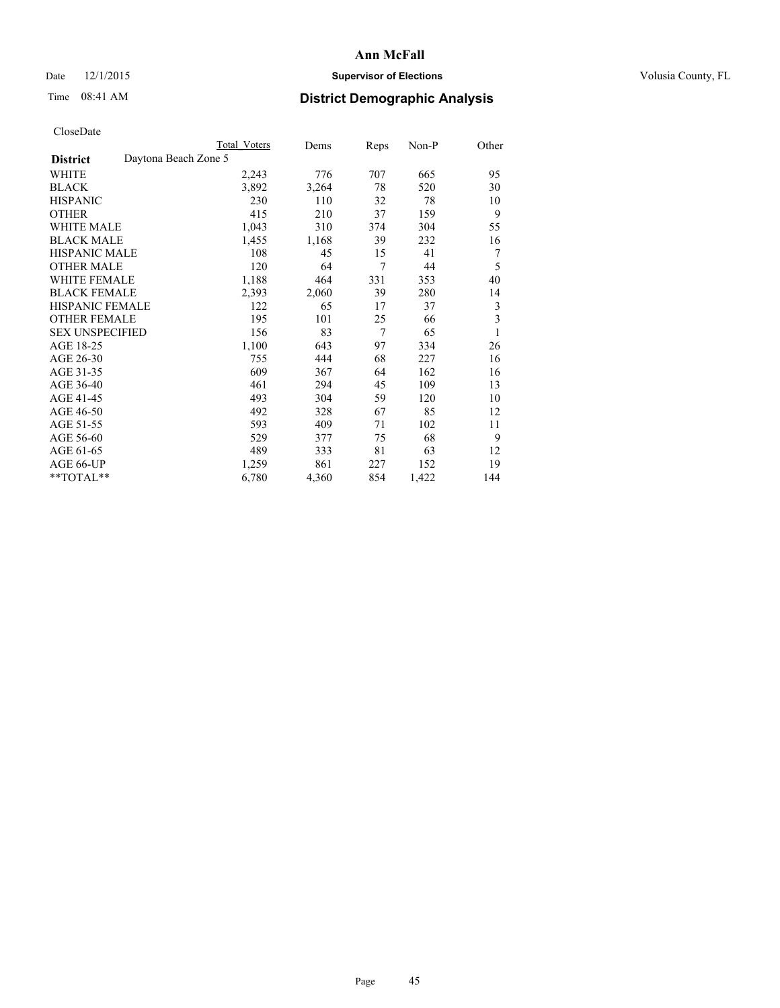## Date 12/1/2015 **Supervisor of Elections Supervisor of Elections** Volusia County, FL

|                        |                      | <b>Total Voters</b> | Dems  | Reps | Non-P | Other |
|------------------------|----------------------|---------------------|-------|------|-------|-------|
| <b>District</b>        | Daytona Beach Zone 5 |                     |       |      |       |       |
| WHITE                  |                      | 2,243               | 776   | 707  | 665   | 95    |
| <b>BLACK</b>           |                      | 3,892               | 3,264 | 78   | 520   | 30    |
| <b>HISPANIC</b>        |                      | 230                 | 110   | 32   | 78    | 10    |
| <b>OTHER</b>           |                      | 415                 | 210   | 37   | 159   | 9     |
| WHITE MALE             |                      | 1,043               | 310   | 374  | 304   | 55    |
| <b>BLACK MALE</b>      |                      | 1,455               | 1,168 | 39   | 232   | 16    |
| <b>HISPANIC MALE</b>   |                      | 108                 | 45    | 15   | 41    | 7     |
| <b>OTHER MALE</b>      |                      | 120                 | 64    | 7    | 44    | 5     |
| WHITE FEMALE           |                      | 1,188               | 464   | 331  | 353   | 40    |
| <b>BLACK FEMALE</b>    |                      | 2,393               | 2,060 | 39   | 280   | 14    |
| <b>HISPANIC FEMALE</b> |                      | 122                 | 65    | 17   | 37    | 3     |
| <b>OTHER FEMALE</b>    |                      | 195                 | 101   | 25   | 66    | 3     |
| <b>SEX UNSPECIFIED</b> |                      | 156                 | 83    | 7    | 65    | 1     |
| AGE 18-25              |                      | 1,100               | 643   | 97   | 334   | 26    |
| AGE 26-30              |                      | 755                 | 444   | 68   | 227   | 16    |
| AGE 31-35              |                      | 609                 | 367   | 64   | 162   | 16    |
| AGE 36-40              |                      | 461                 | 294   | 45   | 109   | 13    |
| AGE 41-45              |                      | 493                 | 304   | 59   | 120   | 10    |
| AGE 46-50              |                      | 492                 | 328   | 67   | 85    | 12    |
| AGE 51-55              |                      | 593                 | 409   | 71   | 102   | 11    |
| AGE 56-60              |                      | 529                 | 377   | 75   | 68    | 9     |
| AGE 61-65              |                      | 489                 | 333   | 81   | 63    | 12    |
| AGE 66-UP              |                      | 1,259               | 861   | 227  | 152   | 19    |
| **TOTAL**              |                      | 6,780               | 4,360 | 854  | 1,422 | 144   |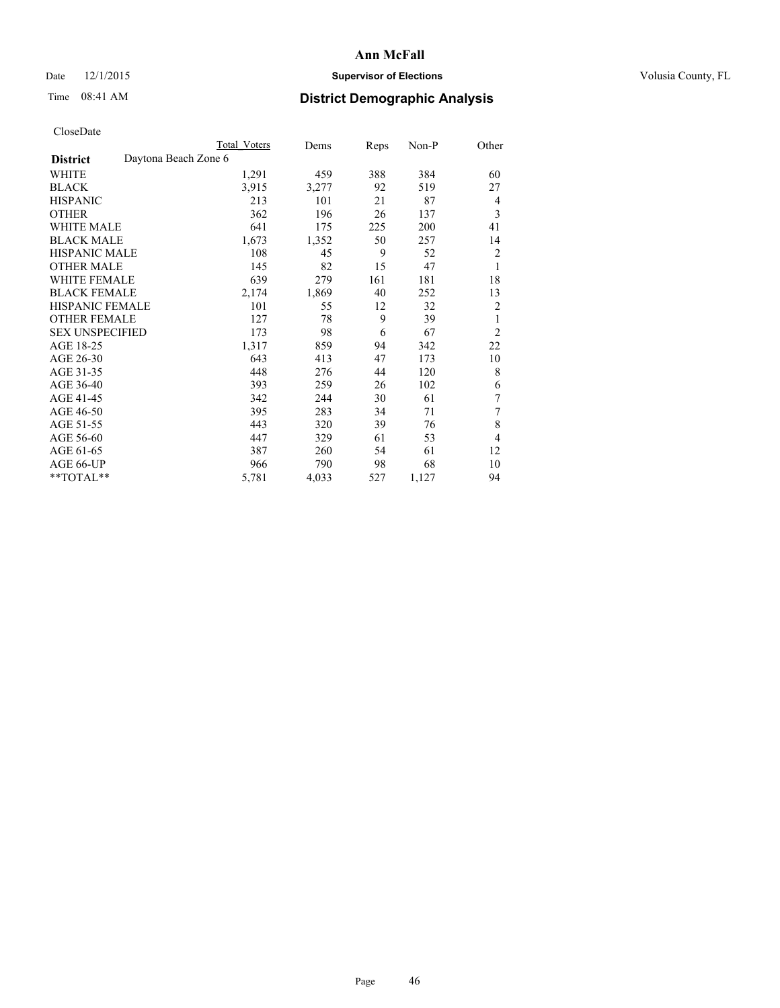## Date 12/1/2015 **Supervisor of Elections Supervisor of Elections** Volusia County, FL

|                        |                      | <b>Total Voters</b> | Dems  | Reps | Non-P | Other          |
|------------------------|----------------------|---------------------|-------|------|-------|----------------|
| <b>District</b>        | Daytona Beach Zone 6 |                     |       |      |       |                |
| WHITE                  |                      | 1,291               | 459   | 388  | 384   | 60             |
| <b>BLACK</b>           |                      | 3,915               | 3,277 | 92   | 519   | 27             |
| <b>HISPANIC</b>        |                      | 213                 | 101   | 21   | 87    | 4              |
| <b>OTHER</b>           |                      | 362                 | 196   | 26   | 137   | 3              |
| WHITE MALE             |                      | 641                 | 175   | 225  | 200   | 41             |
| <b>BLACK MALE</b>      |                      | 1,673               | 1,352 | 50   | 257   | 14             |
| <b>HISPANIC MALE</b>   |                      | 108                 | 45    | 9    | 52    | $\overline{2}$ |
| <b>OTHER MALE</b>      |                      | 145                 | 82    | 15   | 47    | 1              |
| <b>WHITE FEMALE</b>    |                      | 639                 | 279   | 161  | 181   | 18             |
| <b>BLACK FEMALE</b>    |                      | 2,174               | 1,869 | 40   | 252   | 13             |
| <b>HISPANIC FEMALE</b> |                      | 101                 | 55    | 12   | 32    | 2              |
| <b>OTHER FEMALE</b>    |                      | 127                 | 78    | 9    | 39    | 1              |
| <b>SEX UNSPECIFIED</b> |                      | 173                 | 98    | 6    | 67    | $\overline{2}$ |
| AGE 18-25              |                      | 1,317               | 859   | 94   | 342   | 22             |
| AGE 26-30              |                      | 643                 | 413   | 47   | 173   | 10             |
| AGE 31-35              |                      | 448                 | 276   | 44   | 120   | 8              |
| AGE 36-40              |                      | 393                 | 259   | 26   | 102   | 6              |
| AGE 41-45              |                      | 342                 | 244   | 30   | 61    | 7              |
| AGE 46-50              |                      | 395                 | 283   | 34   | 71    | 7              |
| AGE 51-55              |                      | 443                 | 320   | 39   | 76    | 8              |
| AGE 56-60              |                      | 447                 | 329   | 61   | 53    | 4              |
| AGE 61-65              |                      | 387                 | 260   | 54   | 61    | 12             |
| AGE 66-UP              |                      | 966                 | 790   | 98   | 68    | 10             |
| **TOTAL**              |                      | 5,781               | 4,033 | 527  | 1,127 | 94             |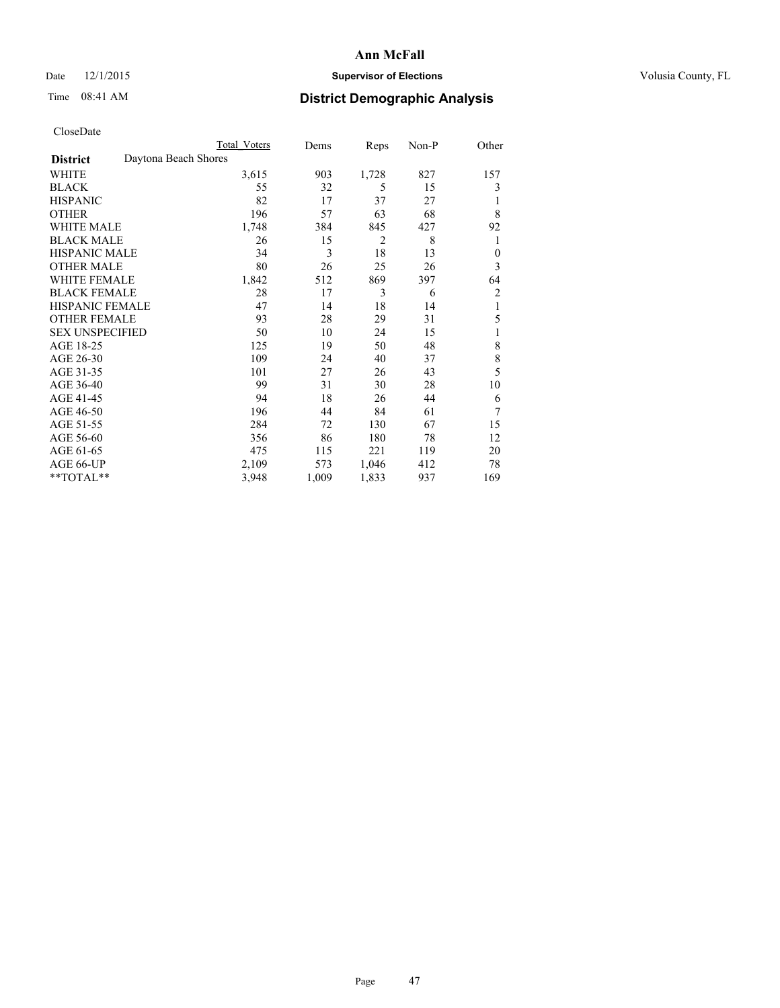## Date 12/1/2015 **Supervisor of Elections Supervisor of Elections** Volusia County, FL

# Time 08:41 AM **District Demographic Analysis**

|                                         | <b>Total Voters</b> | Dems  | Reps           | Non-P | Other          |
|-----------------------------------------|---------------------|-------|----------------|-------|----------------|
| Daytona Beach Shores<br><b>District</b> |                     |       |                |       |                |
| WHITE                                   | 3,615               | 903   | 1,728          | 827   | 157            |
| <b>BLACK</b>                            | 55                  | 32    | 5              | 15    | 3              |
| <b>HISPANIC</b>                         | 82                  | 17    | 37             | 27    |                |
| <b>OTHER</b>                            | 196                 | 57    | 63             | 68    | 8              |
| <b>WHITE MALE</b>                       | 1,748               | 384   | 845            | 427   | 92             |
| <b>BLACK MALE</b>                       | 26                  | 15    | $\overline{2}$ | 8     | 1              |
| <b>HISPANIC MALE</b>                    | 34                  | 3     | 18             | 13    | $\theta$       |
| <b>OTHER MALE</b>                       | 80                  | 26    | 25             | 26    | 3              |
| <b>WHITE FEMALE</b>                     | 1,842               | 512   | 869            | 397   | 64             |
| <b>BLACK FEMALE</b>                     | 28                  | 17    | 3              | 6     | $\overline{2}$ |
| <b>HISPANIC FEMALE</b>                  | 47                  | 14    | 18             | 14    | 1              |
| <b>OTHER FEMALE</b>                     | 93                  | 28    | 29             | 31    | 5              |
| <b>SEX UNSPECIFIED</b>                  | 50                  | 10    | 24             | 15    | 1              |
| AGE 18-25                               | 125                 | 19    | 50             | 48    | 8              |
| AGE 26-30                               | 109                 | 24    | 40             | 37    | 8              |
| AGE 31-35                               | 101                 | 27    | 26             | 43    | 5              |
| AGE 36-40                               | 99                  | 31    | 30             | 28    | 10             |
| AGE 41-45                               | 94                  | 18    | 26             | 44    | 6              |
| AGE 46-50                               | 196                 | 44    | 84             | 61    | 7              |
| AGE 51-55                               | 284                 | 72    | 130            | 67    | 15             |
| AGE 56-60                               | 356                 | 86    | 180            | 78    | 12             |
| AGE 61-65                               | 475                 | 115   | 221            | 119   | 20             |
| AGE 66-UP                               | 2,109               | 573   | 1,046          | 412   | 78             |
| **TOTAL**                               | 3,948               | 1,009 | 1,833          | 937   | 169            |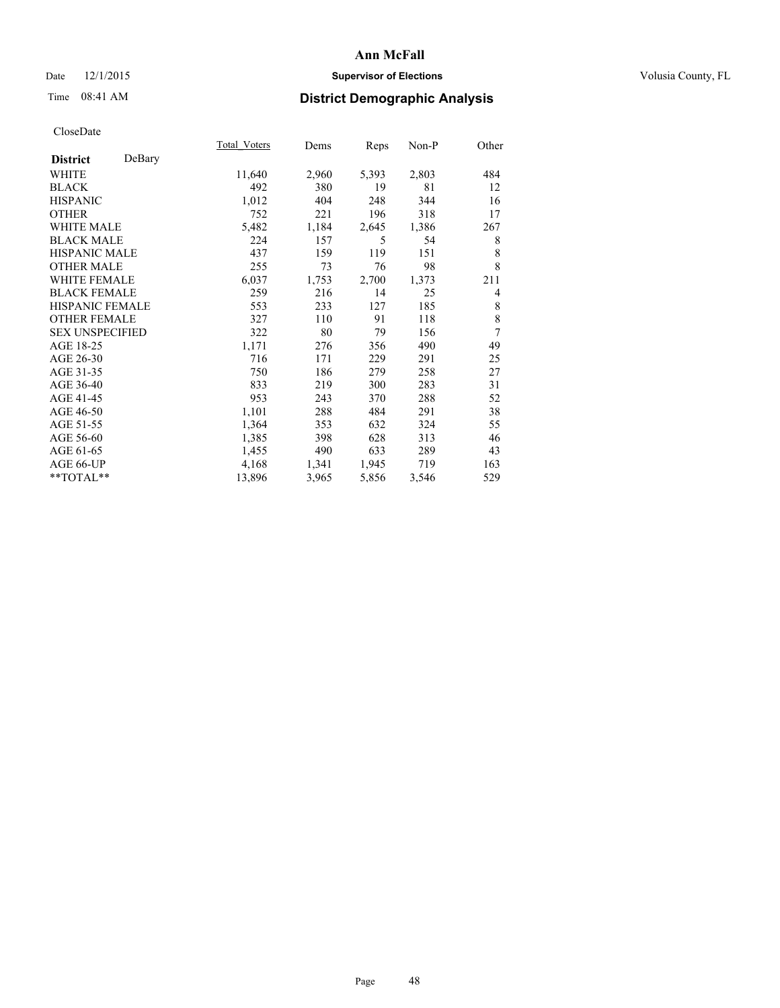## Date 12/1/2015 **Supervisor of Elections Supervisor of Elections** Volusia County, FL

# Time 08:41 AM **District Demographic Analysis**

|                        |        | Total Voters | Dems  | <b>Reps</b> | $Non-P$ | Other          |
|------------------------|--------|--------------|-------|-------------|---------|----------------|
| <b>District</b>        | DeBary |              |       |             |         |                |
| WHITE                  |        | 11,640       | 2,960 | 5,393       | 2,803   | 484            |
| <b>BLACK</b>           |        | 492          | 380   | 19          | 81      | 12             |
| <b>HISPANIC</b>        |        | 1,012        | 404   | 248         | 344     | 16             |
| <b>OTHER</b>           |        | 752          | 221   | 196         | 318     | 17             |
| WHITE MALE             |        | 5,482        | 1,184 | 2,645       | 1,386   | 267            |
| <b>BLACK MALE</b>      |        | 224          | 157   | 5           | 54      | 8              |
| <b>HISPANIC MALE</b>   |        | 437          | 159   | 119         | 151     | 8              |
| <b>OTHER MALE</b>      |        | 255          | 73    | 76          | 98      | 8              |
| <b>WHITE FEMALE</b>    |        | 6,037        | 1,753 | 2,700       | 1,373   | 211            |
| <b>BLACK FEMALE</b>    |        | 259          | 216   | 14          | 25      | $\overline{4}$ |
| <b>HISPANIC FEMALE</b> |        | 553          | 233   | 127         | 185     | 8              |
| <b>OTHER FEMALE</b>    |        | 327          | 110   | 91          | 118     | 8              |
| <b>SEX UNSPECIFIED</b> |        | 322          | 80    | 79          | 156     | 7              |
| AGE 18-25              |        | 1,171        | 276   | 356         | 490     | 49             |
| AGE 26-30              |        | 716          | 171   | 229         | 291     | 25             |
| AGE 31-35              |        | 750          | 186   | 279         | 258     | 27             |
| AGE 36-40              |        | 833          | 219   | 300         | 283     | 31             |
| AGE 41-45              |        | 953          | 243   | 370         | 288     | 52             |
| AGE 46-50              |        | 1,101        | 288   | 484         | 291     | 38             |
| AGE 51-55              |        | 1,364        | 353   | 632         | 324     | 55             |
| AGE 56-60              |        | 1,385        | 398   | 628         | 313     | 46             |
| AGE 61-65              |        | 1,455        | 490   | 633         | 289     | 43             |
| AGE 66-UP              |        | 4,168        | 1,341 | 1,945       | 719     | 163            |
| **TOTAL**              |        | 13,896       | 3,965 | 5,856       | 3,546   | 529            |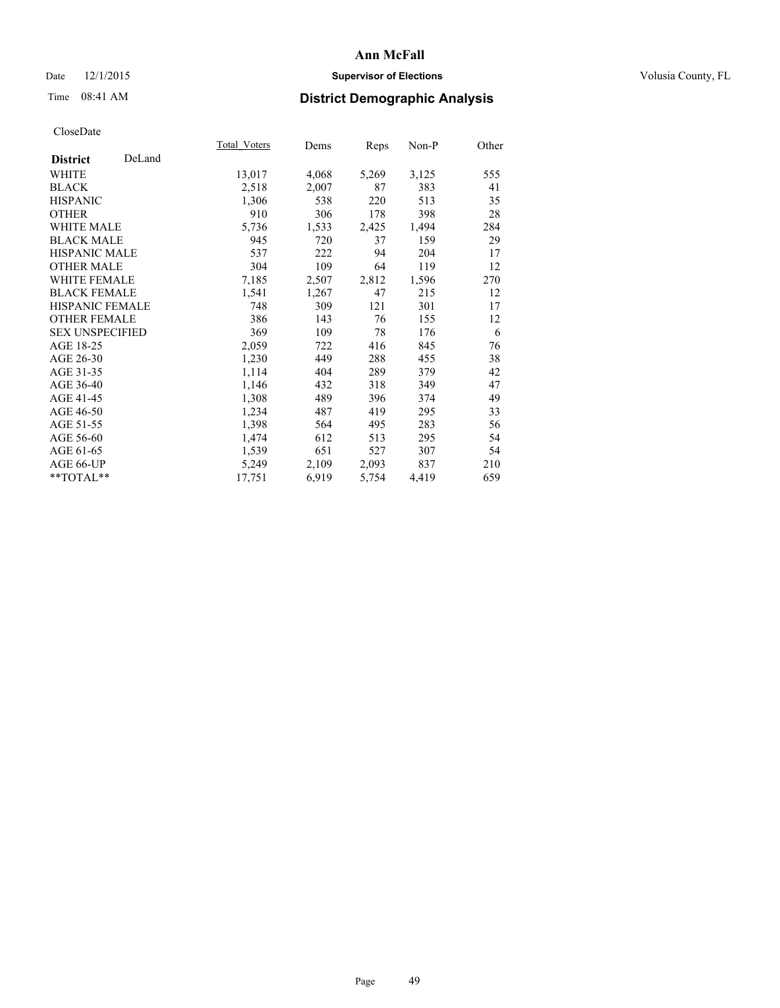## Date 12/1/2015 **Supervisor of Elections Supervisor of Elections** Volusia County, FL

# Time 08:41 AM **District Demographic Analysis**

|                           | Total Voters | Dems  | <u>Reps</u> | Non-P | Other |
|---------------------------|--------------|-------|-------------|-------|-------|
| DeLand<br><b>District</b> |              |       |             |       |       |
| WHITE                     | 13,017       | 4,068 | 5,269       | 3,125 | 555   |
| <b>BLACK</b>              | 2,518        | 2,007 | 87          | 383   | 41    |
| <b>HISPANIC</b>           | 1,306        | 538   | 220         | 513   | 35    |
| <b>OTHER</b>              | 910          | 306   | 178         | 398   | 28    |
| <b>WHITE MALE</b>         | 5,736        | 1,533 | 2,425       | 1,494 | 284   |
| <b>BLACK MALE</b>         | 945          | 720   | 37          | 159   | 29    |
| <b>HISPANIC MALE</b>      | 537          | 222   | 94          | 204   | 17    |
| <b>OTHER MALE</b>         | 304          | 109   | 64          | 119   | 12    |
| <b>WHITE FEMALE</b>       | 7,185        | 2,507 | 2,812       | 1,596 | 270   |
| <b>BLACK FEMALE</b>       | 1,541        | 1,267 | 47          | 215   | 12    |
| <b>HISPANIC FEMALE</b>    | 748          | 309   | 121         | 301   | 17    |
| <b>OTHER FEMALE</b>       | 386          | 143   | 76          | 155   | 12    |
| <b>SEX UNSPECIFIED</b>    | 369          | 109   | 78          | 176   | 6     |
| AGE 18-25                 | 2,059        | 722   | 416         | 845   | 76    |
| AGE 26-30                 | 1,230        | 449   | 288         | 455   | 38    |
| AGE 31-35                 | 1,114        | 404   | 289         | 379   | 42    |
| AGE 36-40                 | 1,146        | 432   | 318         | 349   | 47    |
| AGE 41-45                 | 1,308        | 489   | 396         | 374   | 49    |
| AGE 46-50                 | 1,234        | 487   | 419         | 295   | 33    |
| AGE 51-55                 | 1,398        | 564   | 495         | 283   | 56    |
| AGE 56-60                 | 1,474        | 612   | 513         | 295   | 54    |
| AGE 61-65                 | 1,539        | 651   | 527         | 307   | 54    |
| AGE 66-UP                 | 5,249        | 2,109 | 2,093       | 837   | 210   |
| $*$ $TOTAL**$             | 17,751       | 6,919 | 5,754       | 4,419 | 659   |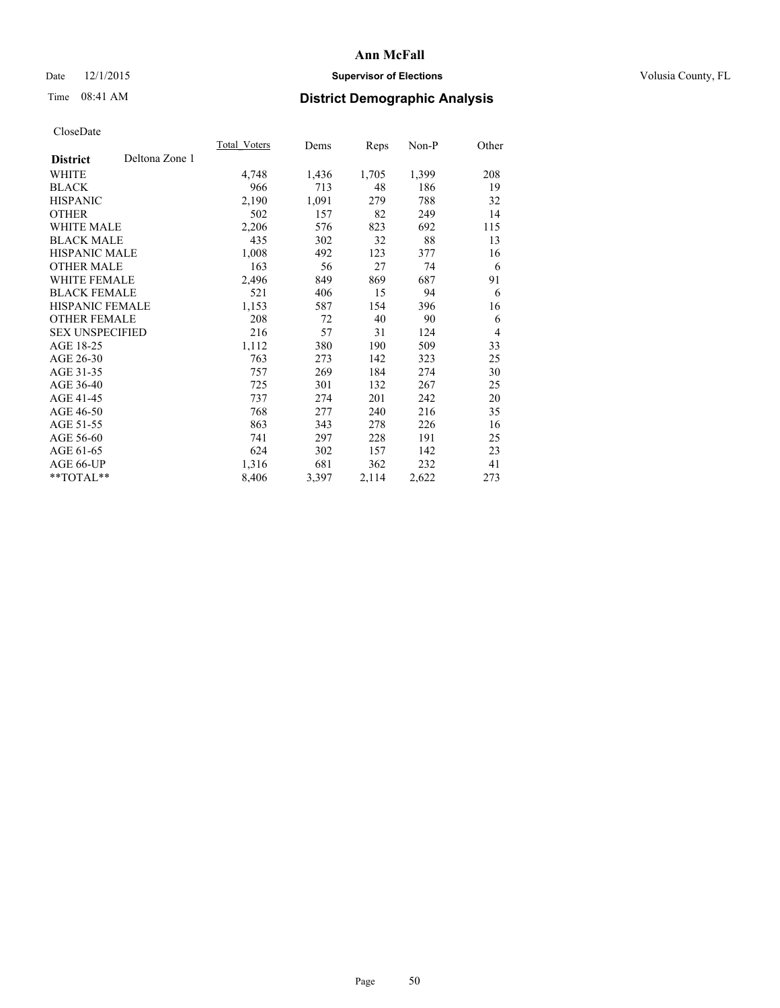## Date 12/1/2015 **Supervisor of Elections Supervisor of Elections** Volusia County, FL

# Time 08:41 AM **District Demographic Analysis**

|                        |                | <b>Total Voters</b> | Dems  | Reps  | Non-P | Other          |
|------------------------|----------------|---------------------|-------|-------|-------|----------------|
| <b>District</b>        | Deltona Zone 1 |                     |       |       |       |                |
| WHITE                  |                | 4,748               | 1,436 | 1,705 | 1,399 | 208            |
| <b>BLACK</b>           |                | 966                 | 713   | 48    | 186   | 19             |
| <b>HISPANIC</b>        |                | 2,190               | 1,091 | 279   | 788   | 32             |
| <b>OTHER</b>           |                | 502                 | 157   | 82    | 249   | 14             |
| WHITE MALE             |                | 2,206               | 576   | 823   | 692   | 115            |
| <b>BLACK MALE</b>      |                | 435                 | 302   | 32    | 88    | 13             |
| <b>HISPANIC MALE</b>   |                | 1,008               | 492   | 123   | 377   | 16             |
| OTHER MALE             |                | 163                 | 56    | 27    | 74    | 6              |
| <b>WHITE FEMALE</b>    |                | 2,496               | 849   | 869   | 687   | 91             |
| <b>BLACK FEMALE</b>    |                | 521                 | 406   | 15    | 94    | 6              |
| HISPANIC FEMALE        |                | 1,153               | 587   | 154   | 396   | 16             |
| <b>OTHER FEMALE</b>    |                | 208                 | 72    | 40    | 90    | 6              |
| <b>SEX UNSPECIFIED</b> |                | 216                 | 57    | 31    | 124   | $\overline{4}$ |
| AGE 18-25              |                | 1,112               | 380   | 190   | 509   | 33             |
| AGE 26-30              |                | 763                 | 273   | 142   | 323   | 25             |
| AGE 31-35              |                | 757                 | 269   | 184   | 274   | 30             |
| AGE 36-40              |                | 725                 | 301   | 132   | 267   | 25             |
| AGE 41-45              |                | 737                 | 274   | 201   | 242   | 20             |
| AGE 46-50              |                | 768                 | 277   | 240   | 216   | 35             |
| AGE 51-55              |                | 863                 | 343   | 278   | 226   | 16             |
| AGE 56-60              |                | 741                 | 297   | 228   | 191   | 25             |
| AGE 61-65              |                | 624                 | 302   | 157   | 142   | 23             |
| AGE 66-UP              |                | 1,316               | 681   | 362   | 232   | 41             |
| **TOTAL**              |                | 8,406               | 3,397 | 2,114 | 2,622 | 273            |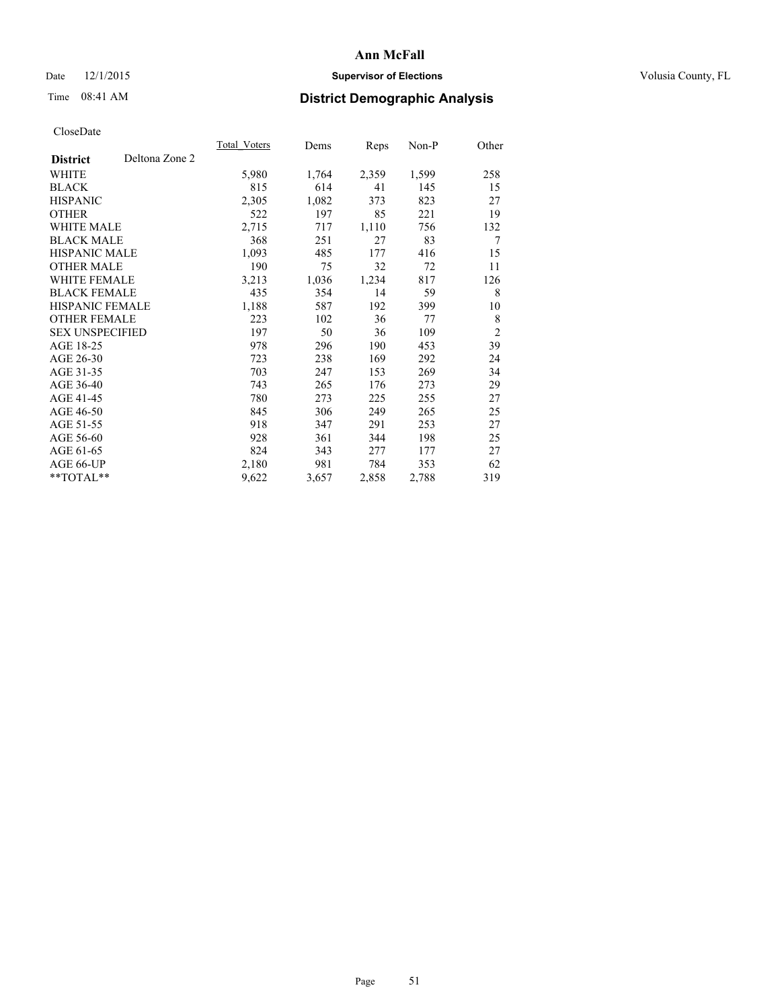## Date 12/1/2015 **Supervisor of Elections Supervisor of Elections** Volusia County, FL

# Time 08:41 AM **District Demographic Analysis**

|                        |                | Total Voters | Dems  | Reps  | Non-P | Other          |
|------------------------|----------------|--------------|-------|-------|-------|----------------|
| <b>District</b>        | Deltona Zone 2 |              |       |       |       |                |
| WHITE                  |                | 5,980        | 1,764 | 2,359 | 1,599 | 258            |
| <b>BLACK</b>           |                | 815          | 614   | 41    | 145   | 15             |
| <b>HISPANIC</b>        |                | 2,305        | 1,082 | 373   | 823   | 27             |
| <b>OTHER</b>           |                | 522          | 197   | 85    | 221   | 19             |
| <b>WHITE MALE</b>      |                | 2,715        | 717   | 1,110 | 756   | 132            |
| <b>BLACK MALE</b>      |                | 368          | 251   | 27    | 83    | 7              |
| <b>HISPANIC MALE</b>   |                | 1,093        | 485   | 177   | 416   | 15             |
| <b>OTHER MALE</b>      |                | 190          | 75    | 32    | 72    | 11             |
| WHITE FEMALE           |                | 3,213        | 1,036 | 1,234 | 817   | 126            |
| <b>BLACK FEMALE</b>    |                | 435          | 354   | 14    | 59    | 8              |
| <b>HISPANIC FEMALE</b> |                | 1,188        | 587   | 192   | 399   | 10             |
| <b>OTHER FEMALE</b>    |                | 223          | 102   | 36    | 77    | 8              |
| <b>SEX UNSPECIFIED</b> |                | 197          | 50    | 36    | 109   | $\overline{2}$ |
| AGE 18-25              |                | 978          | 296   | 190   | 453   | 39             |
| AGE 26-30              |                | 723          | 238   | 169   | 292   | 24             |
| AGE 31-35              |                | 703          | 247   | 153   | 269   | 34             |
| AGE 36-40              |                | 743          | 265   | 176   | 273   | 29             |
| AGE 41-45              |                | 780          | 273   | 225   | 255   | 27             |
| AGE 46-50              |                | 845          | 306   | 249   | 265   | 25             |
| AGE 51-55              |                | 918          | 347   | 291   | 253   | 27             |
| AGE 56-60              |                | 928          | 361   | 344   | 198   | 25             |
| AGE 61-65              |                | 824          | 343   | 277   | 177   | 27             |
| AGE 66-UP              |                | 2,180        | 981   | 784   | 353   | 62             |
| **TOTAL**              |                | 9,622        | 3,657 | 2,858 | 2,788 | 319            |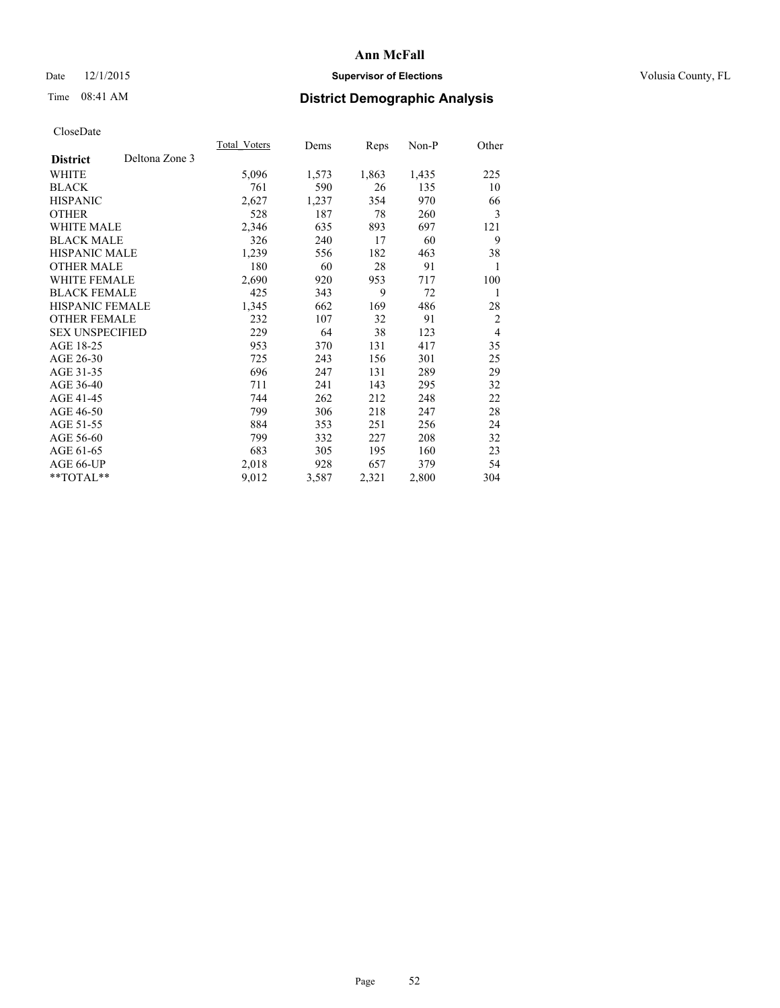## Date 12/1/2015 **Supervisor of Elections Supervisor of Elections** Volusia County, FL

# Time 08:41 AM **District Demographic Analysis**

| Total Voters | Dems  | <b>Reps</b> | Non-P | Other          |
|--------------|-------|-------------|-------|----------------|
|              |       |             |       |                |
| 5,096        | 1,573 | 1,863       | 1,435 | 225            |
| 761          | 590   | 26          | 135   | 10             |
| 2,627        | 1,237 | 354         | 970   | 66             |
| 528          | 187   | 78          | 260   | 3              |
| 2,346        | 635   | 893         | 697   | 121            |
| 326          | 240   | 17          | 60    | 9              |
| 1,239        | 556   | 182         | 463   | 38             |
| 180          | 60    | 28          | 91    | 1              |
| 2,690        | 920   | 953         | 717   | 100            |
| 425          | 343   | 9           | 72    | 1              |
| 1,345        | 662   | 169         | 486   | 28             |
| 232          | 107   | 32          | 91    | $\overline{2}$ |
| 229          | 64    | 38          | 123   | $\overline{4}$ |
| 953          | 370   | 131         | 417   | 35             |
| 725          | 243   | 156         | 301   | 25             |
| 696          | 247   | 131         | 289   | 29             |
| 711          | 241   | 143         | 295   | 32             |
| 744          | 262   | 212         | 248   | 22             |
| 799          | 306   | 218         | 247   | 28             |
| 884          | 353   | 251         | 256   | 24             |
| 799          | 332   | 227         | 208   | 32             |
| 683          | 305   | 195         | 160   | 23             |
| 2,018        | 928   | 657         | 379   | 54             |
| 9,012        | 3,587 | 2,321       | 2,800 | 304            |
|              |       |             |       |                |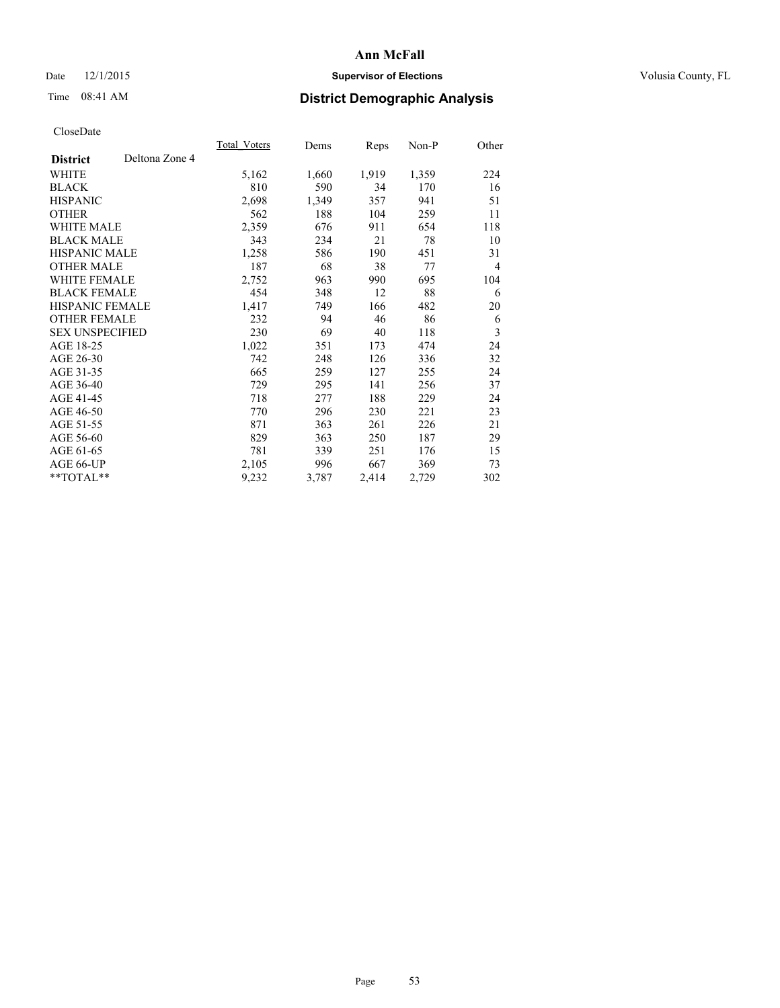## Date 12/1/2015 **Supervisor of Elections Supervisor of Elections** Volusia County, FL

# Time 08:41 AM **District Demographic Analysis**

|                                   | Total Voters | Dems  | Reps  | Non-P | Other          |
|-----------------------------------|--------------|-------|-------|-------|----------------|
| Deltona Zone 4<br><b>District</b> |              |       |       |       |                |
| WHITE                             | 5,162        | 1,660 | 1,919 | 1,359 | 224            |
| <b>BLACK</b>                      | 810          | 590   | 34    | 170   | 16             |
| <b>HISPANIC</b>                   | 2,698        | 1,349 | 357   | 941   | 51             |
| OTHER                             | 562          | 188   | 104   | 259   | 11             |
| WHITE MALE                        | 2,359        | 676   | 911   | 654   | 118            |
| <b>BLACK MALE</b>                 | 343          | 234   | 21    | 78    | 10             |
| <b>HISPANIC MALE</b>              | 1,258        | 586   | 190   | 451   | 31             |
| <b>OTHER MALE</b>                 | 187          | 68    | 38    | 77    | $\overline{4}$ |
| <b>WHITE FEMALE</b>               | 2,752        | 963   | 990   | 695   | 104            |
| <b>BLACK FEMALE</b>               | 454          | 348   | 12    | 88    | 6              |
| <b>HISPANIC FEMALE</b>            | 1,417        | 749   | 166   | 482   | 20             |
| <b>OTHER FEMALE</b>               | 232          | 94    | 46    | 86    | 6              |
| <b>SEX UNSPECIFIED</b>            | 230          | 69    | 40    | 118   | 3              |
| AGE 18-25                         | 1,022        | 351   | 173   | 474   | 24             |
| AGE 26-30                         | 742          | 248   | 126   | 336   | 32             |
| AGE 31-35                         | 665          | 259   | 127   | 255   | 24             |
| AGE 36-40                         | 729          | 295   | 141   | 256   | 37             |
| AGE 41-45                         | 718          | 277   | 188   | 229   | 24             |
| AGE 46-50                         | 770          | 296   | 230   | 221   | 23             |
| AGE 51-55                         | 871          | 363   | 261   | 226   | 21             |
| AGE 56-60                         | 829          | 363   | 250   | 187   | 29             |
| AGE 61-65                         | 781          | 339   | 251   | 176   | 15             |
| AGE 66-UP                         | 2,105        | 996   | 667   | 369   | 73             |
| $*$ TOTAL $*$                     | 9,232        | 3,787 | 2,414 | 2,729 | 302            |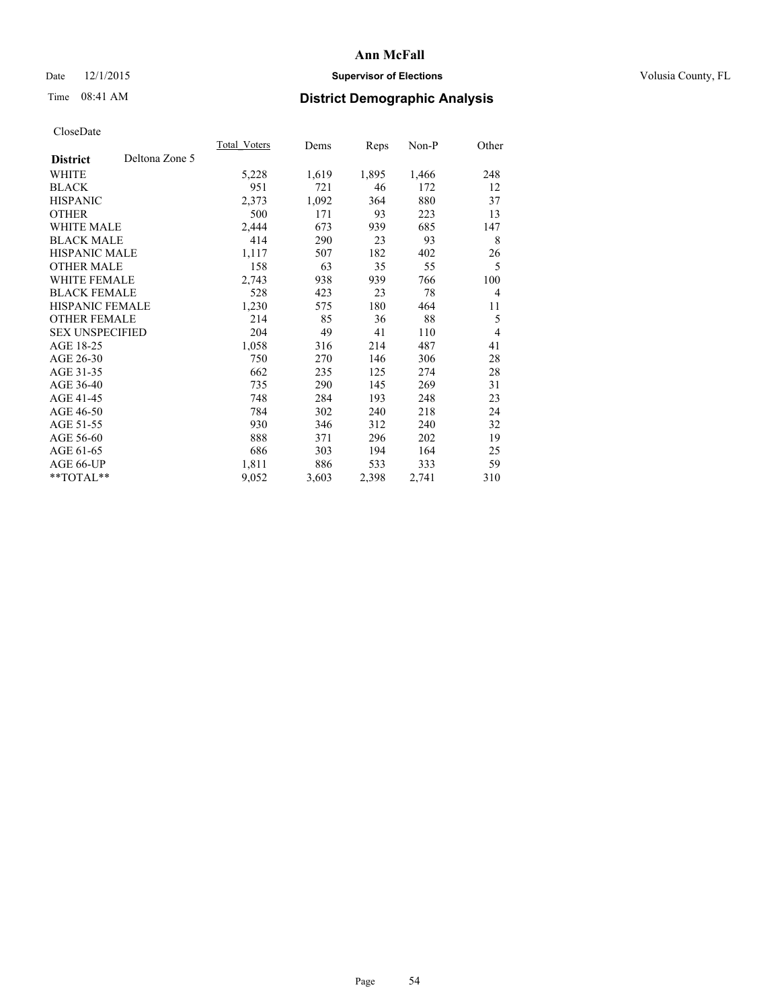## Date 12/1/2015 **Supervisor of Elections Supervisor of Elections** Volusia County, FL

# Time 08:41 AM **District Demographic Analysis**

|                        |                | Total Voters | Dems  | Reps  | Non-P | Other          |
|------------------------|----------------|--------------|-------|-------|-------|----------------|
| <b>District</b>        | Deltona Zone 5 |              |       |       |       |                |
| WHITE                  |                | 5,228        | 1,619 | 1,895 | 1,466 | 248            |
| <b>BLACK</b>           |                | 951          | 721   | 46    | 172   | 12             |
| <b>HISPANIC</b>        |                | 2,373        | 1,092 | 364   | 880   | 37             |
| <b>OTHER</b>           |                | 500          | 171   | 93    | 223   | 13             |
| WHITE MALE             |                | 2,444        | 673   | 939   | 685   | 147            |
| <b>BLACK MALE</b>      |                | 414          | 290   | 23    | 93    | 8              |
| <b>HISPANIC MALE</b>   |                | 1,117        | 507   | 182   | 402   | 26             |
| <b>OTHER MALE</b>      |                | 158          | 63    | 35    | 55    | 5              |
| WHITE FEMALE           |                | 2,743        | 938   | 939   | 766   | 100            |
| <b>BLACK FEMALE</b>    |                | 528          | 423   | 23    | 78    | $\overline{4}$ |
| <b>HISPANIC FEMALE</b> |                | 1,230        | 575   | 180   | 464   | 11             |
| <b>OTHER FEMALE</b>    |                | 214          | 85    | 36    | 88    | 5              |
| <b>SEX UNSPECIFIED</b> |                | 204          | 49    | 41    | 110   | $\overline{4}$ |
| AGE 18-25              |                | 1,058        | 316   | 214   | 487   | 41             |
| AGE 26-30              |                | 750          | 270   | 146   | 306   | 28             |
| AGE 31-35              |                | 662          | 235   | 125   | 274   | 28             |
| AGE 36-40              |                | 735          | 290   | 145   | 269   | 31             |
| AGE 41-45              |                | 748          | 284   | 193   | 248   | 23             |
| AGE 46-50              |                | 784          | 302   | 240   | 218   | 24             |
| AGE 51-55              |                | 930          | 346   | 312   | 240   | 32             |
| AGE 56-60              |                | 888          | 371   | 296   | 202   | 19             |
| AGE 61-65              |                | 686          | 303   | 194   | 164   | 25             |
| AGE 66-UP              |                | 1,811        | 886   | 533   | 333   | 59             |
| **TOTAL**              |                | 9,052        | 3,603 | 2,398 | 2,741 | 310            |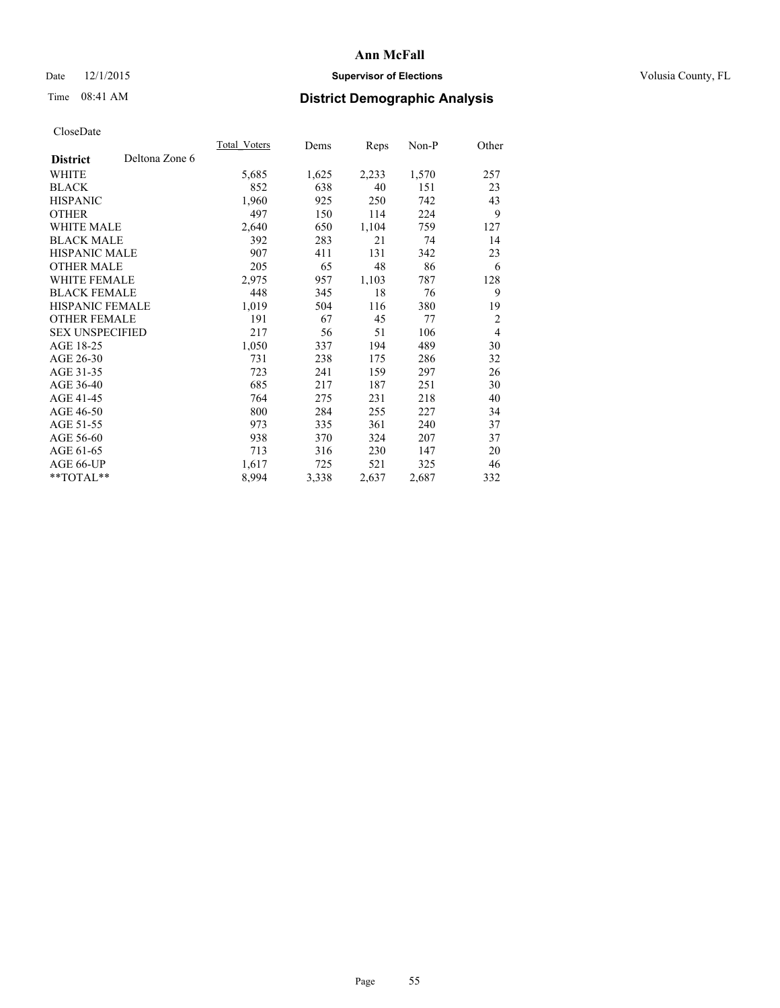## Date 12/1/2015 **Supervisor of Elections Supervisor of Elections** Volusia County, FL

# Time 08:41 AM **District Demographic Analysis**

|                                   | Total Voters | Dems  | <b>Reps</b> | Non-P | Other          |
|-----------------------------------|--------------|-------|-------------|-------|----------------|
| Deltona Zone 6<br><b>District</b> |              |       |             |       |                |
| WHITE                             | 5,685        | 1,625 | 2,233       | 1,570 | 257            |
| <b>BLACK</b>                      | 852          | 638   | 40          | 151   | 23             |
| <b>HISPANIC</b>                   | 1,960        | 925   | 250         | 742   | 43             |
| <b>OTHER</b>                      | 497          | 150   | 114         | 224   | 9              |
| <b>WHITE MALE</b>                 | 2,640        | 650   | 1,104       | 759   | 127            |
| <b>BLACK MALE</b>                 | 392          | 283   | 21          | 74    | 14             |
| <b>HISPANIC MALE</b>              | 907          | 411   | 131         | 342   | 23             |
| <b>OTHER MALE</b>                 | 205          | 65    | 48          | 86    | 6              |
| WHITE FEMALE                      | 2,975        | 957   | 1,103       | 787   | 128            |
| <b>BLACK FEMALE</b>               | 448          | 345   | 18          | 76    | 9              |
| <b>HISPANIC FEMALE</b>            | 1,019        | 504   | 116         | 380   | 19             |
| <b>OTHER FEMALE</b>               | 191          | 67    | 45          | 77    | $\overline{2}$ |
| <b>SEX UNSPECIFIED</b>            | 217          | 56    | 51          | 106   | $\overline{4}$ |
| AGE 18-25                         | 1,050        | 337   | 194         | 489   | 30             |
| AGE 26-30                         | 731          | 238   | 175         | 286   | 32             |
| AGE 31-35                         | 723          | 241   | 159         | 297   | 26             |
| AGE 36-40                         | 685          | 217   | 187         | 251   | 30             |
| AGE 41-45                         | 764          | 275   | 231         | 218   | 40             |
| AGE 46-50                         | 800          | 284   | 255         | 227   | 34             |
| AGE 51-55                         | 973          | 335   | 361         | 240   | 37             |
| AGE 56-60                         | 938          | 370   | 324         | 207   | 37             |
| AGE 61-65                         | 713          | 316   | 230         | 147   | 20             |
| AGE 66-UP                         | 1,617        | 725   | 521         | 325   | 46             |
| **TOTAL**                         | 8,994        | 3,338 | 2,637       | 2,687 | 332            |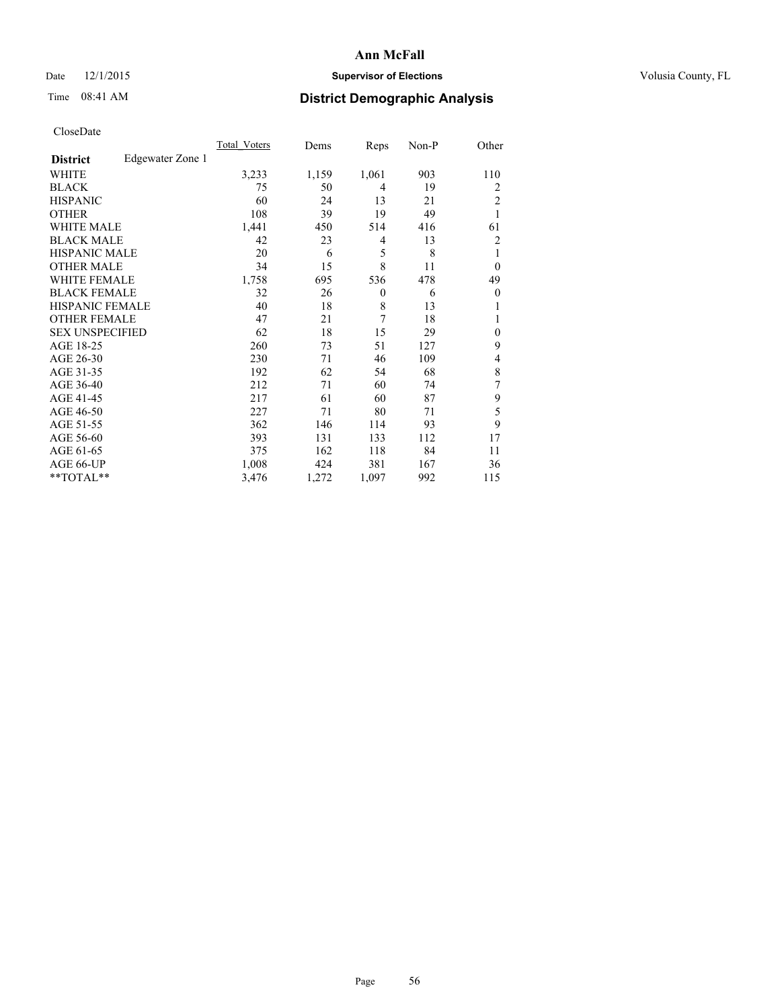## Date 12/1/2015 **Supervisor of Elections Supervisor of Elections** Volusia County, FL

# Time 08:41 AM **District Demographic Analysis**

|                        |                  | <b>Total Voters</b> | Dems  | Reps           | Non-P | Other          |
|------------------------|------------------|---------------------|-------|----------------|-------|----------------|
| <b>District</b>        | Edgewater Zone 1 |                     |       |                |       |                |
| WHITE                  |                  | 3,233               | 1,159 | 1,061          | 903   | 110            |
| <b>BLACK</b>           |                  | 75                  | 50    | 4              | 19    | 2              |
| <b>HISPANIC</b>        |                  | 60                  | 24    | 13             | 21    | $\overline{2}$ |
| <b>OTHER</b>           |                  | 108                 | 39    | 19             | 49    | $\mathbf{1}$   |
| WHITE MALE             |                  | 1,441               | 450   | 514            | 416   | 61             |
| <b>BLACK MALE</b>      |                  | 42                  | 23    | 4              | 13    | 2              |
| <b>HISPANIC MALE</b>   |                  | 20                  | 6     | 5              | 8     | 1              |
| <b>OTHER MALE</b>      |                  | 34                  | 15    | 8              | 11    | $\theta$       |
| WHITE FEMALE           |                  | 1,758               | 695   | 536            | 478   | 49             |
| <b>BLACK FEMALE</b>    |                  | 32                  | 26    | $\theta$       | 6     | $\theta$       |
| <b>HISPANIC FEMALE</b> |                  | 40                  | 18    | 8              | 13    | 1              |
| <b>OTHER FEMALE</b>    |                  | 47                  | 21    | $\overline{7}$ | 18    | 1              |
| <b>SEX UNSPECIFIED</b> |                  | 62                  | 18    | 15             | 29    | $\mathbf{0}$   |
| AGE 18-25              |                  | 260                 | 73    | 51             | 127   | 9              |
| AGE 26-30              |                  | 230                 | 71    | 46             | 109   | 4              |
| AGE 31-35              |                  | 192                 | 62    | 54             | 68    | 8              |
| AGE 36-40              |                  | 212                 | 71    | 60             | 74    | 7              |
| AGE 41-45              |                  | 217                 | 61    | 60             | 87    | 9              |
| AGE 46-50              |                  | 227                 | 71    | 80             | 71    | 5              |
| AGE 51-55              |                  | 362                 | 146   | 114            | 93    | 9              |
| AGE 56-60              |                  | 393                 | 131   | 133            | 112   | 17             |
| AGE 61-65              |                  | 375                 | 162   | 118            | 84    | 11             |
| AGE 66-UP              |                  | 1,008               | 424   | 381            | 167   | 36             |
| **TOTAL**              |                  | 3,476               | 1,272 | 1,097          | 992   | 115            |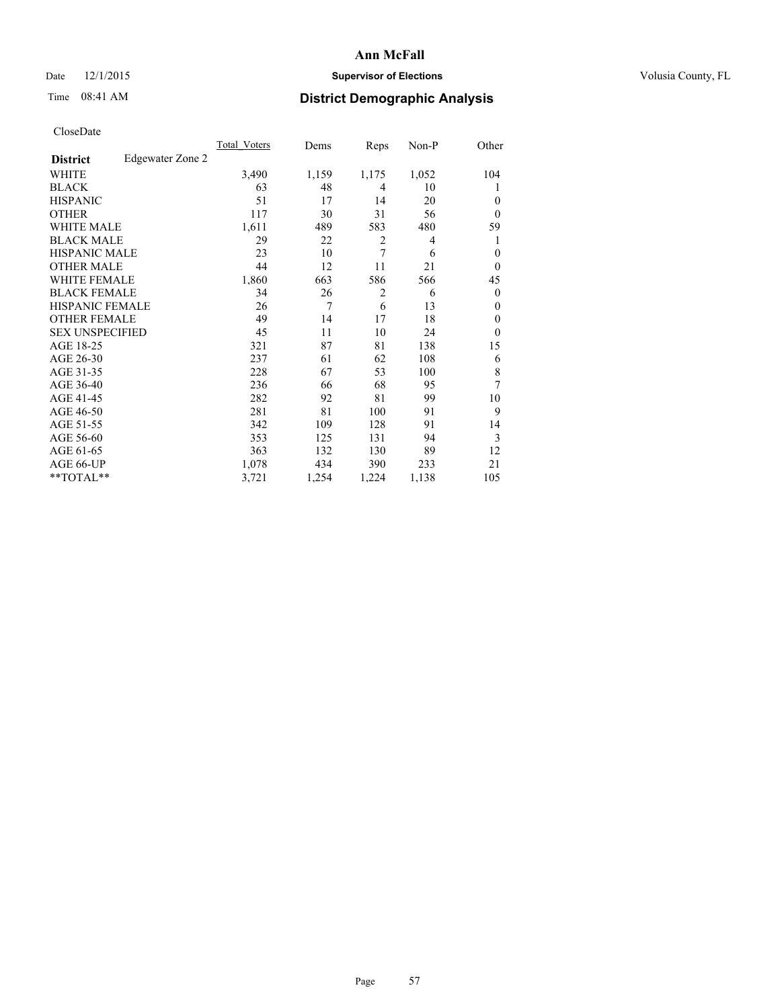# Date 12/1/2015 **Supervisor of Elections Supervisor of Elections** Volusia County, FL

# Time 08:41 AM **District Demographic Analysis**

| <b>UIUSUDUI</b> U      |                  |              |       |                |       |                  |
|------------------------|------------------|--------------|-------|----------------|-------|------------------|
|                        |                  | Total Voters | Dems  | Reps           | Non-P | Other            |
| <b>District</b>        | Edgewater Zone 2 |              |       |                |       |                  |
| WHITE                  |                  | 3,490        | 1,159 | 1,175          | 1,052 | 104              |
| <b>BLACK</b>           |                  | 63           | 48    | $\overline{4}$ | 10    | 1                |
| <b>HISPANIC</b>        |                  | 51           | 17    | 14             | 20    | $\theta$         |
| <b>OTHER</b>           |                  | 117          | 30    | 31             | 56    | $\theta$         |
| WHITE MALE             |                  | 1,611        | 489   | 583            | 480   | 59               |
| <b>BLACK MALE</b>      |                  | 29           | 22    | $\overline{2}$ | 4     |                  |
| <b>HISPANIC MALE</b>   |                  | 23           | 10    | 7              | 6     | $\overline{0}$   |
| <b>OTHER MALE</b>      |                  | 44           | 12    | 11             | 21    | $\boldsymbol{0}$ |
| WHITE FEMALE           |                  | 1,860        | 663   | 586            | 566   | 45               |
| <b>BLACK FEMALE</b>    |                  | 34           | 26    | 2              | 6     | $\overline{0}$   |
| HISPANIC FEMALE        |                  | 26           | 7     | 6              | 13    | $\theta$         |
| <b>OTHER FEMALE</b>    |                  | 49           | 14    | 17             | 18    | $\mathbf{0}$     |
| <b>SEX UNSPECIFIED</b> |                  | 45           | 11    | 10             | 24    | $\theta$         |
| AGE 18-25              |                  | 321          | 87    | 81             | 138   | 15               |
| AGE 26-30              |                  | 237          | 61    | 62             | 108   | 6                |
| AGE 31-35              |                  | 228          | 67    | 53             | 100   | 8                |
| AGE 36-40              |                  | 236          | 66    | 68             | 95    | 7                |
| AGE 41-45              |                  | 282          | 92    | 81             | 99    | 10               |
| AGE 46-50              |                  | 281          | 81    | 100            | 91    | 9                |
| AGE 51-55              |                  | 342          | 109   | 128            | 91    | 14               |
| AGE 56-60              |                  | 353          | 125   | 131            | 94    | 3                |
| AGE 61-65              |                  | 363          | 132   | 130            | 89    | 12               |
| AGE 66-UP              |                  | 1,078        | 434   | 390            | 233   | 21               |
| $*$ TOTAL $*$          |                  | 3,721        | 1,254 | 1,224          | 1,138 | 105              |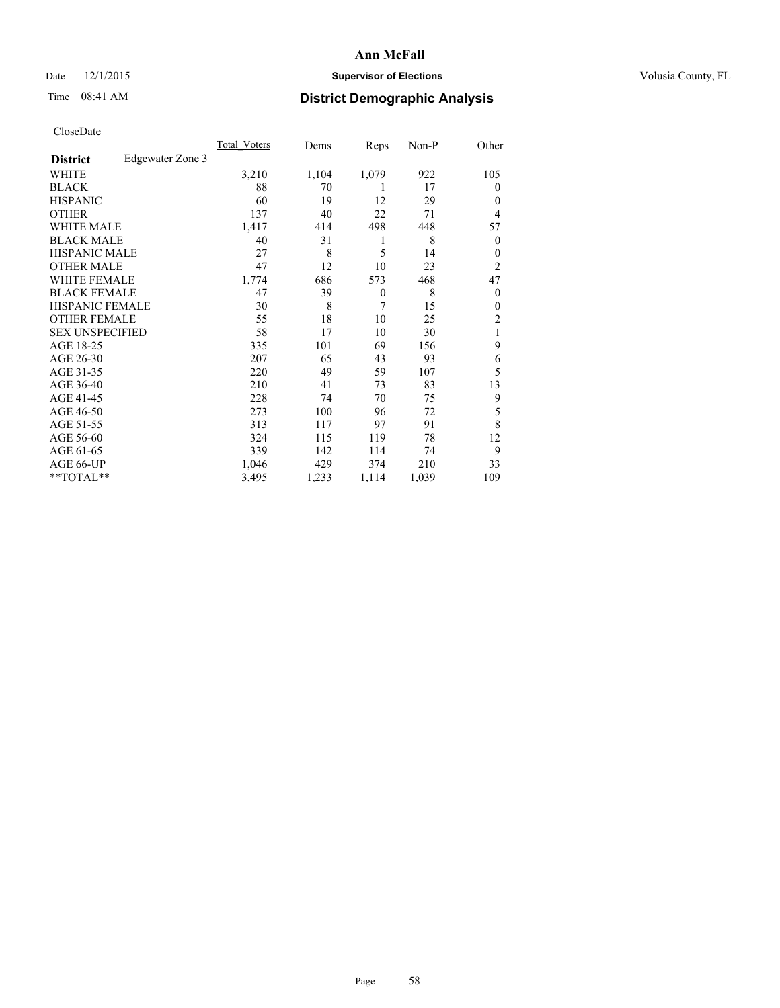## Date 12/1/2015 **Supervisor of Elections Supervisor of Elections** Volusia County, FL

# Time 08:41 AM **District Demographic Analysis**

|                        |                  | Total Voters | Dems  | Reps     | Non-P | Other            |
|------------------------|------------------|--------------|-------|----------|-------|------------------|
| <b>District</b>        | Edgewater Zone 3 |              |       |          |       |                  |
| WHITE                  |                  | 3,210        | 1,104 | 1,079    | 922   | 105              |
| <b>BLACK</b>           |                  | 88           | 70    | 1        | 17    | $\theta$         |
| <b>HISPANIC</b>        |                  | 60           | 19    | 12       | 29    | $\theta$         |
| <b>OTHER</b>           |                  | 137          | 40    | 22       | 71    | 4                |
| WHITE MALE             |                  | 1,417        | 414   | 498      | 448   | 57               |
| <b>BLACK MALE</b>      |                  | 40           | 31    | 1        | 8     | $\boldsymbol{0}$ |
| <b>HISPANIC MALE</b>   |                  | 27           | 8     | 5        | 14    | $\theta$         |
| <b>OTHER MALE</b>      |                  | 47           | 12    | 10       | 23    | $\overline{c}$   |
| WHITE FEMALE           |                  | 1,774        | 686   | 573      | 468   | 47               |
| <b>BLACK FEMALE</b>    |                  | 47           | 39    | $\theta$ | 8     | $\theta$         |
| <b>HISPANIC FEMALE</b> |                  | 30           | 8     | 7        | 15    | $\theta$         |
| <b>OTHER FEMALE</b>    |                  | 55           | 18    | 10       | 25    | 2                |
| <b>SEX UNSPECIFIED</b> |                  | 58           | 17    | 10       | 30    | 1                |
| AGE 18-25              |                  | 335          | 101   | 69       | 156   | 9                |
| AGE 26-30              |                  | 207          | 65    | 43       | 93    | 6                |
| AGE 31-35              |                  | 220          | 49    | 59       | 107   | 5                |
| AGE 36-40              |                  | 210          | 41    | 73       | 83    | 13               |
| AGE 41-45              |                  | 228          | 74    | 70       | 75    | 9                |
| AGE 46-50              |                  | 273          | 100   | 96       | 72    | 5                |
| AGE 51-55              |                  | 313          | 117   | 97       | 91    | 8                |
| AGE 56-60              |                  | 324          | 115   | 119      | 78    | 12               |
| AGE 61-65              |                  | 339          | 142   | 114      | 74    | 9                |
| AGE 66-UP              |                  | 1,046        | 429   | 374      | 210   | 33               |
| **TOTAL**              |                  | 3,495        | 1,233 | 1,114    | 1,039 | 109              |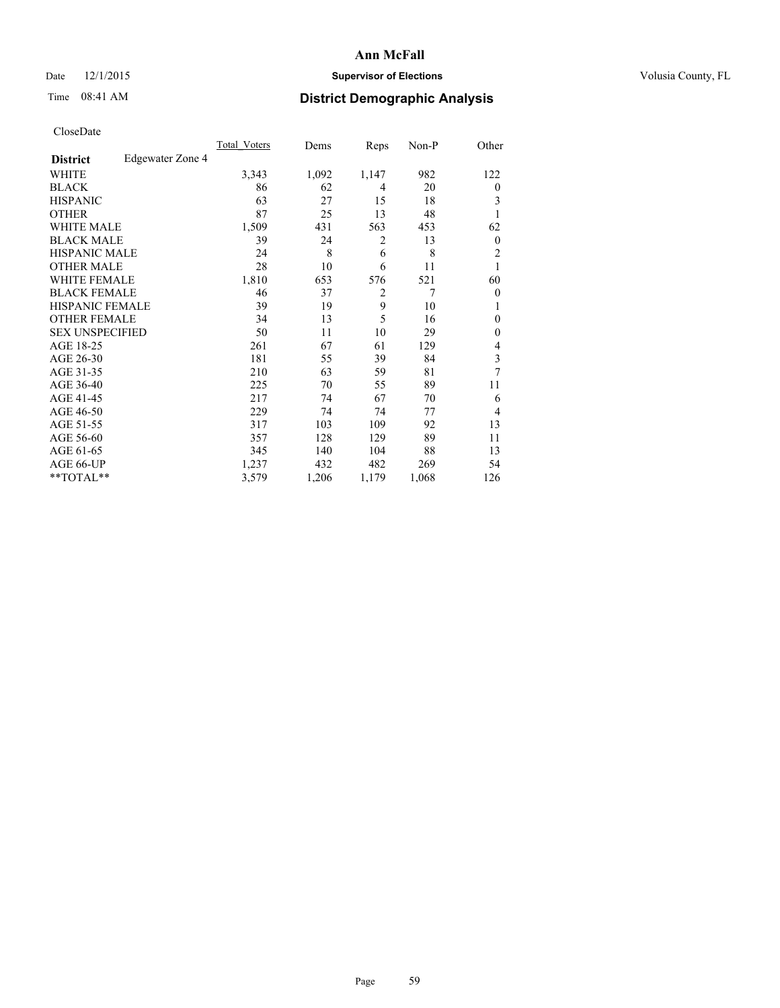## Date 12/1/2015 **Supervisor of Elections Supervisor of Elections** Volusia County, FL

# Time 08:41 AM **District Demographic Analysis**

|                        |                  | Total Voters | Dems  | Reps           | Non-P          | Other          |
|------------------------|------------------|--------------|-------|----------------|----------------|----------------|
| <b>District</b>        | Edgewater Zone 4 |              |       |                |                |                |
| WHITE                  |                  | 3,343        | 1,092 | 1,147          | 982            | 122            |
| <b>BLACK</b>           |                  | 86           | 62    | 4              | 20             | $\overline{0}$ |
| <b>HISPANIC</b>        |                  | 63           | 27    | 15             | 18             | 3              |
| <b>OTHER</b>           |                  | 87           | 25    | 13             | 48             |                |
| <b>WHITE MALE</b>      |                  | 1,509        | 431   | 563            | 453            | 62             |
| <b>BLACK MALE</b>      |                  | 39           | 24    | 2              | 13             | $\overline{0}$ |
| <b>HISPANIC MALE</b>   |                  | 24           | 8     | 6              | 8              | $\overline{2}$ |
| <b>OTHER MALE</b>      |                  | 28           | 10    | 6              | 11             | 1              |
| <b>WHITE FEMALE</b>    |                  | 1,810        | 653   | 576            | 521            | 60             |
| <b>BLACK FEMALE</b>    |                  | 46           | 37    | $\overline{2}$ | $\overline{7}$ | $\overline{0}$ |
| <b>HISPANIC FEMALE</b> |                  | 39           | 19    | 9              | 10             | 1              |
| <b>OTHER FEMALE</b>    |                  | 34           | 13    | 5              | 16             | $\Omega$       |
| <b>SEX UNSPECIFIED</b> |                  | 50           | 11    | 10             | 29             | $\theta$       |
| AGE 18-25              |                  | 261          | 67    | 61             | 129            | 4              |
| AGE 26-30              |                  | 181          | 55    | 39             | 84             | 3              |
| AGE 31-35              |                  | 210          | 63    | 59             | 81             | 7              |
| AGE 36-40              |                  | 225          | 70    | 55             | 89             | 11             |
| AGE 41-45              |                  | 217          | 74    | 67             | 70             | 6              |
| AGE 46-50              |                  | 229          | 74    | 74             | 77             | $\overline{4}$ |
| AGE 51-55              |                  | 317          | 103   | 109            | 92             | 13             |
| AGE 56-60              |                  | 357          | 128   | 129            | 89             | 11             |
| AGE 61-65              |                  | 345          | 140   | 104            | 88             | 13             |
| AGE 66-UP              |                  | 1,237        | 432   | 482            | 269            | 54             |
| **TOTAL**              |                  | 3,579        | 1,206 | 1,179          | 1,068          | 126            |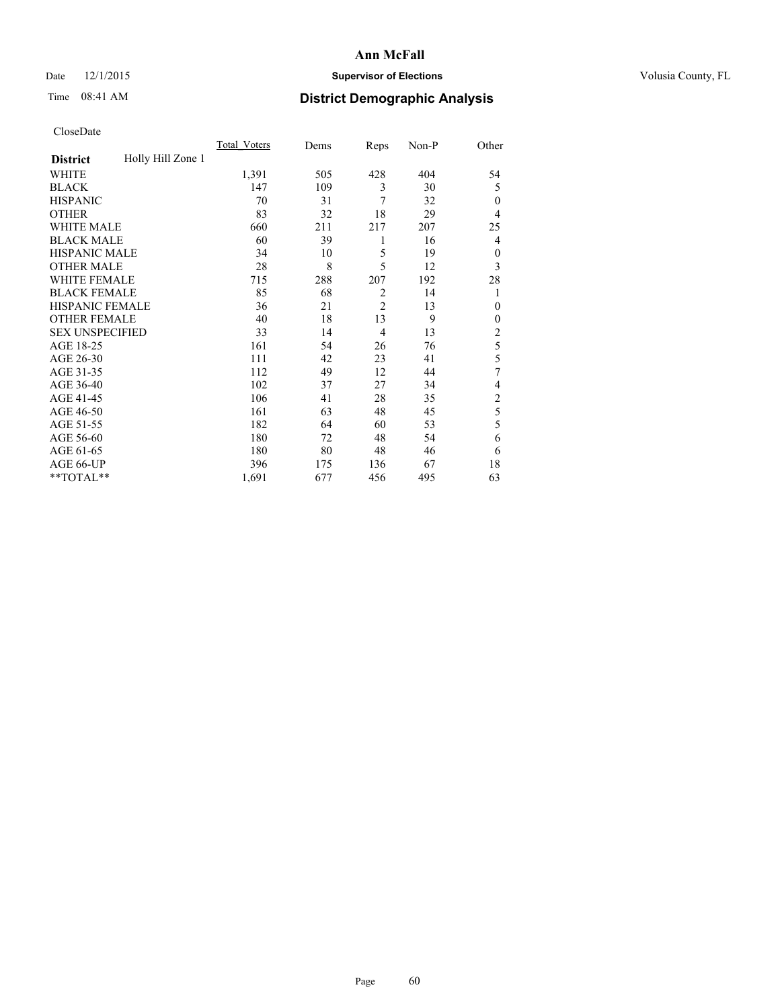## Date 12/1/2015 **Supervisor of Elections Supervisor of Elections** Volusia County, FL

# Time 08:41 AM **District Demographic Analysis**

|                        |                   | <b>Total Voters</b> | Dems | Reps           | Non-P | Other          |
|------------------------|-------------------|---------------------|------|----------------|-------|----------------|
| <b>District</b>        | Holly Hill Zone 1 |                     |      |                |       |                |
| WHITE                  |                   | 1,391               | 505  | 428            | 404   | 54             |
| <b>BLACK</b>           |                   | 147                 | 109  | 3              | 30    | 5              |
| <b>HISPANIC</b>        |                   | 70                  | 31   | 7              | 32    | $\Omega$       |
| <b>OTHER</b>           |                   | 83                  | 32   | 18             | 29    | 4              |
| WHITE MALE             |                   | 660                 | 211  | 217            | 207   | 25             |
| <b>BLACK MALE</b>      |                   | 60                  | 39   | 1              | 16    | 4              |
| <b>HISPANIC MALE</b>   |                   | 34                  | 10   | 5              | 19    | $\mathbf{0}$   |
| <b>OTHER MALE</b>      |                   | 28                  | 8    | 5              | 12    | 3              |
| WHITE FEMALE           |                   | 715                 | 288  | 207            | 192   | 28             |
| <b>BLACK FEMALE</b>    |                   | 85                  | 68   | $\overline{2}$ | 14    | 1              |
| <b>HISPANIC FEMALE</b> |                   | 36                  | 21   | $\overline{2}$ | 13    | $\Omega$       |
| <b>OTHER FEMALE</b>    |                   | 40                  | 18   | 13             | 9     | $\Omega$       |
| <b>SEX UNSPECIFIED</b> |                   | 33                  | 14   | 4              | 13    | $\overline{c}$ |
| AGE 18-25              |                   | 161                 | 54   | 26             | 76    | 5              |
| AGE 26-30              |                   | 111                 | 42   | 23             | 41    | 5              |
| AGE 31-35              |                   | 112                 | 49   | 12             | 44    | 7              |
| AGE 36-40              |                   | 102                 | 37   | 27             | 34    | 4              |
| AGE 41-45              |                   | 106                 | 41   | 28             | 35    | $\overline{c}$ |
| AGE 46-50              |                   | 161                 | 63   | 48             | 45    | 5              |
| AGE 51-55              |                   | 182                 | 64   | 60             | 53    | 5              |
| AGE 56-60              |                   | 180                 | 72   | 48             | 54    | 6              |
| AGE 61-65              |                   | 180                 | 80   | 48             | 46    | 6              |
| AGE 66-UP              |                   | 396                 | 175  | 136            | 67    | 18             |
| **TOTAL**              |                   | 1,691               | 677  | 456            | 495   | 63             |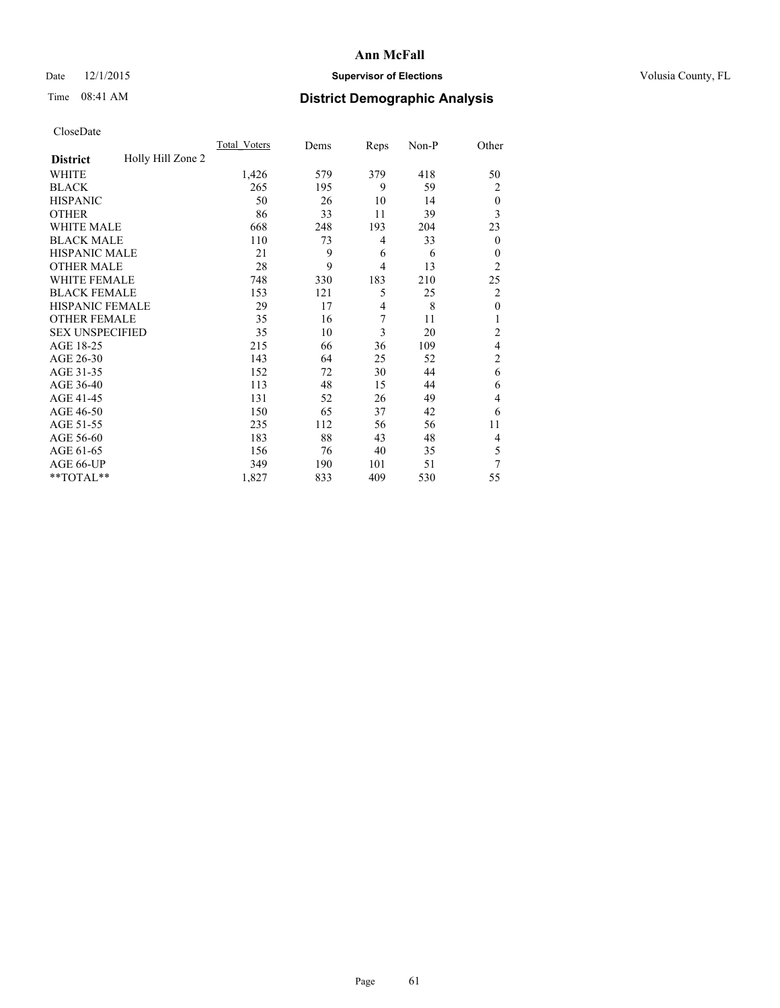## Date 12/1/2015 **Supervisor of Elections Supervisor of Elections** Volusia County, FL

# Time 08:41 AM **District Demographic Analysis**

|                        |                   | Total Voters | Dems | Reps           | Non-P | Other            |
|------------------------|-------------------|--------------|------|----------------|-------|------------------|
| <b>District</b>        | Holly Hill Zone 2 |              |      |                |       |                  |
| WHITE                  |                   | 1,426        | 579  | 379            | 418   | 50               |
| <b>BLACK</b>           |                   | 265          | 195  | 9              | 59    | 2                |
| <b>HISPANIC</b>        |                   | 50           | 26   | 10             | 14    | $\theta$         |
| <b>OTHER</b>           |                   | 86           | 33   | 11             | 39    | 3                |
| <b>WHITE MALE</b>      |                   | 668          | 248  | 193            | 204   | 23               |
| <b>BLACK MALE</b>      |                   | 110          | 73   | 4              | 33    | $\boldsymbol{0}$ |
| <b>HISPANIC MALE</b>   |                   | 21           | 9    | 6              | 6     | $\theta$         |
| <b>OTHER MALE</b>      |                   | 28           | 9    | $\overline{4}$ | 13    | $\overline{2}$   |
| <b>WHITE FEMALE</b>    |                   | 748          | 330  | 183            | 210   | 25               |
| <b>BLACK FEMALE</b>    |                   | 153          | 121  | 5              | 25    | 2                |
| HISPANIC FEMALE        |                   | 29           | 17   | $\overline{4}$ | 8     | $\mathbf{0}$     |
| <b>OTHER FEMALE</b>    |                   | 35           | 16   | 7              | 11    | 1                |
| <b>SEX UNSPECIFIED</b> |                   | 35           | 10   | 3              | 20    | $\overline{2}$   |
| AGE 18-25              |                   | 215          | 66   | 36             | 109   | $\overline{4}$   |
| AGE 26-30              |                   | 143          | 64   | 25             | 52    | $\overline{2}$   |
| AGE 31-35              |                   | 152          | 72   | 30             | 44    | 6                |
| AGE 36-40              |                   | 113          | 48   | 15             | 44    | 6                |
| AGE 41-45              |                   | 131          | 52   | 26             | 49    | 4                |
| AGE 46-50              |                   | 150          | 65   | 37             | 42    | 6                |
| AGE 51-55              |                   | 235          | 112  | 56             | 56    | 11               |
| AGE 56-60              |                   | 183          | 88   | 43             | 48    | 4                |
| AGE 61-65              |                   | 156          | 76   | 40             | 35    | 5                |
| AGE 66-UP              |                   | 349          | 190  | 101            | 51    | 7                |
| **TOTAL**              |                   | 1,827        | 833  | 409            | 530   | 55               |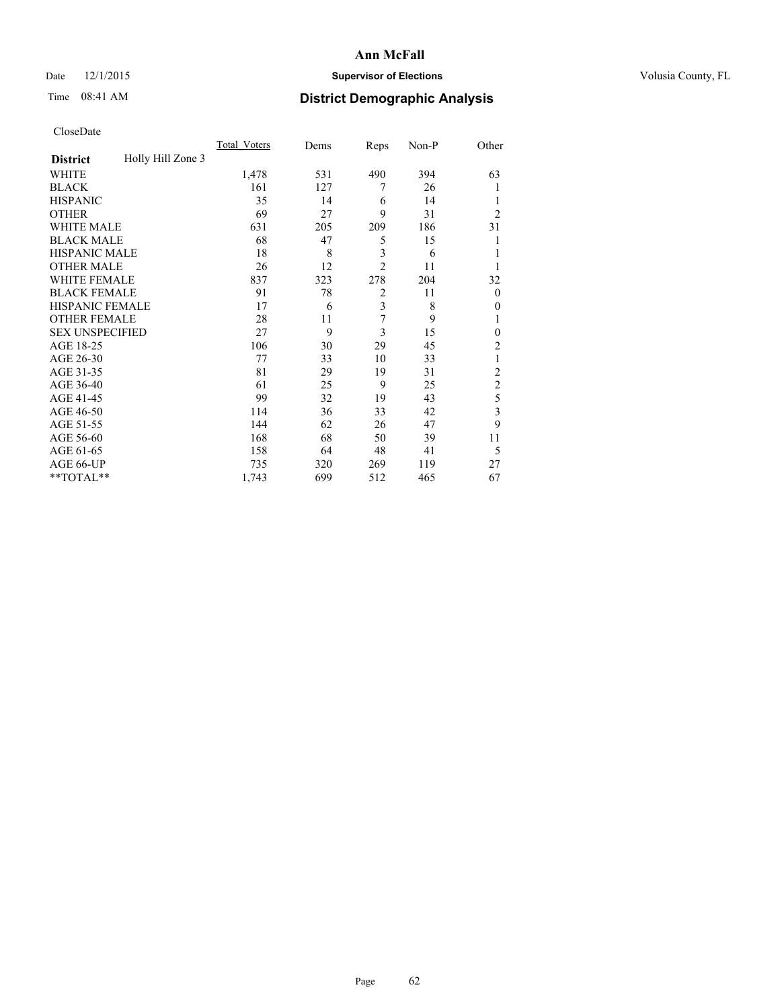## Date 12/1/2015 **Supervisor of Elections Supervisor of Elections** Volusia County, FL

# Time 08:41 AM **District Demographic Analysis**

|                        |                   | Total Voters | Dems | Reps           | Non-P | Other          |
|------------------------|-------------------|--------------|------|----------------|-------|----------------|
| <b>District</b>        | Holly Hill Zone 3 |              |      |                |       |                |
| WHITE                  |                   | 1,478        | 531  | 490            | 394   | 63             |
| <b>BLACK</b>           |                   | 161          | 127  | 7              | 26    |                |
| <b>HISPANIC</b>        |                   | 35           | 14   | 6              | 14    | 1              |
| <b>OTHER</b>           |                   | 69           | 27   | 9              | 31    | $\overline{2}$ |
| WHITE MALE             |                   | 631          | 205  | 209            | 186   | 31             |
| <b>BLACK MALE</b>      |                   | 68           | 47   | 5              | 15    | 1              |
| <b>HISPANIC MALE</b>   |                   | 18           | 8    | 3              | 6     | 1              |
| <b>OTHER MALE</b>      |                   | 26           | 12   | $\overline{2}$ | 11    | 1              |
| WHITE FEMALE           |                   | 837          | 323  | 278            | 204   | 32             |
| <b>BLACK FEMALE</b>    |                   | 91           | 78   | $\overline{2}$ | 11    | $\theta$       |
| <b>HISPANIC FEMALE</b> |                   | 17           | 6    | 3              | 8     | $\theta$       |
| <b>OTHER FEMALE</b>    |                   | 28           | 11   | 7              | 9     | 1              |
| <b>SEX UNSPECIFIED</b> |                   | 27           | 9    | 3              | 15    | $\mathbf{0}$   |
| AGE 18-25              |                   | 106          | 30   | 29             | 45    | $\overline{2}$ |
| AGE 26-30              |                   | 77           | 33   | 10             | 33    | 1              |
| AGE 31-35              |                   | 81           | 29   | 19             | 31    | $\overline{2}$ |
| AGE 36-40              |                   | 61           | 25   | 9              | 25    | $\overline{c}$ |
| AGE 41-45              |                   | 99           | 32   | 19             | 43    | 5              |
| AGE 46-50              |                   | 114          | 36   | 33             | 42    | 3              |
| AGE 51-55              |                   | 144          | 62   | 26             | 47    | 9              |
| AGE 56-60              |                   | 168          | 68   | 50             | 39    | 11             |
| AGE 61-65              |                   | 158          | 64   | 48             | 41    | 5              |
| AGE 66-UP              |                   | 735          | 320  | 269            | 119   | 27             |
| **TOTAL**              |                   | 1,743        | 699  | 512            | 465   | 67             |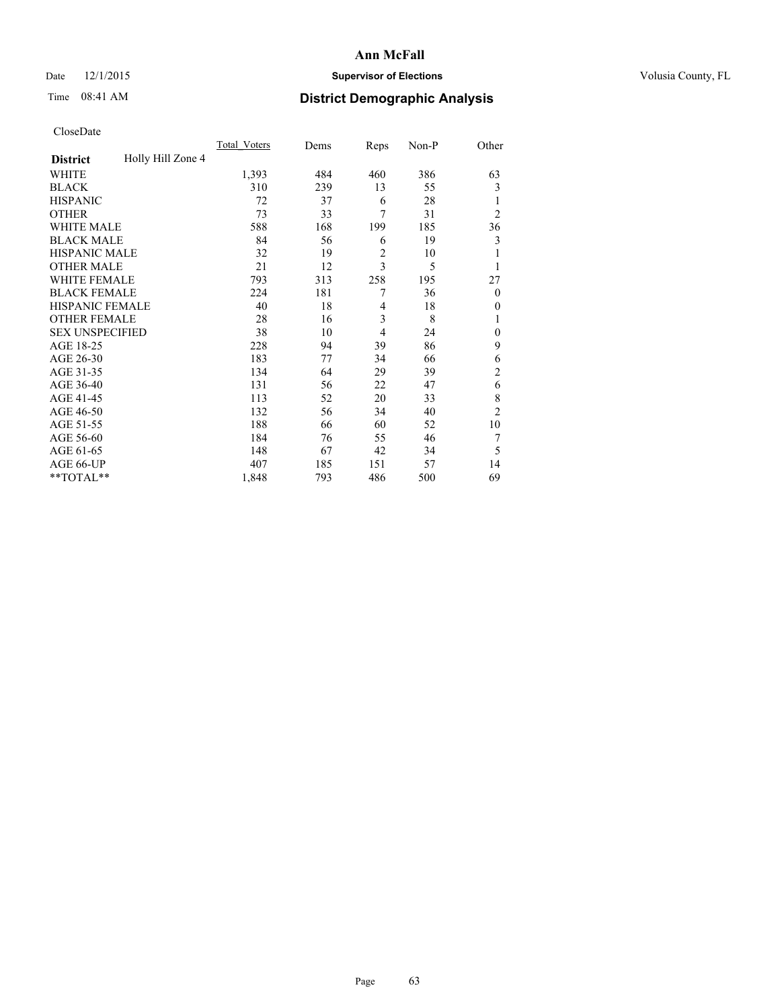## Date 12/1/2015 **Supervisor of Elections Supervisor of Elections** Volusia County, FL

# Time 08:41 AM **District Demographic Analysis**

|                        |                   | <b>Total Voters</b> | Dems | Reps           | Non-P | Other          |
|------------------------|-------------------|---------------------|------|----------------|-------|----------------|
| <b>District</b>        | Holly Hill Zone 4 |                     |      |                |       |                |
| WHITE                  |                   | 1,393               | 484  | 460            | 386   | 63             |
| <b>BLACK</b>           |                   | 310                 | 239  | 13             | 55    | 3              |
| <b>HISPANIC</b>        |                   | 72                  | 37   | 6              | 28    | 1              |
| <b>OTHER</b>           |                   | 73                  | 33   | 7              | 31    | $\overline{2}$ |
| WHITE MALE             |                   | 588                 | 168  | 199            | 185   | 36             |
| <b>BLACK MALE</b>      |                   | 84                  | 56   | 6              | 19    | 3              |
| <b>HISPANIC MALE</b>   |                   | 32                  | 19   | 2              | 10    |                |
| <b>OTHER MALE</b>      |                   | 21                  | 12   | $\overline{3}$ | 5     | 1              |
| <b>WHITE FEMALE</b>    |                   | 793                 | 313  | 258            | 195   | 27             |
| <b>BLACK FEMALE</b>    |                   | 224                 | 181  | 7              | 36    | $\overline{0}$ |
| <b>HISPANIC FEMALE</b> |                   | 40                  | 18   | 4              | 18    | $\Omega$       |
| <b>OTHER FEMALE</b>    |                   | 28                  | 16   | 3              | 8     |                |
| <b>SEX UNSPECIFIED</b> |                   | 38                  | 10   | $\overline{4}$ | 24    | $\mathbf{0}$   |
| AGE 18-25              |                   | 228                 | 94   | 39             | 86    | 9              |
| AGE 26-30              |                   | 183                 | 77   | 34             | 66    | 6              |
| AGE 31-35              |                   | 134                 | 64   | 29             | 39    | $\overline{c}$ |
| AGE 36-40              |                   | 131                 | 56   | 22             | 47    | 6              |
| AGE 41-45              |                   | 113                 | 52   | 20             | 33    | 8              |
| AGE 46-50              |                   | 132                 | 56   | 34             | 40    | $\overline{2}$ |
| AGE 51-55              |                   | 188                 | 66   | 60             | 52    | 10             |
| AGE 56-60              |                   | 184                 | 76   | 55             | 46    | 7              |
| AGE 61-65              |                   | 148                 | 67   | 42             | 34    | 5              |
| AGE 66-UP              |                   | 407                 | 185  | 151            | 57    | 14             |
| **TOTAL**              |                   | 1,848               | 793  | 486            | 500   | 69             |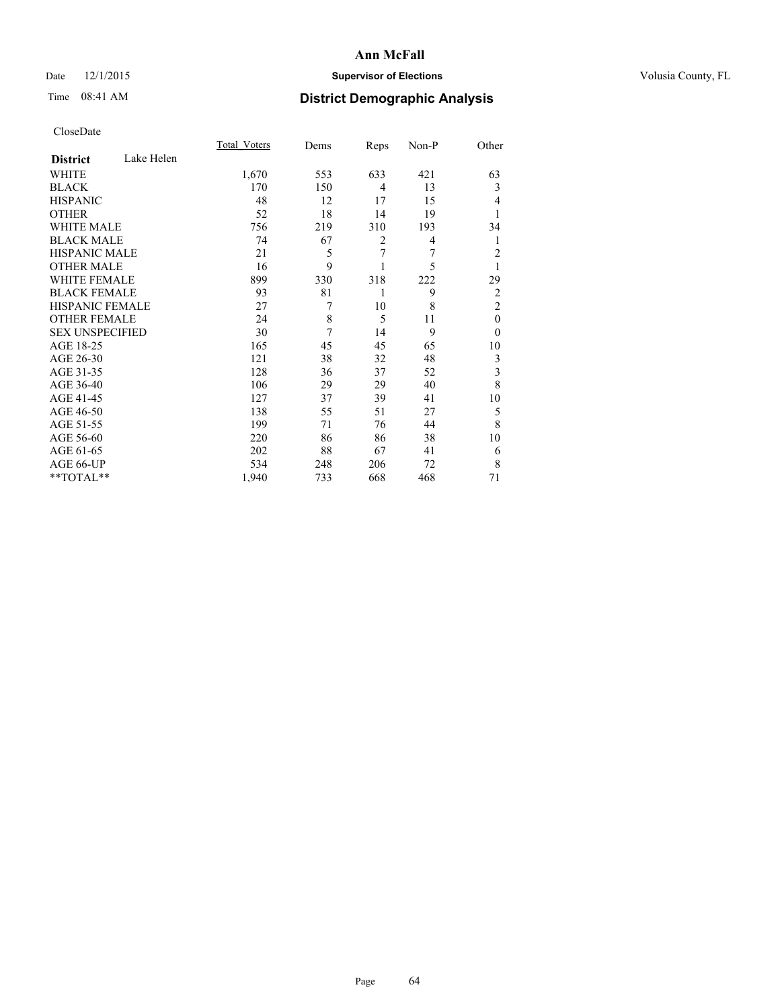## Date 12/1/2015 **Supervisor of Elections Supervisor of Elections** Volusia County, FL

# Time 08:41 AM **District Demographic Analysis**

|                        |            | <b>Total Voters</b> | Dems | Reps           | Non-P | Other          |
|------------------------|------------|---------------------|------|----------------|-------|----------------|
| <b>District</b>        | Lake Helen |                     |      |                |       |                |
| <b>WHITE</b>           |            | 1,670               | 553  | 633            | 421   | 63             |
| <b>BLACK</b>           |            | 170                 | 150  | $\overline{4}$ | 13    | 3              |
| <b>HISPANIC</b>        |            | 48                  | 12   | 17             | 15    | 4              |
| <b>OTHER</b>           |            | 52                  | 18   | 14             | 19    |                |
| WHITE MALE             |            | 756                 | 219  | 310            | 193   | 34             |
| <b>BLACK MALE</b>      |            | 74                  | 67   | $\overline{2}$ | 4     | 1              |
| <b>HISPANIC MALE</b>   |            | 21                  | 5    | 7              | 7     | $\overline{c}$ |
| <b>OTHER MALE</b>      |            | 16                  | 9    |                | 5     | 1              |
| WHITE FEMALE           |            | 899                 | 330  | 318            | 222   | 29             |
| <b>BLACK FEMALE</b>    |            | 93                  | 81   | 1              | 9     | $\overline{2}$ |
| <b>HISPANIC FEMALE</b> |            | 27                  | 7    | 10             | 8     | $\overline{2}$ |
| <b>OTHER FEMALE</b>    |            | 24                  | 8    | 5              | 11    | $\theta$       |
| <b>SEX UNSPECIFIED</b> |            | 30                  | 7    | 14             | 9     | $\theta$       |
| AGE 18-25              |            | 165                 | 45   | 45             | 65    | 10             |
| AGE 26-30              |            | 121                 | 38   | 32             | 48    | 3              |
| AGE 31-35              |            | 128                 | 36   | 37             | 52    | 3              |
| AGE 36-40              |            | 106                 | 29   | 29             | 40    | 8              |
| AGE 41-45              |            | 127                 | 37   | 39             | 41    | 10             |
| AGE 46-50              |            | 138                 | 55   | 51             | 27    | 5              |
| AGE 51-55              |            | 199                 | 71   | 76             | 44    | 8              |
| AGE 56-60              |            | 220                 | 86   | 86             | 38    | 10             |
| AGE 61-65              |            | 202                 | 88   | 67             | 41    | 6              |
| AGE 66-UP              |            | 534                 | 248  | 206            | 72    | 8              |
| **TOTAL**              |            | 1,940               | 733  | 668            | 468   | 71             |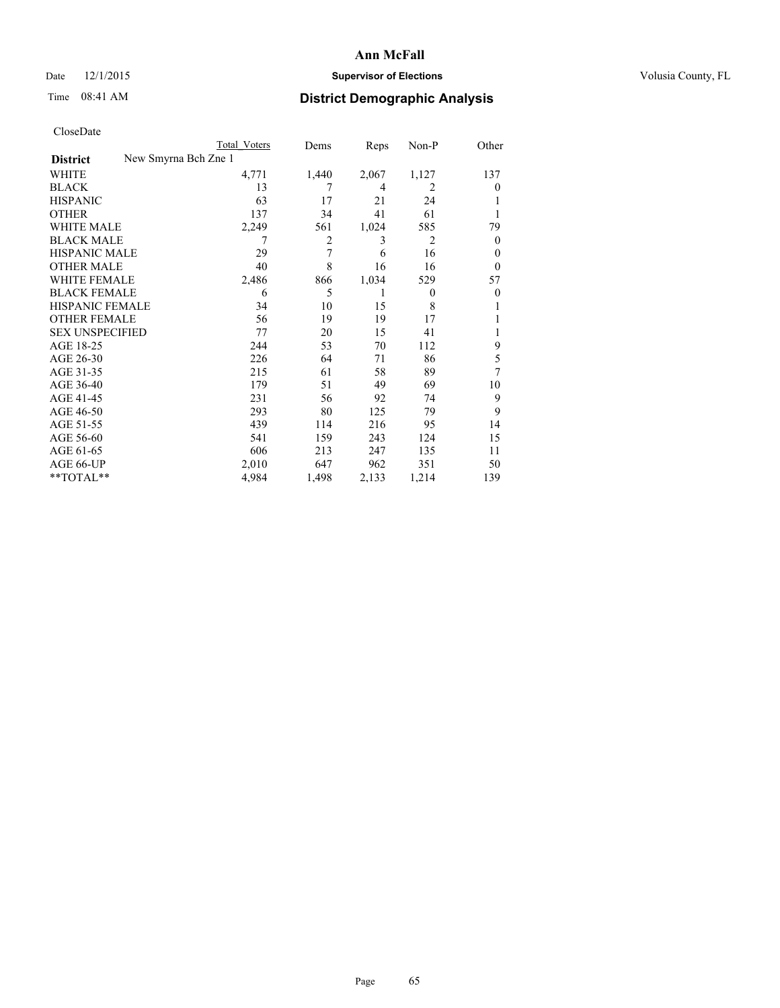$**TOTAL**$ 

#### **Ann McFall**

#### Date 12/1/2015 **Supervisor of Elections Supervisor of Elections** Volusia County, FL

# Time 08:41 AM **District Demographic Analysis**

| CloseDate              |                      | Total Voters | Dems           | Reps  | $Non-P$        | Other    |
|------------------------|----------------------|--------------|----------------|-------|----------------|----------|
| <b>District</b>        | New Smyrna Bch Zne 1 |              |                |       |                |          |
| <b>WHITE</b>           |                      | 4,771        | 1,440          | 2,067 | 1,127          | 137      |
| <b>BLACK</b>           |                      | 13           | 7              | 4     | $\overline{c}$ | $\Omega$ |
| <b>HISPANIC</b>        |                      | 63           | 17             | 21    | 24             |          |
| <b>OTHER</b>           |                      | 137          | 34             | 41    | 61             | 1        |
| <b>WHITE MALE</b>      |                      | 2,249        | 561            | 1,024 | 585            | 79       |
| <b>BLACK MALE</b>      |                      | 7            | $\overline{2}$ | 3     | $\overline{2}$ | $\Omega$ |
| <b>HISPANIC MALE</b>   |                      | 29           | 7              | 6     | 16             | $\theta$ |
| <b>OTHER MALE</b>      |                      | 40           | 8              | 16    | 16             | $\Omega$ |
| <b>WHITE FEMALE</b>    |                      | 2,486        | 866            | 1,034 | 529            | 57       |
| <b>BLACK FEMALE</b>    |                      | 6            | 5              | 1     | $\Omega$       | $\theta$ |
| <b>HISPANIC FEMALE</b> |                      | 34           | 10             | 15    | 8              |          |
| <b>OTHER FEMALE</b>    |                      | 56           | 19             | 19    | 17             |          |
| <b>SEX UNSPECIFIED</b> |                      | 77           | 20             | 15    | 41             | 1        |
| AGE 18-25              |                      | 244          | 53             | 70    | 112            | 9        |
| AGE 26-30              |                      | 226          | 64             | 71    | 86             | 5        |
| AGE 31-35              |                      | 215          | 61             | 58    | 89             | 7        |
| AGE 36-40              |                      | 179          | 51             | 49    | 69             | 10       |
| AGE 41-45              |                      | 231          | 56             | 92    | 74             | 9        |
| AGE 46-50              |                      | 293          | 80             | 125   | 79             | 9        |
| AGE 51-55              |                      | 439          | 114            | 216   | 95             | 14       |
| AGE 56-60              |                      | 541          | 159            | 243   | 124            | 15       |
| AGE 61-65              |                      | 606          | 213            | 247   | 135            | 11       |

AGE 61-65 606 213 247 135 11<br>AGE 66-UP 2,010 647 962 351 50 AGE 66-UP <br>  $2,010$  647 962 351 50<br>
\*\*TOTAL\*\* 4,984 1,498 2,133 1,214 139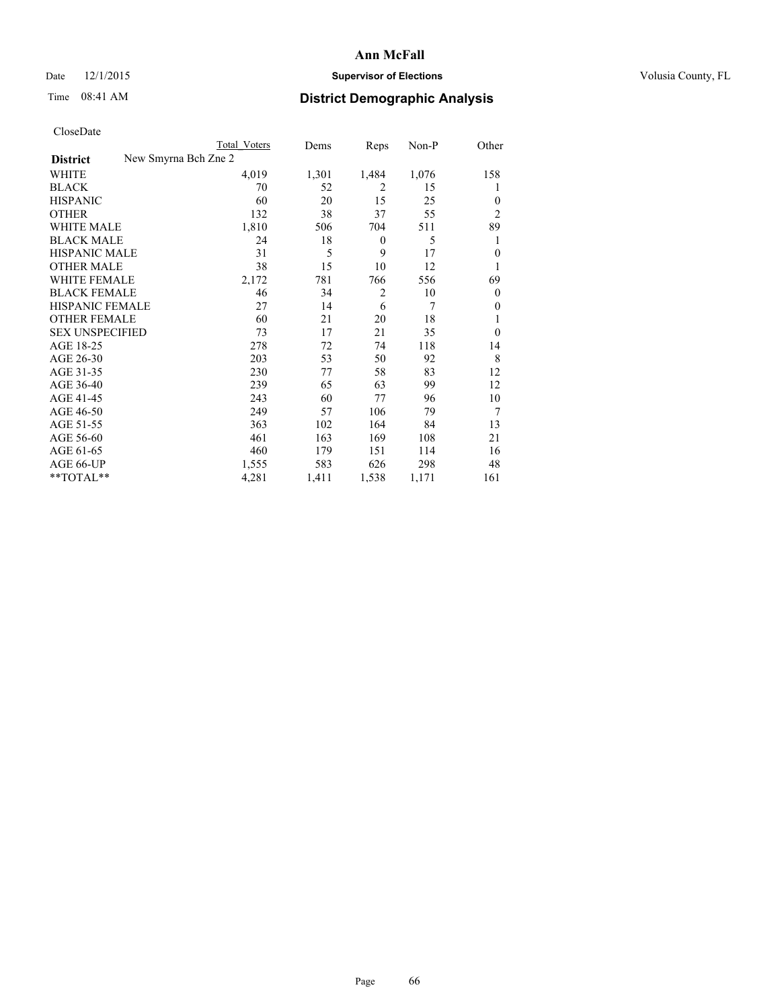## Date 12/1/2015 **Supervisor of Elections Supervisor of Elections** Volusia County, FL

| CloseDate |
|-----------|
|-----------|

|                        | Total Voters         | Dems  | Reps           | Non-P | Other          |
|------------------------|----------------------|-------|----------------|-------|----------------|
| <b>District</b>        | New Smyrna Bch Zne 2 |       |                |       |                |
| WHITE                  | 4,019                | 1,301 | 1,484          | 1,076 | 158            |
| <b>BLACK</b>           | 70                   | 52    | $\overline{2}$ | 15    | 1              |
| <b>HISPANIC</b>        | 60                   | 20    | 15             | 25    | $\theta$       |
| <b>OTHER</b>           | 132                  | 38    | 37             | 55    | $\overline{2}$ |
| WHITE MALE             | 1,810                | 506   | 704            | 511   | 89             |
| <b>BLACK MALE</b>      | 24                   | 18    | $\theta$       | 5     | 1              |
| <b>HISPANIC MALE</b>   | 31                   | 5     | 9              | 17    | $\mathbf{0}$   |
| <b>OTHER MALE</b>      | 38                   | 15    | 10             | 12    | 1              |
| <b>WHITE FEMALE</b>    | 2,172                | 781   | 766            | 556   | 69             |
| <b>BLACK FEMALE</b>    | 46                   | 34    | $\overline{2}$ | 10    | $\overline{0}$ |
| <b>HISPANIC FEMALE</b> | 27                   | 14    | 6              | 7     | $\theta$       |
| <b>OTHER FEMALE</b>    | 60                   | 21    | 20             | 18    |                |
| <b>SEX UNSPECIFIED</b> | 73                   | 17    | 21             | 35    | $\theta$       |
| AGE 18-25              | 278                  | 72    | 74             | 118   | 14             |
| AGE 26-30              | 203                  | 53    | 50             | 92    | 8              |
| AGE 31-35              | 230                  | 77    | 58             | 83    | 12             |
| AGE 36-40              | 239                  | 65    | 63             | 99    | 12             |
| AGE 41-45              | 243                  | 60    | 77             | 96    | 10             |
| AGE 46-50              | 249                  | 57    | 106            | 79    | 7              |
| AGE 51-55              | 363                  | 102   | 164            | 84    | 13             |
| AGE 56-60              | 461                  | 163   | 169            | 108   | 21             |
| AGE 61-65              | 460                  | 179   | 151            | 114   | 16             |
| AGE 66-UP              | 1,555                | 583   | 626            | 298   | 48             |
| $*$ TOTAL $*$          | 4,281                | 1,411 | 1,538          | 1,171 | 161            |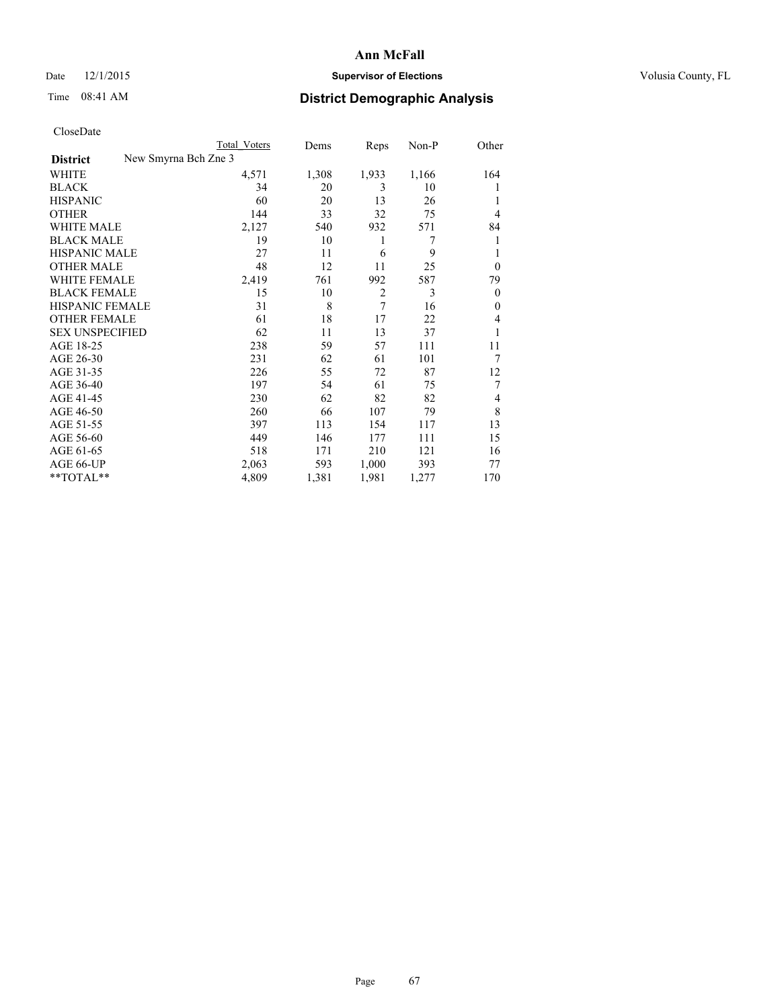# Date 12/1/2015 **Supervisor of Elections Supervisor of Elections** Volusia County, FL

| CloseDate |
|-----------|
|-----------|

|                                         | Total Voters | Dems  | Reps           | Non-P | Other          |
|-----------------------------------------|--------------|-------|----------------|-------|----------------|
| New Smyrna Bch Zne 3<br><b>District</b> |              |       |                |       |                |
| <b>WHITE</b>                            | 4,571        | 1,308 | 1,933          | 1,166 | 164            |
| <b>BLACK</b>                            | 34           | 20    | 3              | 10    |                |
| <b>HISPANIC</b>                         | 60           | 20    | 13             | 26    | 1              |
| <b>OTHER</b>                            | 144          | 33    | 32             | 75    | 4              |
| WHITE MALE                              | 2,127        | 540   | 932            | 571   | 84             |
| <b>BLACK MALE</b>                       | 19           | 10    | 1              | 7     | 1              |
| <b>HISPANIC MALE</b>                    | 27           | 11    | 6              | 9     |                |
| <b>OTHER MALE</b>                       | 48           | 12    | 11             | 25    | $\theta$       |
| WHITE FEMALE                            | 2,419        | 761   | 992            | 587   | 79             |
| <b>BLACK FEMALE</b>                     | 15           | 10    | $\overline{2}$ | 3     | $\overline{0}$ |
| <b>HISPANIC FEMALE</b>                  | 31           | 8     | 7              | 16    | $\theta$       |
| <b>OTHER FEMALE</b>                     | 61           | 18    | 17             | 22    | 4              |
| <b>SEX UNSPECIFIED</b>                  | 62           | 11    | 13             | 37    |                |
| AGE 18-25                               | 238          | 59    | 57             | 111   | 11             |
| AGE 26-30                               | 231          | 62    | 61             | 101   | 7              |
| AGE 31-35                               | 226          | 55    | 72             | 87    | 12             |
| AGE 36-40                               | 197          | 54    | 61             | 75    | 7              |
| AGE 41-45                               | 230          | 62    | 82             | 82    | 4              |
| AGE 46-50                               | 260          | 66    | 107            | 79    | 8              |
| AGE 51-55                               | 397          | 113   | 154            | 117   | 13             |
| AGE 56-60                               | 449          | 146   | 177            | 111   | 15             |
| AGE 61-65                               | 518          | 171   | 210            | 121   | 16             |
| AGE 66-UP                               | 2,063        | 593   | 1,000          | 393   | 77             |
| **TOTAL**                               | 4,809        | 1,381 | 1,981          | 1,277 | 170            |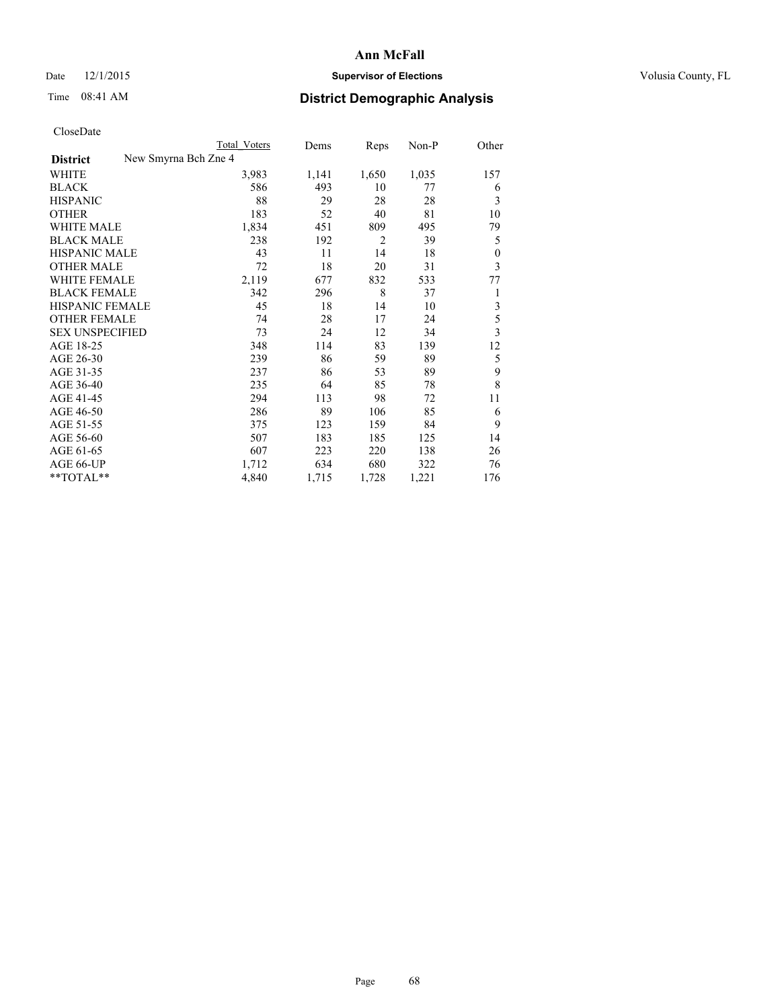## Date 12/1/2015 **Supervisor of Elections Supervisor of Elections** Volusia County, FL

|                        | <b>Total Voters</b>  | Dems  | Reps           | Non-P | Other            |
|------------------------|----------------------|-------|----------------|-------|------------------|
| <b>District</b>        | New Smyrna Bch Zne 4 |       |                |       |                  |
| WHITE                  | 3,983                | 1,141 | 1,650          | 1,035 | 157              |
| <b>BLACK</b>           | 586                  | 493   | 10             | 77    | 6                |
| <b>HISPANIC</b>        | 88                   | 29    | 28             | 28    | 3                |
| <b>OTHER</b>           | 183                  | 52    | 40             | 81    | 10               |
| <b>WHITE MALE</b>      | 1,834                | 451   | 809            | 495   | 79               |
| <b>BLACK MALE</b>      | 238                  | 192   | $\overline{2}$ | 39    | 5                |
| <b>HISPANIC MALE</b>   | 43                   | 11    | 14             | 18    | $\boldsymbol{0}$ |
| <b>OTHER MALE</b>      | 72                   | 18    | 20             | 31    | 3                |
| <b>WHITE FEMALE</b>    | 2,119                | 677   | 832            | 533   | 77               |
| <b>BLACK FEMALE</b>    | 342                  | 296   | 8              | 37    | 1                |
| <b>HISPANIC FEMALE</b> | 45                   | 18    | 14             | 10    | 3                |
| <b>OTHER FEMALE</b>    | 74                   | 28    | 17             | 24    | 5                |
| <b>SEX UNSPECIFIED</b> | 73                   | 24    | 12             | 34    | 3                |
| AGE 18-25              | 348                  | 114   | 83             | 139   | 12               |
| AGE 26-30              | 239                  | 86    | 59             | 89    | 5                |
| AGE 31-35              | 237                  | 86    | 53             | 89    | 9                |
| AGE 36-40              | 235                  | 64    | 85             | 78    | 8                |
| AGE 41-45              | 294                  | 113   | 98             | 72    | 11               |
| AGE 46-50              | 286                  | 89    | 106            | 85    | 6                |
| AGE 51-55              | 375                  | 123   | 159            | 84    | 9                |
| AGE 56-60              | 507                  | 183   | 185            | 125   | 14               |
| AGE 61-65              | 607                  | 223   | 220            | 138   | 26               |
| AGE 66-UP              | 1,712                | 634   | 680            | 322   | 76               |
| **TOTAL**              | 4,840                | 1,715 | 1,728          | 1,221 | 176              |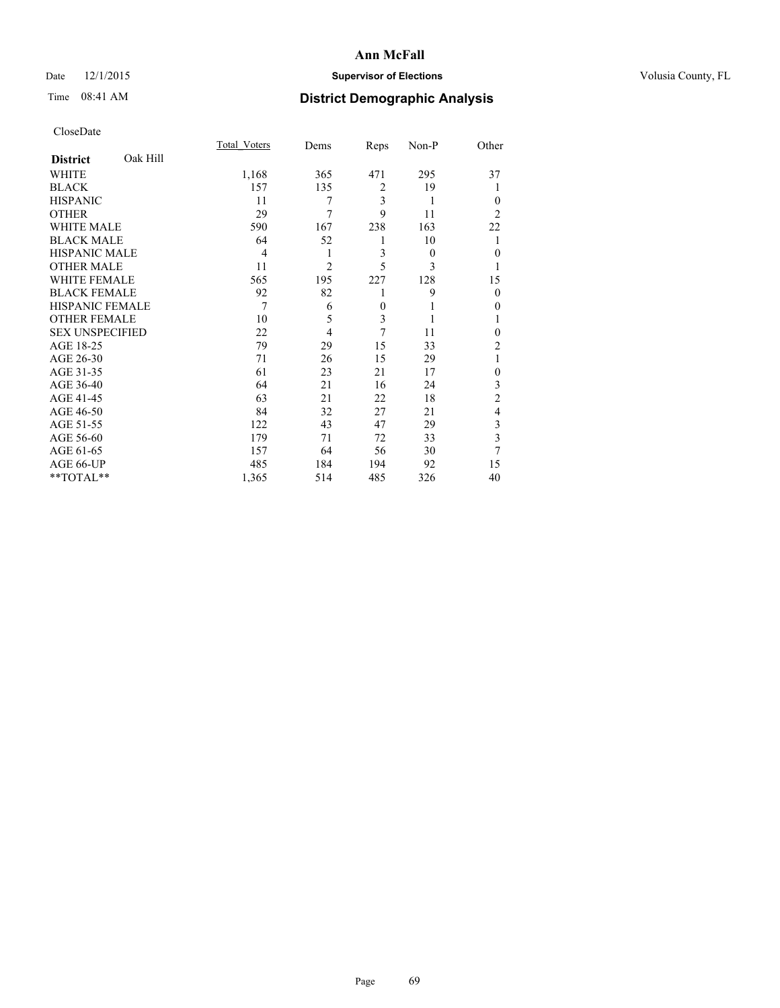## Date 12/1/2015 **Supervisor of Elections Supervisor of Elections** Volusia County, FL

# Time 08:41 AM **District Demographic Analysis**

|                        |          | Total Voters | Dems           | Reps           | Non-P    | Other          |
|------------------------|----------|--------------|----------------|----------------|----------|----------------|
| <b>District</b>        | Oak Hill |              |                |                |          |                |
| WHITE                  |          | 1,168        | 365            | 471            | 295      | 37             |
| <b>BLACK</b>           |          | 157          | 135            | $\overline{2}$ | 19       |                |
| <b>HISPANIC</b>        |          | 11           | 7              | $\overline{3}$ | 1        | $\Omega$       |
| <b>OTHER</b>           |          | 29           | 7              | 9              | 11       | $\overline{2}$ |
| WHITE MALE             |          | 590          | 167            | 238            | 163      | 22             |
| <b>BLACK MALE</b>      |          | 64           | 52             | 1              | 10       |                |
| <b>HISPANIC MALE</b>   |          | 4            | 1              | 3              | $\theta$ | $\overline{0}$ |
| <b>OTHER MALE</b>      |          | 11           | $\overline{c}$ | 5              | 3        | 1              |
| <b>WHITE FEMALE</b>    |          | 565          | 195            | 227            | 128      | 15             |
| <b>BLACK FEMALE</b>    |          | 92           | 82             | 1              | 9        | $\Omega$       |
| <b>HISPANIC FEMALE</b> |          | 7            | 6              | $\theta$       |          | $\theta$       |
| <b>OTHER FEMALE</b>    |          | 10           | 5              | 3              | 1        |                |
| <b>SEX UNSPECIFIED</b> |          | 22           | $\overline{4}$ | 7              | 11       | $\Omega$       |
| AGE 18-25              |          | 79           | 29             | 15             | 33       | $\overline{c}$ |
| AGE 26-30              |          | 71           | 26             | 15             | 29       | 1              |
| AGE 31-35              |          | 61           | 23             | 21             | 17       | $\theta$       |
| AGE 36-40              |          | 64           | 21             | 16             | 24       | 3              |
| AGE 41-45              |          | 63           | 21             | 22             | 18       | $\overline{2}$ |
| AGE 46-50              |          | 84           | 32             | 27             | 21       | $\overline{4}$ |
| AGE 51-55              |          | 122          | 43             | 47             | 29       | 3              |
| AGE 56-60              |          | 179          | 71             | 72             | 33       | 3              |
| AGE 61-65              |          | 157          | 64             | 56             | 30       | 7              |
| AGE 66-UP              |          | 485          | 184            | 194            | 92       | 15             |
| **TOTAL**              |          | 1,365        | 514            | 485            | 326      | 40             |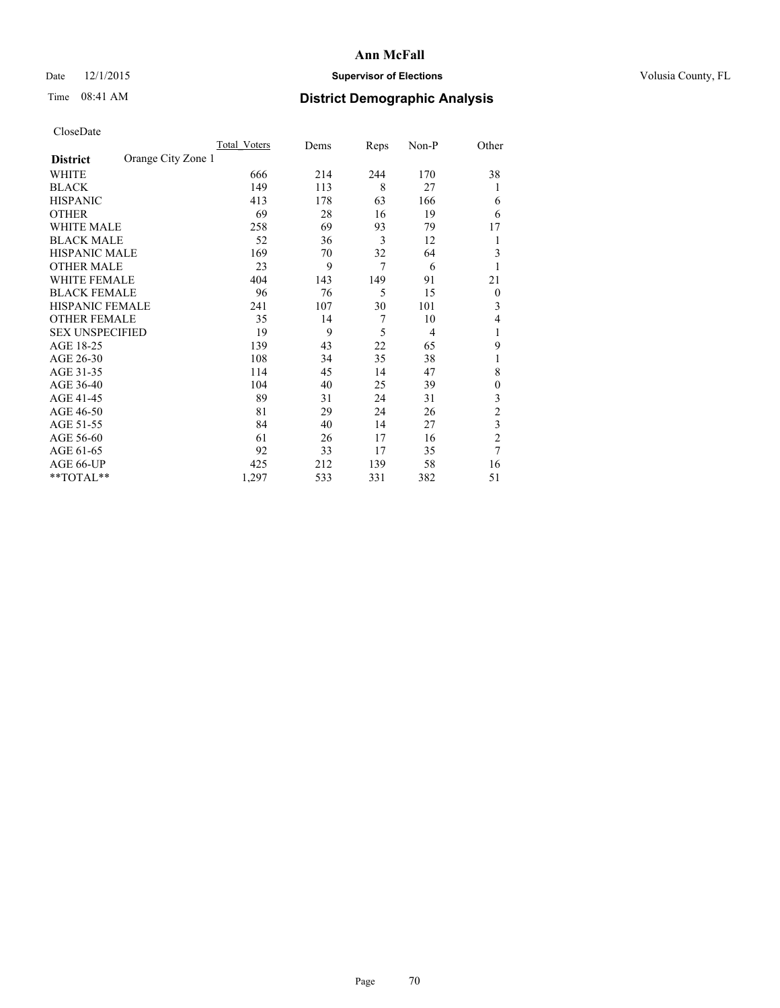## Date 12/1/2015 **Supervisor of Elections Supervisor of Elections** Volusia County, FL

# Time 08:41 AM **District Demographic Analysis**

|                        |                    | Total Voters | Dems | Reps | Non-P          | Other          |
|------------------------|--------------------|--------------|------|------|----------------|----------------|
| <b>District</b>        | Orange City Zone 1 |              |      |      |                |                |
| WHITE                  |                    | 666          | 214  | 244  | 170            | 38             |
| <b>BLACK</b>           |                    | 149          | 113  | 8    | 27             | 1              |
| <b>HISPANIC</b>        |                    | 413          | 178  | 63   | 166            | 6              |
| <b>OTHER</b>           |                    | 69           | 28   | 16   | 19             | 6              |
| WHITE MALE             |                    | 258          | 69   | 93   | 79             | 17             |
| <b>BLACK MALE</b>      |                    | 52           | 36   | 3    | 12             | 1              |
| <b>HISPANIC MALE</b>   |                    | 169          | 70   | 32   | 64             | 3              |
| <b>OTHER MALE</b>      |                    | 23           | 9    | 7    | 6              |                |
| <b>WHITE FEMALE</b>    |                    | 404          | 143  | 149  | 91             | 21             |
| <b>BLACK FEMALE</b>    |                    | 96           | 76   | 5    | 15             | $\overline{0}$ |
| <b>HISPANIC FEMALE</b> |                    | 241          | 107  | 30   | 101            | 3              |
| <b>OTHER FEMALE</b>    |                    | 35           | 14   | 7    | 10             | 4              |
| <b>SEX UNSPECIFIED</b> |                    | 19           | 9    | 5    | $\overline{4}$ | 1              |
| AGE 18-25              |                    | 139          | 43   | 22   | 65             | 9              |
| AGE 26-30              |                    | 108          | 34   | 35   | 38             | 1              |
| AGE 31-35              |                    | 114          | 45   | 14   | 47             | 8              |
| AGE 36-40              |                    | 104          | 40   | 25   | 39             | $\mathbf{0}$   |
| AGE 41-45              |                    | 89           | 31   | 24   | 31             | 3              |
| AGE 46-50              |                    | 81           | 29   | 24   | 26             | $\overline{2}$ |
| AGE 51-55              |                    | 84           | 40   | 14   | 27             | 3              |
| AGE 56-60              |                    | 61           | 26   | 17   | 16             | $\overline{c}$ |
| AGE 61-65              |                    | 92           | 33   | 17   | 35             | 7              |
| AGE 66-UP              |                    | 425          | 212  | 139  | 58             | 16             |
| **TOTAL**              |                    | 1,297        | 533  | 331  | 382            | 51             |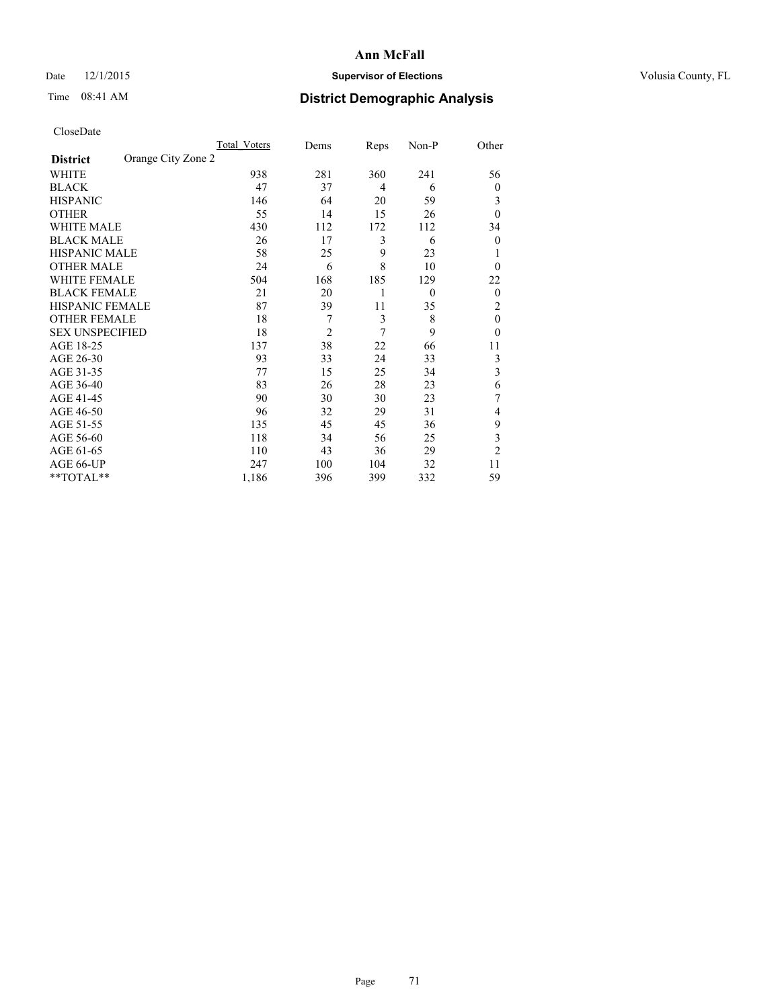## Date 12/1/2015 **Supervisor of Elections Supervisor of Elections** Volusia County, FL

# Time 08:41 AM **District Demographic Analysis**

|                        |                    | Total Voters | Dems           | Reps | Non-P    | Other          |
|------------------------|--------------------|--------------|----------------|------|----------|----------------|
| <b>District</b>        | Orange City Zone 2 |              |                |      |          |                |
| WHITE                  |                    | 938          | 281            | 360  | 241      | 56             |
| <b>BLACK</b>           |                    | 47           | 37             | 4    | 6        | $\theta$       |
| <b>HISPANIC</b>        |                    | 146          | 64             | 20   | 59       | 3              |
| <b>OTHER</b>           |                    | 55           | 14             | 15   | 26       | $\theta$       |
| WHITE MALE             |                    | 430          | 112            | 172  | 112      | 34             |
| <b>BLACK MALE</b>      |                    | 26           | 17             | 3    | 6        | $\overline{0}$ |
| <b>HISPANIC MALE</b>   |                    | 58           | 25             | 9    | 23       |                |
| <b>OTHER MALE</b>      |                    | 24           | 6              | 8    | 10       | $\theta$       |
| WHITE FEMALE           |                    | 504          | 168            | 185  | 129      | 22             |
| <b>BLACK FEMALE</b>    |                    | 21           | 20             | 1    | $\theta$ | $\overline{0}$ |
| <b>HISPANIC FEMALE</b> |                    | 87           | 39             | 11   | 35       | 2              |
| <b>OTHER FEMALE</b>    |                    | 18           | 7              | 3    | 8        | $\theta$       |
| <b>SEX UNSPECIFIED</b> |                    | 18           | $\overline{c}$ | 7    | 9        | $\theta$       |
| AGE 18-25              |                    | 137          | 38             | 22   | 66       | 11             |
| AGE 26-30              |                    | 93           | 33             | 24   | 33       | 3              |
| AGE 31-35              |                    | 77           | 15             | 25   | 34       | 3              |
| AGE 36-40              |                    | 83           | 26             | 28   | 23       | 6              |
| AGE 41-45              |                    | 90           | 30             | 30   | 23       | 7              |
| AGE 46-50              |                    | 96           | 32             | 29   | 31       | 4              |
| AGE 51-55              |                    | 135          | 45             | 45   | 36       | 9              |
| AGE 56-60              |                    | 118          | 34             | 56   | 25       | 3              |
| AGE 61-65              |                    | 110          | 43             | 36   | 29       | $\overline{2}$ |
| AGE 66-UP              |                    | 247          | 100            | 104  | 32       | 11             |
| **TOTAL**              |                    | 1,186        | 396            | 399  | 332      | 59             |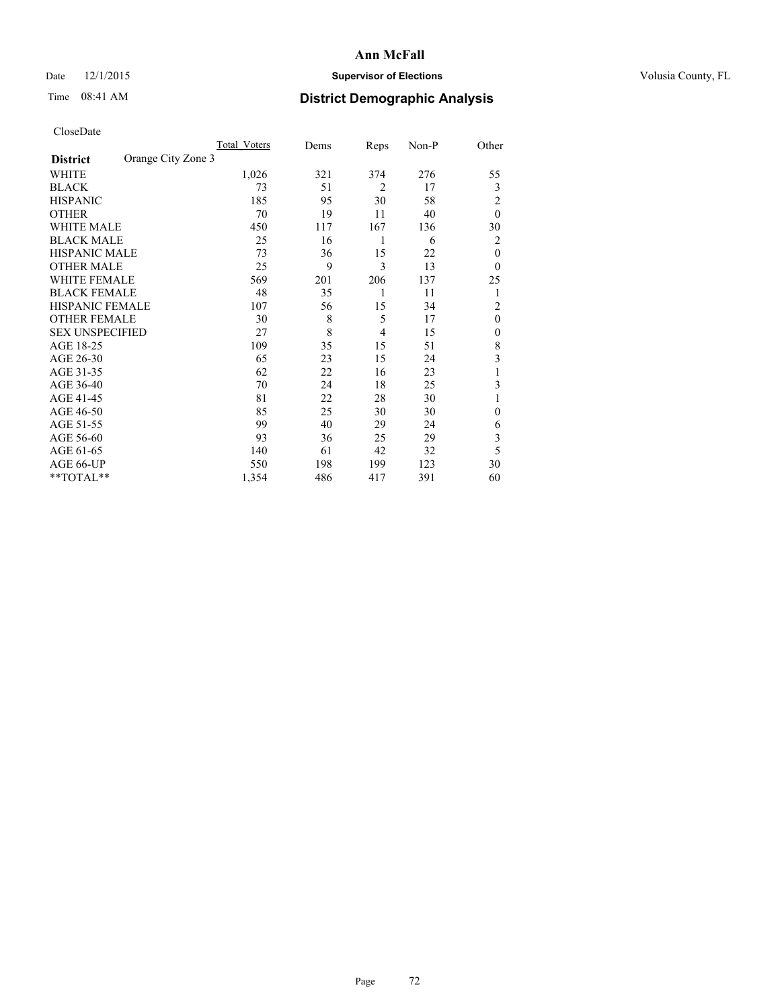## Date 12/1/2015 **Supervisor of Elections Supervisor of Elections** Volusia County, FL

# Time 08:41 AM **District Demographic Analysis**

|                        |                    | <b>Total Voters</b> | Dems | Reps           | Non-P | Other          |
|------------------------|--------------------|---------------------|------|----------------|-------|----------------|
| <b>District</b>        | Orange City Zone 3 |                     |      |                |       |                |
| WHITE                  |                    | 1,026               | 321  | 374            | 276   | 55             |
| <b>BLACK</b>           |                    | 73                  | 51   | $\overline{2}$ | 17    | 3              |
| <b>HISPANIC</b>        |                    | 185                 | 95   | 30             | 58    | $\overline{2}$ |
| <b>OTHER</b>           |                    | 70                  | 19   | 11             | 40    | $\theta$       |
| WHITE MALE             |                    | 450                 | 117  | 167            | 136   | 30             |
| <b>BLACK MALE</b>      |                    | 25                  | 16   | 1              | 6     | 2              |
| <b>HISPANIC MALE</b>   |                    | 73                  | 36   | 15             | 22    | $\theta$       |
| <b>OTHER MALE</b>      |                    | 25                  | 9    | 3              | 13    | $\theta$       |
| WHITE FEMALE           |                    | 569                 | 201  | 206            | 137   | 25             |
| <b>BLACK FEMALE</b>    |                    | 48                  | 35   | 1              | 11    | 1              |
| <b>HISPANIC FEMALE</b> |                    | 107                 | 56   | 15             | 34    | $\overline{2}$ |
| <b>OTHER FEMALE</b>    |                    | 30                  | 8    | 5              | 17    | $\theta$       |
| <b>SEX UNSPECIFIED</b> |                    | 27                  | 8    | 4              | 15    | $\mathbf{0}$   |
| AGE 18-25              |                    | 109                 | 35   | 15             | 51    | 8              |
| AGE 26-30              |                    | 65                  | 23   | 15             | 24    | 3              |
| AGE 31-35              |                    | 62                  | 22   | 16             | 23    | 1              |
| AGE 36-40              |                    | 70                  | 24   | 18             | 25    | 3              |
| AGE 41-45              |                    | 81                  | 22   | 28             | 30    |                |
| AGE 46-50              |                    | 85                  | 25   | 30             | 30    | $\Omega$       |
| AGE 51-55              |                    | 99                  | 40   | 29             | 24    | 6              |
| AGE 56-60              |                    | 93                  | 36   | 25             | 29    | 3              |
| AGE 61-65              |                    | 140                 | 61   | 42             | 32    | 5              |
| AGE 66-UP              |                    | 550                 | 198  | 199            | 123   | 30             |
| $*$ TOTAL $**$         |                    | 1,354               | 486  | 417            | 391   | 60             |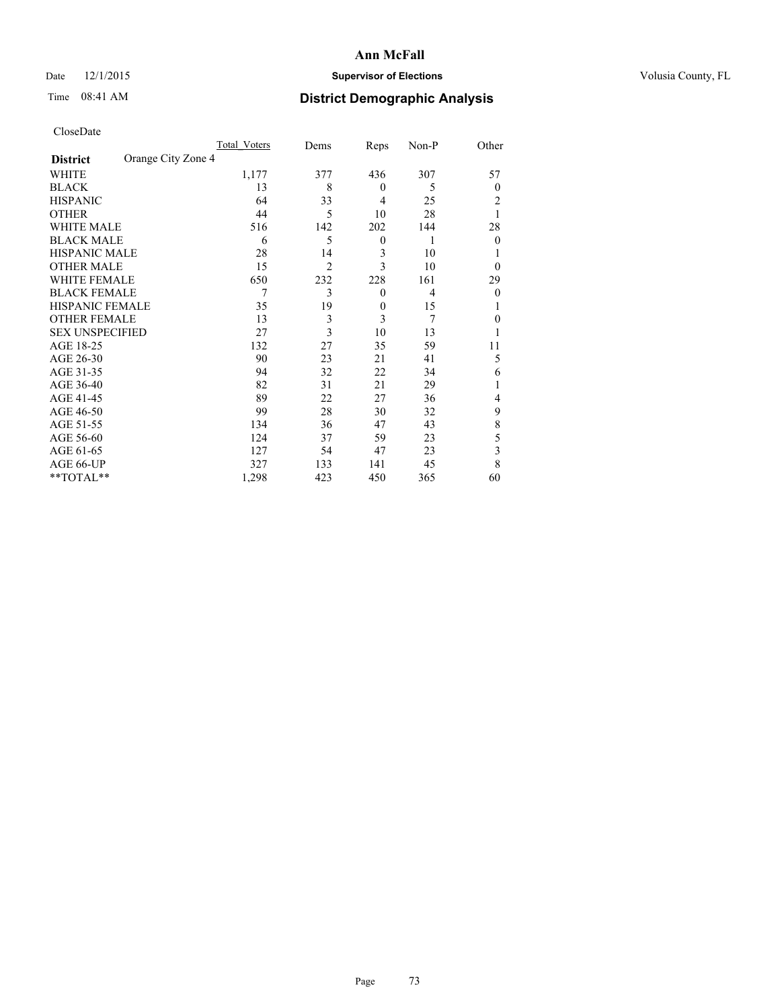# Date 12/1/2015 **Supervisor of Elections Supervisor of Elections** Volusia County, FL

# Time 08:41 AM **District Demographic Analysis**

|                        |                    | Total Voters | Dems           | Reps             | Non-P | Other        |
|------------------------|--------------------|--------------|----------------|------------------|-------|--------------|
| <b>District</b>        | Orange City Zone 4 |              |                |                  |       |              |
| WHITE                  |                    | 1,177        | 377            | 436              | 307   | 57           |
| <b>BLACK</b>           |                    | 13           | 8              | $\theta$         | 5     | $\theta$     |
| <b>HISPANIC</b>        |                    | 64           | 33             | 4                | 25    | 2            |
| <b>OTHER</b>           |                    | 44           | 5              | 10               | 28    |              |
| WHITE MALE             |                    | 516          | 142            | 202              | 144   | 28           |
| <b>BLACK MALE</b>      |                    | 6            | 5              | $\boldsymbol{0}$ | 1     | $\mathbf{0}$ |
| <b>HISPANIC MALE</b>   |                    | 28           | 14             | 3                | 10    |              |
| <b>OTHER MALE</b>      |                    | 15           | $\overline{2}$ | 3                | 10    | $\theta$     |
| <b>WHITE FEMALE</b>    |                    | 650          | 232            | 228              | 161   | 29           |
| <b>BLACK FEMALE</b>    |                    | 7            | 3              | $\boldsymbol{0}$ | 4     | $\theta$     |
| <b>HISPANIC FEMALE</b> |                    | 35           | 19             | $\overline{0}$   | 15    |              |
| <b>OTHER FEMALE</b>    |                    | 13           | 3              | 3                | 7     | $\theta$     |
| <b>SEX UNSPECIFIED</b> |                    | 27           | 3              | 10               | 13    |              |
| AGE 18-25              |                    | 132          | 27             | 35               | 59    | 11           |
| AGE 26-30              |                    | 90           | 23             | 21               | 41    | 5            |
| AGE 31-35              |                    | 94           | 32             | 22               | 34    | 6            |
| AGE 36-40              |                    | 82           | 31             | 21               | 29    |              |
| AGE 41-45              |                    | 89           | 22             | 27               | 36    | 4            |
| AGE 46-50              |                    | 99           | 28             | 30               | 32    | 9            |
| AGE 51-55              |                    | 134          | 36             | 47               | 43    | 8            |
| AGE 56-60              |                    | 124          | 37             | 59               | 23    | 5            |
| AGE 61-65              |                    | 127          | 54             | 47               | 23    | 3            |
| AGE 66-UP              |                    | 327          | 133            | 141              | 45    | 8            |
| **TOTAL**              |                    | 1,298        | 423            | 450              | 365   | 60           |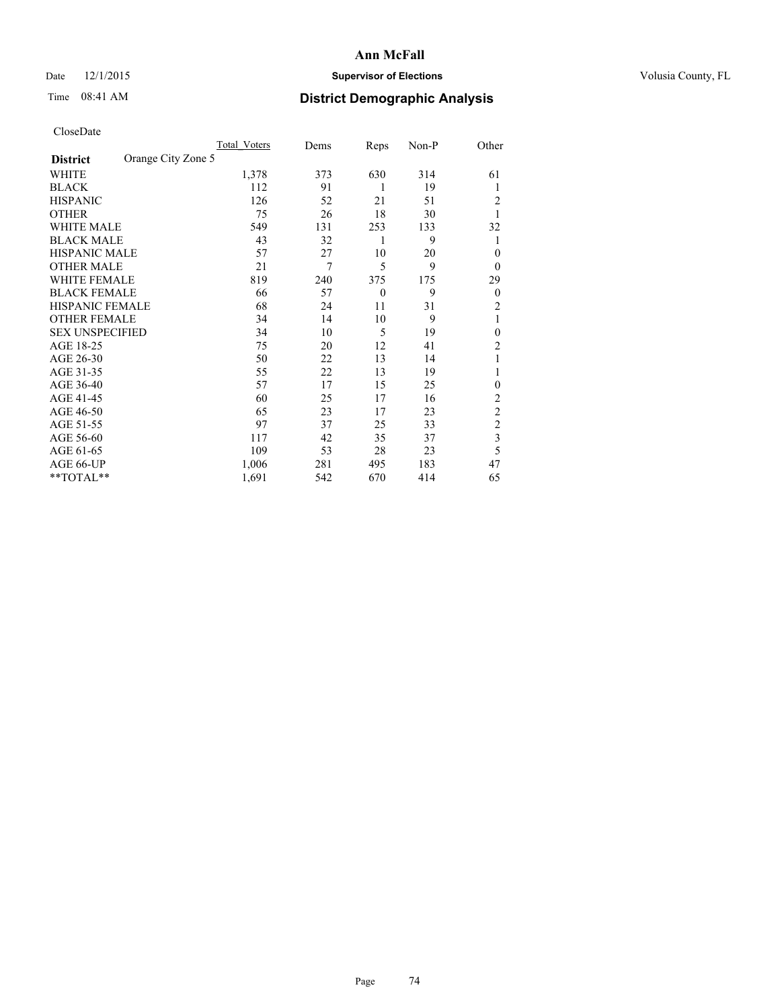# Date 12/1/2015 **Supervisor of Elections Supervisor of Elections** Volusia County, FL

# Time 08:41 AM **District Demographic Analysis**

|                        |                    | Total Voters | Dems | Reps         | Non-P | Other          |
|------------------------|--------------------|--------------|------|--------------|-------|----------------|
| <b>District</b>        | Orange City Zone 5 |              |      |              |       |                |
| WHITE                  |                    | 1,378        | 373  | 630          | 314   | 61             |
| <b>BLACK</b>           |                    | 112          | 91   | 1            | 19    | 1              |
| <b>HISPANIC</b>        |                    | 126          | 52   | 21           | 51    | 2              |
| <b>OTHER</b>           |                    | 75           | 26   | 18           | 30    | 1              |
| WHITE MALE             |                    | 549          | 131  | 253          | 133   | 32             |
| <b>BLACK MALE</b>      |                    | 43           | 32   | 1            | 9     | 1              |
| <b>HISPANIC MALE</b>   |                    | 57           | 27   | 10           | 20    | $\theta$       |
| <b>OTHER MALE</b>      |                    | 21           | 7    | 5            | 9     | $\theta$       |
| WHITE FEMALE           |                    | 819          | 240  | 375          | 175   | 29             |
| <b>BLACK FEMALE</b>    |                    | 66           | 57   | $\mathbf{0}$ | 9     | $\overline{0}$ |
| <b>HISPANIC FEMALE</b> |                    | 68           | 24   | 11           | 31    | 2              |
| <b>OTHER FEMALE</b>    |                    | 34           | 14   | 10           | 9     | 1              |
| <b>SEX UNSPECIFIED</b> |                    | 34           | 10   | 5            | 19    | $\theta$       |
| AGE 18-25              |                    | 75           | 20   | 12           | 41    | $\overline{2}$ |
| AGE 26-30              |                    | 50           | 22   | 13           | 14    | 1              |
| AGE 31-35              |                    | 55           | 22   | 13           | 19    | 1              |
| AGE 36-40              |                    | 57           | 17   | 15           | 25    | $\mathbf{0}$   |
| AGE 41-45              |                    | 60           | 25   | 17           | 16    | 2              |
| AGE 46-50              |                    | 65           | 23   | 17           | 23    | $\overline{2}$ |
| AGE 51-55              |                    | 97           | 37   | 25           | 33    | $\overline{c}$ |
| AGE 56-60              |                    | 117          | 42   | 35           | 37    | $\overline{3}$ |
| AGE 61-65              |                    | 109          | 53   | 28           | 23    | 5              |
| AGE 66-UP              |                    | 1,006        | 281  | 495          | 183   | 47             |
| **TOTAL**              |                    | 1,691        | 542  | 670          | 414   | 65             |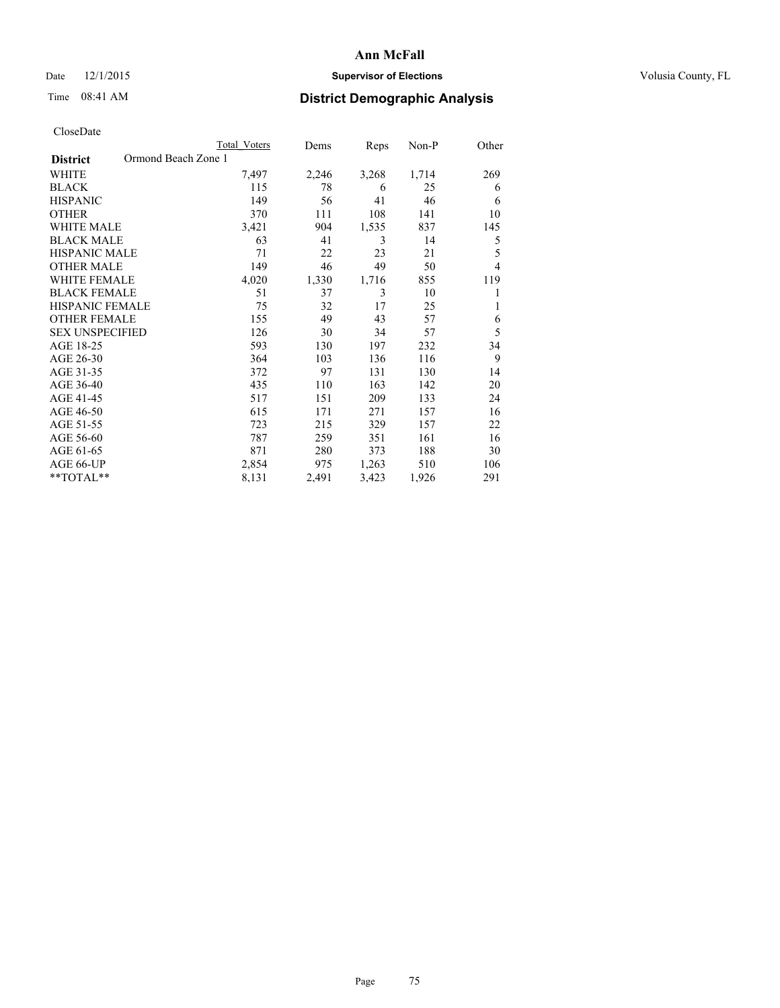# Date 12/1/2015 **Supervisor of Elections Supervisor of Elections** Volusia County, FL

# Time 08:41 AM **District Demographic Analysis**

| CloseDate |
|-----------|
|-----------|

|                                        | <b>Total Voters</b> | Dems  | Reps  | $Non-P$ | Other          |
|----------------------------------------|---------------------|-------|-------|---------|----------------|
| Ormond Beach Zone 1<br><b>District</b> |                     |       |       |         |                |
| WHITE                                  | 7,497               | 2,246 | 3,268 | 1,714   | 269            |
| <b>BLACK</b>                           | 115                 | 78    | 6     | 25      | 6              |
| <b>HISPANIC</b>                        | 149                 | 56    | 41    | 46      | 6              |
| <b>OTHER</b>                           | 370                 | 111   | 108   | 141     | 10             |
| <b>WHITE MALE</b>                      | 3,421               | 904   | 1,535 | 837     | 145            |
| <b>BLACK MALE</b>                      | 63                  | 41    | 3     | 14      | 5              |
| <b>HISPANIC MALE</b>                   | 71                  | 22    | 23    | 21      | 5              |
| <b>OTHER MALE</b>                      | 149                 | 46    | 49    | 50      | $\overline{4}$ |
| <b>WHITE FEMALE</b>                    | 4,020               | 1,330 | 1,716 | 855     | 119            |
| <b>BLACK FEMALE</b>                    | 51                  | 37    | 3     | 10      | 1              |
| <b>HISPANIC FEMALE</b>                 | 75                  | 32    | 17    | 25      | 1              |
| <b>OTHER FEMALE</b>                    | 155                 | 49    | 43    | 57      | 6              |
| <b>SEX UNSPECIFIED</b>                 | 126                 | 30    | 34    | 57      | 5              |
| AGE 18-25                              | 593                 | 130   | 197   | 232     | 34             |
| AGE 26-30                              | 364                 | 103   | 136   | 116     | 9              |
| AGE 31-35                              | 372                 | 97    | 131   | 130     | 14             |
| AGE 36-40                              | 435                 | 110   | 163   | 142     | 20             |
| AGE 41-45                              | 517                 | 151   | 209   | 133     | 24             |
| AGE 46-50                              | 615                 | 171   | 271   | 157     | 16             |
| AGE 51-55                              | 723                 | 215   | 329   | 157     | 22             |
| AGE 56-60                              | 787                 | 259   | 351   | 161     | 16             |
| AGE 61-65                              | 871                 | 280   | 373   | 188     | 30             |
| AGE 66-UP                              | 2,854               | 975   | 1,263 | 510     | 106            |
| **TOTAL**                              | 8,131               | 2,491 | 3,423 | 1,926   | 291            |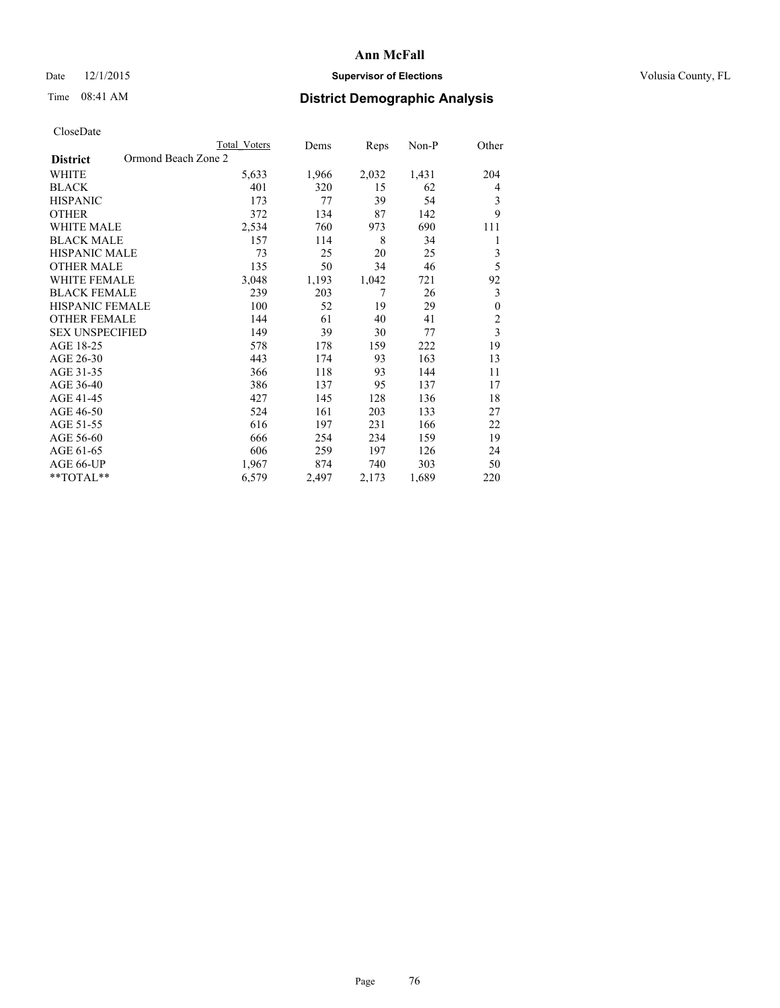# Date 12/1/2015 **Supervisor of Elections Supervisor of Elections** Volusia County, FL

# Time 08:41 AM **District Demographic Analysis**

|                                        | Total Voters | Dems  | Reps  | Non-P | Other                   |
|----------------------------------------|--------------|-------|-------|-------|-------------------------|
| Ormond Beach Zone 2<br><b>District</b> |              |       |       |       |                         |
| <b>WHITE</b>                           | 5,633        | 1,966 | 2,032 | 1,431 | 204                     |
| <b>BLACK</b>                           | 401          | 320   | 15    | 62    | 4                       |
| <b>HISPANIC</b>                        | 173          | 77    | 39    | 54    | 3                       |
| <b>OTHER</b>                           | 372          | 134   | 87    | 142   | 9                       |
| <b>WHITE MALE</b>                      | 2,534        | 760   | 973   | 690   | 111                     |
| <b>BLACK MALE</b>                      | 157          | 114   | 8     | 34    | 1                       |
| HISPANIC MALE                          | 73           | 25    | 20    | 25    | 3                       |
| <b>OTHER MALE</b>                      | 135          | 50    | 34    | 46    | 5                       |
| <b>WHITE FEMALE</b>                    | 3,048        | 1,193 | 1,042 | 721   | 92                      |
| <b>BLACK FEMALE</b>                    | 239          | 203   | 7     | 26    | 3                       |
| <b>HISPANIC FEMALE</b>                 | 100          | 52    | 19    | 29    | $\boldsymbol{0}$        |
| <b>OTHER FEMALE</b>                    | 144          | 61    | 40    | 41    | $\overline{c}$          |
| <b>SEX UNSPECIFIED</b>                 | 149          | 39    | 30    | 77    | $\overline{\mathbf{3}}$ |
| AGE 18-25                              | 578          | 178   | 159   | 222   | 19                      |
| AGE 26-30                              | 443          | 174   | 93    | 163   | 13                      |
| AGE 31-35                              | 366          | 118   | 93    | 144   | 11                      |
| AGE 36-40                              | 386          | 137   | 95    | 137   | 17                      |
| AGE 41-45                              | 427          | 145   | 128   | 136   | 18                      |
| AGE 46-50                              | 524          | 161   | 203   | 133   | 27                      |
| AGE 51-55                              | 616          | 197   | 231   | 166   | 22                      |
| AGE 56-60                              | 666          | 254   | 234   | 159   | 19                      |
| AGE 61-65                              | 606          | 259   | 197   | 126   | 24                      |
| AGE 66-UP                              | 1,967        | 874   | 740   | 303   | 50                      |
| **TOTAL**                              | 6,579        | 2,497 | 2,173 | 1,689 | 220                     |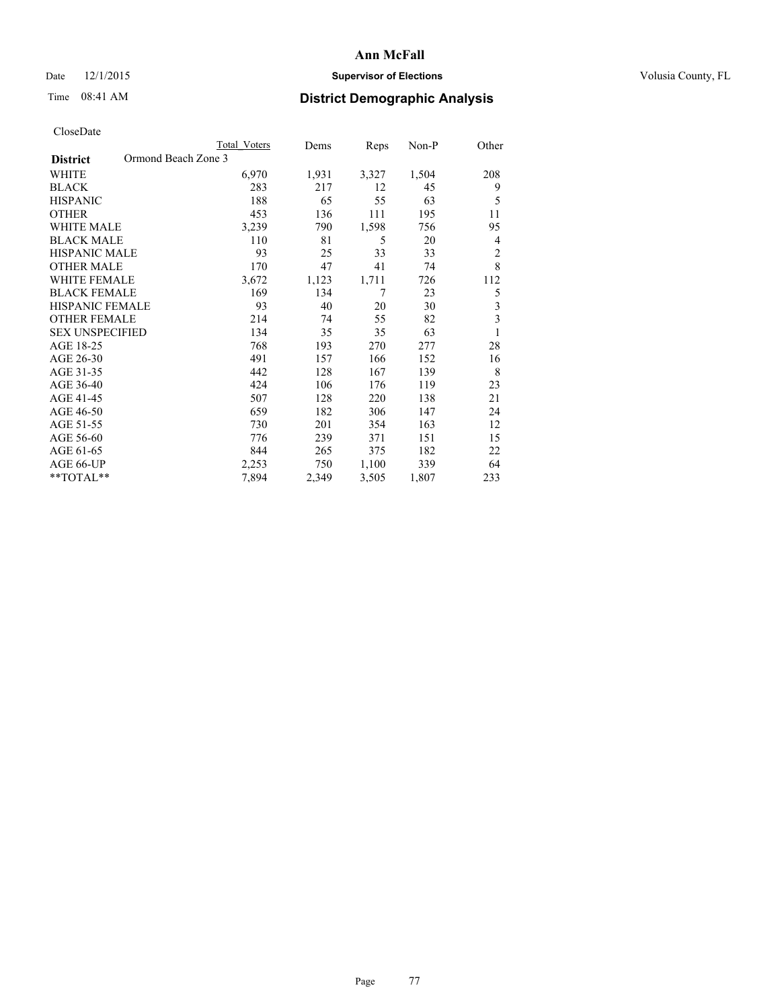# Date 12/1/2015 **Supervisor of Elections Supervisor of Elections** Volusia County, FL

# Time 08:41 AM **District Demographic Analysis**

|                                        | <b>Total Voters</b> | Dems  | Reps  | Non-P | Other          |
|----------------------------------------|---------------------|-------|-------|-------|----------------|
| Ormond Beach Zone 3<br><b>District</b> |                     |       |       |       |                |
| WHITE                                  | 6,970               | 1,931 | 3,327 | 1,504 | 208            |
| <b>BLACK</b>                           | 283                 | 217   | 12    | 45    | 9              |
| <b>HISPANIC</b>                        | 188                 | 65    | 55    | 63    | 5              |
| <b>OTHER</b>                           | 453                 | 136   | 111   | 195   | 11             |
| WHITE MALE                             | 3,239               | 790   | 1,598 | 756   | 95             |
| <b>BLACK MALE</b>                      | 110                 | 81    | 5     | 20    | 4              |
| <b>HISPANIC MALE</b>                   | 93                  | 25    | 33    | 33    | $\overline{2}$ |
| <b>OTHER MALE</b>                      | 170                 | 47    | 41    | 74    | 8              |
| <b>WHITE FEMALE</b>                    | 3,672               | 1,123 | 1,711 | 726   | 112            |
| <b>BLACK FEMALE</b>                    | 169                 | 134   | 7     | 23    | 5              |
| <b>HISPANIC FEMALE</b>                 | 93                  | 40    | 20    | 30    | 3              |
| <b>OTHER FEMALE</b>                    | 214                 | 74    | 55    | 82    | 3              |
| <b>SEX UNSPECIFIED</b>                 | 134                 | 35    | 35    | 63    | 1              |
| AGE 18-25                              | 768                 | 193   | 270   | 277   | 28             |
| AGE 26-30                              | 491                 | 157   | 166   | 152   | 16             |
| AGE 31-35                              | 442                 | 128   | 167   | 139   | 8              |
| AGE 36-40                              | 424                 | 106   | 176   | 119   | 23             |
| AGE 41-45                              | 507                 | 128   | 220   | 138   | 21             |
| AGE 46-50                              | 659                 | 182   | 306   | 147   | 24             |
| AGE 51-55                              | 730                 | 201   | 354   | 163   | 12             |
| AGE 56-60                              | 776                 | 239   | 371   | 151   | 15             |
| AGE 61-65                              | 844                 | 265   | 375   | 182   | 22             |
| AGE 66-UP                              | 2,253               | 750   | 1,100 | 339   | 64             |
| **TOTAL**                              | 7,894               | 2,349 | 3,505 | 1,807 | 233            |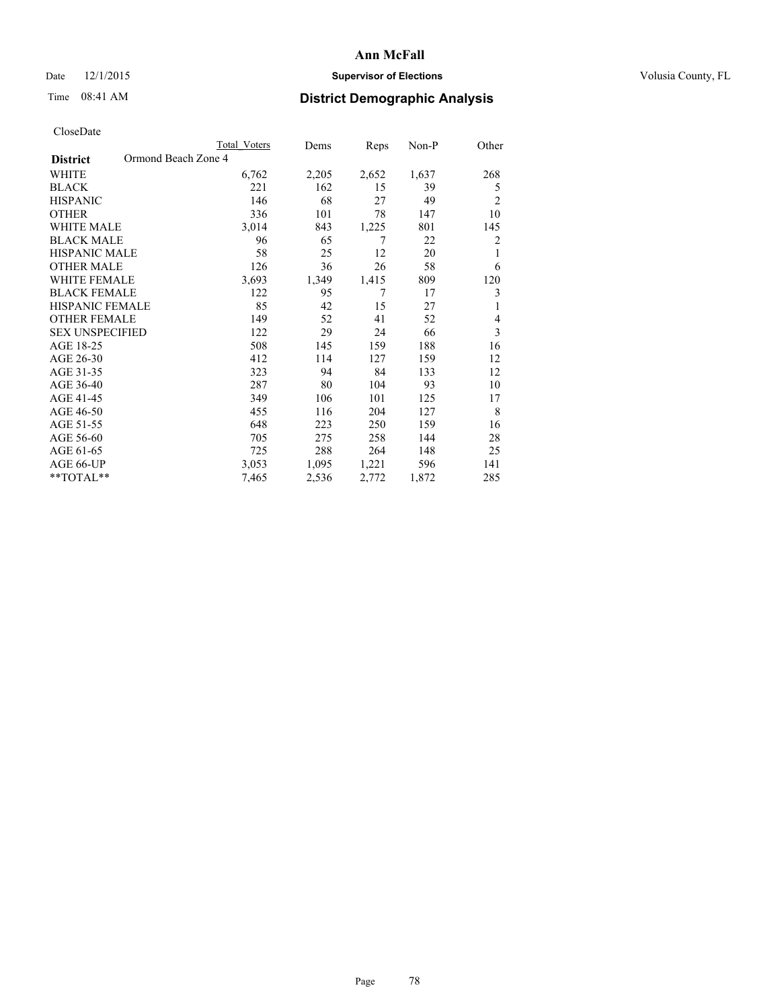# Date 12/1/2015 **Supervisor of Elections Supervisor of Elections** Volusia County, FL

# Time 08:41 AM **District Demographic Analysis**

|                                        | Total Voters | Dems  | Reps  | Non-P | Other          |
|----------------------------------------|--------------|-------|-------|-------|----------------|
| Ormond Beach Zone 4<br><b>District</b> |              |       |       |       |                |
| WHITE                                  | 6,762        | 2,205 | 2,652 | 1,637 | 268            |
| <b>BLACK</b>                           | 221          | 162   | 15    | 39    | 5              |
| <b>HISPANIC</b>                        | 146          | 68    | 27    | 49    | $\overline{2}$ |
| <b>OTHER</b>                           | 336          | 101   | 78    | 147   | 10             |
| <b>WHITE MALE</b>                      | 3,014        | 843   | 1,225 | 801   | 145            |
| <b>BLACK MALE</b>                      | 96           | 65    | 7     | 22    | $\overline{2}$ |
| <b>HISPANIC MALE</b>                   | 58           | 25    | 12    | 20    | 1              |
| <b>OTHER MALE</b>                      | 126          | 36    | 26    | 58    | 6              |
| <b>WHITE FEMALE</b>                    | 3,693        | 1,349 | 1,415 | 809   | 120            |
| <b>BLACK FEMALE</b>                    | 122          | 95    | 7     | 17    | 3              |
| <b>HISPANIC FEMALE</b>                 | 85           | 42    | 15    | 27    | 1              |
| <b>OTHER FEMALE</b>                    | 149          | 52    | 41    | 52    | $\overline{4}$ |
| <b>SEX UNSPECIFIED</b>                 | 122          | 29    | 24    | 66    | 3              |
| AGE 18-25                              | 508          | 145   | 159   | 188   | 16             |
| AGE 26-30                              | 412          | 114   | 127   | 159   | 12             |
| AGE 31-35                              | 323          | 94    | 84    | 133   | 12             |
| AGE 36-40                              | 287          | 80    | 104   | 93    | 10             |
| AGE 41-45                              | 349          | 106   | 101   | 125   | 17             |
| AGE 46-50                              | 455          | 116   | 204   | 127   | 8              |
| AGE 51-55                              | 648          | 223   | 250   | 159   | 16             |
| AGE 56-60                              | 705          | 275   | 258   | 144   | 28             |
| AGE 61-65                              | 725          | 288   | 264   | 148   | 25             |
| AGE 66-UP                              | 3,053        | 1,095 | 1,221 | 596   | 141            |
| **TOTAL**                              | 7,465        | 2,536 | 2,772 | 1,872 | 285            |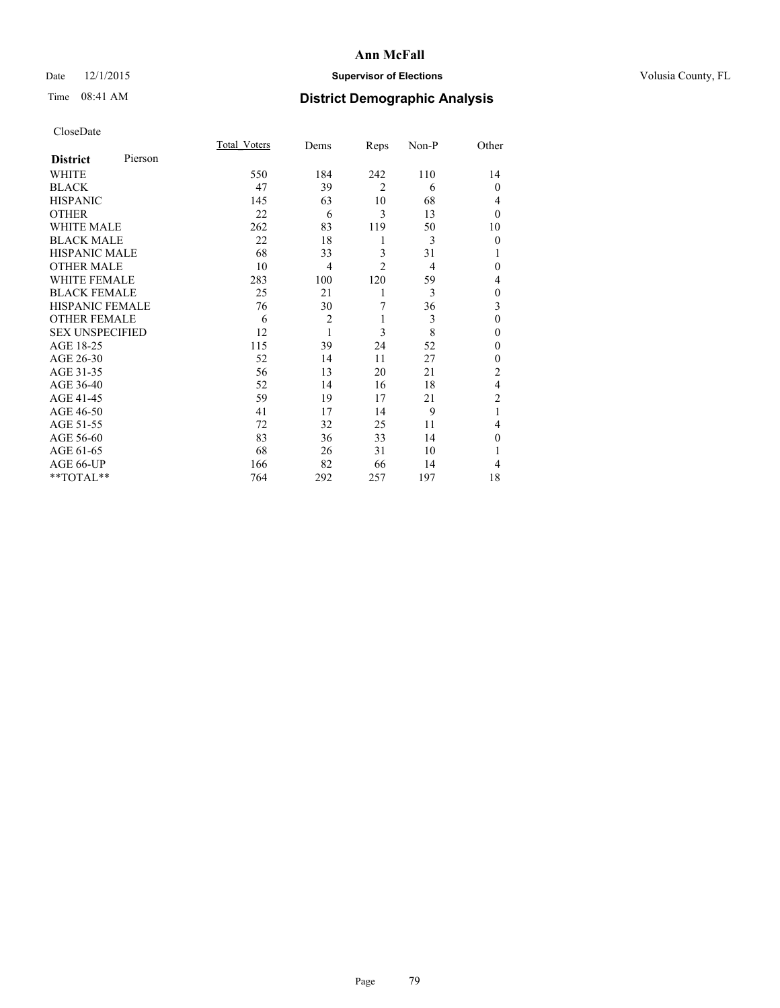# Date 12/1/2015 **Supervisor of Elections Supervisor of Elections** Volusia County, FL

# Time 08:41 AM **District Demographic Analysis**

|                        |         | <b>Total Voters</b> | Dems           | Reps           | Non-P | Other          |
|------------------------|---------|---------------------|----------------|----------------|-------|----------------|
| <b>District</b>        | Pierson |                     |                |                |       |                |
| WHITE                  |         | 550                 | 184            | 242            | 110   | 14             |
| <b>BLACK</b>           |         | 47                  | 39             | $\overline{2}$ | 6     | $\theta$       |
| <b>HISPANIC</b>        |         | 145                 | 63             | 10             | 68    | 4              |
| <b>OTHER</b>           |         | 22                  | 6              | 3              | 13    | $\theta$       |
| WHITE MALE             |         | 262                 | 83             | 119            | 50    | 10             |
| <b>BLACK MALE</b>      |         | 22                  | 18             | 1              | 3     | $\theta$       |
| <b>HISPANIC MALE</b>   |         | 68                  | 33             | 3              | 31    | 1              |
| <b>OTHER MALE</b>      |         | 10                  | $\overline{4}$ | $\overline{2}$ | 4     | $\theta$       |
| <b>WHITE FEMALE</b>    |         | 283                 | 100            | 120            | 59    | 4              |
| <b>BLACK FEMALE</b>    |         | 25                  | 21             | 1              | 3     | $\theta$       |
| <b>HISPANIC FEMALE</b> |         | 76                  | 30             | 7              | 36    | 3              |
| <b>OTHER FEMALE</b>    |         | 6                   | $\overline{2}$ | 1              | 3     | $\theta$       |
| <b>SEX UNSPECIFIED</b> |         | 12                  | $\mathbf{1}$   | 3              | 8     | $\mathbf{0}$   |
| AGE 18-25              |         | 115                 | 39             | 24             | 52    | 0              |
| AGE 26-30              |         | 52                  | 14             | 11             | 27    | $\mathbf{0}$   |
| AGE 31-35              |         | 56                  | 13             | 20             | 21    | $\overline{c}$ |
| AGE 36-40              |         | 52                  | 14             | 16             | 18    | 4              |
| AGE 41-45              |         | 59                  | 19             | 17             | 21    | $\overline{c}$ |
| AGE 46-50              |         | 41                  | 17             | 14             | 9     | 1              |
| AGE 51-55              |         | 72                  | 32             | 25             | 11    | 4              |
| AGE 56-60              |         | 83                  | 36             | 33             | 14    | $\theta$       |
| AGE 61-65              |         | 68                  | 26             | 31             | 10    | 1              |
| AGE 66-UP              |         | 166                 | 82             | 66             | 14    | 4              |
| **TOTAL**              |         | 764                 | 292            | 257            | 197   | 18             |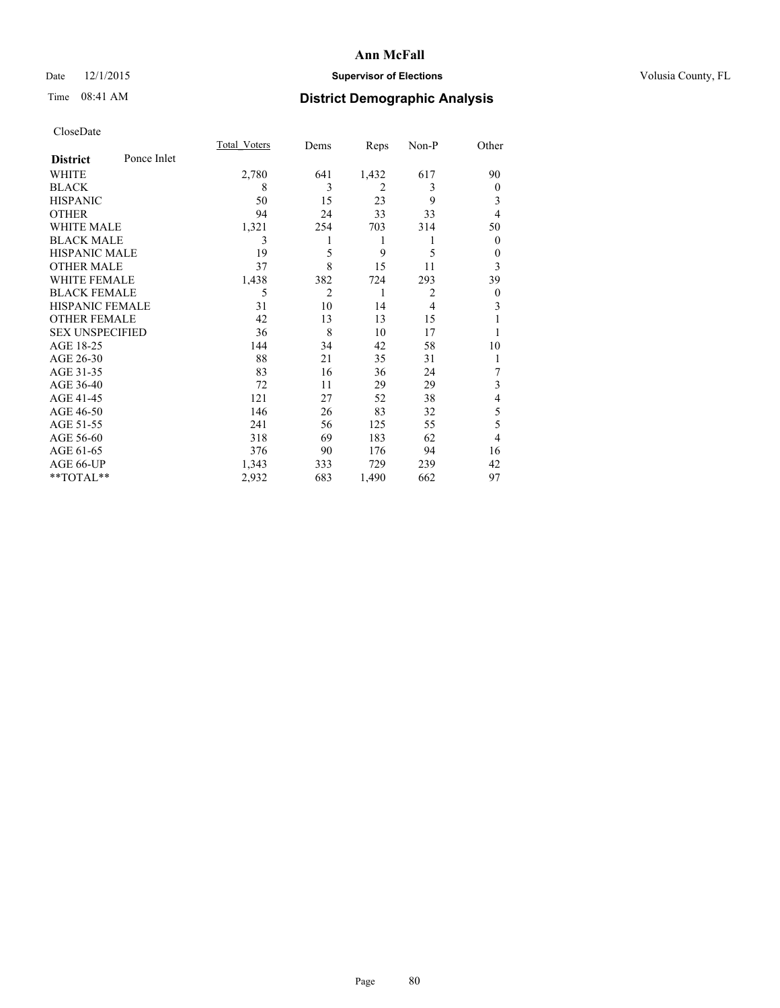# Date 12/1/2015 **Supervisor of Elections Supervisor of Elections** Volusia County, FL

# Time 08:41 AM **District Demographic Analysis**

|                        |             | <b>Total Voters</b> | Dems           | Reps           | Non-P          | Other        |
|------------------------|-------------|---------------------|----------------|----------------|----------------|--------------|
| <b>District</b>        | Ponce Inlet |                     |                |                |                |              |
| WHITE                  |             | 2,780               | 641            | 1,432          | 617            | 90           |
| <b>BLACK</b>           |             | 8                   | 3              | $\overline{2}$ | 3              | $\mathbf{0}$ |
| <b>HISPANIC</b>        |             | 50                  | 15             | 23             | 9              | 3            |
| <b>OTHER</b>           |             | 94                  | 24             | 33             | 33             | 4            |
| WHITE MALE             |             | 1,321               | 254            | 703            | 314            | 50           |
| <b>BLACK MALE</b>      |             | 3                   | 1              | 1              | 1              | $\mathbf{0}$ |
| <b>HISPANIC MALE</b>   |             | 19                  | 5              | 9              | 5              | $\mathbf{0}$ |
| <b>OTHER MALE</b>      |             | 37                  | 8              | 15             | 11             | 3            |
| <b>WHITE FEMALE</b>    |             | 1,438               | 382            | 724            | 293            | 39           |
| <b>BLACK FEMALE</b>    |             | 5                   | $\overline{2}$ | 1              | $\overline{2}$ | $\theta$     |
| <b>HISPANIC FEMALE</b> |             | 31                  | 10             | 14             | $\overline{4}$ | 3            |
| <b>OTHER FEMALE</b>    |             | 42                  | 13             | 13             | 15             |              |
| <b>SEX UNSPECIFIED</b> |             | 36                  | 8              | 10             | 17             |              |
| AGE 18-25              |             | 144                 | 34             | 42             | 58             | 10           |
| AGE 26-30              |             | 88                  | 21             | 35             | 31             | 1            |
| AGE 31-35              |             | 83                  | 16             | 36             | 24             | 7            |
| AGE 36-40              |             | 72                  | 11             | 29             | 29             | 3            |
| AGE 41-45              |             | 121                 | 27             | 52             | 38             | 4            |
| AGE 46-50              |             | 146                 | 26             | 83             | 32             | 5            |
| AGE 51-55              |             | 241                 | 56             | 125            | 55             | 5            |
| AGE 56-60              |             | 318                 | 69             | 183            | 62             | 4            |
| AGE 61-65              |             | 376                 | 90             | 176            | 94             | 16           |
| AGE 66-UP              |             | 1,343               | 333            | 729            | 239            | 42           |
| **TOTAL**              |             | 2,932               | 683            | 1,490          | 662            | 97           |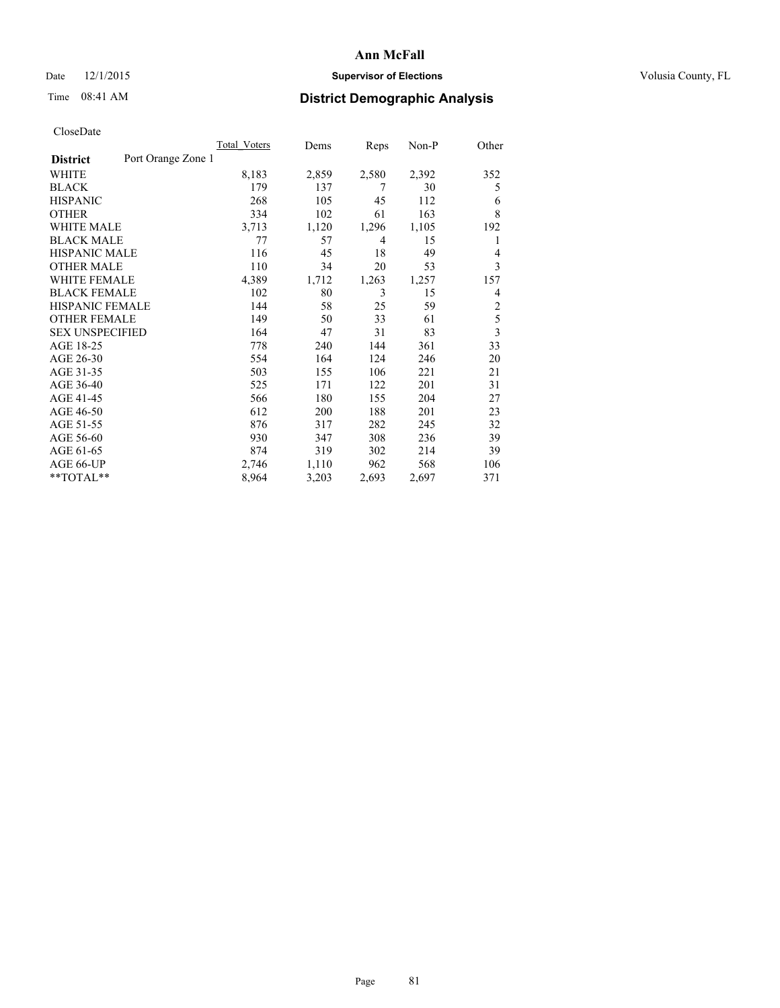# Date 12/1/2015 **Supervisor of Elections Supervisor of Elections** Volusia County, FL

# Time 08:41 AM **District Demographic Analysis**

|                        |                    | <b>Total Voters</b> | Dems  | Reps  | Non-P | Other          |
|------------------------|--------------------|---------------------|-------|-------|-------|----------------|
| <b>District</b>        | Port Orange Zone 1 |                     |       |       |       |                |
| WHITE                  |                    | 8,183               | 2,859 | 2,580 | 2,392 | 352            |
| <b>BLACK</b>           |                    | 179                 | 137   | 7     | 30    | 5              |
| <b>HISPANIC</b>        |                    | 268                 | 105   | 45    | 112   | 6              |
| <b>OTHER</b>           |                    | 334                 | 102   | 61    | 163   | 8              |
| WHITE MALE             |                    | 3,713               | 1,120 | 1,296 | 1,105 | 192            |
| <b>BLACK MALE</b>      |                    | 77                  | 57    | 4     | 15    | 1              |
| <b>HISPANIC MALE</b>   |                    | 116                 | 45    | 18    | 49    | 4              |
| <b>OTHER MALE</b>      |                    | 110                 | 34    | 20    | 53    | 3              |
| <b>WHITE FEMALE</b>    |                    | 4,389               | 1,712 | 1,263 | 1,257 | 157            |
| <b>BLACK FEMALE</b>    |                    | 102                 | 80    | 3     | 15    | 4              |
| HISPANIC FEMALE        |                    | 144                 | 58    | 25    | 59    | $\overline{2}$ |
| <b>OTHER FEMALE</b>    |                    | 149                 | 50    | 33    | 61    | 5              |
| <b>SEX UNSPECIFIED</b> |                    | 164                 | 47    | 31    | 83    | 3              |
| AGE 18-25              |                    | 778                 | 240   | 144   | 361   | 33             |
| AGE 26-30              |                    | 554                 | 164   | 124   | 246   | 20             |
| AGE 31-35              |                    | 503                 | 155   | 106   | 221   | 21             |
| AGE 36-40              |                    | 525                 | 171   | 122   | 201   | 31             |
| AGE 41-45              |                    | 566                 | 180   | 155   | 204   | 27             |
| AGE 46-50              |                    | 612                 | 200   | 188   | 201   | 23             |
| AGE 51-55              |                    | 876                 | 317   | 282   | 245   | 32             |
| AGE 56-60              |                    | 930                 | 347   | 308   | 236   | 39             |
| AGE 61-65              |                    | 874                 | 319   | 302   | 214   | 39             |
| AGE 66-UP              |                    | 2,746               | 1,110 | 962   | 568   | 106            |
| **TOTAL**              |                    | 8,964               | 3,203 | 2,693 | 2,697 | 371            |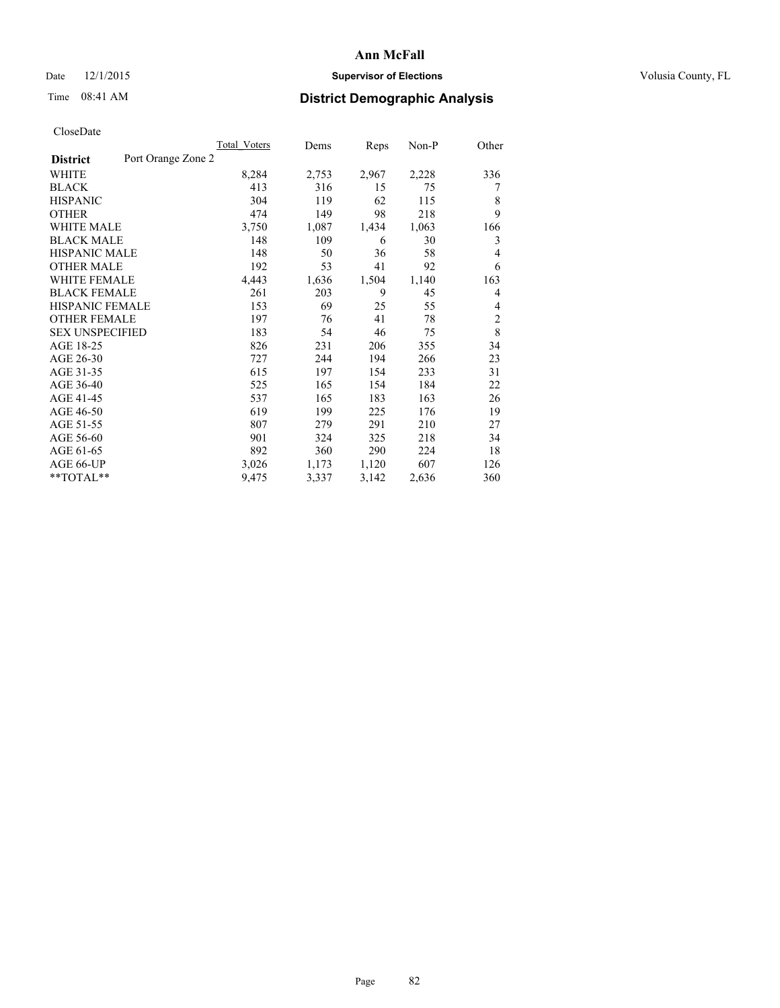# Date 12/1/2015 **Supervisor of Elections Supervisor of Elections** Volusia County, FL

# Time 08:41 AM **District Demographic Analysis**

|                                       | Total Voters | Dems  | Reps  | Non-P | Other          |
|---------------------------------------|--------------|-------|-------|-------|----------------|
| Port Orange Zone 2<br><b>District</b> |              |       |       |       |                |
| WHITE                                 | 8,284        | 2,753 | 2,967 | 2,228 | 336            |
| <b>BLACK</b>                          | 413          | 316   | 15    | 75    | 7              |
| <b>HISPANIC</b>                       | 304          | 119   | 62    | 115   | 8              |
| <b>OTHER</b>                          | 474          | 149   | 98    | 218   | 9              |
| <b>WHITE MALE</b>                     | 3,750        | 1,087 | 1,434 | 1,063 | 166            |
| <b>BLACK MALE</b>                     | 148          | 109   | 6     | 30    | 3              |
| <b>HISPANIC MALE</b>                  | 148          | 50    | 36    | 58    | 4              |
| <b>OTHER MALE</b>                     | 192          | 53    | 41    | 92    | 6              |
| <b>WHITE FEMALE</b>                   | 4,443        | 1,636 | 1,504 | 1,140 | 163            |
| <b>BLACK FEMALE</b>                   | 261          | 203   | 9     | 45    | 4              |
| <b>HISPANIC FEMALE</b>                | 153          | 69    | 25    | 55    | 4              |
| <b>OTHER FEMALE</b>                   | 197          | 76    | 41    | 78    | $\overline{2}$ |
| <b>SEX UNSPECIFIED</b>                | 183          | 54    | 46    | 75    | 8              |
| AGE 18-25                             | 826          | 231   | 206   | 355   | 34             |
| AGE 26-30                             | 727          | 244   | 194   | 266   | 23             |
| AGE 31-35                             | 615          | 197   | 154   | 233   | 31             |
| AGE 36-40                             | 525          | 165   | 154   | 184   | 22             |
| AGE 41-45                             | 537          | 165   | 183   | 163   | 26             |
| AGE 46-50                             | 619          | 199   | 225   | 176   | 19             |
| AGE 51-55                             | 807          | 279   | 291   | 210   | 27             |
| AGE 56-60                             | 901          | 324   | 325   | 218   | 34             |
| AGE 61-65                             | 892          | 360   | 290   | 224   | 18             |
| AGE 66-UP                             | 3,026        | 1,173 | 1,120 | 607   | 126            |
| **TOTAL**                             | 9,475        | 3,337 | 3,142 | 2,636 | 360            |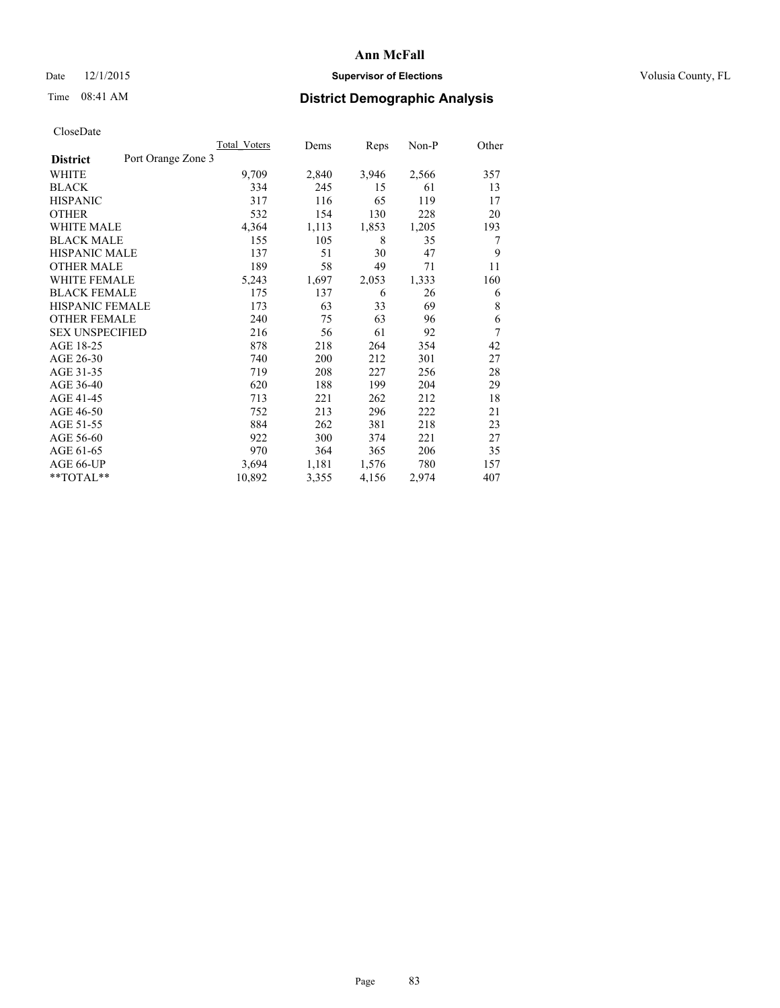# Date 12/1/2015 **Supervisor of Elections Supervisor of Elections** Volusia County, FL

# Time 08:41 AM **District Demographic Analysis**

|                        |                    | <b>Total Voters</b> | Dems  | Reps  | Non-P | Other |
|------------------------|--------------------|---------------------|-------|-------|-------|-------|
| <b>District</b>        | Port Orange Zone 3 |                     |       |       |       |       |
| WHITE                  |                    | 9,709               | 2,840 | 3,946 | 2,566 | 357   |
| <b>BLACK</b>           |                    | 334                 | 245   | 15    | 61    | 13    |
| <b>HISPANIC</b>        |                    | 317                 | 116   | 65    | 119   | 17    |
| <b>OTHER</b>           |                    | 532                 | 154   | 130   | 228   | 20    |
| <b>WHITE MALE</b>      |                    | 4,364               | 1,113 | 1,853 | 1,205 | 193   |
| <b>BLACK MALE</b>      |                    | 155                 | 105   | 8     | 35    | 7     |
| <b>HISPANIC MALE</b>   |                    | 137                 | 51    | 30    | 47    | 9     |
| <b>OTHER MALE</b>      |                    | 189                 | 58    | 49    | 71    | 11    |
| <b>WHITE FEMALE</b>    |                    | 5,243               | 1,697 | 2,053 | 1,333 | 160   |
| <b>BLACK FEMALE</b>    |                    | 175                 | 137   | 6     | 26    | 6     |
| <b>HISPANIC FEMALE</b> |                    | 173                 | 63    | 33    | 69    | 8     |
| <b>OTHER FEMALE</b>    |                    | 240                 | 75    | 63    | 96    | 6     |
| <b>SEX UNSPECIFIED</b> |                    | 216                 | 56    | 61    | 92    | 7     |
| AGE 18-25              |                    | 878                 | 218   | 264   | 354   | 42    |
| AGE 26-30              |                    | 740                 | 200   | 212   | 301   | 27    |
| AGE 31-35              |                    | 719                 | 208   | 227   | 256   | 28    |
| AGE 36-40              |                    | 620                 | 188   | 199   | 204   | 29    |
| AGE 41-45              |                    | 713                 | 221   | 262   | 212   | 18    |
| AGE 46-50              |                    | 752                 | 213   | 296   | 222   | 21    |
| AGE 51-55              |                    | 884                 | 262   | 381   | 218   | 23    |
| AGE 56-60              |                    | 922                 | 300   | 374   | 221   | 27    |
| AGE 61-65              |                    | 970                 | 364   | 365   | 206   | 35    |
| AGE 66-UP              |                    | 3,694               | 1,181 | 1,576 | 780   | 157   |
| **TOTAL**              |                    | 10,892              | 3,355 | 4,156 | 2,974 | 407   |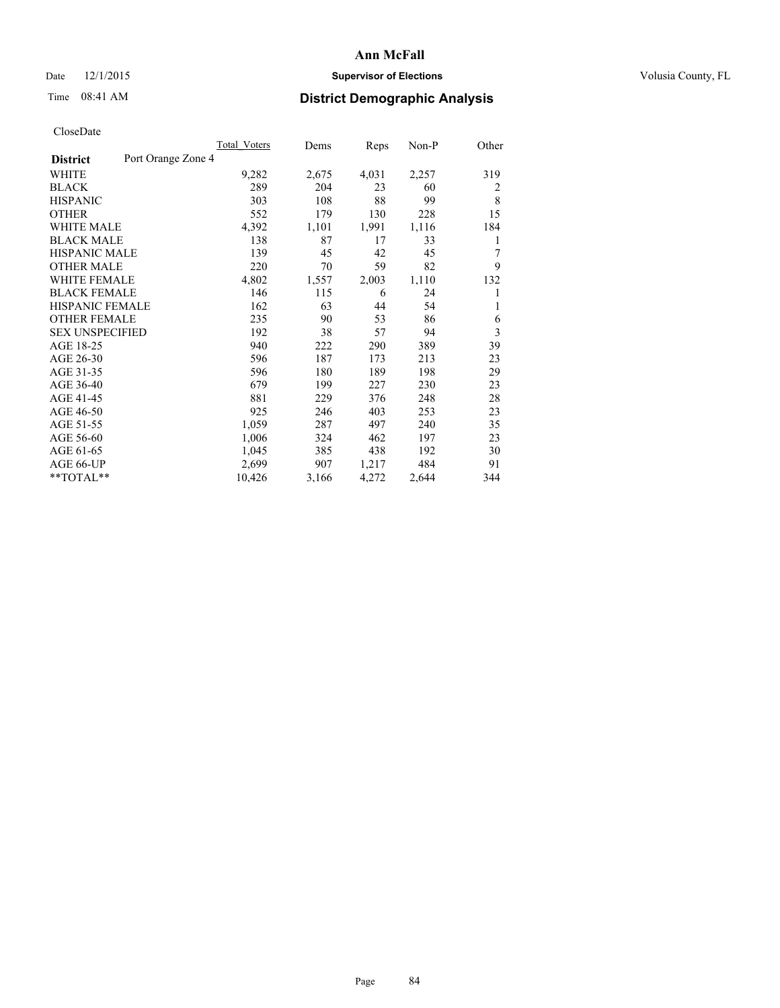# Date 12/1/2015 **Supervisor of Elections Supervisor of Elections** Volusia County, FL

# Time 08:41 AM **District Demographic Analysis**

|                        | Total Voters       | Dems  | Reps  | Non-P | Other |
|------------------------|--------------------|-------|-------|-------|-------|
| <b>District</b>        | Port Orange Zone 4 |       |       |       |       |
| WHITE                  | 9,282              | 2,675 | 4,031 | 2,257 | 319   |
| <b>BLACK</b>           | 289                | 204   | 23    | 60    | 2     |
| <b>HISPANIC</b>        | 303                | 108   | 88    | 99    | 8     |
| <b>OTHER</b>           | 552                | 179   | 130   | 228   | 15    |
| <b>WHITE MALE</b>      | 4,392              | 1,101 | 1,991 | 1,116 | 184   |
| <b>BLACK MALE</b>      | 138                | 87    | 17    | 33    | 1     |
| <b>HISPANIC MALE</b>   | 139                | 45    | 42    | 45    | 7     |
| <b>OTHER MALE</b>      | 220                | 70    | 59    | 82    | 9     |
| <b>WHITE FEMALE</b>    | 4,802              | 1,557 | 2,003 | 1,110 | 132   |
| <b>BLACK FEMALE</b>    | 146                | 115   | 6     | 24    | 1     |
| <b>HISPANIC FEMALE</b> | 162                | 63    | 44    | 54    | 1     |
| <b>OTHER FEMALE</b>    | 235                | 90    | 53    | 86    | 6     |
| <b>SEX UNSPECIFIED</b> | 192                | 38    | 57    | 94    | 3     |
| AGE 18-25              | 940                | 222   | 290   | 389   | 39    |
| AGE 26-30              | 596                | 187   | 173   | 213   | 23    |
| AGE 31-35              | 596                | 180   | 189   | 198   | 29    |
| AGE 36-40              | 679                | 199   | 227   | 230   | 23    |
| AGE 41-45              | 881                | 229   | 376   | 248   | 28    |
| AGE 46-50              | 925                | 246   | 403   | 253   | 23    |
| AGE 51-55              | 1,059              | 287   | 497   | 240   | 35    |
| AGE 56-60              | 1,006              | 324   | 462   | 197   | 23    |
| AGE 61-65              | 1,045              | 385   | 438   | 192   | 30    |
| AGE 66-UP              | 2,699              | 907   | 1,217 | 484   | 91    |
| **TOTAL**              | 10,426             | 3,166 | 4,272 | 2,644 | 344   |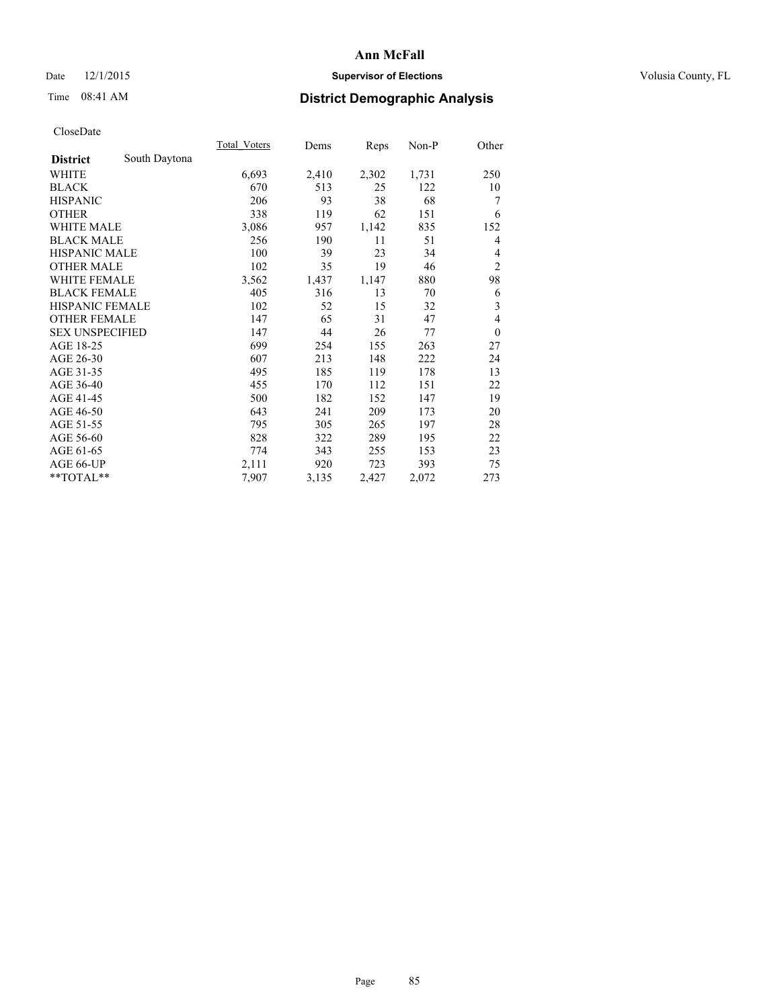# Date 12/1/2015 **Supervisor of Elections Supervisor of Elections** Volusia County, FL

# Time 08:41 AM **District Demographic Analysis**

|                        |               | Total Voters | Dems  | <b>Reps</b> | Non-P | Other          |
|------------------------|---------------|--------------|-------|-------------|-------|----------------|
| <b>District</b>        | South Daytona |              |       |             |       |                |
| WHITE                  |               | 6,693        | 2,410 | 2,302       | 1,731 | 250            |
| <b>BLACK</b>           |               | 670          | 513   | 25          | 122   | 10             |
| <b>HISPANIC</b>        |               | 206          | 93    | 38          | 68    | 7              |
| <b>OTHER</b>           |               | 338          | 119   | 62          | 151   | 6              |
| <b>WHITE MALE</b>      |               | 3,086        | 957   | 1,142       | 835   | 152            |
| <b>BLACK MALE</b>      |               | 256          | 190   | 11          | 51    | 4              |
| <b>HISPANIC MALE</b>   |               | 100          | 39    | 23          | 34    | 4              |
| <b>OTHER MALE</b>      |               | 102          | 35    | 19          | 46    | $\overline{c}$ |
| <b>WHITE FEMALE</b>    |               | 3,562        | 1,437 | 1,147       | 880   | 98             |
| <b>BLACK FEMALE</b>    |               | 405          | 316   | 13          | 70    | 6              |
| <b>HISPANIC FEMALE</b> |               | 102          | 52    | 15          | 32    | 3              |
| <b>OTHER FEMALE</b>    |               | 147          | 65    | 31          | 47    | $\overline{4}$ |
| <b>SEX UNSPECIFIED</b> |               | 147          | 44    | 26          | 77    | $\theta$       |
| AGE 18-25              |               | 699          | 254   | 155         | 263   | 27             |
| AGE 26-30              |               | 607          | 213   | 148         | 222   | 24             |
| AGE 31-35              |               | 495          | 185   | 119         | 178   | 13             |
| AGE 36-40              |               | 455          | 170   | 112         | 151   | 22             |
| AGE 41-45              |               | 500          | 182   | 152         | 147   | 19             |
| AGE 46-50              |               | 643          | 241   | 209         | 173   | 20             |
| AGE 51-55              |               | 795          | 305   | 265         | 197   | 28             |
| AGE 56-60              |               | 828          | 322   | 289         | 195   | 22             |
| AGE 61-65              |               | 774          | 343   | 255         | 153   | 23             |
| AGE 66-UP              |               | 2,111        | 920   | 723         | 393   | 75             |
| **TOTAL**              |               | 7,907        | 3,135 | 2,427       | 2,072 | 273            |